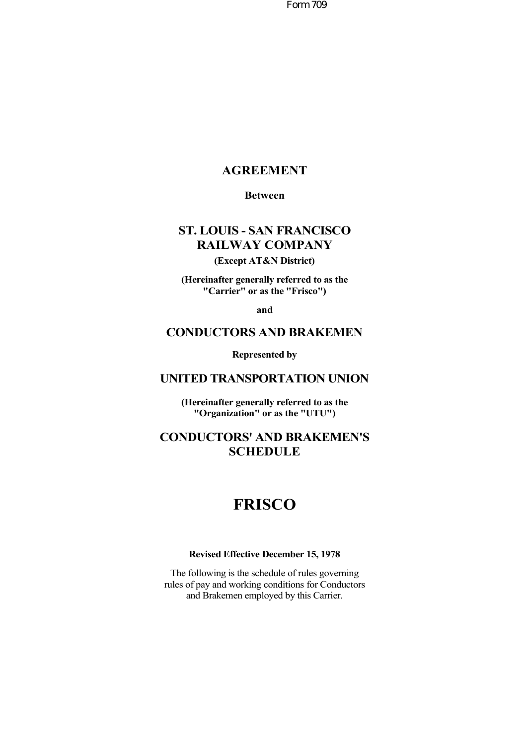Form 709

## **AGREEMENT**

#### **Between**

# **ST. LOUIS - SAN FRANCISCO RAILWAY COMPANY**

## **(Except AT&N District)**

**(Hereinafter generally referred to as the "Carrier" or as the "Frisco")**

**and**

# **CONDUCTORS AND BRAKEMEN**

**Represented by**

## **UNITED TRANSPORTATION UNION**

**(Hereinafter generally referred to as the "Organization" or as the "UTU")**

# **CONDUCTORS' AND BRAKEMEN'S SCHEDULE**

# **FRISCO**

#### **Revised Effective December 15, 1978**

The following is the schedule of rules governing rules of pay and working conditions for Conductors and Brakemen employed by this Carrier.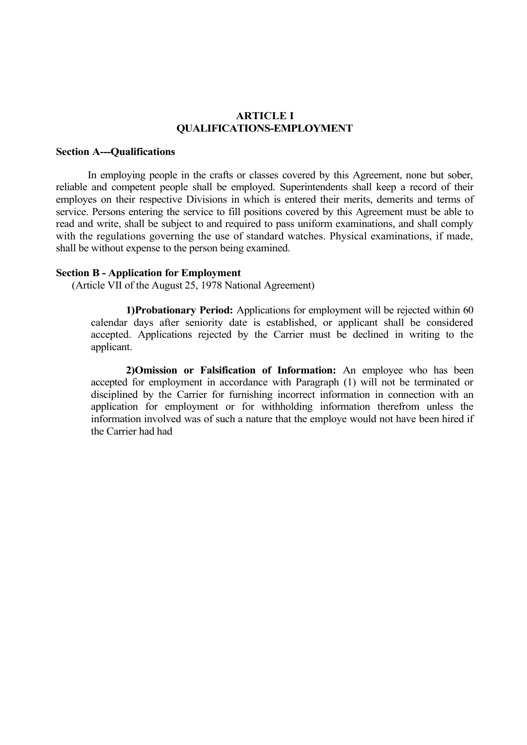## **ARTICLE I QUALIFICATIONS-EMPLOYMENT**

#### **Section A---Qualifications**

In employing people in the crafts or classes covered by this Agreement, none but sober, reliable and competent people shall be employed. Superintendents shall keep a record of their employes on their respective Divisions in which is entered their merits, demerits and terms of service. Persons entering the service to fill positions covered by this Agreement must be able to read and write, shall be subject to and required to pass uniform examinations, and shall comply with the regulations governing the use of standard watches. Physical examinations, if made, shall be without expense to the person being examined.

#### **Section B - Application for Employment**

(Article VII of the August 25, 1978 National Agreement)

**1)Probationary Period:** Applications for employment will be rejected within 60 calendar days after seniority date is established, or applicant shall be considered accepted. Applications rejected by the Carrier must be declined in writing to the applicant.

**2)Omission or Falsification of Information:** An employee who has been accepted for employment in accordance with Paragraph (1) will not be terminated or disciplined by the Carrier for furnishing incorrect information in connection with an application for employment or for withholding information therefrom unless the information involved was of such a nature that the employe would not have been hired if the Carrier had had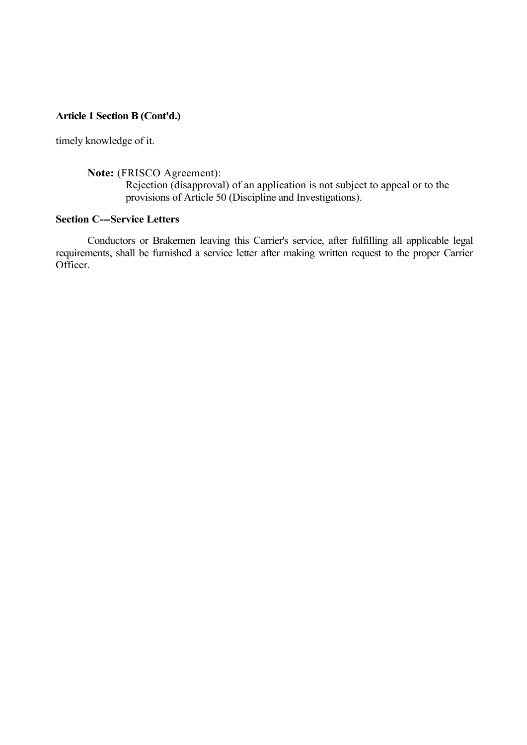timely knowledge of it.

## **Note:** (FRISCO Agreement):

Rejection (disapproval) of an application is not subject to appeal or to the provisions of Article 50 (Discipline and Investigations).

# **Section C---Service Letters**

Conductors or Brakemen leaving this Carrier's service, after fulfilling all applicable legal requirements, shall be furnished a service letter after making written request to the proper Carrier Officer.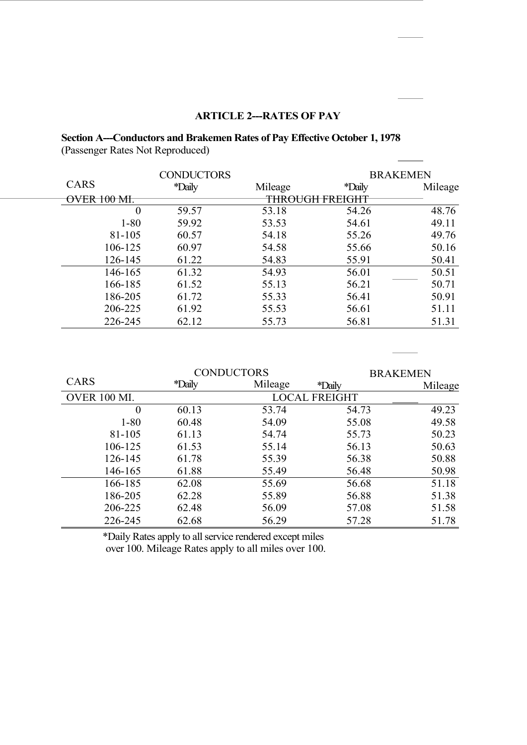## **ARTICLE 2---RATES OF PAY**

# **Section A---Conductors and Brakemen Rates of Pay Effective October 1, 1978** (Passenger Rates Not Reproduced)

|             | <b>CONDUCTORS</b> | <b>BRAKEMEN</b> |                 |         |
|-------------|-------------------|-----------------|-----------------|---------|
| CARS        | *Daily            | Mileage         | <i>*Daily</i>   | Mileage |
| OVER 100 ML |                   |                 | THROUGH FREIGHT |         |
| $\theta$    | 59.57             | 53.18           | 54.26           | 48.76   |
| $1 - 80$    | 59.92             | 53.53           | 54.61           | 49.11   |
| 81-105      | 60.57             | 54.18           | 55.26           | 49.76   |
| 106-125     | 60.97             | 54.58           | 55.66           | 50.16   |
| 126-145     | 61.22             | 54.83           | 55.91           | 50.41   |
| 146-165     | 61.32             | 54.93           | 56.01           | 50.51   |
| 166-185     | 61.52             | 55.13           | 56.21           | 50.71   |
| 186-205     | 61.72             | 55.33           | 56.41           | 50.91   |
| 206-225     | 61.92             | 55.53           | 56.61           | 51.11   |
| 226-245     | 62.12             | 55.73           | 56.81           | 51.31   |

|              | <b>CONDUCTORS</b> |         |                      | <b>BRAKEMEN</b> |
|--------------|-------------------|---------|----------------------|-----------------|
| CARS         | <i>*Daily</i>     | Mileage | <i>*Daily</i>        | Mileage         |
| OVER 100 MI. |                   |         | <b>LOCAL FREIGHT</b> |                 |
| $\theta$     | 60.13             | 53.74   | 54.73                | 49.23           |
| $1 - 80$     | 60.48             | 54.09   | 55.08                | 49.58           |
| 81-105       | 61.13             | 54.74   | 55.73                | 50.23           |
| 106-125      | 61.53             | 55.14   | 56.13                | 50.63           |
| 126-145      | 61.78             | 55.39   | 56.38                | 50.88           |
| 146-165      | 61.88             | 55.49   | 56.48                | 50.98           |
| 166-185      | 62.08             | 55.69   | 56.68                | 51.18           |
| 186-205      | 62.28             | 55.89   | 56.88                | 51.38           |
| 206-225      | 62.48             | 56.09   | 57.08                | 51.58           |
| 226-245      | 62.68             | 56.29   | 57.28                | 51.78           |

\*Daily Rates apply to all service rendered except miles

over 100. Mileage Rates apply to all miles over 100.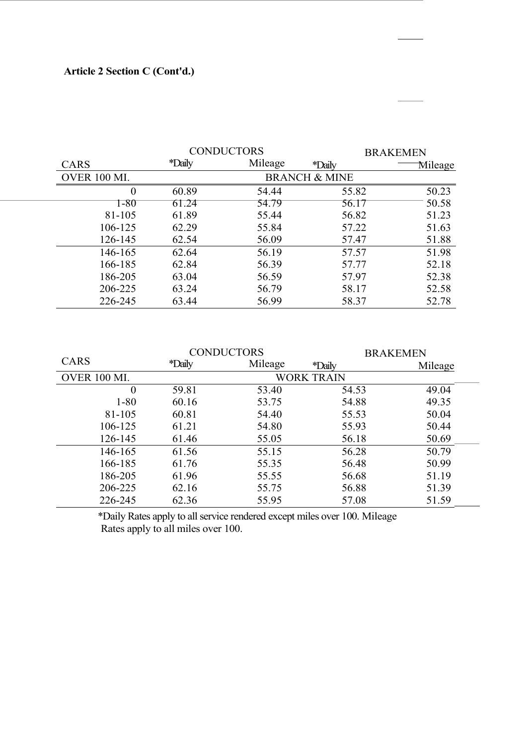|              | <b>CONDUCTORS</b> |         |                          | <b>BRAKEMEN</b> |
|--------------|-------------------|---------|--------------------------|-----------------|
| <b>CARS</b>  | <i>*Daily</i>     | Mileage | <i>*Daily</i>            | Mileage         |
| OVER 100 MI. |                   |         | <b>BRANCH &amp; MINE</b> |                 |
|              | 60.89             | 54.44   | 55.82                    | 50.23           |
| 1-80         | 61.24             | 54.79   | 56.17                    | 50.58           |
| 81-105       | 61.89             | 55.44   | 56.82                    | 51.23           |
| 106-125      | 62.29             | 55.84   | 57.22                    | 51.63           |
| 126-145      | 62.54             | 56.09   | 57.47                    | 51.88           |
| 146-165      | 62.64             | 56.19   | 57.57                    | 51.98           |
| 166-185      | 62.84             | 56.39   | 57.77                    | 52.18           |
| 186-205      | 63.04             | 56.59   | 57.97                    | 52.38           |
| 206-225      | 63.24             | 56.79   | 58.17                    | 52.58           |
| 226-245      | 63.44             | 56.99   | 58.37                    | 52.78           |

|                     | <b>CONDUCTORS</b> |         | <b>BRAKEMEN</b>   |         |  |
|---------------------|-------------------|---------|-------------------|---------|--|
| <b>CARS</b>         | <i>*Daily</i>     | Mileage | <i>*Daily</i>     | Mileage |  |
| <b>OVER 100 MI.</b> |                   |         | <b>WORK TRAIN</b> |         |  |
| 0                   | 59.81             | 53.40   | 54.53             | 49.04   |  |
| $1 - 80$            | 60.16             | 53.75   | 54.88             | 49.35   |  |
| 81-105              | 60.81             | 54.40   | 55.53             | 50.04   |  |
| 106-125             | 61.21             | 54.80   | 55.93             | 50.44   |  |
| 126-145             | 61.46             | 55.05   | 56.18             | 50.69   |  |
| 146-165             | 61.56             | 55.15   | 56.28             | 50.79   |  |
| 166-185             | 61.76             | 55.35   | 56.48             | 50.99   |  |
| 186-205             | 61.96             | 55.55   | 56.68             | 51.19   |  |
| 206-225             | 62.16             | 55.75   | 56.88             | 51.39   |  |
| 226-245             | 62.36             | 55.95   | 57.08             | 51.59   |  |

\*Daily Rates apply to all service rendered except miles over 100. Mileage Rates apply to all miles over 100.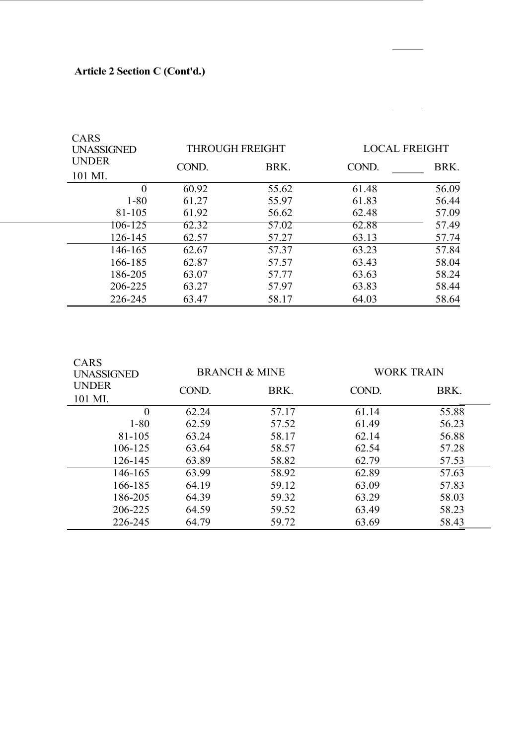| <b>CARS</b><br><b>UNASSIGNED</b> |                         |       | <b>THROUGH FREIGHT</b> |       | <b>LOCAL FREIGHT</b> |  |
|----------------------------------|-------------------------|-------|------------------------|-------|----------------------|--|
|                                  | <b>UNDER</b><br>101 MI. | COND. | BRK.                   | COND. | BRK.                 |  |
|                                  | $\Omega$                | 60.92 | 55.62                  | 61.48 | 56.09                |  |
|                                  | $1 - 80$                | 61.27 | 55.97                  | 61.83 | 56.44                |  |
|                                  | 81-105                  | 61.92 | 56.62                  | 62.48 | 57.09                |  |
|                                  | 106-125                 | 62.32 | 57.02                  | 62.88 | 57.49                |  |
|                                  | 126-145                 | 62.57 | 57.27                  | 63.13 | 57.74                |  |
|                                  | 146-165                 | 62.67 | 57.37                  | 63.23 | 57.84                |  |
|                                  | 166-185                 | 62.87 | 57.57                  | 63.43 | 58.04                |  |
|                                  | 186-205                 | 63.07 | 57.77                  | 63.63 | 58.24                |  |
|                                  | 206-225                 | 63.27 | 57.97                  | 63.83 | 58.44                |  |
|                                  | 226-245                 | 63.47 | 58.17                  | 64.03 | 58.64                |  |

 $\overline{\phantom{a}}$ 

| <b>CARS</b><br><b>UNASSIGNED</b> |       | <b>BRANCH &amp; MINE</b> |       | <b>WORK TRAIN</b> |  |  |
|----------------------------------|-------|--------------------------|-------|-------------------|--|--|
| <b>UNDER</b><br>101 MI.          | COND. | BRK.                     | COND. | BRK.              |  |  |
| $\overline{0}$                   | 62.24 | 57.17                    | 61.14 | 55.88             |  |  |
| $1 - 80$                         | 62.59 | 57.52                    | 61.49 | 56.23             |  |  |
| 81-105                           | 63.24 | 58.17                    | 62.14 | 56.88             |  |  |
| 106-125                          | 63.64 | 58.57                    | 62.54 | 57.28             |  |  |
| 126-145                          | 63.89 | 58.82                    | 62.79 | 57.53             |  |  |
| 146-165                          | 63.99 | 58.92                    | 62.89 | 57.63             |  |  |
| 166-185                          | 64.19 | 59.12                    | 63.09 | 57.83             |  |  |
| 186-205                          | 64.39 | 59.32                    | 63.29 | 58.03             |  |  |
| 206-225                          | 64.59 | 59.52                    | 63.49 | 58.23             |  |  |
| 226-245                          | 64.79 | 59.72                    | 63.69 | 58.43             |  |  |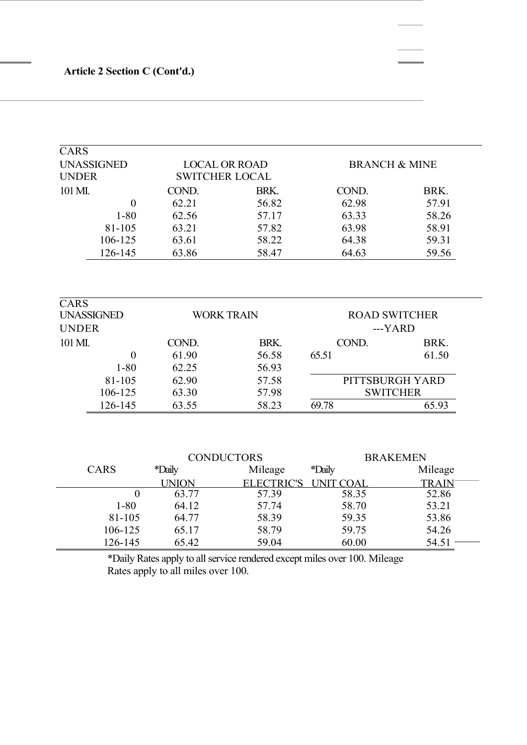| <b>CARS</b>         |                                           |              |                          |                  |                                                                              |  |  |
|---------------------|-------------------------------------------|--------------|--------------------------|------------------|------------------------------------------------------------------------------|--|--|
|                     | <b>UNASSIGNED</b><br><b>LOCAL OR ROAD</b> |              | <b>BRANCH &amp; MINE</b> |                  |                                                                              |  |  |
| <b>UNDER</b>        |                                           |              | <b>SWITCHER LOCAL</b>    |                  |                                                                              |  |  |
| 101 MI.<br>$\theta$ |                                           | COND.        | BRK.                     | COND.            | BRK.                                                                         |  |  |
|                     |                                           | 62.21        | 56.82                    | 62.98            | 57.91                                                                        |  |  |
|                     | $1 - 80$                                  | 62.56        | 57.17                    | 63.33            | 58.26                                                                        |  |  |
|                     | 81-105                                    | 63.21        | 57.82                    | 63.98            | 58.91                                                                        |  |  |
|                     | 106-125                                   | 63.61        | 58.22                    | 64.38            | 59.31                                                                        |  |  |
|                     | 126-145                                   | 63.86        | 58.47                    | 64.63            | 59.56                                                                        |  |  |
|                     |                                           |              |                          |                  |                                                                              |  |  |
| <b>CARS</b>         |                                           |              |                          |                  |                                                                              |  |  |
|                     | <b>UNASSIGNED</b>                         |              | <b>WORK TRAIN</b>        |                  | <b>ROAD SWITCHER</b><br>---YARD<br>BRK.<br>61.50<br><b>SWITCHER</b><br>65.93 |  |  |
| <b>UNDER</b>        |                                           |              |                          |                  |                                                                              |  |  |
| 101 MI.             |                                           | COND.        | BRK.                     | COND.            |                                                                              |  |  |
|                     | $\boldsymbol{0}$                          | 61.90        | 56.58                    | 65.51            |                                                                              |  |  |
|                     | $1 - 80$                                  | 62.25        | 56.93                    |                  |                                                                              |  |  |
|                     | 81-105                                    | 62.90        | 57.58                    | PITTSBURGH YARD  |                                                                              |  |  |
|                     | 106-125                                   | 63.30        | 57.98                    |                  |                                                                              |  |  |
|                     | 126-145                                   | 63.55        | 58.23                    | 69.78            |                                                                              |  |  |
| <b>CONDUCTORS</b>   |                                           |              |                          | <b>BRAKEMEN</b>  |                                                                              |  |  |
|                     | <b>CARS</b>                               | *Daily       | Mileage                  | *Daily           | Mileage                                                                      |  |  |
|                     |                                           | <b>UNION</b> | <b>ELECTRIC'S</b>        | <b>UNIT COAL</b> | <b>TRAIN</b>                                                                 |  |  |
|                     | $\overline{0}$                            | 63.77        | 57.39                    | 58.35            | 52.86                                                                        |  |  |
|                     | $1 - 80$                                  | 64.12        | 57.74                    | 58.70            | 53.21                                                                        |  |  |
|                     | 81-105                                    | 64.77        | 58.39                    | 59.35            | 53.86                                                                        |  |  |
|                     | 106-125                                   | 65.17        | 58.79                    | 59.75            | 54.26                                                                        |  |  |
|                     | 126-145                                   | 65.42        | 59.04                    | 60.00            | 54.51                                                                        |  |  |

\*Daily Rates apply to all service rendered except miles over 100. Mileage Rates apply to all miles over 100.

126-145 65.42 59.04 60.00 54.51 -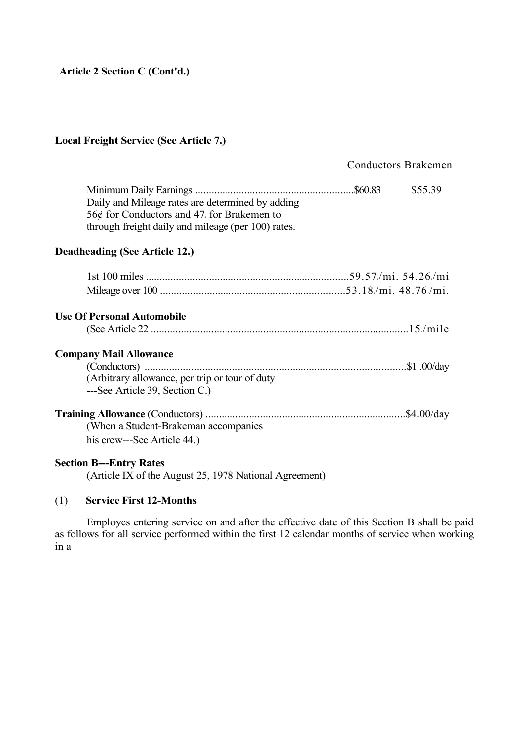## **Local Freight Service (See Article 7.)**

# Conductors Brakemen

| Daily and Mileage rates are determined by adding<br>56¢ for Conductors and 47, for Brakemen to<br>through freight daily and mileage (per 100) rates. | \$55.39 |
|------------------------------------------------------------------------------------------------------------------------------------------------------|---------|
| <b>Deadheading (See Article 12.)</b>                                                                                                                 |         |
|                                                                                                                                                      |         |
| <b>Use Of Personal Automobile</b>                                                                                                                    |         |
| <b>Company Mail Allowance</b><br>(Arbitrary allowance, per trip or tour of duty                                                                      |         |
| ---See Article 39, Section C.)                                                                                                                       |         |
| (When a Student-Brakeman accompanies)<br>his crew---See Article 44.)                                                                                 |         |
| <b>Section B---Entry Rates</b>                                                                                                                       |         |

(Article IX of the August 25, 1978 National Agreement)

## (1) **Service First 12-Months**

Employes entering service on and after the effective date of this Section B shall be paid as follows for all service performed within the first 12 calendar months of service when working in a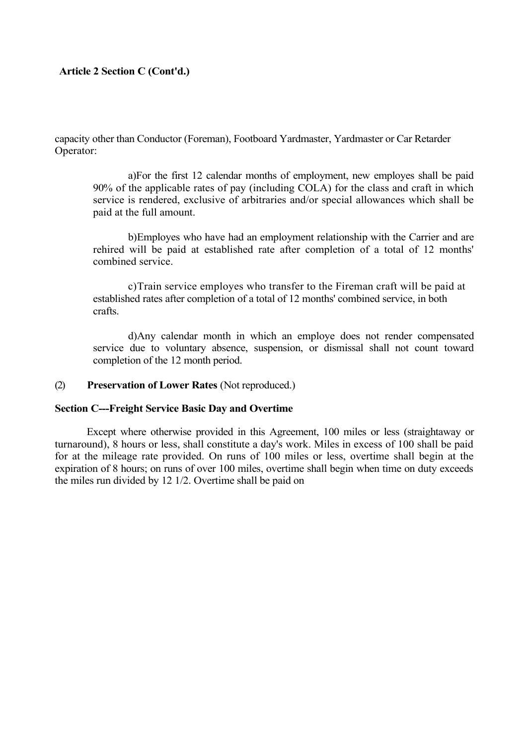capacity other than Conductor (Foreman), Footboard Yardmaster, Yardmaster or Car Retarder Operator:

a)For the first 12 calendar months of employment, new employes shall be paid 90% of the applicable rates of pay (including COLA) for the class and craft in which service is rendered, exclusive of arbitraries and/or special allowances which shall be paid at the full amount.

b)Employes who have had an employment relationship with the Carrier and are rehired will be paid at established rate after completion of a total of 12 months' combined service.

c)Train service employes who transfer to the Fireman craft will be paid at established rates after completion of a total of 12 months' combined service, in both crafts.

d)Any calendar month in which an employe does not render compensated service due to voluntary absence, suspension, or dismissal shall not count toward completion of the 12 month period.

#### (2) **Preservation of Lower Rates** (Not reproduced.)

#### **Section C---Freight Service Basic Day and Overtime**

Except where otherwise provided in this Agreement, 100 miles or less (straightaway or turnaround), 8 hours or less, shall constitute a day's work. Miles in excess of 100 shall be paid for at the mileage rate provided. On runs of 100 miles or less, overtime shall begin at the expiration of 8 hours; on runs of over 100 miles, overtime shall begin when time on duty exceeds the miles run divided by 12 1/2. Overtime shall be paid on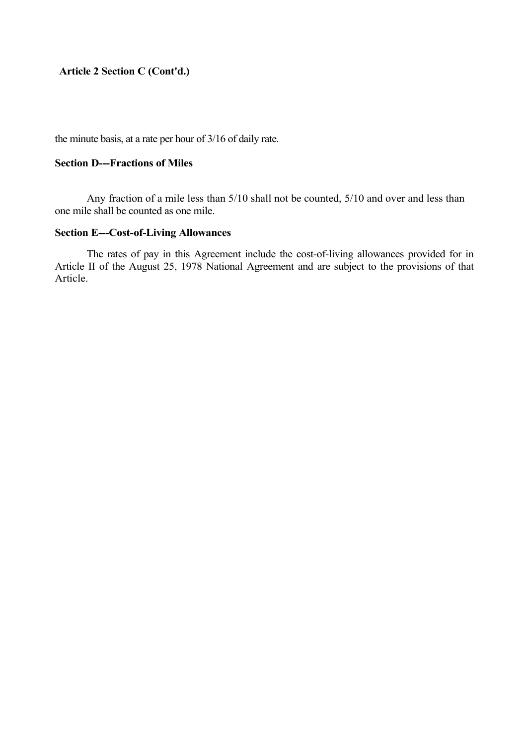the minute basis, at a rate per hour of 3/16 of daily rate.

## **Section D---Fractions of Miles**

Any fraction of a mile less than 5/10 shall not be counted, 5/10 and over and less than one mile shall be counted as one mile.

## **Section E---Cost-of-Living Allowances**

The rates of pay in this Agreement include the cost-of-living allowances provided for in Article II of the August 25, 1978 National Agreement and are subject to the provisions of that Article.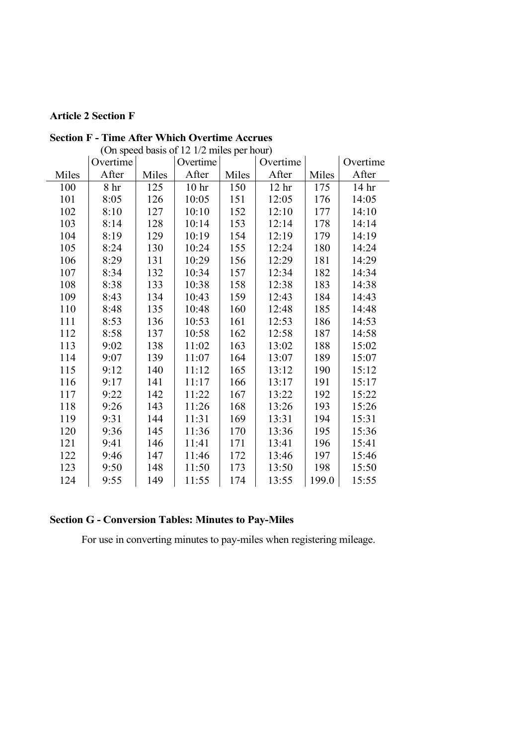# **Article 2 Section F**

|       | Overtime        |       | $\frac{1}{2}$ on speed cases of $12 \text{ m/s}$ per nom<br>Overtime |       | Overtime         |       | Overtime         |
|-------|-----------------|-------|----------------------------------------------------------------------|-------|------------------|-------|------------------|
| Miles | After           | Miles | After                                                                | Miles | After            | Miles | After            |
| 100   | 8 <sup>hr</sup> | 125   | 10 <sup>hr</sup>                                                     | 150   | 12 <sup>hr</sup> | 175   | 14 <sub>hr</sub> |
| 101   | 8:05            | 126   | 10:05                                                                | 151   | 12:05            | 176   | 14:05            |
| 102   | 8:10            | 127   | 10:10                                                                | 152   | 12:10            | 177   | 14:10            |
| 103   | 8:14            | 128   | 10:14                                                                | 153   | 12:14            | 178   | 14:14            |
| 104   | 8:19            | 129   | 10:19                                                                | 154   | 12:19            | 179   | 14:19            |
| 105   | 8:24            | 130   | 10:24                                                                | 155   | 12:24            | 180   | 14:24            |
| 106   | 8:29            | 131   | 10:29                                                                | 156   | 12:29            | 181   | 14:29            |
| 107   | 8:34            | 132   | 10:34                                                                | 157   | 12:34            | 182   | 14:34            |
| 108   | 8:38            | 133   | 10:38                                                                | 158   | 12:38            | 183   | 14:38            |
| 109   | 8:43            | 134   | 10:43                                                                | 159   | 12:43            | 184   | 14:43            |
| 110   | 8:48            | 135   | 10:48                                                                | 160   | 12:48            | 185   | 14:48            |
| 111   | 8:53            | 136   | 10:53                                                                | 161   | 12:53            | 186   | 14:53            |
| 112   | 8:58            | 137   | 10:58                                                                | 162   | 12:58            | 187   | 14:58            |
| 113   | 9:02            | 138   | 11:02                                                                | 163   | 13:02            | 188   | 15:02            |
| 114   | 9:07            | 139   | 11:07                                                                | 164   | 13:07            | 189   | 15:07            |
| 115   | 9:12            | 140   | 11:12                                                                | 165   | 13:12            | 190   | 15:12            |
| 116   | 9:17            | 141   | 11:17                                                                | 166   | 13:17            | 191   | 15:17            |
| 117   | 9:22            | 142   | 11:22                                                                | 167   | 13:22            | 192   | 15:22            |
| 118   | 9:26            | 143   | 11:26                                                                | 168   | 13:26            | 193   | 15:26            |
| 119   | 9:31            | 144   | 11:31                                                                | 169   | 13:31            | 194   | 15:31            |
| 120   | 9:36            | 145   | 11:36                                                                | 170   | 13:36            | 195   | 15:36            |
| 121   | 9:41            | 146   | 11:41                                                                | 171   | 13:41            | 196   | 15:41            |
| 122   | 9:46            | 147   | 11:46                                                                | 172   | 13:46            | 197   | 15:46            |
| 123   | 9:50            | 148   | 11:50                                                                | 173   | 13:50            | 198   | 15:50            |
| 124   | 9:55            | 149   | 11:55                                                                | 174   | 13:55            | 199.0 | 15:55            |

**Section F - Time After Which Overtime Accrues** (On speed basis of 12 1/2 miles per hour)

# **Section G - Conversion Tables: Minutes to Pay-Miles**

For use in converting minutes to pay-miles when registering mileage.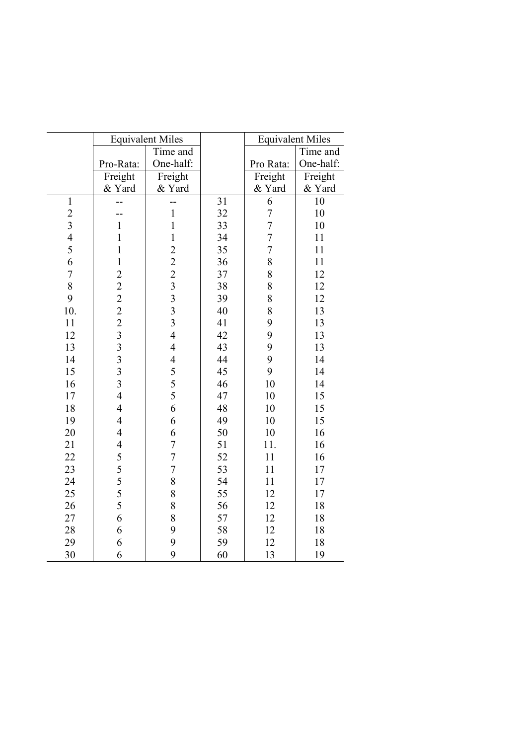|                         | <b>Equivalent Miles</b>        |                                |    | <b>Equivalent Miles</b> |           |
|-------------------------|--------------------------------|--------------------------------|----|-------------------------|-----------|
|                         |                                | Time and                       |    |                         | Time and  |
|                         | Pro-Rata:                      | One-half:                      |    | Pro Rata:               | One-half: |
|                         | Freight                        | Freight                        |    | Freight                 | Freight   |
|                         | & Yard                         | & Yard                         |    | & Yard                  | & Yard    |
| $\mathbf{1}$            | --                             | --                             | 31 | 6                       | 10        |
| $\overline{c}$          | --                             | $\,1$                          | 32 | $\overline{7}$          | 10        |
| $\overline{\mathbf{3}}$ | $\mathbf{1}$                   | $\mathbf{1}$                   | 33 | $\overline{7}$          | 10        |
| $\overline{4}$          | $\mathbf{1}$                   | $\mathbf{1}$                   | 34 | $\overline{7}$          | 11        |
| 5                       | $\mathbf{1}$                   |                                | 35 | $\overline{7}$          | 11        |
| 6                       | $\mathbf{1}$                   |                                | 36 | 8                       | 11        |
| $\overline{7}$          |                                |                                | 37 | 8                       | 12        |
| 8                       | 222223333                      | $22233$<br>$333$               | 38 | 8                       | 12        |
| 9                       |                                |                                | 39 | 8                       | 12        |
| 10.                     |                                |                                | 40 | 8                       | 13        |
| 11                      |                                |                                | 41 | 9                       | 13        |
| 12                      |                                | $\overline{4}$                 | 42 | 9                       | 13        |
| 13                      |                                | $\overline{4}$                 | 43 | 9                       | 13        |
| 14                      |                                | $\frac{4}{5}$<br>$\frac{5}{5}$ | 44 | 9                       | 14        |
| 15                      |                                |                                | 45 | 9                       | 14        |
| 16                      |                                |                                | 46 | 10                      | 14        |
| 17                      | $\overline{4}$                 |                                | 47 | 10                      | 15        |
| 18                      | $\overline{4}$                 | 6                              | 48 | 10                      | 15        |
| 19                      | $\overline{4}$                 | 6                              | 49 | 10                      | 15        |
| 20                      | $\overline{4}$                 | 6                              | 50 | 10                      | 16        |
| 21                      | $\overline{\mathcal{A}}$       | $\overline{7}$                 | 51 | 11.                     | 16        |
| 22                      | $\frac{5}{5}$<br>$\frac{5}{5}$ | $\overline{7}$                 | 52 | 11                      | 16        |
| 23                      |                                | $\overline{7}$                 | 53 | 11                      | 17        |
| 24                      |                                | 8                              | 54 | 11                      | 17        |
| 25                      |                                | 8                              | 55 | 12                      | 17        |
| 26                      | 5                              | 8                              | 56 | 12                      | 18        |
| 27                      | 6                              | 8                              | 57 | 12                      | 18        |
| 28                      | 6                              | 9                              | 58 | 12                      | 18        |
| 29                      | 6                              | 9                              | 59 | 12                      | 18        |
| 30                      | 6                              | 9                              | 60 | 13                      | 19        |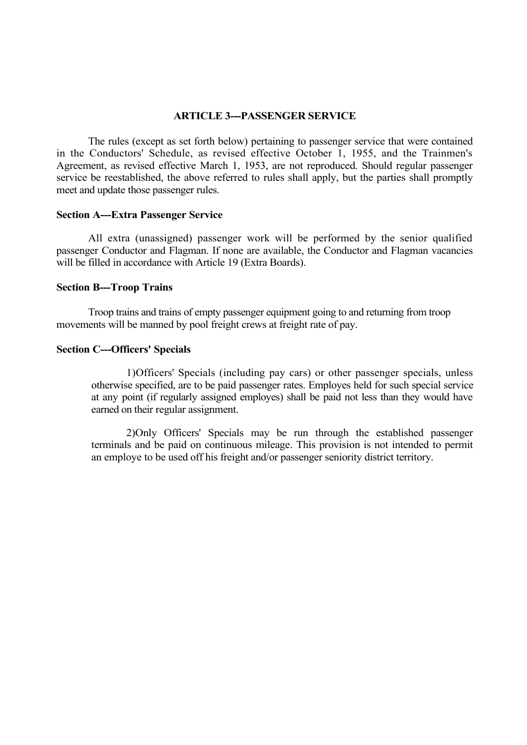## **ARTICLE 3---PASSENGER SERVICE**

The rules (except as set forth below) pertaining to passenger service that were contained in the Conductors' Schedule, as revised effective October 1, 1955, and the Trainmen's Agreement, as revised effective March 1, 1953, are not reproduced. Should regular passenger service be reestablished, the above referred to rules shall apply, but the parties shall promptly meet and update those passenger rules.

#### **Section A---Extra Passenger Service**

All extra (unassigned) passenger work will be performed by the senior qualified passenger Conductor and Flagman. If none are available, the Conductor and Flagman vacancies will be filled in accordance with Article 19 (Extra Boards).

#### **Section B---Troop Trains**

Troop trains and trains of empty passenger equipment going to and returning from troop movements will be manned by pool freight crews at freight rate of pay.

#### **Section C---Officers' Specials**

1)Officers' Specials (including pay cars) or other passenger specials, unless otherwise specified, are to be paid passenger rates. Employes held for such special service at any point (if regularly assigned employes) shall be paid not less than they would have earned on their regular assignment.

2)Only Officers' Specials may be run through the established passenger terminals and be paid on continuous mileage. This provision is not intended to permit an employe to be used off his freight and/or passenger seniority district territory.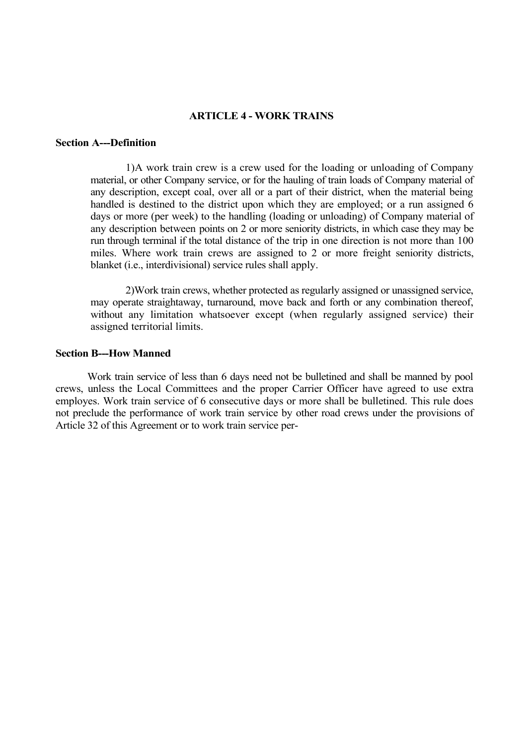#### **ARTICLE 4 - WORK TRAINS**

## **Section A---Definition**

1)A work train crew is a crew used for the loading or unloading of Company material, or other Company service, or for the hauling of train loads of Company material of any description, except coal, over all or a part of their district, when the material being handled is destined to the district upon which they are employed; or a run assigned 6 days or more (per week) to the handling (loading or unloading) of Company material of any description between points on 2 or more seniority districts, in which case they may be run through terminal if the total distance of the trip in one direction is not more than 100 miles. Where work train crews are assigned to 2 or more freight seniority districts, blanket (i.e., interdivisional) service rules shall apply.

2)Work train crews, whether protected as regularly assigned or unassigned service, may operate straightaway, turnaround, move back and forth or any combination thereof, without any limitation whatsoever except (when regularly assigned service) their assigned territorial limits.

#### **Section B---How Manned**

Work train service of less than 6 days need not be bulletined and shall be manned by pool crews, unless the Local Committees and the proper Carrier Officer have agreed to use extra employes. Work train service of 6 consecutive days or more shall be bulletined. This rule does not preclude the performance of work train service by other road crews under the provisions of Article 32 of this Agreement or to work train service per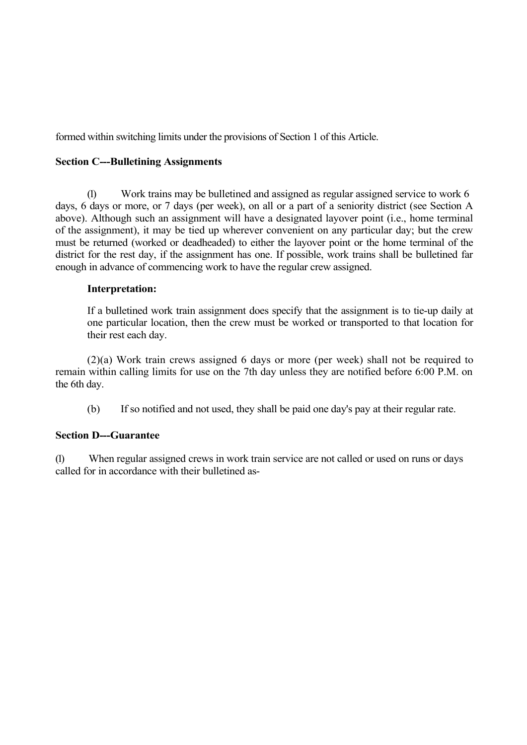formed within switching limits under the provisions of Section 1 of this Article.

## **Section C---Bulletining Assignments**

(1) Work trains may be bulletined and assigned as regular assigned service to work 6 days, 6 days or more, or 7 days (per week), on all or a part of a seniority district (see Section A above). Although such an assignment will have a designated layover point (i.e., home terminal of the assignment), it may be tied up wherever convenient on any particular day; but the crew must be returned (worked or deadheaded) to either the layover point or the home terminal of the district for the rest day, if the assignment has one. If possible, work trains shall be bulletined far enough in advance of commencing work to have the regular crew assigned.

## **Interpretation:**

If a bulletined work train assignment does specify that the assignment is to tie-up daily at one particular location, then the crew must be worked or transported to that location for their rest each day.

(2)(a) Work train crews assigned 6 days or more (per week) shall not be required to remain within calling limits for use on the 7th day unless they are notified before 6:00 P.M. on the 6th day.

(b) If so notified and not used, they shall be paid one day's pay at their regular rate.

## **Section D---Guarantee**

(1) When regular assigned crews in work train service are not called or used on runs or days called for in accordance with their bulletined as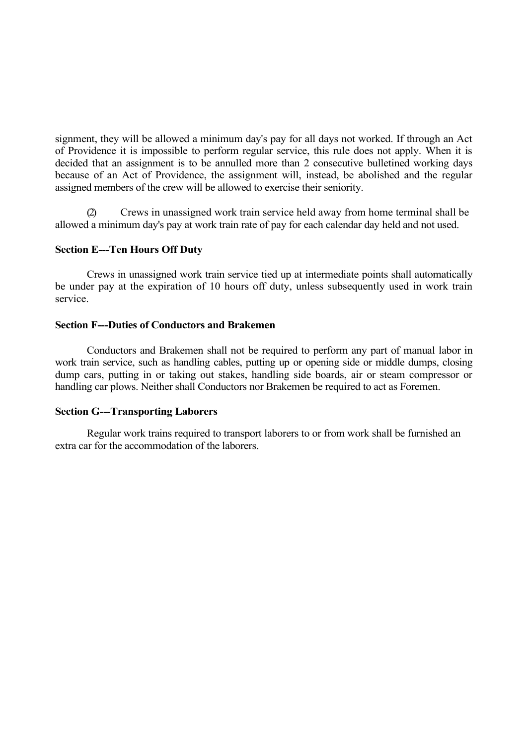signment, they will be allowed a minimum day's pay for all days not worked. If through an Act of Providence it is impossible to perform regular service, this rule does not apply. When it is decided that an assignment is to be annulled more than 2 consecutive bulletined working days because of an Act of Providence, the assignment will, instead, be abolished and the regular assigned members of the crew will be allowed to exercise their seniority.

Crews in unassigned work train service held away from home terminal shall be allowed a minimum day's pay at work train rate of pay for each calendar day held and not used.

#### **Section E---Ten Hours Off Duty**

Crews in unassigned work train service tied up at intermediate points shall automatically be under pay at the expiration of 10 hours off duty, unless subsequently used in work train service.

#### **Section F---Duties of Conductors and Brakemen**

Conductors and Brakemen shall not be required to perform any part of manual labor in work train service, such as handling cables, putting up or opening side or middle dumps, closing dump cars, putting in or taking out stakes, handling side boards, air or steam compressor or handling car plows. Neither shall Conductors nor Brakemen be required to act as Foremen.

## **Section G---Transporting Laborers**

Regular work trains required to transport laborers to or from work shall be furnished an extra car for the accommodation of the laborers.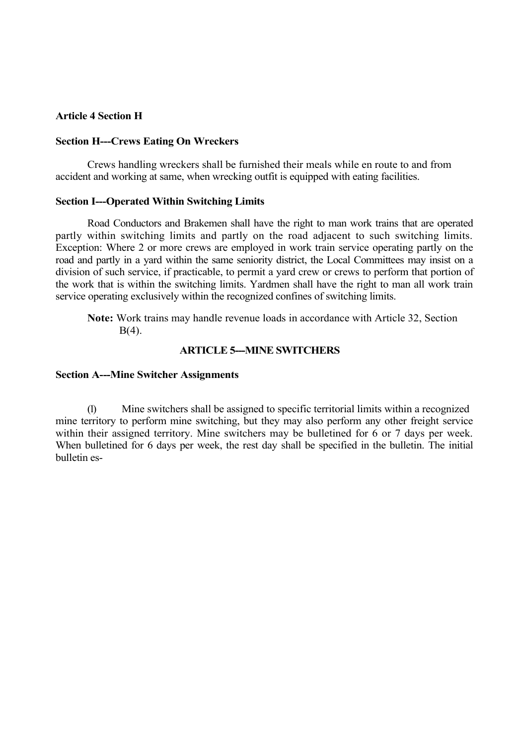## **Article 4 Section H**

#### **Section H---Crews Eating On Wreckers**

Crews handling wreckers shall be furnished their meals while en route to and from accident and working at same, when wrecking outfit is equipped with eating facilities.

## **Section I---Operated Within Switching Limits**

Road Conductors and Brakemen shall have the right to man work trains that are operated partly within switching limits and partly on the road adjacent to such switching limits. Exception: Where 2 or more crews are employed in work train service operating partly on the road and partly in a yard within the same seniority district, the Local Committees may insist on a division of such service, if practicable, to permit a yard crew or crews to perform that portion of the work that is within the switching limits. Yardmen shall have the right to man all work train service operating exclusively within the recognized confines of switching limits.

**Note:** Work trains may handle revenue loads in accordance with Article 32, Section B(4).

## **ARTICLE 5---MINE SWITCHERS**

#### **Section A---Mine Switcher Assignments**

(1) Mine switchers shall be assigned to specific territorial limits within a recognized mine territory to perform mine switching, but they may also perform any other freight service within their assigned territory. Mine switchers may be bulletined for 6 or 7 days per week. When bulletined for 6 days per week, the rest day shall be specified in the bulletin. The initial bulletin es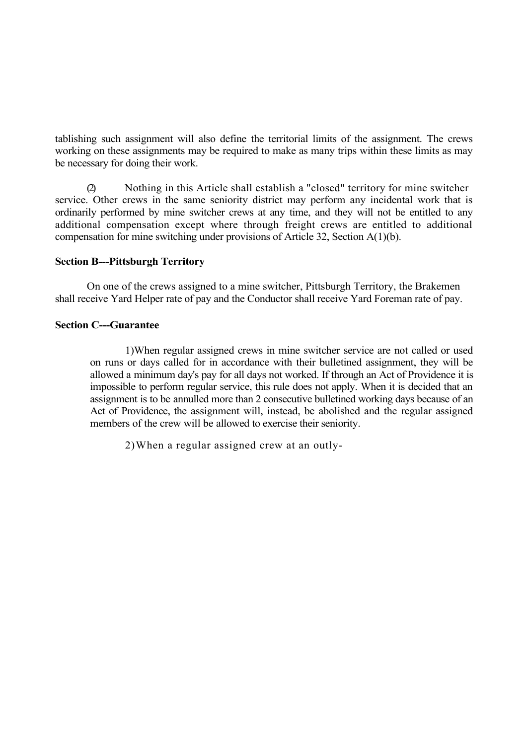tablishing such assignment will also define the territorial limits of the assignment. The crews working on these assignments may be required to make as many trips within these limits as may be necessary for doing their work.

(2) Nothing in this Article shall establish a "closed" territory for mine switcher service. Other crews in the same seniority district may perform any incidental work that is ordinarily performed by mine switcher crews at any time, and they will not be entitled to any additional compensation except where through freight crews are entitled to additional compensation for mine switching under provisions of Article 32, Section A(1)(b).

## **Section B---Pittsburgh Territory**

On one of the crews assigned to a mine switcher, Pittsburgh Territory, the Brakemen shall receive Yard Helper rate of pay and the Conductor shall receive Yard Foreman rate of pay.

## **Section C---Guarantee**

1)When regular assigned crews in mine switcher service are not called or used on runs or days called for in accordance with their bulletined assignment, they will be allowed a minimum day's pay for all days not worked. If through an Act of Providence it is impossible to perform regular service, this rule does not apply. When it is decided that an assignment is to be annulled more than 2 consecutive bulletined working days because of an Act of Providence, the assignment will, instead, be abolished and the regular assigned members of the crew will be allowed to exercise their seniority.

2)When a regular assigned crew at an outly-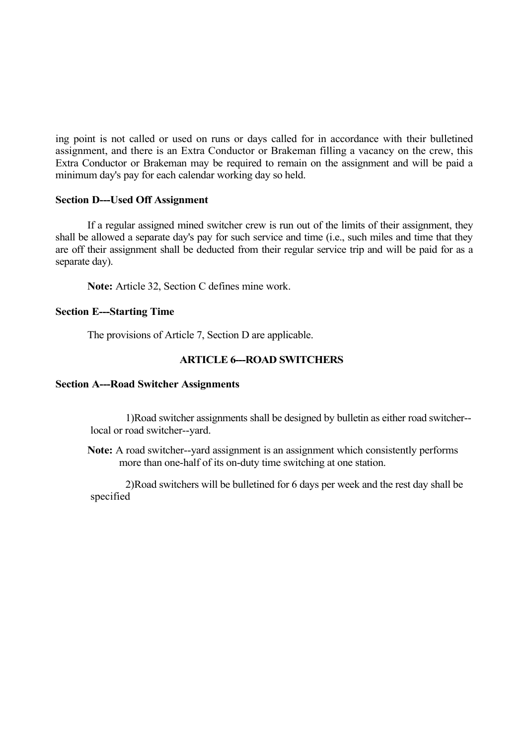ing point is not called or used on runs or days called for in accordance with their bulletined assignment, and there is an Extra Conductor or Brakeman filling a vacancy on the crew, this Extra Conductor or Brakeman may be required to remain on the assignment and will be paid a minimum day's pay for each calendar working day so held.

## **Section D---Used Off Assignment**

If a regular assigned mined switcher crew is run out of the limits of their assignment, they shall be allowed a separate day's pay for such service and time (i.e., such miles and time that they are off their assignment shall be deducted from their regular service trip and will be paid for as a separate day).

**Note:** Article 32, Section C defines mine work.

## **Section E---Starting Time**

The provisions of Article 7, Section D are applicable.

## **ARTICLE 6---ROAD SWITCHERS**

## **Section A---Road Switcher Assignments**

1)Road switcher assignments shall be designed by bulletin as either road switcher- local or road switcher--yard.

**Note:** A road switcher--yard assignment is an assignment which consistently performs more than one-half of its on-duty time switching at one station.

2)Road switchers will be bulletined for 6 days per week and the rest day shall be specified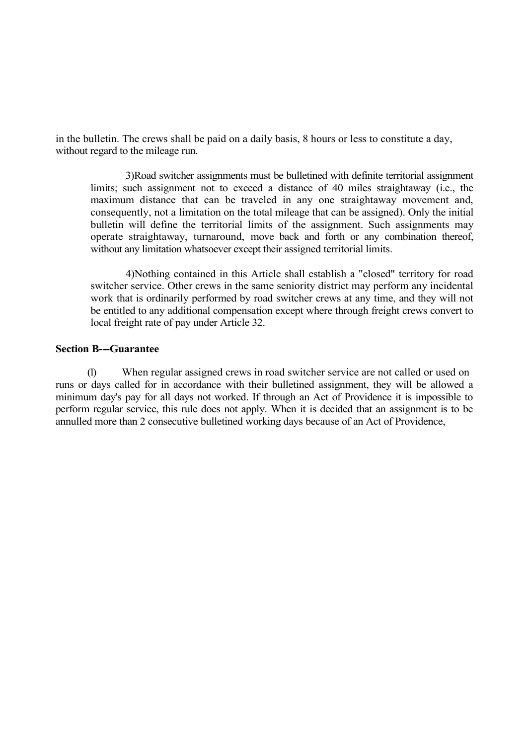in the bulletin. The crews shall be paid on a daily basis, 8 hours or less to constitute a day, without regard to the mileage run.

3)Road switcher assignments must be bulletined with definite territorial assignment limits; such assignment not to exceed a distance of 40 miles straightaway (i.e., the maximum distance that can be traveled in any one straightaway movement and, consequently, not a limitation on the total mileage that can be assigned). Only the initial bulletin will define the territorial limits of the assignment. Such assignments may operate straightaway, turnaround, move back and forth or any combination thereof, without any limitation whatsoever except their assigned territorial limits.

4)Nothing contained in this Article shall establish a "closed" territory for road switcher service. Other crews in the same seniority district may perform any incidental work that is ordinarily performed by road switcher crews at any time, and they will not be entitled to any additional compensation except where through freight crews convert to local freight rate of pay under Article 32.

#### **Section B---Guarantee**

(1) When regular assigned crews in road switcher service are not called or used on runs or days called for in accordance with their bulletined assignment, they will be allowed a minimum day's pay for all days not worked. If through an Act of Providence it is impossible to perform regular service, this rule does not apply. When it is decided that an assignment is to be annulled more than 2 consecutive bulletined working days because of an Act of Providence,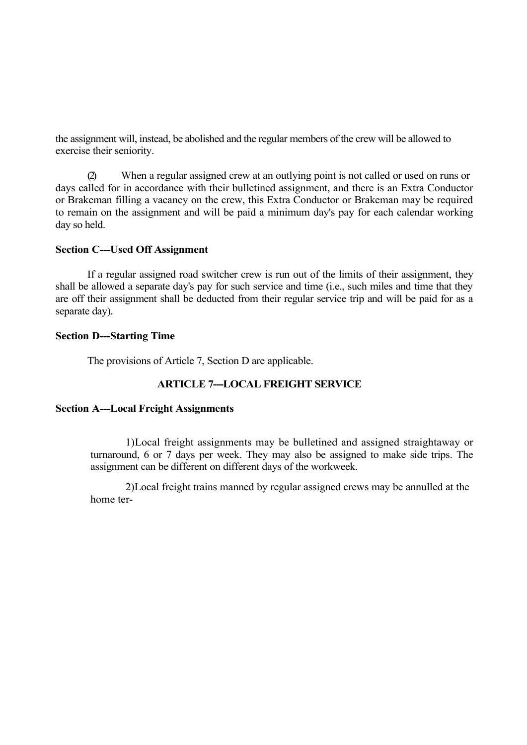the assignment will, instead, be abolished and the regular members of the crew will be allowed to exercise their seniority.

(2) When a regular assigned crew at an outlying point is not called or used on runs or days called for in accordance with their bulletined assignment, and there is an Extra Conductor or Brakeman filling a vacancy on the crew, this Extra Conductor or Brakeman may be required to remain on the assignment and will be paid a minimum day's pay for each calendar working day so held.

#### **Section C---Used Off Assignment**

If a regular assigned road switcher crew is run out of the limits of their assignment, they shall be allowed a separate day's pay for such service and time (i.e., such miles and time that they are off their assignment shall be deducted from their regular service trip and will be paid for as a separate day).

#### **Section D---Starting Time**

The provisions of Article 7, Section D are applicable.

## **ARTICLE 7---LOCAL FREIGHT SERVICE**

### **Section A---Local Freight Assignments**

1)Local freight assignments may be bulletined and assigned straightaway or turnaround, 6 or 7 days per week. They may also be assigned to make side trips. The assignment can be different on different days of the workweek.

2)Local freight trains manned by regular assigned crews may be annulled at the home ter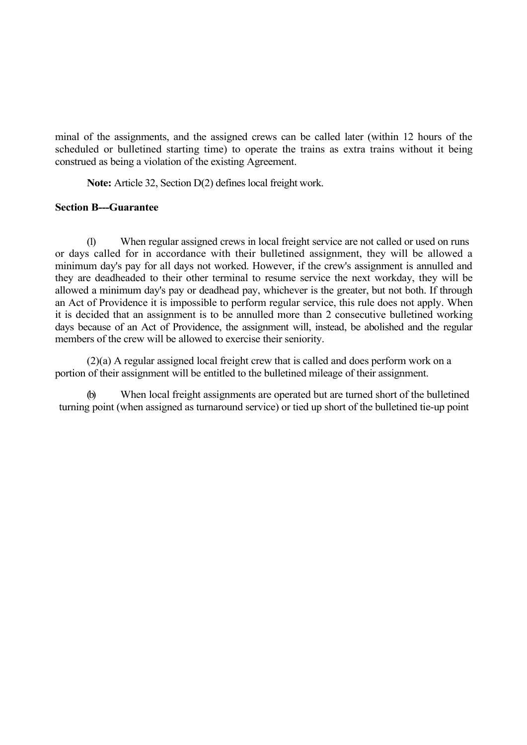minal of the assignments, and the assigned crews can be called later (within 12 hours of the scheduled or bulletined starting time) to operate the trains as extra trains without it being construed as being a violation of the existing Agreement.

**Note:** Article 32, Section D(2) defines local freight work.

## **Section B---Guarantee**

(1) When regular assigned crews in local freight service are not called or used on runs or days called for in accordance with their bulletined assignment, they will be allowed a minimum day's pay for all days not worked. However, if the crew's assignment is annulled and they are deadheaded to their other terminal to resume service the next workday, they will be allowed a minimum day's pay or deadhead pay, whichever is the greater, but not both. If through an Act of Providence it is impossible to perform regular service, this rule does not apply. When it is decided that an assignment is to be annulled more than 2 consecutive bulletined working days because of an Act of Providence, the assignment will, instead, be abolished and the regular members of the crew will be allowed to exercise their seniority.

(2)(a) A regular assigned local freight crew that is called and does perform work on a portion of their assignment will be entitled to the bulletined mileage of their assignment.

(b) When local freight assignments are operated but are turned short of the bulletined turning point (when assigned as turnaround service) or tied up short of the bulletined tie-up point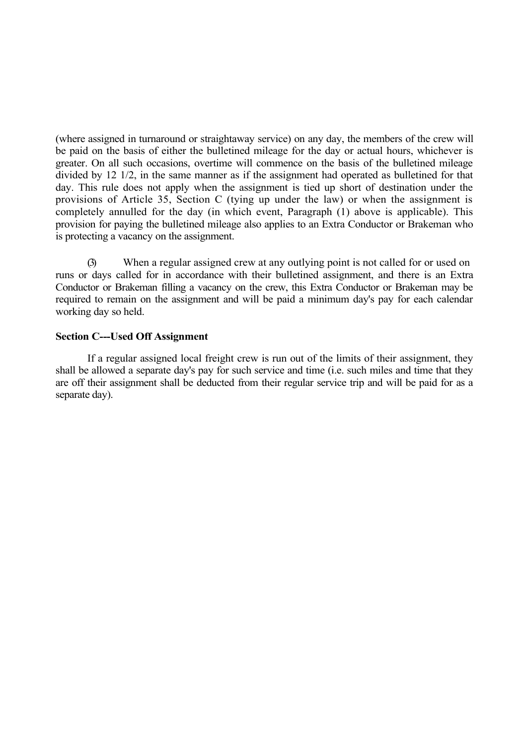(where assigned in turnaround or straightaway service) on any day, the members of the crew will be paid on the basis of either the bulletined mileage for the day or actual hours, whichever is greater. On all such occasions, overtime will commence on the basis of the bulletined mileage divided by 12 1/2, in the same manner as if the assignment had operated as bulletined for that day. This rule does not apply when the assignment is tied up short of destination under the provisions of Article 35, Section C (tying up under the law) or when the assignment is completely annulled for the day (in which event, Paragraph (1) above is applicable). This provision for paying the bulletined mileage also applies to an Extra Conductor or Brakeman who is protecting a vacancy on the assignment.

(3) When a regular assigned crew at any outlying point is not called for or used on runs or days called for in accordance with their bulletined assignment, and there is an Extra Conductor or Brakeman filling a vacancy on the crew, this Extra Conductor or Brakeman may be required to remain on the assignment and will be paid a minimum day's pay for each calendar working day so held.

#### **Section C---Used Off Assignment**

If a regular assigned local freight crew is run out of the limits of their assignment, they shall be allowed a separate day's pay for such service and time (i.e. such miles and time that they are off their assignment shall be deducted from their regular service trip and will be paid for as a separate day).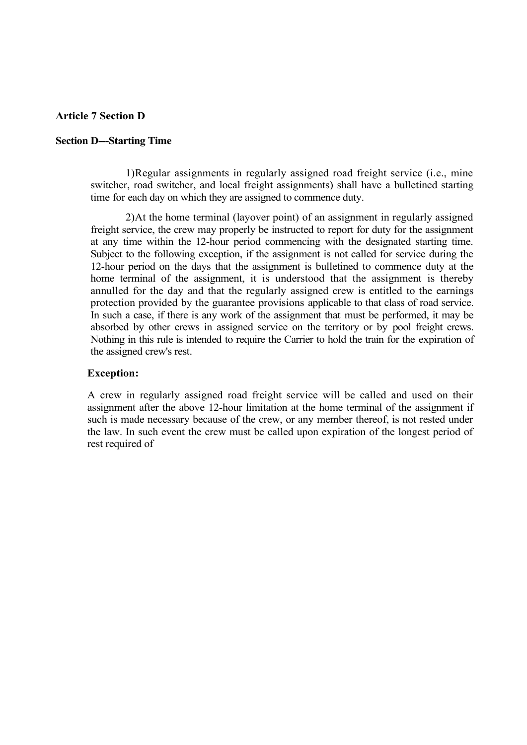## **Article 7 Section D**

#### **Section D---Starting Time**

1)Regular assignments in regularly assigned road freight service (i.e., mine switcher, road switcher, and local freight assignments) shall have a bulletined starting time for each day on which they are assigned to commence duty.

2)At the home terminal (layover point) of an assignment in regularly assigned freight service, the crew may properly be instructed to report for duty for the assignment at any time within the 12-hour period commencing with the designated starting time. Subject to the following exception, if the assignment is not called for service during the 12-hour period on the days that the assignment is bulletined to commence duty at the home terminal of the assignment, it is understood that the assignment is thereby annulled for the day and that the regularly assigned crew is entitled to the earnings protection provided by the guarantee provisions applicable to that class of road service. In such a case, if there is any work of the assignment that must be performed, it may be absorbed by other crews in assigned service on the territory or by pool freight crews. Nothing in this rule is intended to require the Carrier to hold the train for the expiration of the assigned crew's rest.

#### **Exception:**

A crew in regularly assigned road freight service will be called and used on their assignment after the above 12-hour limitation at the home terminal of the assignment if such is made necessary because of the crew, or any member thereof, is not rested under the law. In such event the crew must be called upon expiration of the longest period of rest required of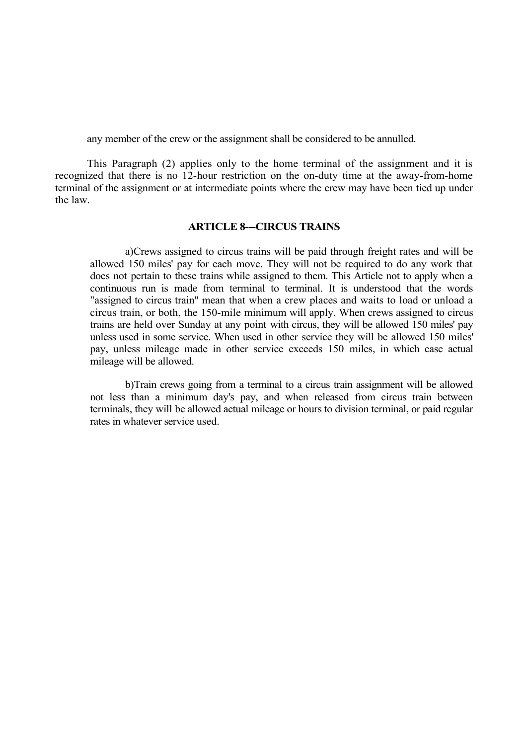any member of the crew or the assignment shall be considered to be annulled.

This Paragraph (2) applies only to the home terminal of the assignment and it is recognized that there is no 12-hour restriction on the on-duty time at the away-from-home terminal of the assignment or at intermediate points where the crew may have been tied up under the law.

#### **ARTICLE 8---CIRCUS TRAINS**

a)Crews assigned to circus trains will be paid through freight rates and will be allowed 150 miles' pay for each move. They will not be required to do any work that does not pertain to these trains while assigned to them. This Article not to apply when a continuous run is made from terminal to terminal. It is understood that the words "assigned to circus train" mean that when a crew places and waits to load or unload a circus train, or both, the 150-mile minimum will apply. When crews assigned to circus trains are held over Sunday at any point with circus, they will be allowed 150 miles' pay unless used in some service. When used in other service they will be allowed 150 miles' pay, unless mileage made in other service exceeds 150 miles, in which case actual mileage will be allowed.

b)Train crews going from a terminal to a circus train assignment will be allowed not less than a minimum day's pay, and when released from circus train between terminals, they will be allowed actual mileage or hours to division terminal, or paid regular rates in whatever service used.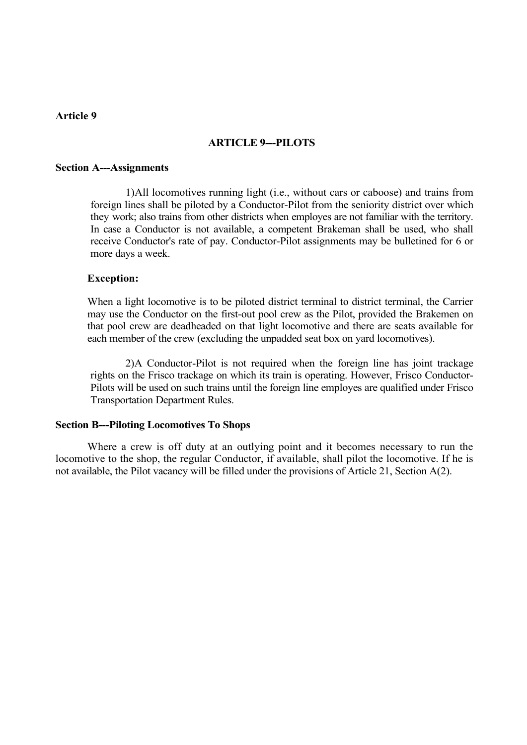## **Article 9**

## **ARTICLE 9---PILOTS**

#### **Section A---Assignments**

1)All locomotives running light (i.e., without cars or caboose) and trains from foreign lines shall be piloted by a Conductor-Pilot from the seniority district over which they work; also trains from other districts when employes are not familiar with the territory. In case a Conductor is not available, a competent Brakeman shall be used, who shall receive Conductor's rate of pay. Conductor-Pilot assignments may be bulletined for 6 or more days a week.

#### **Exception:**

When a light locomotive is to be piloted district terminal to district terminal, the Carrier may use the Conductor on the first-out pool crew as the Pilot, provided the Brakemen on that pool crew are deadheaded on that light locomotive and there are seats available for each member of the crew (excluding the unpadded seat box on yard locomotives).

2)A Conductor-Pilot is not required when the foreign line has joint trackage rights on the Frisco trackage on which its train is operating. However, Frisco Conductor-Pilots will be used on such trains until the foreign line employes are qualified under Frisco Transportation Department Rules.

#### **Section B---Piloting Locomotives To Shops**

Where a crew is off duty at an outlying point and it becomes necessary to run the locomotive to the shop, the regular Conductor, if available, shall pilot the locomotive. If he is not available, the Pilot vacancy will be filled under the provisions of Article 21, Section A(2).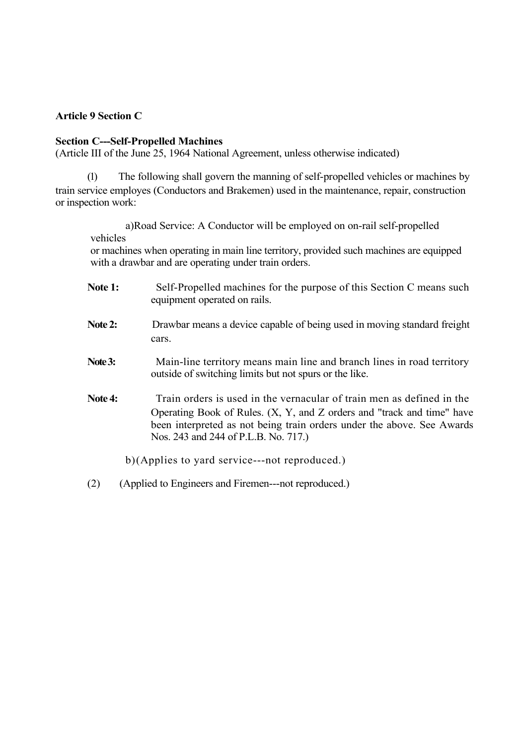## **Article 9 Section C**

## **Section C---Self-Propelled Machines**

(Article III of the June 25, 1964 National Agreement, unless otherwise indicated)

(1) The following shall govern the manning of self-propelled vehicles or machines by train service employes (Conductors and Brakemen) used in the maintenance, repair, construction or inspection work:

a)Road Service: A Conductor will be employed on on-rail self-propelled vehicles

or machines when operating in main line territory, provided such machines are equipped with a drawbar and are operating under train orders.

- Note 1: Self-Propelled machines for the purpose of this Section C means such equipment operated on rails.
- **Note 2:** Drawbar means a device capable of being used in moving standard freight cars.
- Note 3: Main-line territory means main line and branch lines in road territory outside of switching limits but not spurs or the like.
- **Note 4:** Train orders is used in the vernacular of train men as defined in the Operating Book of Rules. (X, Y, and Z orders and "track and time" have been interpreted as not being train orders under the above. See Awards Nos. 243 and 244 of P.L.B. No. 717.)

b)(Applies to yard service---not reproduced.)

(2) (Applied to Engineers and Firemen---not reproduced.)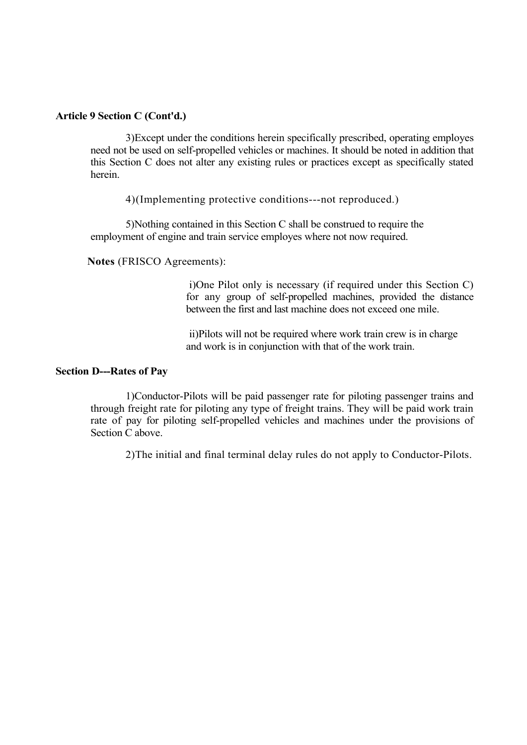3)Except under the conditions herein specifically prescribed, operating employes need not be used on self-propelled vehicles or machines. It should be noted in addition that this Section C does not alter any existing rules or practices except as specifically stated herein.

4)(Implementing protective conditions---not reproduced.)

5)Nothing contained in this Section C shall be construed to require the employment of engine and train service employes where not now required.

**Notes** (FRISCO Agreements):

i)One Pilot only is necessary (if required under this Section C) for any group of self-propelled machines, provided the distance between the first and last machine does not exceed one mile.

ii)Pilots will not be required where work train crew is in charge and work is in conjunction with that of the work train.

#### **Section D---Rates of Pay**

1)Conductor-Pilots will be paid passenger rate for piloting passenger trains and through freight rate for piloting any type of freight trains. They will be paid work train rate of pay for piloting self-propelled vehicles and machines under the provisions of Section C above.

2)The initial and final terminal delay rules do not apply to Conductor-Pilots.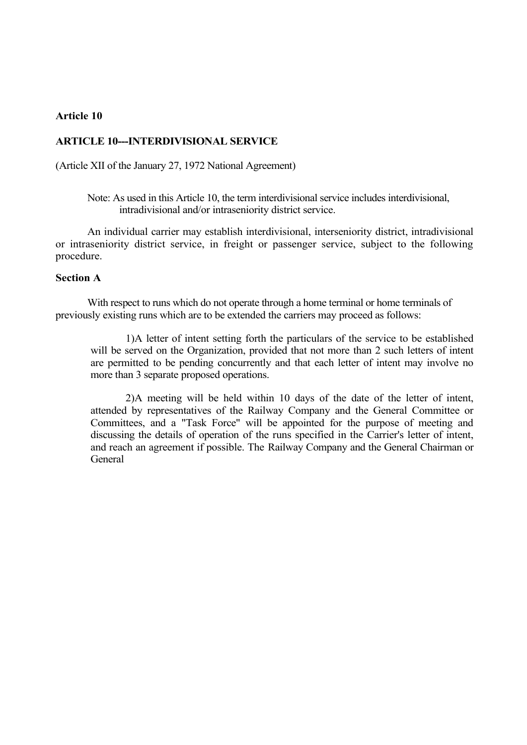## **Article 10**

## **ARTICLE 10---INTERDIVISIONAL SERVICE**

(Article XII of the January 27, 1972 National Agreement)

Note: As used in this Article 10, the term interdivisional service includes interdivisional, intradivisional and/or intraseniority district service.

An individual carrier may establish interdivisional, interseniority district, intradivisional or intraseniority district service, in freight or passenger service, subject to the following procedure.

#### **Section A**

With respect to runs which do not operate through a home terminal or home terminals of previously existing runs which are to be extended the carriers may proceed as follows:

1)A letter of intent setting forth the particulars of the service to be established will be served on the Organization, provided that not more than 2 such letters of intent are permitted to be pending concurrently and that each letter of intent may involve no more than 3 separate proposed operations.

2)A meeting will be held within 10 days of the date of the letter of intent, attended by representatives of the Railway Company and the General Committee or Committees, and a "Task Force" will be appointed for the purpose of meeting and discussing the details of operation of the runs specified in the Carrier's letter of intent, and reach an agreement if possible. The Railway Company and the General Chairman or **General**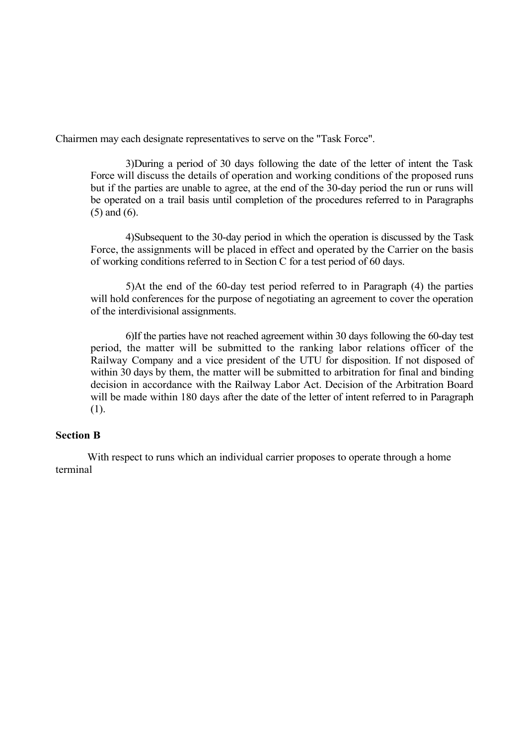Chairmen may each designate representatives to serve on the "Task Force".

3)During a period of 30 days following the date of the letter of intent the Task Force will discuss the details of operation and working conditions of the proposed runs but if the parties are unable to agree, at the end of the 30-day period the run or runs will be operated on a trail basis until completion of the procedures referred to in Paragraphs (5) and (6).

4)Subsequent to the 30-day period in which the operation is discussed by the Task Force, the assignments will be placed in effect and operated by the Carrier on the basis of working conditions referred to in Section C for a test period of 60 days.

5)At the end of the 60-day test period referred to in Paragraph (4) the parties will hold conferences for the purpose of negotiating an agreement to cover the operation of the interdivisional assignments.

6)If the parties have not reached agreement within 30 days following the 60-day test period, the matter will be submitted to the ranking labor relations officer of the Railway Company and a vice president of the UTU for disposition. If not disposed of within 30 days by them, the matter will be submitted to arbitration for final and binding decision in accordance with the Railway Labor Act. Decision of the Arbitration Board will be made within 180 days after the date of the letter of intent referred to in Paragraph (1).

## **Section B**

With respect to runs which an individual carrier proposes to operate through a home terminal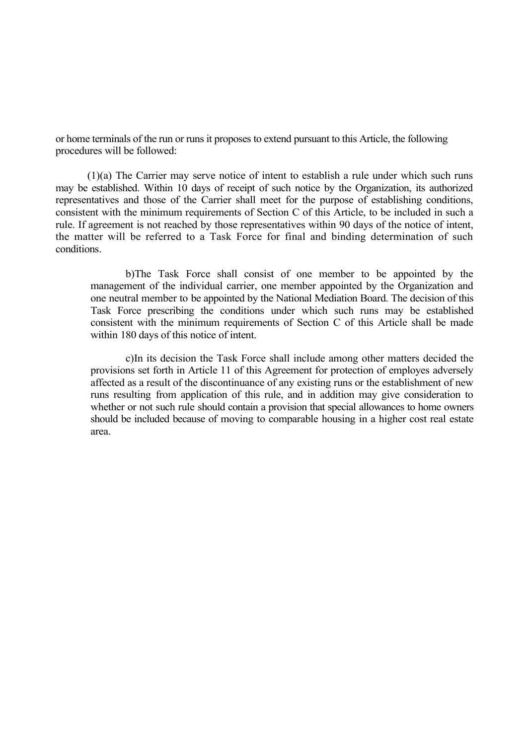or home terminals of the run or runs it proposes to extend pursuant to this Article, the following procedures will be followed:

(1)(a) The Carrier may serve notice of intent to establish a rule under which such runs may be established. Within 10 days of receipt of such notice by the Organization, its authorized representatives and those of the Carrier shall meet for the purpose of establishing conditions, consistent with the minimum requirements of Section C of this Article, to be included in such a rule. If agreement is not reached by those representatives within 90 days of the notice of intent, the matter will be referred to a Task Force for final and binding determination of such conditions.

b)The Task Force shall consist of one member to be appointed by the management of the individual carrier, one member appointed by the Organization and one neutral member to be appointed by the National Mediation Board. The decision of this Task Force prescribing the conditions under which such runs may be established consistent with the minimum requirements of Section C of this Article shall be made within 180 days of this notice of intent.

c)In its decision the Task Force shall include among other matters decided the provisions set forth in Article 11 of this Agreement for protection of employes adversely affected as a result of the discontinuance of any existing runs or the establishment of new runs resulting from application of this rule, and in addition may give consideration to whether or not such rule should contain a provision that special allowances to home owners should be included because of moving to comparable housing in a higher cost real estate area.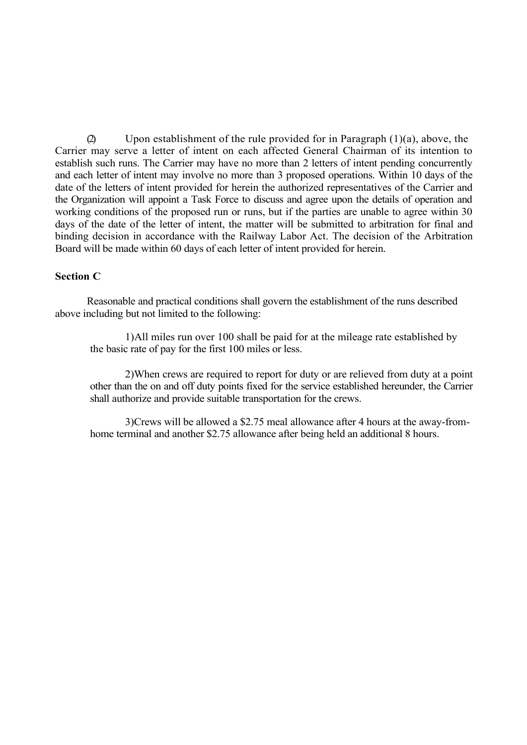(2) Upon establishment of the rule provided for in Paragraph  $(1)(a)$ , above, the Carrier may serve a letter of intent on each affected General Chairman of its intention to establish such runs. The Carrier may have no more than 2 letters of intent pending concurrently and each letter of intent may involve no more than 3 proposed operations. Within 10 days of the date of the letters of intent provided for herein the authorized representatives of the Carrier and the Organization will appoint a Task Force to discuss and agree upon the details of operation and working conditions of the proposed run or runs, but if the parties are unable to agree within 30 days of the date of the letter of intent, the matter will be submitted to arbitration for final and binding decision in accordance with the Railway Labor Act. The decision of the Arbitration Board will be made within 60 days of each letter of intent provided for herein.

#### **Section C**

Reasonable and practical conditions shall govern the establishment of the runs described above including but not limited to the following:

1)All miles run over 100 shall be paid for at the mileage rate established by the basic rate of pay for the first 100 miles or less.

2)When crews are required to report for duty or are relieved from duty at a point other than the on and off duty points fixed for the service established hereunder, the Carrier shall authorize and provide suitable transportation for the crews.

3)Crews will be allowed a \$2.75 meal allowance after 4 hours at the away-fromhome terminal and another \$2.75 allowance after being held an additional 8 hours.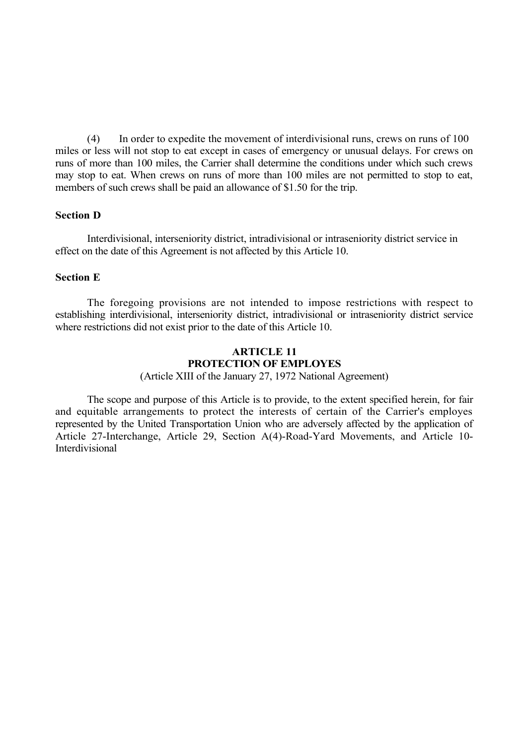(4) In order to expedite the movement of interdivisional runs, crews on runs of 100 miles or less will not stop to eat except in cases of emergency or unusual delays. For crews on runs of more than 100 miles, the Carrier shall determine the conditions under which such crews may stop to eat. When crews on runs of more than 100 miles are not permitted to stop to eat, members of such crews shall be paid an allowance of \$1.50 for the trip.

## **Section D**

Interdivisional, interseniority district, intradivisional or intraseniority district service in effect on the date of this Agreement is not affected by this Article 10.

#### **Section E**

The foregoing provisions are not intended to impose restrictions with respect to establishing interdivisional, interseniority district, intradivisional or intraseniority district service where restrictions did not exist prior to the date of this Article 10.

# **ARTICLE 11 PROTECTION OF EMPLOYES**

(Article XIII of the January 27, 1972 National Agreement)

The scope and purpose of this Article is to provide, to the extent specified herein, for fair and equitable arrangements to protect the interests of certain of the Carrier's employes represented by the United Transportation Union who are adversely affected by the application of Article 27-Interchange, Article 29, Section A(4)-Road-Yard Movements, and Article 10- Interdivisional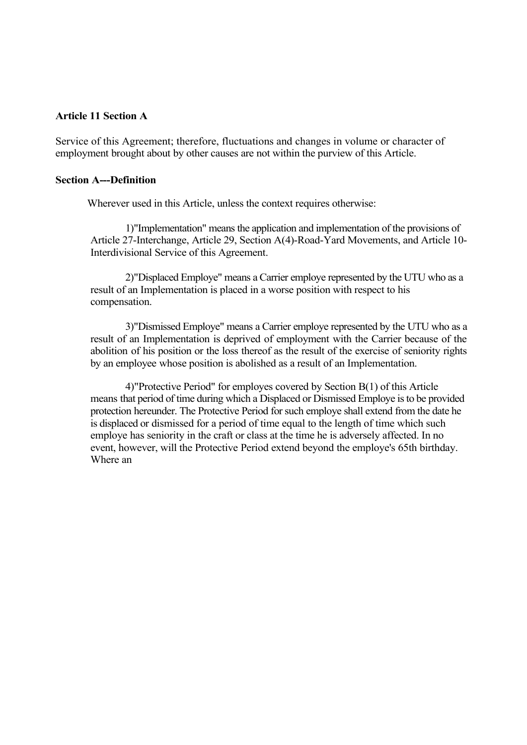#### **Article 11 Section A**

Service of this Agreement; therefore, fluctuations and changes in volume or character of employment brought about by other causes are not within the purview of this Article.

#### **Section A---Definition**

Wherever used in this Article, unless the context requires otherwise:

1)"Implementation" means the application and implementation of the provisions of Article 27-Interchange, Article 29, Section A(4)-Road-Yard Movements, and Article 10- Interdivisional Service of this Agreement.

2)"Displaced Employe" means a Carrier employe represented by the UTU who as a result of an Implementation is placed in a worse position with respect to his compensation.

3)"Dismissed Employe" means a Carrier employe represented by the UTU who as a result of an Implementation is deprived of employment with the Carrier because of the abolition of his position or the loss thereof as the result of the exercise of seniority rights by an employee whose position is abolished as a result of an Implementation.

4)"Protective Period" for employes covered by Section B(1) of this Article means that period of time during which a Displaced or Dismissed Employe is to be provided protection hereunder. The Protective Period for such employe shall extend from the date he is displaced or dismissed for a period of time equal to the length of time which such employe has seniority in the craft or class at the time he is adversely affected. In no event, however, will the Protective Period extend beyond the employe's 65th birthday. Where an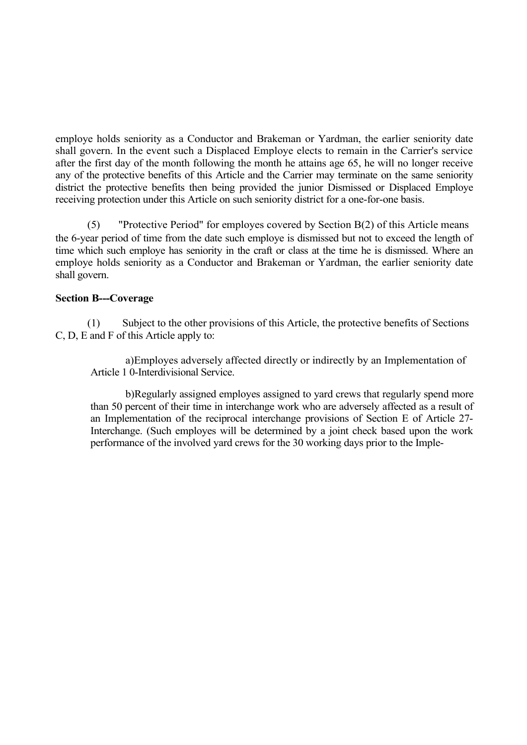employe holds seniority as a Conductor and Brakeman or Yardman, the earlier seniority date shall govern. In the event such a Displaced Employe elects to remain in the Carrier's service after the first day of the month following the month he attains age 65, he will no longer receive any of the protective benefits of this Article and the Carrier may terminate on the same seniority district the protective benefits then being provided the junior Dismissed or Displaced Employe receiving protection under this Article on such seniority district for a one-for-one basis.

(5) "Protective Period" for employes covered by Section B(2) of this Article means the 6-year period of time from the date such employe is dismissed but not to exceed the length of time which such employe has seniority in the craft or class at the time he is dismissed. Where an employe holds seniority as a Conductor and Brakeman or Yardman, the earlier seniority date shall govern.

## **Section B---Coverage**

(1) Subject to the other provisions of this Article, the protective benefits of Sections C, D, E and F of this Article apply to:

a)Employes adversely affected directly or indirectly by an Implementation of Article 1 0-Interdivisional Service.

b)Regularly assigned employes assigned to yard crews that regularly spend more than 50 percent of their time in interchange work who are adversely affected as a result of an Implementation of the reciprocal interchange provisions of Section E of Article 27- Interchange. (Such employes will be determined by a joint check based upon the work performance of the involved yard crews for the 30 working days prior to the Imple-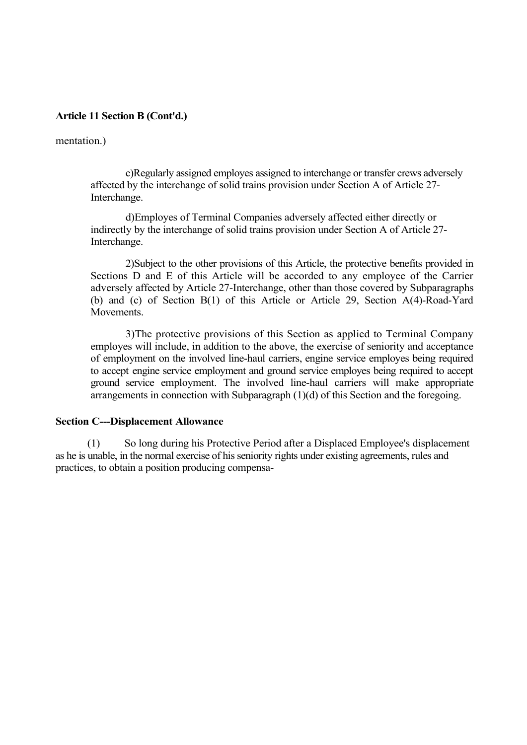#### mentation.)

c)Regularly assigned employes assigned to interchange or transfer crews adversely affected by the interchange of solid trains provision under Section A of Article 27- Interchange.

d)Employes of Terminal Companies adversely affected either directly or indirectly by the interchange of solid trains provision under Section A of Article 27- Interchange.

2)Subject to the other provisions of this Article, the protective benefits provided in Sections D and E of this Article will be accorded to any employee of the Carrier adversely affected by Article 27-Interchange, other than those covered by Subparagraphs (b) and (c) of Section B(1) of this Article or Article 29, Section A(4)-Road-Yard Movements.

3)The protective provisions of this Section as applied to Terminal Company employes will include, in addition to the above, the exercise of seniority and acceptance of employment on the involved line-haul carriers, engine service employes being required to accept engine service employment and ground service employes being required to accept ground service employment. The involved line-haul carriers will make appropriate arrangements in connection with Subparagraph (1)(d) of this Section and the foregoing.

#### **Section C---Displacement Allowance**

(1) So long during his Protective Period after a Displaced Employee's displacement as he is unable, in the normal exercise of his seniority rights under existing agreements, rules and practices, to obtain a position producing compensa-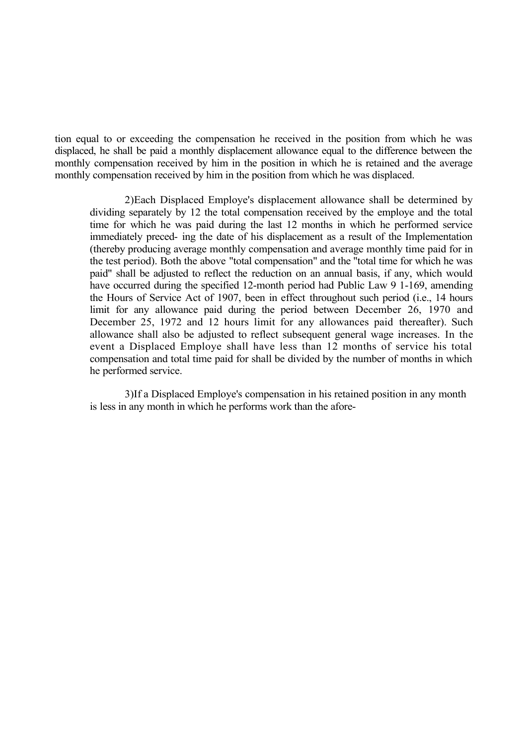tion equal to or exceeding the compensation he received in the position from which he was displaced, he shall be paid a monthly displacement allowance equal to the difference between the monthly compensation received by him in the position in which he is retained and the average monthly compensation received by him in the position from which he was displaced.

2)Each Displaced Employe's displacement allowance shall be determined by dividing separately by 12 the total compensation received by the employe and the total time for which he was paid during the last 12 months in which he performed service immediately preced- ing the date of his displacement as a result of the Implementation (thereby producing average monthly compensation and average monthly time paid for in the test period). Both the above "total compensation" and the "total time for which he was paid" shall be adjusted to reflect the reduction on an annual basis, if any, which would have occurred during the specified 12-month period had Public Law 9 1-169, amending the Hours of Service Act of 1907, been in effect throughout such period (i.e., 14 hours limit for any allowance paid during the period between December 26, 1970 and December 25, 1972 and 12 hours limit for any allowances paid thereafter). Such allowance shall also be adjusted to reflect subsequent general wage increases. In the event a Displaced Employe shall have less than 12 months of service his total compensation and total time paid for shall be divided by the number of months in which he performed service.

3)If a Displaced Employe's compensation in his retained position in any month is less in any month in which he performs work than the afore-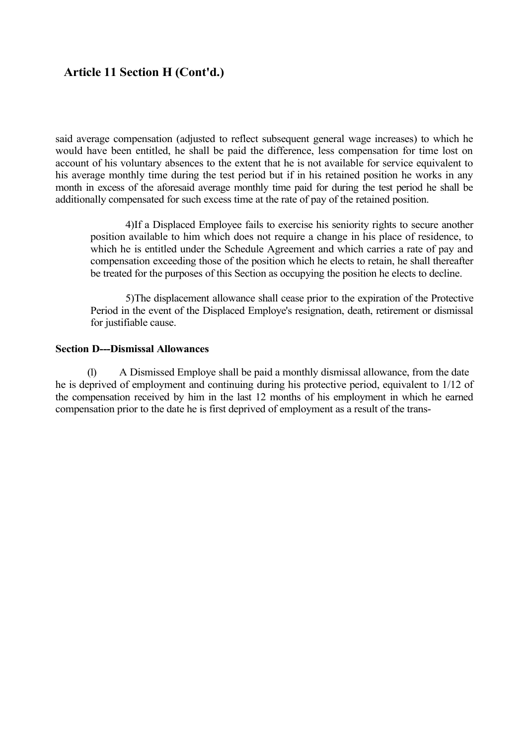said average compensation (adjusted to reflect subsequent general wage increases) to which he would have been entitled, he shall be paid the difference, less compensation for time lost on account of his voluntary absences to the extent that he is not available for service equivalent to his average monthly time during the test period but if in his retained position he works in any month in excess of the aforesaid average monthly time paid for during the test period he shall be additionally compensated for such excess time at the rate of pay of the retained position.

4)If a Displaced Employee fails to exercise his seniority rights to secure another position available to him which does not require a change in his place of residence, to which he is entitled under the Schedule Agreement and which carries a rate of pay and compensation exceeding those of the position which he elects to retain, he shall thereafter be treated for the purposes of this Section as occupying the position he elects to decline.

5)The displacement allowance shall cease prior to the expiration of the Protective Period in the event of the Displaced Employe's resignation, death, retirement or dismissal for justifiable cause.

### **Section D---Dismissal Allowances**

(1) A Dismissed Employe shall be paid a monthly dismissal allowance, from the date he is deprived of employment and continuing during his protective period, equivalent to 1/12 of the compensation received by him in the last 12 months of his employment in which he earned compensation prior to the date he is first deprived of employment as a result of the trans-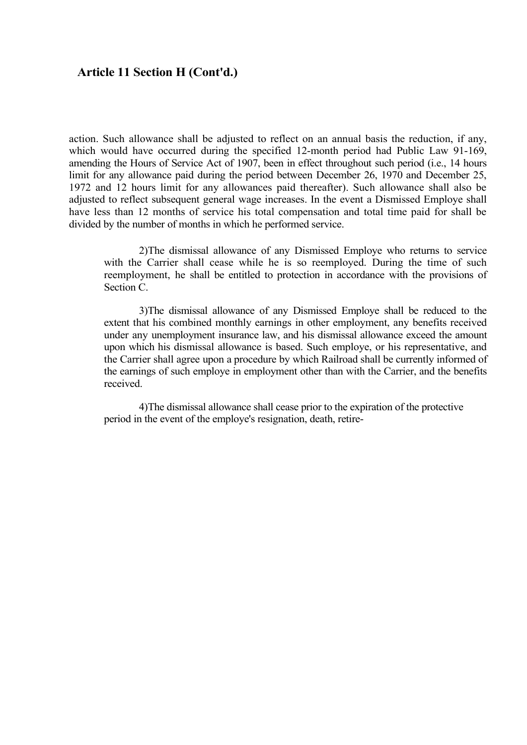action. Such allowance shall be adjusted to reflect on an annual basis the reduction, if any, which would have occurred during the specified 12-month period had Public Law 91-169, amending the Hours of Service Act of 1907, been in effect throughout such period (i.e., 14 hours limit for any allowance paid during the period between December 26, 1970 and December 25, 1972 and 12 hours limit for any allowances paid thereafter). Such allowance shall also be adjusted to reflect subsequent general wage increases. In the event a Dismissed Employe shall have less than 12 months of service his total compensation and total time paid for shall be divided by the number of months in which he performed service.

2)The dismissal allowance of any Dismissed Employe who returns to service with the Carrier shall cease while he is so reemployed. During the time of such reemployment, he shall be entitled to protection in accordance with the provisions of Section C.

3)The dismissal allowance of any Dismissed Employe shall be reduced to the extent that his combined monthly earnings in other employment, any benefits received under any unemployment insurance law, and his dismissal allowance exceed the amount upon which his dismissal allowance is based. Such employe, or his representative, and the Carrier shall agree upon a procedure by which Railroad shall be currently informed of the earnings of such employe in employment other than with the Carrier, and the benefits received.

4)The dismissal allowance shall cease prior to the expiration of the protective period in the event of the employe's resignation, death, retire-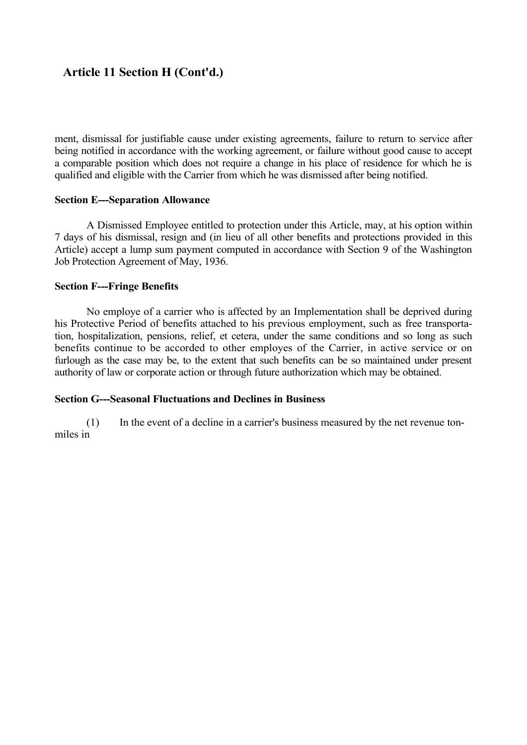ment, dismissal for justifiable cause under existing agreements, failure to return to service after being notified in accordance with the working agreement, or failure without good cause to accept a comparable position which does not require a change in his place of residence for which he is qualified and eligible with the Carrier from which he was dismissed after being notified.

### **Section E---Separation Allowance**

A Dismissed Employee entitled to protection under this Article, may, at his option within 7 days of his dismissal, resign and (in lieu of all other benefits and protections provided in this Article) accept a lump sum payment computed in accordance with Section 9 of the Washington Job Protection Agreement of May, 1936.

### **Section F---Fringe Benefits**

No employe of a carrier who is affected by an Implementation shall be deprived during his Protective Period of benefits attached to his previous employment, such as free transportation, hospitalization, pensions, relief, et cetera, under the same conditions and so long as such benefits continue to be accorded to other employes of the Carrier, in active service or on furlough as the case may be, to the extent that such benefits can be so maintained under present authority of law or corporate action or through future authorization which may be obtained.

## **Section G---Seasonal Fluctuations and Declines in Business**

(1) In the event of a decline in a carrier's business measured by the net revenue tonmiles in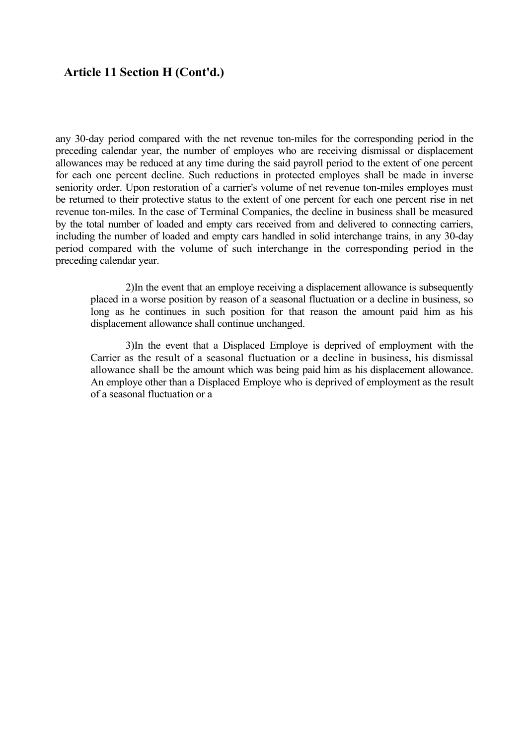any 30-day period compared with the net revenue ton-miles for the corresponding period in the preceding calendar year, the number of employes who are receiving dismissal or displacement allowances may be reduced at any time during the said payroll period to the extent of one percent for each one percent decline. Such reductions in protected employes shall be made in inverse seniority order. Upon restoration of a carrier's volume of net revenue ton-miles employes must be returned to their protective status to the extent of one percent for each one percent rise in net revenue ton-miles. In the case of Terminal Companies, the decline in business shall be measured by the total number of loaded and empty cars received from and delivered to connecting carriers, including the number of loaded and empty cars handled in solid interchange trains, in any 30-day period compared with the volume of such interchange in the corresponding period in the preceding calendar year.

2)In the event that an employe receiving a displacement allowance is subsequently placed in a worse position by reason of a seasonal fluctuation or a decline in business, so long as he continues in such position for that reason the amount paid him as his displacement allowance shall continue unchanged.

3)In the event that a Displaced Employe is deprived of employment with the Carrier as the result of a seasonal fluctuation or a decline in business, his dismissal allowance shall be the amount which was being paid him as his displacement allowance. An employe other than a Displaced Employe who is deprived of employment as the result of a seasonal fluctuation or a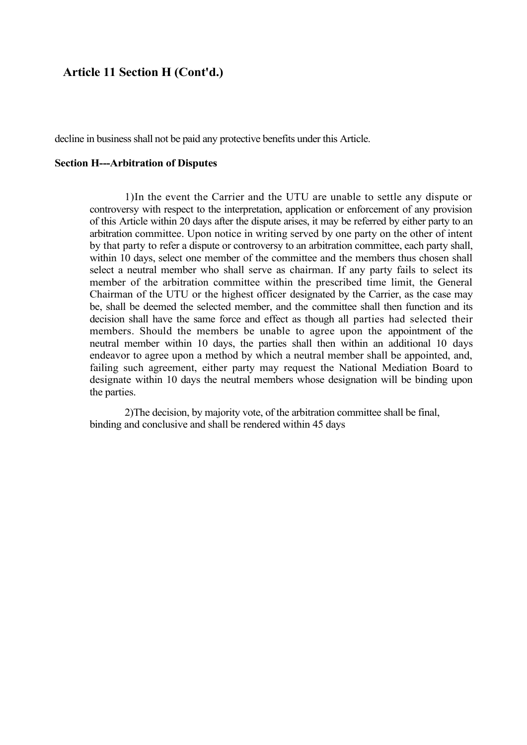decline in business shall not be paid any protective benefits under this Article.

#### **Section H---Arbitration of Disputes**

1)In the event the Carrier and the UTU are unable to settle any dispute or controversy with respect to the interpretation, application or enforcement of any provision of this Article within 20 days after the dispute arises, it may be referred by either party to an arbitration committee. Upon notice in writing served by one party on the other of intent by that party to refer a dispute or controversy to an arbitration committee, each party shall, within 10 days, select one member of the committee and the members thus chosen shall select a neutral member who shall serve as chairman. If any party fails to select its member of the arbitration committee within the prescribed time limit, the General Chairman of the UTU or the highest officer designated by the Carrier, as the case may be, shall be deemed the selected member, and the committee shall then function and its decision shall have the same force and effect as though all parties had selected their members. Should the members be unable to agree upon the appointment of the neutral member within 10 days, the parties shall then within an additional 10 days endeavor to agree upon a method by which a neutral member shall be appointed, and, failing such agreement, either party may request the National Mediation Board to designate within 10 days the neutral members whose designation will be binding upon the parties.

2)The decision, by majority vote, of the arbitration committee shall be final, binding and conclusive and shall be rendered within 45 days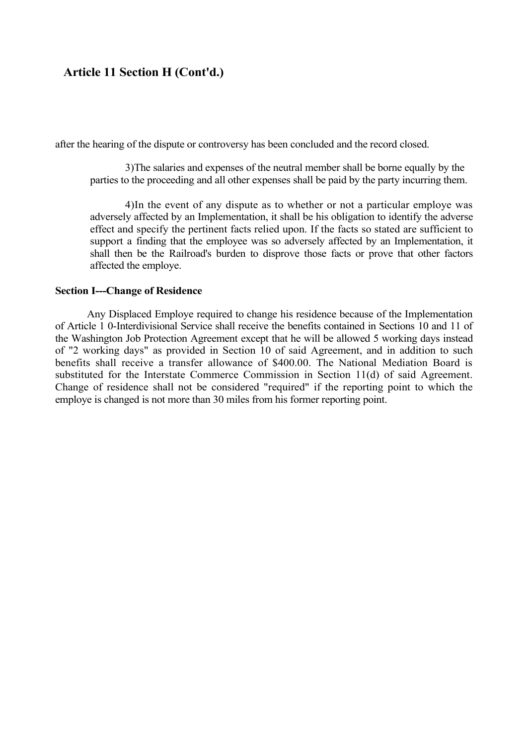after the hearing of the dispute or controversy has been concluded and the record closed.

3)The salaries and expenses of the neutral member shall be borne equally by the parties to the proceeding and all other expenses shall be paid by the party incurring them.

4)In the event of any dispute as to whether or not a particular employe was adversely affected by an Implementation, it shall be his obligation to identify the adverse effect and specify the pertinent facts relied upon. If the facts so stated are sufficient to support a finding that the employee was so adversely affected by an Implementation, it shall then be the Railroad's burden to disprove those facts or prove that other factors affected the employe.

#### **Section I---Change of Residence**

Any Displaced Employe required to change his residence because of the Implementation of Article 1 0-Interdivisional Service shall receive the benefits contained in Sections 10 and 11 of the Washington Job Protection Agreement except that he will be allowed 5 working days instead of "2 working days" as provided in Section 10 of said Agreement, and in addition to such benefits shall receive a transfer allowance of \$400.00. The National Mediation Board is substituted for the Interstate Commerce Commission in Section 11(d) of said Agreement. Change of residence shall not be considered "required" if the reporting point to which the employe is changed is not more than 30 miles from his former reporting point.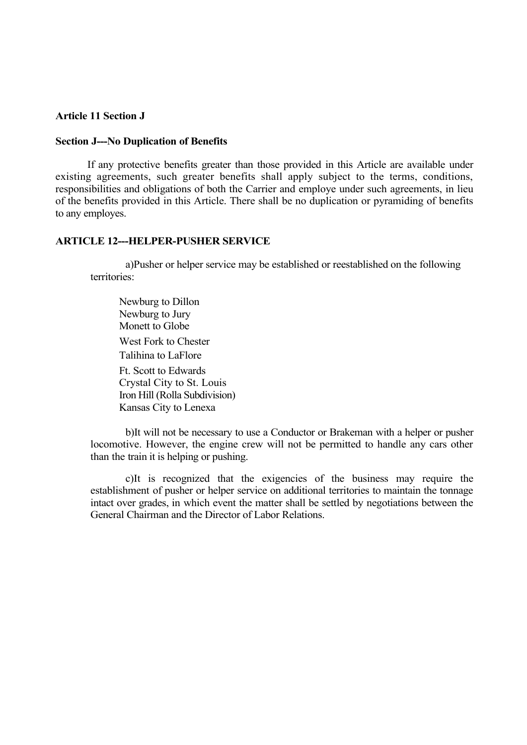### **Article 11 Section J**

#### **Section J---No Duplication of Benefits**

If any protective benefits greater than those provided in this Article are available under existing agreements, such greater benefits shall apply subject to the terms, conditions, responsibilities and obligations of both the Carrier and employe under such agreements, in lieu of the benefits provided in this Article. There shall be no duplication or pyramiding of benefits to any employes.

#### **ARTICLE 12---HELPER-PUSHER SERVICE**

a)Pusher or helper service may be established or reestablished on the following territories:

Newburg to Dillon Newburg to Jury Monett to Globe

West Fork to Chester Talihina to LaFlore

Ft. Scott to Edwards Crystal City to St. Louis Iron Hill (Rolla Subdivision) Kansas City to Lenexa

b)It will not be necessary to use a Conductor or Brakeman with a helper or pusher locomotive. However, the engine crew will not be permitted to handle any cars other than the train it is helping or pushing.

c)It is recognized that the exigencies of the business may require the establishment of pusher or helper service on additional territories to maintain the tonnage intact over grades, in which event the matter shall be settled by negotiations between the General Chairman and the Director of Labor Relations.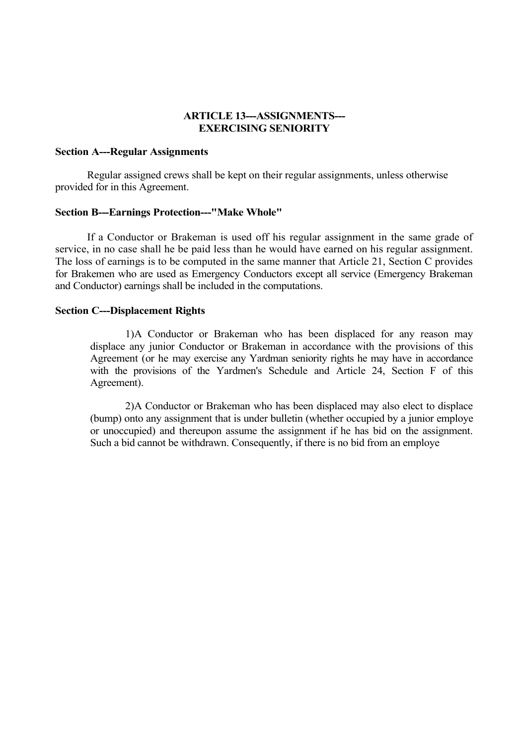### **ARTICLE 13---ASSIGNMENTS--- EXERCISING SENIORITY**

#### **Section A---Regular Assignments**

Regular assigned crews shall be kept on their regular assignments, unless otherwise provided for in this Agreement.

#### **Section B---Earnings Protection---"Make Whole"**

If a Conductor or Brakeman is used off his regular assignment in the same grade of service, in no case shall he be paid less than he would have earned on his regular assignment. The loss of earnings is to be computed in the same manner that Article 21, Section C provides for Brakemen who are used as Emergency Conductors except all service (Emergency Brakeman and Conductor) earnings shall be included in the computations.

#### **Section C---Displacement Rights**

1)A Conductor or Brakeman who has been displaced for any reason may displace any junior Conductor or Brakeman in accordance with the provisions of this Agreement (or he may exercise any Yardman seniority rights he may have in accordance with the provisions of the Yardmen's Schedule and Article 24, Section F of this Agreement).

2)A Conductor or Brakeman who has been displaced may also elect to displace (bump) onto any assignment that is under bulletin (whether occupied by a junior employe or unoccupied) and thereupon assume the assignment if he has bid on the assignment. Such a bid cannot be withdrawn. Consequently, if there is no bid from an employe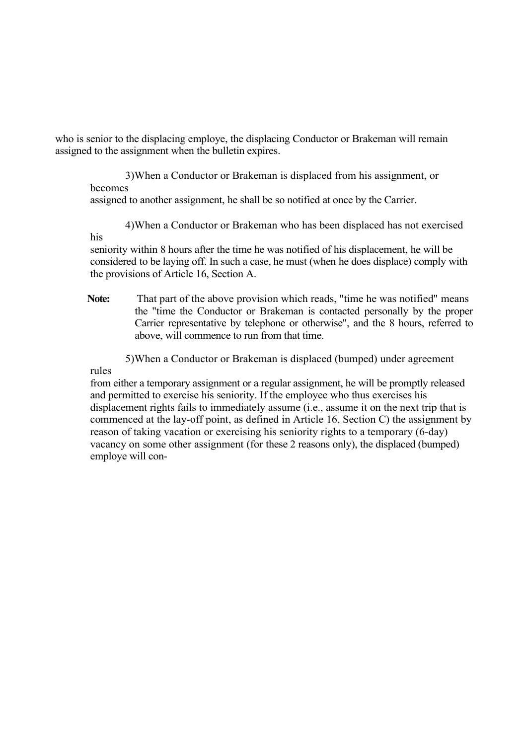who is senior to the displacing employe, the displacing Conductor or Brakeman will remain assigned to the assignment when the bulletin expires.

3)When a Conductor or Brakeman is displaced from his assignment, or becomes assigned to another assignment, he shall be so notified at once by the Carrier.

4)When a Conductor or Brakeman who has been displaced has not exercised

seniority within 8 hours after the time he was notified of his displacement, he will be considered to be laying off. In such a case, he must (when he does displace) comply with the provisions of Article 16, Section A.

**Note:** That part of the above provision which reads, "time he was notified" means the "time the Conductor or Brakeman is contacted personally by the proper Carrier representative by telephone or otherwise", and the 8 hours, referred to above, will commence to run from that time.

5)When a Conductor or Brakeman is displaced (bumped) under agreement

rules

his

from either a temporary assignment or a regular assignment, he will be promptly released and permitted to exercise his seniority. If the employee who thus exercises his displacement rights fails to immediately assume (i.e., assume it on the next trip that is commenced at the lay-off point, as defined in Article 16, Section C) the assignment by reason of taking vacation or exercising his seniority rights to a temporary (6-day) vacancy on some other assignment (for these 2 reasons only), the displaced (bumped) employe will con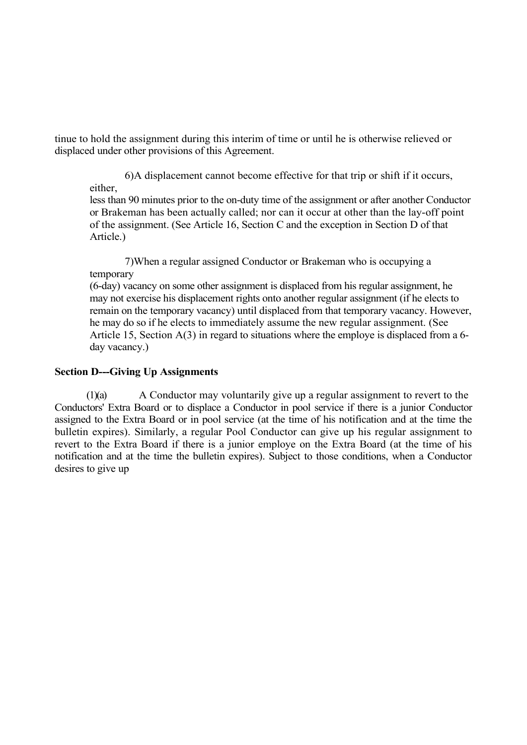tinue to hold the assignment during this interim of time or until he is otherwise relieved or displaced under other provisions of this Agreement.

6)A displacement cannot become effective for that trip or shift if it occurs, either,

less than 90 minutes prior to the on-duty time of the assignment or after another Conductor or Brakeman has been actually called; nor can it occur at other than the lay-off point of the assignment. (See Article 16, Section C and the exception in Section D of that Article.)

7)When a regular assigned Conductor or Brakeman who is occupying a temporary

(6-day) vacancy on some other assignment is displaced from his regular assignment, he may not exercise his displacement rights onto another regular assignment (if he elects to remain on the temporary vacancy) until displaced from that temporary vacancy. However, he may do so if he elects to immediately assume the new regular assignment. (See Article 15, Section A(3) in regard to situations where the employe is displaced from a 6 day vacancy.)

### **Section D---Giving Up Assignments**

(1)(a) A Conductor may voluntarily give up a regular assignment to revert to the Conductors' Extra Board or to displace a Conductor in pool service if there is a junior Conductor assigned to the Extra Board or in pool service (at the time of his notification and at the time the bulletin expires). Similarly, a regular Pool Conductor can give up his regular assignment to revert to the Extra Board if there is a junior employe on the Extra Board (at the time of his notification and at the time the bulletin expires). Subject to those conditions, when a Conductor desires to give up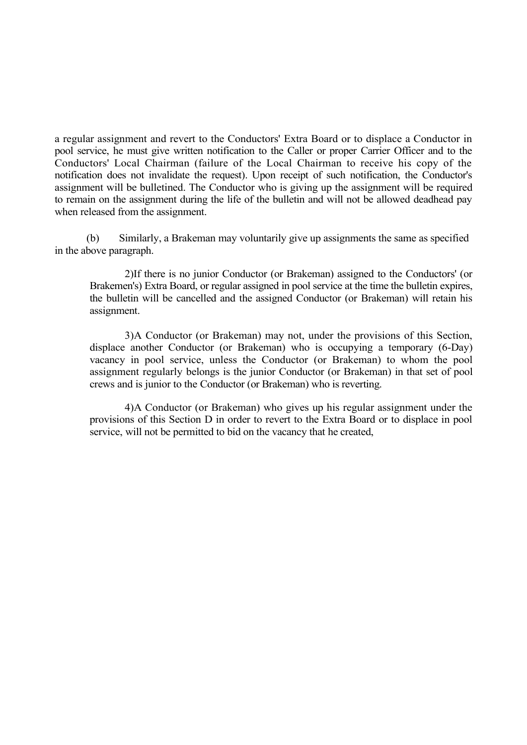a regular assignment and revert to the Conductors' Extra Board or to displace a Conductor in pool service, he must give written notification to the Caller or proper Carrier Officer and to the Conductors' Local Chairman (failure of the Local Chairman to receive his copy of the notification does not invalidate the request). Upon receipt of such notification, the Conductor's assignment will be bulletined. The Conductor who is giving up the assignment will be required to remain on the assignment during the life of the bulletin and will not be allowed deadhead pay when released from the assignment.

(b) Similarly, a Brakeman may voluntarily give up assignments the same as specified in the above paragraph.

2)If there is no junior Conductor (or Brakeman) assigned to the Conductors' (or Brakemen's) Extra Board, or regular assigned in pool service at the time the bulletin expires, the bulletin will be cancelled and the assigned Conductor (or Brakeman) will retain his assignment.

3)A Conductor (or Brakeman) may not, under the provisions of this Section, displace another Conductor (or Brakeman) who is occupying a temporary (6-Day) vacancy in pool service, unless the Conductor (or Brakeman) to whom the pool assignment regularly belongs is the junior Conductor (or Brakeman) in that set of pool crews and is junior to the Conductor (or Brakeman) who is reverting.

4)A Conductor (or Brakeman) who gives up his regular assignment under the provisions of this Section D in order to revert to the Extra Board or to displace in pool service, will not be permitted to bid on the vacancy that he created,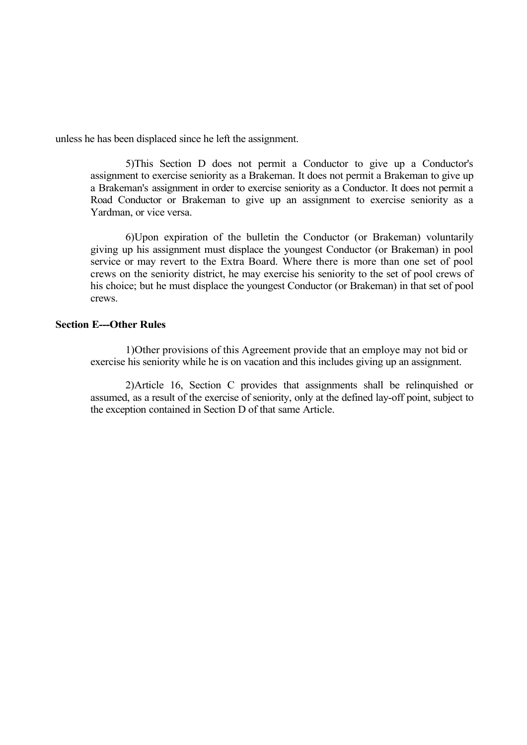unless he has been displaced since he left the assignment.

5)This Section D does not permit a Conductor to give up a Conductor's assignment to exercise seniority as a Brakeman. It does not permit a Brakeman to give up a Brakeman's assignment in order to exercise seniority as a Conductor. It does not permit a Road Conductor or Brakeman to give up an assignment to exercise seniority as a Yardman, or vice versa.

6)Upon expiration of the bulletin the Conductor (or Brakeman) voluntarily giving up his assignment must displace the youngest Conductor (or Brakeman) in pool service or may revert to the Extra Board. Where there is more than one set of pool crews on the seniority district, he may exercise his seniority to the set of pool crews of his choice; but he must displace the youngest Conductor (or Brakeman) in that set of pool crews.

#### **Section E---Other Rules**

1)Other provisions of this Agreement provide that an employe may not bid or exercise his seniority while he is on vacation and this includes giving up an assignment.

2)Article 16, Section C provides that assignments shall be relinquished or assumed, as a result of the exercise of seniority, only at the defined lay-off point, subject to the exception contained in Section D of that same Article.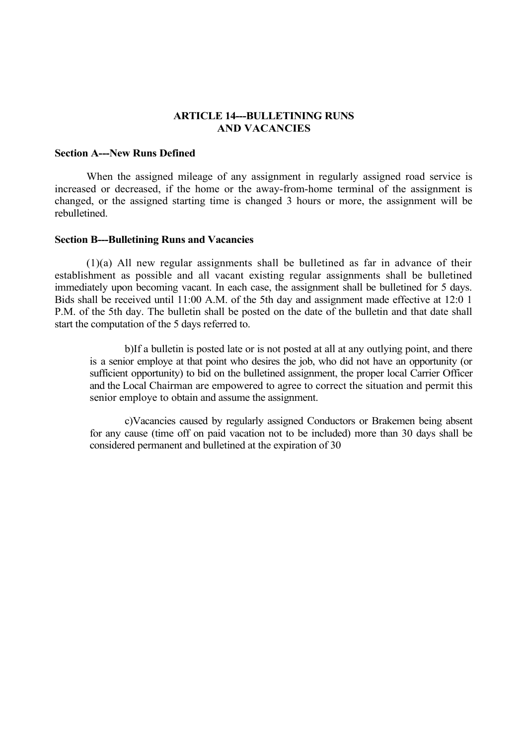### **ARTICLE 14---BULLETINING RUNS AND VACANCIES**

#### **Section A---New Runs Defined**

When the assigned mileage of any assignment in regularly assigned road service is increased or decreased, if the home or the away-from-home terminal of the assignment is changed, or the assigned starting time is changed 3 hours or more, the assignment will be rebulletined.

#### **Section B---Bulletining Runs and Vacancies**

(1)(a) All new regular assignments shall be bulletined as far in advance of their establishment as possible and all vacant existing regular assignments shall be bulletined immediately upon becoming vacant. In each case, the assignment shall be bulletined for 5 days. Bids shall be received until 11:00 A.M. of the 5th day and assignment made effective at 12:0 1 P.M. of the 5th day. The bulletin shall be posted on the date of the bulletin and that date shall start the computation of the 5 days referred to.

b)If a bulletin is posted late or is not posted at all at any outlying point, and there is a senior employe at that point who desires the job, who did not have an opportunity (or sufficient opportunity) to bid on the bulletined assignment, the proper local Carrier Officer and the Local Chairman are empowered to agree to correct the situation and permit this senior employe to obtain and assume the assignment.

c)Vacancies caused by regularly assigned Conductors or Brakemen being absent for any cause (time off on paid vacation not to be included) more than 30 days shall be considered permanent and bulletined at the expiration of 30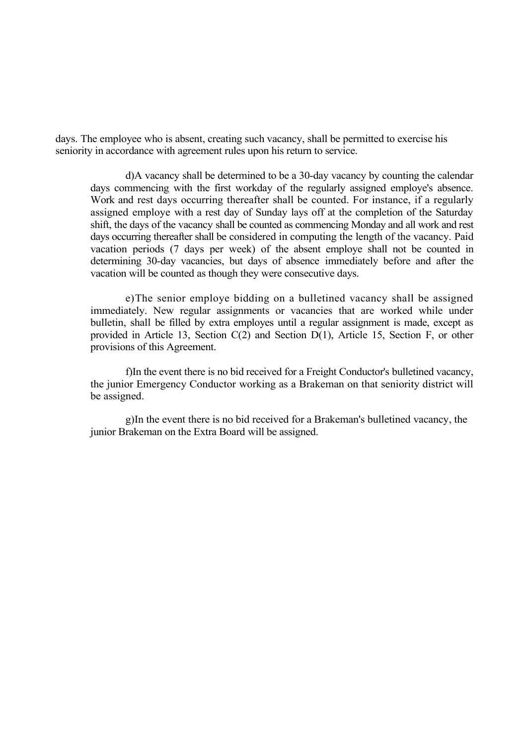days. The employee who is absent, creating such vacancy, shall be permitted to exercise his seniority in accordance with agreement rules upon his return to service.

d)A vacancy shall be determined to be a 30-day vacancy by counting the calendar days commencing with the first workday of the regularly assigned employe's absence. Work and rest days occurring thereafter shall be counted. For instance, if a regularly assigned employe with a rest day of Sunday lays off at the completion of the Saturday shift, the days of the vacancy shall be counted as commencing Monday and all work and rest days occurring thereafter shall be considered in computing the length of the vacancy. Paid vacation periods (7 days per week) of the absent employe shall not be counted in determining 30-day vacancies, but days of absence immediately before and after the vacation will be counted as though they were consecutive days.

e)The senior employe bidding on a bulletined vacancy shall be assigned immediately. New regular assignments or vacancies that are worked while under bulletin, shall be filled by extra employes until a regular assignment is made, except as provided in Article 13, Section C(2) and Section D(1), Article 15, Section F, or other provisions of this Agreement.

f)In the event there is no bid received for a Freight Conductor's bulletined vacancy, the junior Emergency Conductor working as a Brakeman on that seniority district will be assigned.

g)In the event there is no bid received for a Brakeman's bulletined vacancy, the junior Brakeman on the Extra Board will be assigned.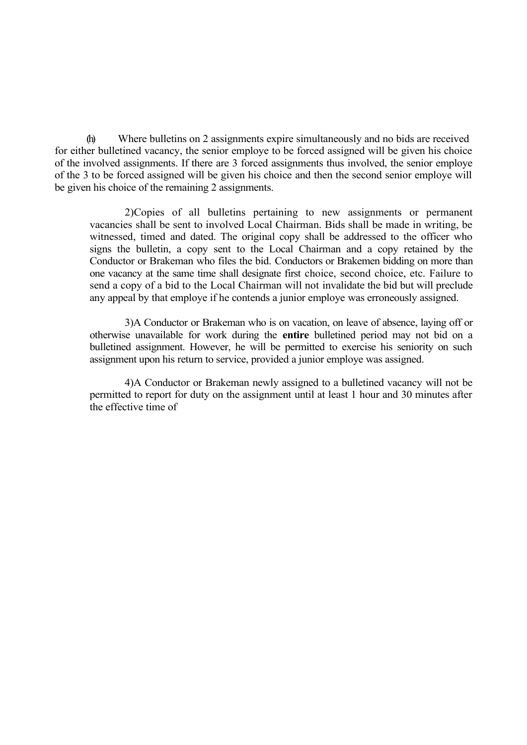(h) Where bulletins on 2 assignments expire simultaneously and no bids are received for either bulletined vacancy, the senior employe to be forced assigned will be given his choice of the involved assignments. If there are 3 forced assignments thus involved, the senior employe of the 3 to be forced assigned will be given his choice and then the second senior employe will be given his choice of the remaining 2 assignments.

2)Copies of all bulletins pertaining to new assignments or permanent vacancies shall be sent to involved Local Chairman. Bids shall be made in writing, be witnessed, timed and dated. The original copy shall be addressed to the officer who signs the bulletin, a copy sent to the Local Chairman and a copy retained by the Conductor or Brakeman who files the bid. Conductors or Brakemen bidding on more than one vacancy at the same time shall designate first choice, second choice, etc. Failure to send a copy of a bid to the Local Chairman will not invalidate the bid but will preclude any appeal by that employe if he contends a junior employe was erroneously assigned.

3)A Conductor or Brakeman who is on vacation, on leave of absence, laying off or otherwise unavailable for work during the **entire** bulletined period may not bid on a bulletined assignment. However, he will be permitted to exercise his seniority on such assignment upon his return to service, provided a junior employe was assigned.

4)A Conductor or Brakeman newly assigned to a bulletined vacancy will not be permitted to report for duty on the assignment until at least 1 hour and 30 minutes after the effective time of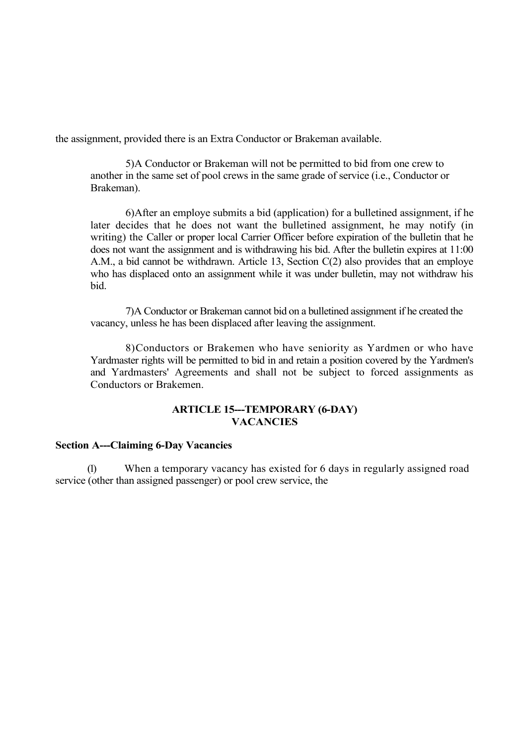the assignment, provided there is an Extra Conductor or Brakeman available.

5)A Conductor or Brakeman will not be permitted to bid from one crew to another in the same set of pool crews in the same grade of service (i.e., Conductor or Brakeman).

6)After an employe submits a bid (application) for a bulletined assignment, if he later decides that he does not want the bulletined assignment, he may notify (in writing) the Caller or proper local Carrier Officer before expiration of the bulletin that he does not want the assignment and is withdrawing his bid. After the bulletin expires at 11:00 A.M., a bid cannot be withdrawn. Article 13, Section C(2) also provides that an employe who has displaced onto an assignment while it was under bulletin, may not withdraw his bid.

7)A Conductor or Brakeman cannot bid on a bulletined assignment if he created the vacancy, unless he has been displaced after leaving the assignment.

8)Conductors or Brakemen who have seniority as Yardmen or who have Yardmaster rights will be permitted to bid in and retain a position covered by the Yardmen's and Yardmasters' Agreements and shall not be subject to forced assignments as Conductors or Brakemen.

## **ARTICLE 15---TEMPORARY (6-DAY) VACANCIES**

#### **Section A---Claiming 6-Day Vacancies**

(1) When a temporary vacancy has existed for 6 days in regularly assigned road service (other than assigned passenger) or pool crew service, the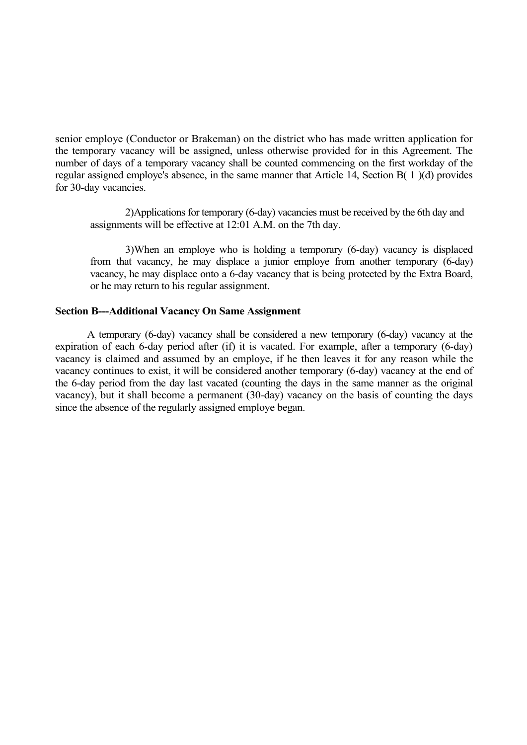senior employe (Conductor or Brakeman) on the district who has made written application for the temporary vacancy will be assigned, unless otherwise provided for in this Agreement. The number of days of a temporary vacancy shall be counted commencing on the first workday of the regular assigned employe's absence, in the same manner that Article 14, Section B( 1 )(d) provides for 30-day vacancies.

2)Applications for temporary (6-day) vacancies must be received by the 6th day and assignments will be effective at 12:01 A.M. on the 7th day.

3)When an employe who is holding a temporary (6-day) vacancy is displaced from that vacancy, he may displace a junior employe from another temporary (6-day) vacancy, he may displace onto a 6-day vacancy that is being protected by the Extra Board, or he may return to his regular assignment.

#### **Section B---Additional Vacancy On Same Assignment**

A temporary (6-day) vacancy shall be considered a new temporary (6-day) vacancy at the expiration of each 6-day period after (if) it is vacated. For example, after a temporary (6-day) vacancy is claimed and assumed by an employe, if he then leaves it for any reason while the vacancy continues to exist, it will be considered another temporary (6-day) vacancy at the end of the 6-day period from the day last vacated (counting the days in the same manner as the original vacancy), but it shall become a permanent (30-day) vacancy on the basis of counting the days since the absence of the regularly assigned employe began.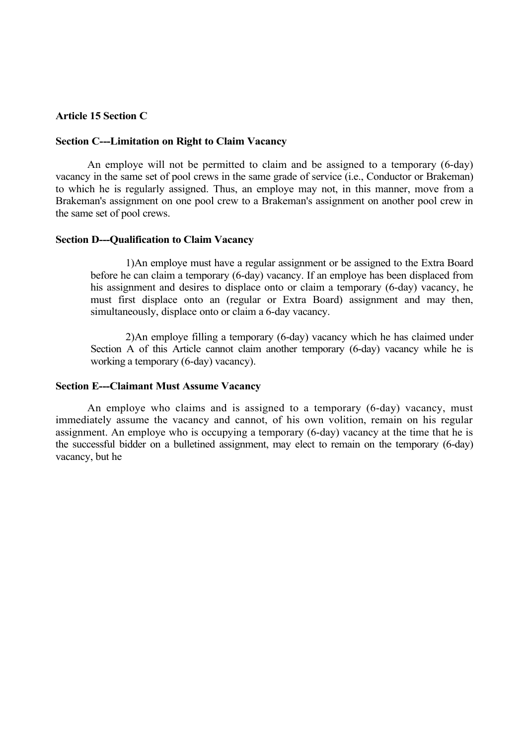### **Article 15 Section C**

#### **Section C---Limitation on Right to Claim Vacancy**

An employe will not be permitted to claim and be assigned to a temporary (6-day) vacancy in the same set of pool crews in the same grade of service (i.e., Conductor or Brakeman) to which he is regularly assigned. Thus, an employe may not, in this manner, move from a Brakeman's assignment on one pool crew to a Brakeman's assignment on another pool crew in the same set of pool crews.

#### **Section D---Qualification to Claim Vacancy**

1)An employe must have a regular assignment or be assigned to the Extra Board before he can claim a temporary (6-day) vacancy. If an employe has been displaced from his assignment and desires to displace onto or claim a temporary (6-day) vacancy, he must first displace onto an (regular or Extra Board) assignment and may then, simultaneously, displace onto or claim a 6-day vacancy.

2)An employe filling a temporary (6-day) vacancy which he has claimed under Section A of this Article cannot claim another temporary (6-day) vacancy while he is working a temporary (6-day) vacancy).

#### **Section E---Claimant Must Assume Vacancy**

An employe who claims and is assigned to a temporary (6-day) vacancy, must immediately assume the vacancy and cannot, of his own volition, remain on his regular assignment. An employe who is occupying a temporary (6-day) vacancy at the time that he is the successful bidder on a bulletined assignment, may elect to remain on the temporary (6-day) vacancy, but he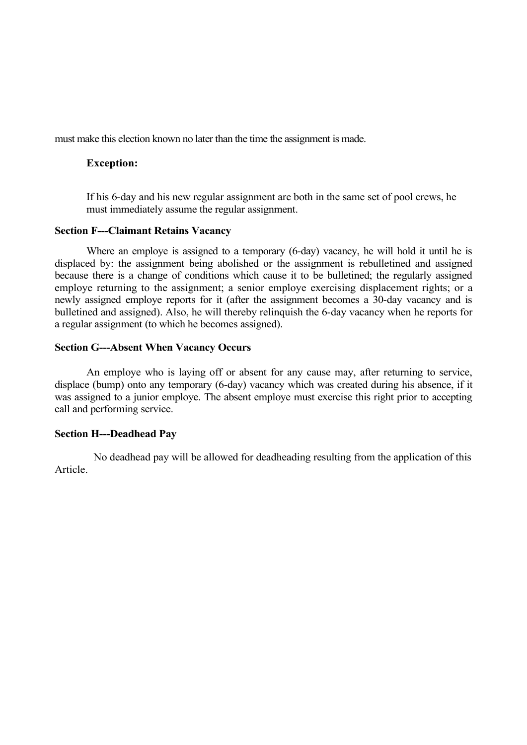must make this election known no later than the time the assignment is made.

### **Exception:**

If his 6-day and his new regular assignment are both in the same set of pool crews, he must immediately assume the regular assignment.

### **Section F---Claimant Retains Vacancy**

Where an employe is assigned to a temporary (6-day) vacancy, he will hold it until he is displaced by: the assignment being abolished or the assignment is rebulletined and assigned because there is a change of conditions which cause it to be bulletined; the regularly assigned employe returning to the assignment; a senior employe exercising displacement rights; or a newly assigned employe reports for it (after the assignment becomes a 30-day vacancy and is bulletined and assigned). Also, he will thereby relinquish the 6-day vacancy when he reports for a regular assignment (to which he becomes assigned).

#### **Section G---Absent When Vacancy Occurs**

An employe who is laying off or absent for any cause may, after returning to service, displace (bump) onto any temporary (6-day) vacancy which was created during his absence, if it was assigned to a junior employe. The absent employe must exercise this right prior to accepting call and performing service.

### **Section H---Deadhead Pay**

No deadhead pay will be allowed for deadheading resulting from the application of this Article.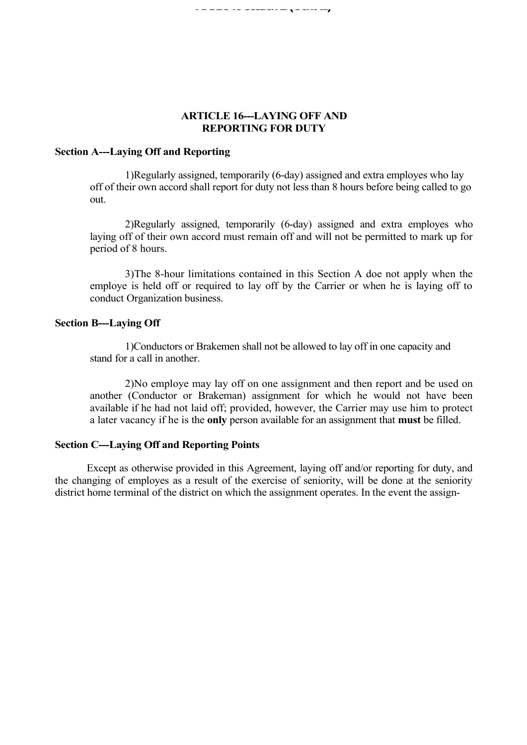### **ARTICLE 16---LAYING OFF AND REPORTING FOR DUTY**

### **Section A---Laying Off and Reporting**

1)Regularly assigned, temporarily (6-day) assigned and extra employes who lay off of their own accord shall report for duty not less than 8 hours before being called to go out.

2)Regularly assigned, temporarily (6-day) assigned and extra employes who laying off of their own accord must remain off and will not be permitted to mark up for period of 8 hours.

3)The 8-hour limitations contained in this Section A doe not apply when the employe is held off or required to lay off by the Carrier or when he is laying off to conduct Organization business.

#### **Section B---Laying Off**

1)Conductors or Brakemen shall not be allowed to lay off in one capacity and stand for a call in another.

2)No employe may lay off on one assignment and then report and be used on another (Conductor or Brakeman) assignment for which he would not have been available if he had not laid off; provided, however, the Carrier may use him to protect a later vacancy if he is the **only** person available for an assignment that **must** be filled.

#### **Section C---Laying Off and Reporting Points**

Except as otherwise provided in this Agreement, laying off and/or reporting for duty, and the changing of employes as a result of the exercise of seniority, will be done at the seniority district home terminal of the district on which the assignment operates. In the event the assign-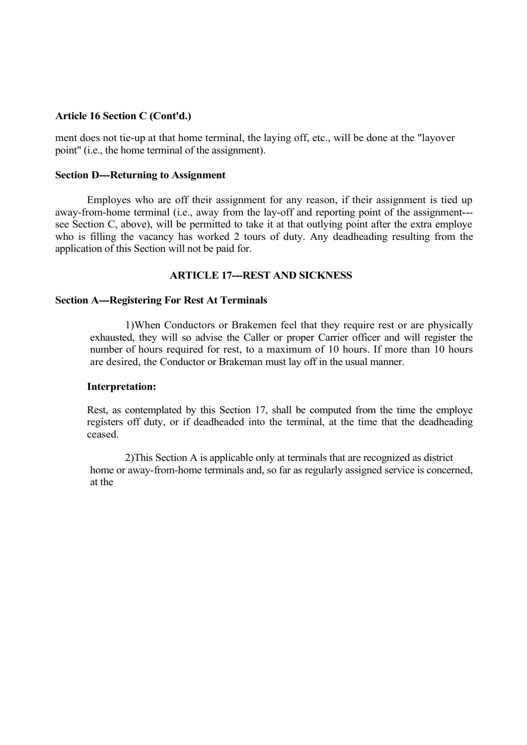ment does not tie-up at that home terminal, the laying off, etc., will be done at the "layover point" (i.e., the home terminal of the assignment).

### **Section D---Returning to Assignment**

Employes who are off their assignment for any reason, if their assignment is tied up away-from-home terminal (i.e., away from the lay-off and reporting point of the assignment-- see Section C, above), will be permitted to take it at that outlying point after the extra employe who is filling the vacancy has worked 2 tours of duty. Any deadheading resulting from the application of this Section will not be paid for.

#### **ARTICLE 17---REST AND SICKNESS**

#### **Section A---Registering For Rest At Terminals**

1)When Conductors or Brakemen feel that they require rest or are physically exhausted, they will so advise the Caller or proper Carrier officer and will register the number of hours required for rest, to a maximum of 10 hours. If more than 10 hours are desired, the Conductor or Brakeman must lay off in the usual manner.

#### **Interpretation:**

Rest, as contemplated by this Section 17, shall be computed from the time the employe registers off duty, or if deadheaded into the terminal, at the time that the deadheading ceased.

2)This Section A is applicable only at terminals that are recognized as district home or away-from-home terminals and, so far as regularly assigned service is concerned, at the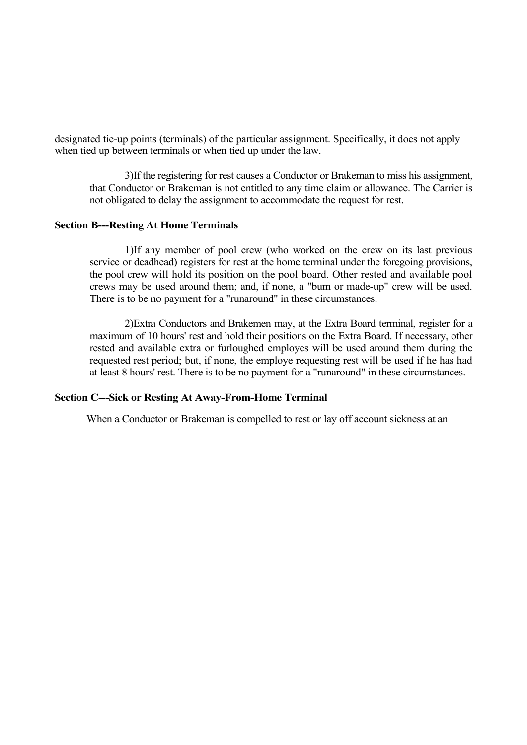designated tie-up points (terminals) of the particular assignment. Specifically, it does not apply when tied up between terminals or when tied up under the law.

3)If the registering for rest causes a Conductor or Brakeman to miss his assignment, that Conductor or Brakeman is not entitled to any time claim or allowance. The Carrier is not obligated to delay the assignment to accommodate the request for rest.

#### **Section B---Resting At Home Terminals**

1)If any member of pool crew (who worked on the crew on its last previous service or deadhead) registers for rest at the home terminal under the foregoing provisions, the pool crew will hold its position on the pool board. Other rested and available pool crews may be used around them; and, if none, a "bum or made-up" crew will be used. There is to be no payment for a "runaround" in these circumstances.

2)Extra Conductors and Brakemen may, at the Extra Board terminal, register for a maximum of 10 hours' rest and hold their positions on the Extra Board. If necessary, other rested and available extra or furloughed employes will be used around them during the requested rest period; but, if none, the employe requesting rest will be used if he has had at least 8 hours' rest. There is to be no payment for a "runaround" in these circumstances.

#### **Section C---Sick or Resting At Away-From-Home Terminal**

When a Conductor or Brakeman is compelled to rest or lay off account sickness at an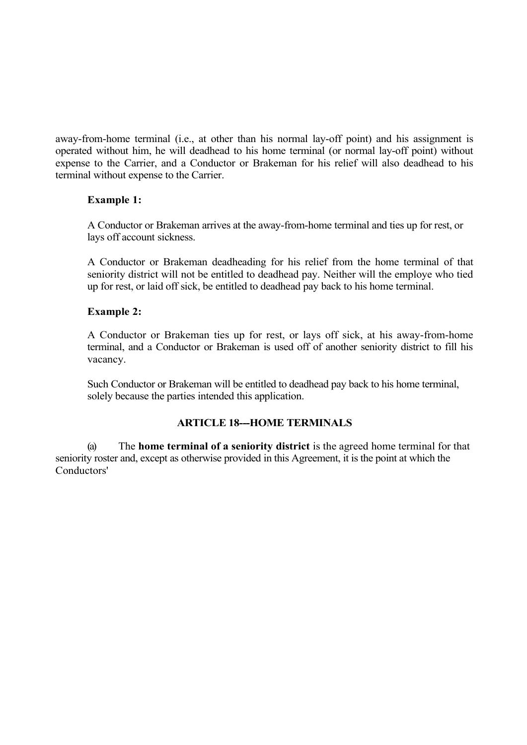away-from-home terminal (i.e., at other than his normal lay-off point) and his assignment is operated without him, he will deadhead to his home terminal (or normal lay-off point) without expense to the Carrier, and a Conductor or Brakeman for his relief will also deadhead to his terminal without expense to the Carrier.

### **Example 1:**

A Conductor or Brakeman arrives at the away-from-home terminal and ties up for rest, or lays off account sickness.

A Conductor or Brakeman deadheading for his relief from the home terminal of that seniority district will not be entitled to deadhead pay. Neither will the employe who tied up for rest, or laid off sick, be entitled to deadhead pay back to his home terminal.

### **Example 2:**

A Conductor or Brakeman ties up for rest, or lays off sick, at his away-from-home terminal, and a Conductor or Brakeman is used off of another seniority district to fill his vacancy.

Such Conductor or Brakeman will be entitled to deadhead pay back to his home terminal, solely because the parties intended this application.

### **ARTICLE 18---HOME TERMINALS**

(a) The **home terminal of a seniority district** is the agreed home terminal for that seniority roster and, except as otherwise provided in this Agreement, it is the point at which the Conductors'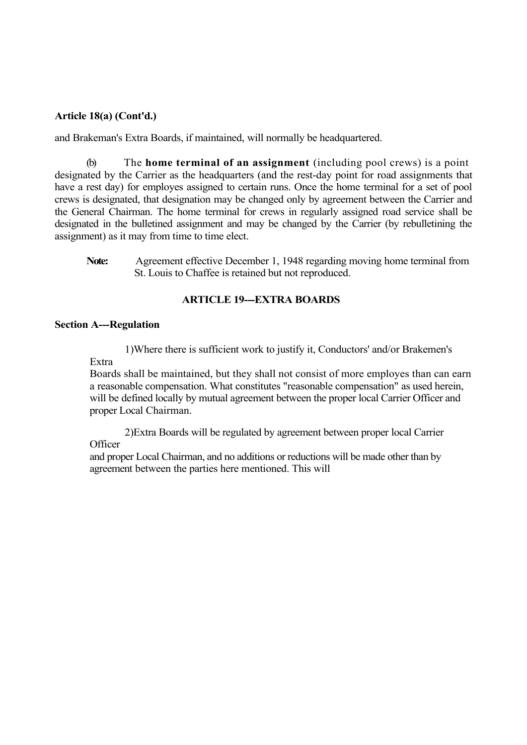### **Article 18(a) (Cont'd.)**

and Brakeman's Extra Boards, if maintained, will normally be headquartered.

(b) The **home terminal of an assignment** (including pool crews) is a point designated by the Carrier as the headquarters (and the rest-day point for road assignments that have a rest day) for employes assigned to certain runs. Once the home terminal for a set of pool crews is designated, that designation may be changed only by agreement between the Carrier and the General Chairman. The home terminal for crews in regularly assigned road service shall be designated in the bulletined assignment and may be changed by the Carrier (by rebulletining the assignment) as it may from time to time elect.

**Note:** Agreement effective December 1, 1948 regarding moving home terminal from St. Louis to Chaffee is retained but not reproduced.

### **ARTICLE 19---EXTRA BOARDS**

#### **Section A---Regulation**

Extra

1)Where there is sufficient work to justify it, Conductors' and/or Brakemen's

Boards shall be maintained, but they shall not consist of more employes than can earn a reasonable compensation. What constitutes "reasonable compensation" as used herein, will be defined locally by mutual agreement between the proper local Carrier Officer and proper Local Chairman.

2)Extra Boards will be regulated by agreement between proper local Carrier **Officer** 

and proper Local Chairman, and no additions or reductions will be made other than by agreement between the parties here mentioned. This will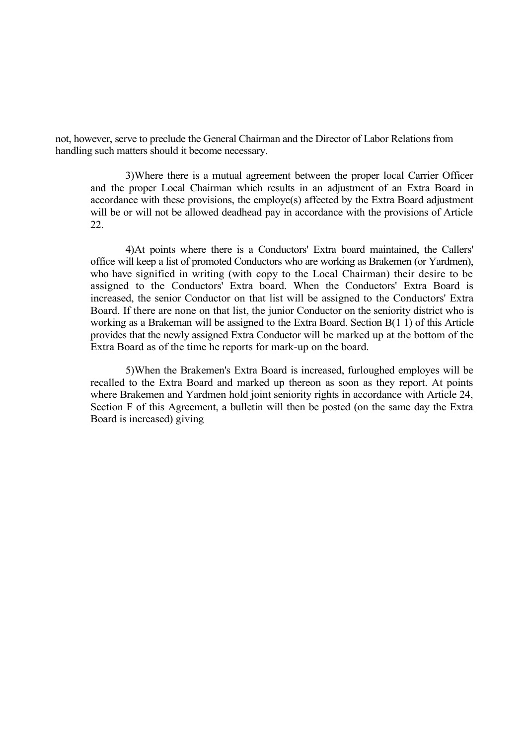not, however, serve to preclude the General Chairman and the Director of Labor Relations from handling such matters should it become necessary.

3)Where there is a mutual agreement between the proper local Carrier Officer and the proper Local Chairman which results in an adjustment of an Extra Board in accordance with these provisions, the employe(s) affected by the Extra Board adjustment will be or will not be allowed deadhead pay in accordance with the provisions of Article 22.

4)At points where there is a Conductors' Extra board maintained, the Callers' office will keep a list of promoted Conductors who are working as Brakemen (or Yardmen), who have signified in writing (with copy to the Local Chairman) their desire to be assigned to the Conductors' Extra board. When the Conductors' Extra Board is increased, the senior Conductor on that list will be assigned to the Conductors' Extra Board. If there are none on that list, the junior Conductor on the seniority district who is working as a Brakeman will be assigned to the Extra Board. Section B(1 1) of this Article provides that the newly assigned Extra Conductor will be marked up at the bottom of the Extra Board as of the time he reports for mark-up on the board.

5)When the Brakemen's Extra Board is increased, furloughed employes will be recalled to the Extra Board and marked up thereon as soon as they report. At points where Brakemen and Yardmen hold joint seniority rights in accordance with Article 24, Section F of this Agreement, a bulletin will then be posted (on the same day the Extra Board is increased) giving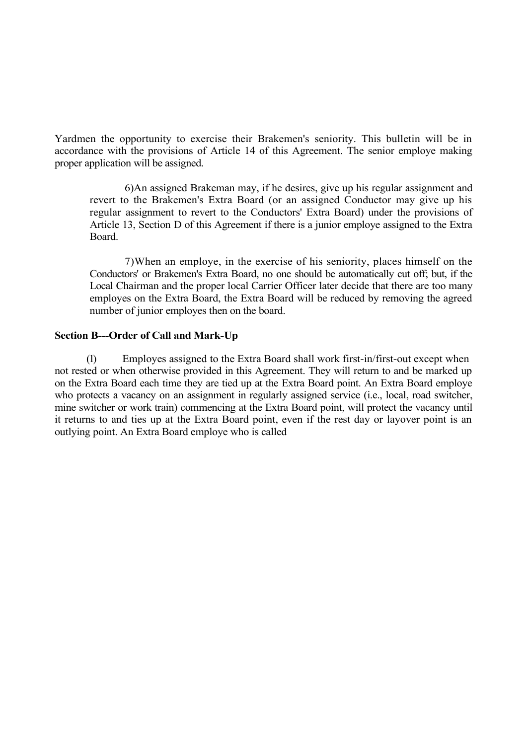Yardmen the opportunity to exercise their Brakemen's seniority. This bulletin will be in accordance with the provisions of Article 14 of this Agreement. The senior employe making proper application will be assigned.

6)An assigned Brakeman may, if he desires, give up his regular assignment and revert to the Brakemen's Extra Board (or an assigned Conductor may give up his regular assignment to revert to the Conductors' Extra Board) under the provisions of Article 13, Section D of this Agreement if there is a junior employe assigned to the Extra Board.

7)When an employe, in the exercise of his seniority, places himself on the Conductors' or Brakemen's Extra Board, no one should be automatically cut off; but, if the Local Chairman and the proper local Carrier Officer later decide that there are too many employes on the Extra Board, the Extra Board will be reduced by removing the agreed number of junior employes then on the board.

### **Section B---Order of Call and Mark-Up**

(1) Employes assigned to the Extra Board shall work first-in/first-out except when not rested or when otherwise provided in this Agreement. They will return to and be marked up on the Extra Board each time they are tied up at the Extra Board point. An Extra Board employe who protects a vacancy on an assignment in regularly assigned service (i.e., local, road switcher, mine switcher or work train) commencing at the Extra Board point, will protect the vacancy until it returns to and ties up at the Extra Board point, even if the rest day or layover point is an outlying point. An Extra Board employe who is called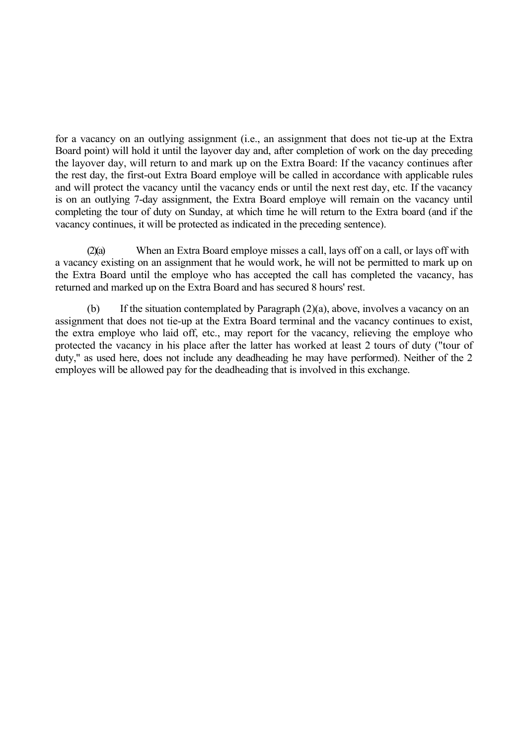for a vacancy on an outlying assignment (i.e., an assignment that does not tie-up at the Extra Board point) will hold it until the layover day and, after completion of work on the day preceding the layover day, will return to and mark up on the Extra Board: If the vacancy continues after the rest day, the first-out Extra Board employe will be called in accordance with applicable rules and will protect the vacancy until the vacancy ends or until the next rest day, etc. If the vacancy is on an outlying 7-day assignment, the Extra Board employe will remain on the vacancy until completing the tour of duty on Sunday, at which time he will return to the Extra board (and if the vacancy continues, it will be protected as indicated in the preceding sentence).

(2)(a) When an Extra Board employe misses a call, lays off on a call, or lays off with a vacancy existing on an assignment that he would work, he will not be permitted to mark up on the Extra Board until the employe who has accepted the call has completed the vacancy, has returned and marked up on the Extra Board and has secured 8 hours' rest.

(b) If the situation contemplated by Paragraph (2)(a), above, involves a vacancy on an assignment that does not tie-up at the Extra Board terminal and the vacancy continues to exist, the extra employe who laid off, etc., may report for the vacancy, relieving the employe who protected the vacancy in his place after the latter has worked at least 2 tours of duty ("tour of duty," as used here, does not include any deadheading he may have performed). Neither of the 2 employes will be allowed pay for the deadheading that is involved in this exchange.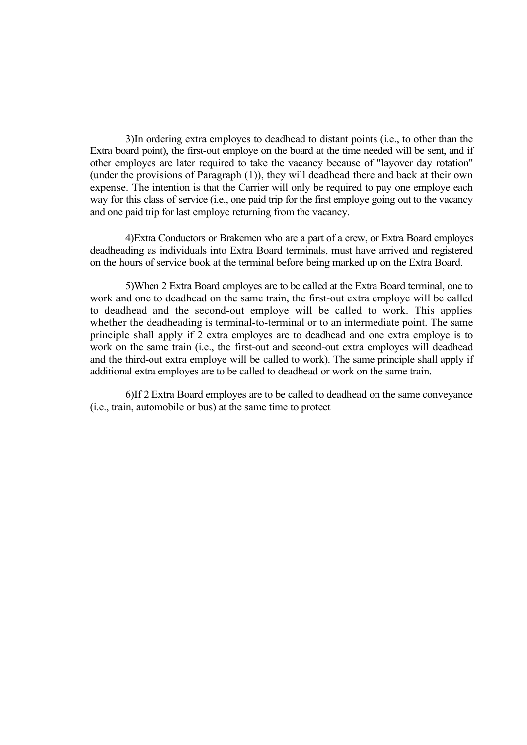3)In ordering extra employes to deadhead to distant points (i.e., to other than the Extra board point), the first-out employe on the board at the time needed will be sent, and if other employes are later required to take the vacancy because of "layover day rotation" (under the provisions of Paragraph (1)), they will deadhead there and back at their own expense. The intention is that the Carrier will only be required to pay one employe each way for this class of service (i.e., one paid trip for the first employe going out to the vacancy and one paid trip for last employe returning from the vacancy.

4)Extra Conductors or Brakemen who are a part of a crew, or Extra Board employes deadheading as individuals into Extra Board terminals, must have arrived and registered on the hours of service book at the terminal before being marked up on the Extra Board.

5)When 2 Extra Board employes are to be called at the Extra Board terminal, one to work and one to deadhead on the same train, the first-out extra employe will be called to deadhead and the second-out employe will be called to work. This applies whether the deadheading is terminal-to-terminal or to an intermediate point. The same principle shall apply if 2 extra employes are to deadhead and one extra employe is to work on the same train (i.e., the first-out and second-out extra employes will deadhead and the third-out extra employe will be called to work). The same principle shall apply if additional extra employes are to be called to deadhead or work on the same train.

6)If 2 Extra Board employes are to be called to deadhead on the same conveyance (i.e., train, automobile or bus) at the same time to protect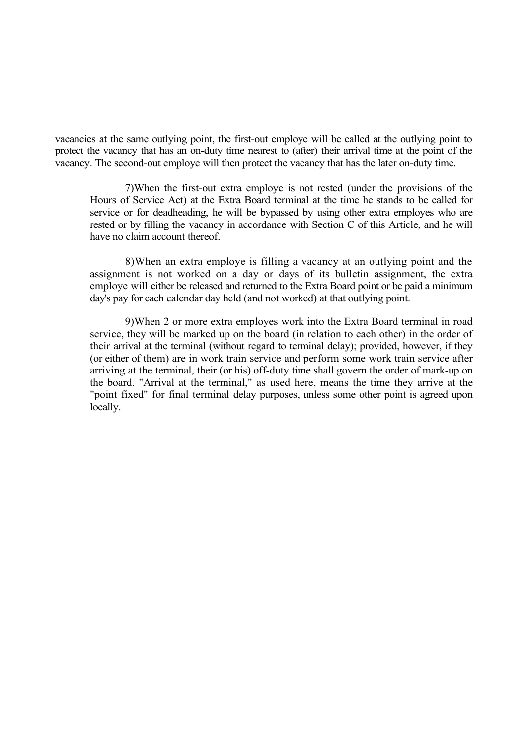vacancies at the same outlying point, the first-out employe will be called at the outlying point to protect the vacancy that has an on-duty time nearest to (after) their arrival time at the point of the vacancy. The second-out employe will then protect the vacancy that has the later on-duty time.

7)When the first-out extra employe is not rested (under the provisions of the Hours of Service Act) at the Extra Board terminal at the time he stands to be called for service or for deadheading, he will be bypassed by using other extra employes who are rested or by filling the vacancy in accordance with Section C of this Article, and he will have no claim account thereof.

8)When an extra employe is filling a vacancy at an outlying point and the assignment is not worked on a day or days of its bulletin assignment, the extra employe will either be released and returned to the Extra Board point or be paid a minimum day's pay for each calendar day held (and not worked) at that outlying point.

9)When 2 or more extra employes work into the Extra Board terminal in road service, they will be marked up on the board (in relation to each other) in the order of their arrival at the terminal (without regard to terminal delay); provided, however, if they (or either of them) are in work train service and perform some work train service after arriving at the terminal, their (or his) off-duty time shall govern the order of mark-up on the board. "Arrival at the terminal," as used here, means the time they arrive at the "point fixed" for final terminal delay purposes, unless some other point is agreed upon locally.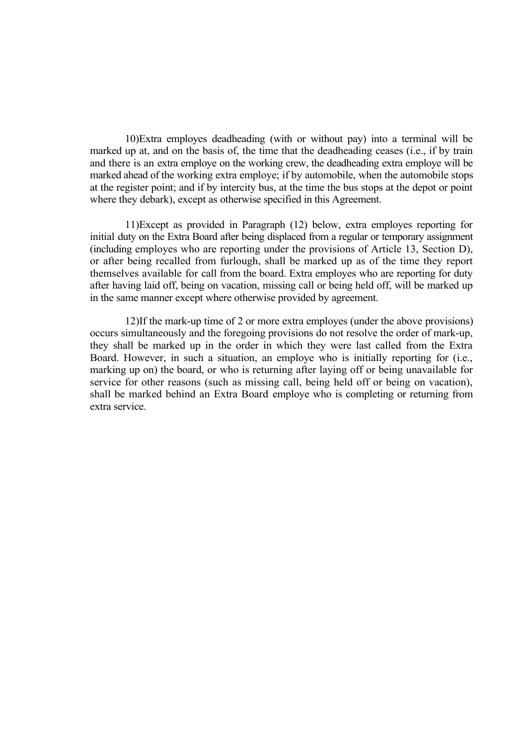10)Extra employes deadheading (with or without pay) into a terminal will be marked up at, and on the basis of, the time that the deadheading ceases (i.e., if by train and there is an extra employe on the working crew, the deadheading extra employe will be marked ahead of the working extra employe; if by automobile, when the automobile stops at the register point; and if by intercity bus, at the time the bus stops at the depot or point where they debark), except as otherwise specified in this Agreement.

11)Except as provided in Paragraph (12) below, extra employes reporting for initial duty on the Extra Board after being displaced from a regular or temporary assignment (including employes who are reporting under the provisions of Article 13, Section D), or after being recalled from furlough, shall be marked up as of the time they report themselves available for call from the board. Extra employes who are reporting for duty after having laid off, being on vacation, missing call or being held off, will be marked up in the same manner except where otherwise provided by agreement.

12)If the mark-up time of 2 or more extra employes (under the above provisions) occurs simultaneously and the foregoing provisions do not resolve the order of mark-up, they shall be marked up in the order in which they were last called from the Extra Board. However, in such a situation, an employe who is initially reporting for (i.e., marking up on) the board, or who is returning after laying off or being unavailable for service for other reasons (such as missing call, being held off or being on vacation), shall be marked behind an Extra Board employe who is completing or returning from extra service.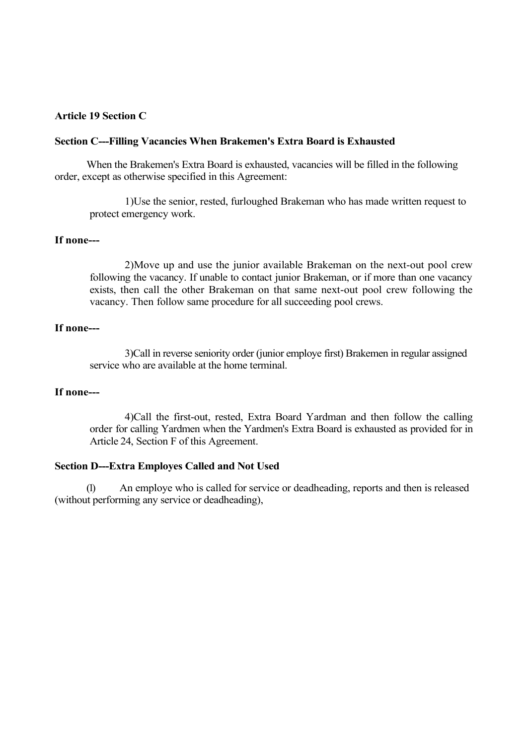### **Article 19 Section C**

#### **Section C---Filling Vacancies When Brakemen's Extra Board is Exhausted**

When the Brakemen's Extra Board is exhausted, vacancies will be filled in the following order, except as otherwise specified in this Agreement:

1)Use the senior, rested, furloughed Brakeman who has made written request to protect emergency work.

### **If none---**

2)Move up and use the junior available Brakeman on the next-out pool crew following the vacancy. If unable to contact junior Brakeman, or if more than one vacancy exists, then call the other Brakeman on that same next-out pool crew following the vacancy. Then follow same procedure for all succeeding pool crews.

### **If none---**

3)Call in reverse seniority order (junior employe first) Brakemen in regular assigned service who are available at the home terminal.

### **If none---**

4)Call the first-out, rested, Extra Board Yardman and then follow the calling order for calling Yardmen when the Yardmen's Extra Board is exhausted as provided for in Article 24, Section F of this Agreement.

#### **Section D---Extra Employes Called and Not Used**

(1) An employe who is called for service or deadheading, reports and then is released (without performing any service or deadheading),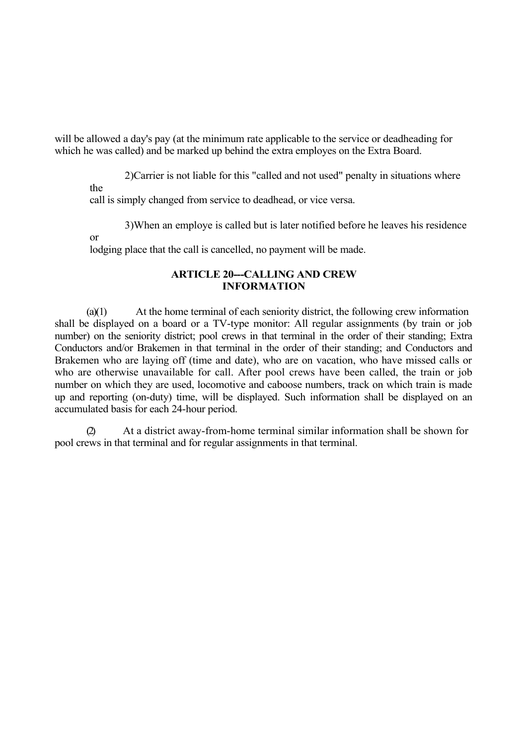will be allowed a day's pay (at the minimum rate applicable to the service or deadheading for which he was called) and be marked up behind the extra employes on the Extra Board.

2)Carrier is not liable for this "called and not used" penalty in situations where the

3)When an employe is called but is later notified before he leaves his residence

call is simply changed from service to deadhead, or vice versa.

or

lodging place that the call is cancelled, no payment will be made.

### **ARTICLE 20---CALLING AND CREW INFORMATION**

(a)(1) At the home terminal of each seniority district, the following crew information shall be displayed on a board or a TV-type monitor: All regular assignments (by train or job number) on the seniority district; pool crews in that terminal in the order of their standing; Extra Conductors and/or Brakemen in that terminal in the order of their standing; and Conductors and Brakemen who are laying off (time and date), who are on vacation, who have missed calls or who are otherwise unavailable for call. After pool crews have been called, the train or job number on which they are used, locomotive and caboose numbers, track on which train is made up and reporting (on-duty) time, will be displayed. Such information shall be displayed on an accumulated basis for each 24-hour period.

(2) At a district away-from-home terminal similar information shall be shown for pool crews in that terminal and for regular assignments in that terminal.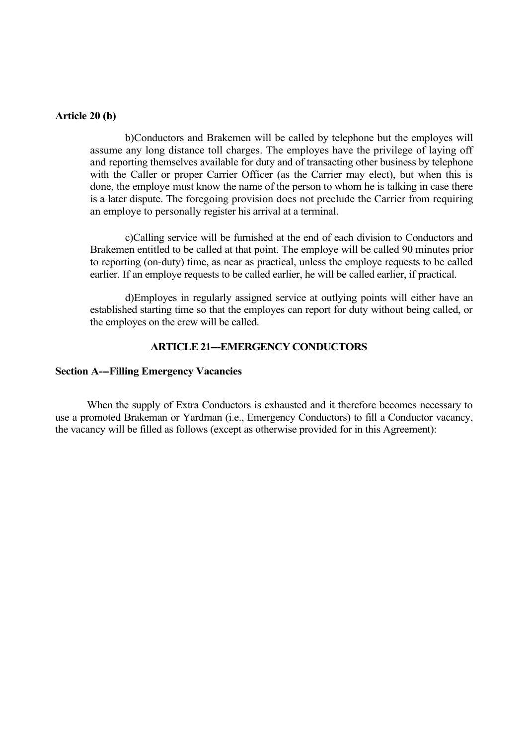#### **Article 20 (b)**

b)Conductors and Brakemen will be called by telephone but the employes will assume any long distance toll charges. The employes have the privilege of laying off and reporting themselves available for duty and of transacting other business by telephone with the Caller or proper Carrier Officer (as the Carrier may elect), but when this is done, the employe must know the name of the person to whom he is talking in case there is a later dispute. The foregoing provision does not preclude the Carrier from requiring an employe to personally register his arrival at a terminal.

c)Calling service will be furnished at the end of each division to Conductors and Brakemen entitled to be called at that point. The employe will be called 90 minutes prior to reporting (on-duty) time, as near as practical, unless the employe requests to be called earlier. If an employe requests to be called earlier, he will be called earlier, if practical.

d)Employes in regularly assigned service at outlying points will either have an established starting time so that the employes can report for duty without being called, or the employes on the crew will be called.

#### **ARTICLE 21-EMERGENCY CONDUCTORS**

#### **Section A---Filling Emergency Vacancies**

When the supply of Extra Conductors is exhausted and it therefore becomes necessary to use a promoted Brakeman or Yardman (i.e., Emergency Conductors) to fill a Conductor vacancy, the vacancy will be filled as follows (except as otherwise provided for in this Agreement):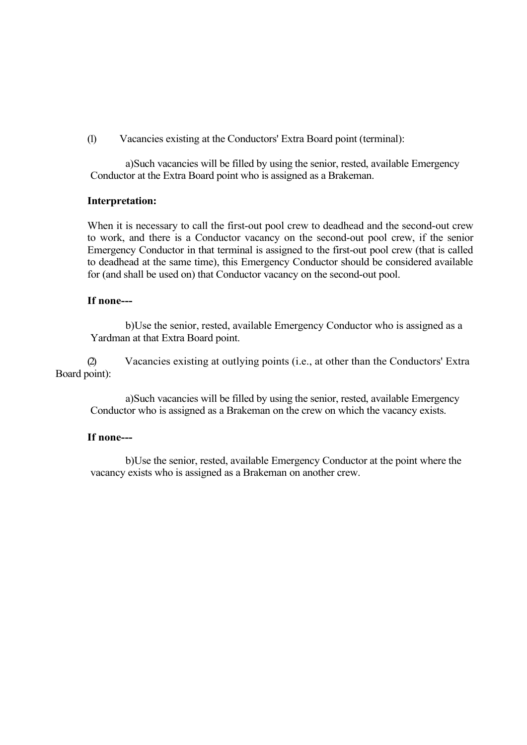(1) Vacancies existing at the Conductors' Extra Board point (terminal):

a)Such vacancies will be filled by using the senior, rested, available Emergency Conductor at the Extra Board point who is assigned as a Brakeman.

# **Interpretation:**

When it is necessary to call the first-out pool crew to deadhead and the second-out crew to work, and there is a Conductor vacancy on the second-out pool crew, if the senior Emergency Conductor in that terminal is assigned to the first-out pool crew (that is called to deadhead at the same time), this Emergency Conductor should be considered available for (and shall be used on) that Conductor vacancy on the second-out pool.

### **If none---**

b)Use the senior, rested, available Emergency Conductor who is assigned as a Yardman at that Extra Board point.

(2) Vacancies existing at outlying points (i.e., at other than the Conductors' Extra Board point):

a)Such vacancies will be filled by using the senior, rested, available Emergency Conductor who is assigned as a Brakeman on the crew on which the vacancy exists.

### **If none---**

b)Use the senior, rested, available Emergency Conductor at the point where the vacancy exists who is assigned as a Brakeman on another crew.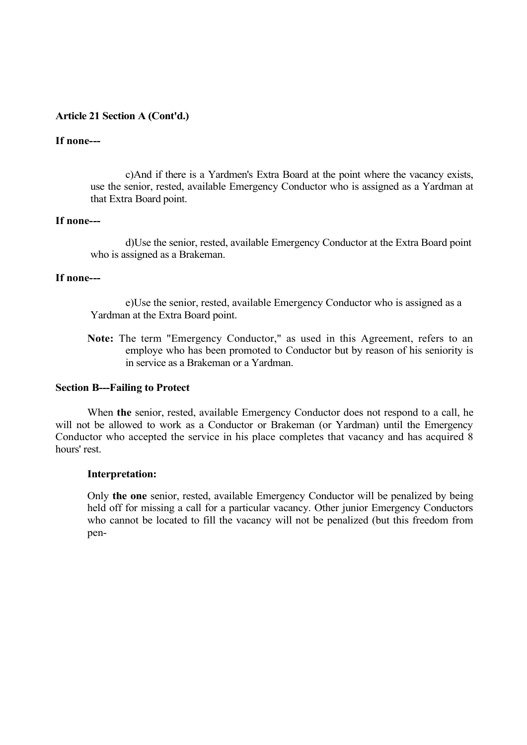#### **If none---**

c)And if there is a Yardmen's Extra Board at the point where the vacancy exists, use the senior, rested, available Emergency Conductor who is assigned as a Yardman at that Extra Board point.

#### **If none---**

d)Use the senior, rested, available Emergency Conductor at the Extra Board point who is assigned as a Brakeman.

#### **If none---**

e)Use the senior, rested, available Emergency Conductor who is assigned as a Yardman at the Extra Board point.

**Note:** The term "Emergency Conductor," as used in this Agreement, refers to an employe who has been promoted to Conductor but by reason of his seniority is in service as a Brakeman or a Yardman.

#### **Section B---Failing to Protect**

When **the** senior, rested, available Emergency Conductor does not respond to a call, he will not be allowed to work as a Conductor or Brakeman (or Yardman) until the Emergency Conductor who accepted the service in his place completes that vacancy and has acquired 8 hours' rest.

#### **Interpretation:**

Only **the one** senior, rested, available Emergency Conductor will be penalized by being held off for missing a call for a particular vacancy. Other junior Emergency Conductors who cannot be located to fill the vacancy will not be penalized (but this freedom from pen-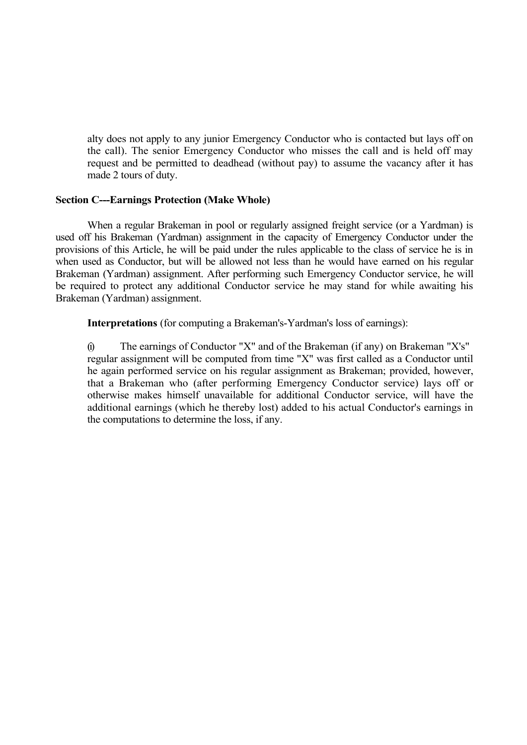alty does not apply to any junior Emergency Conductor who is contacted but lays off on the call). The senior Emergency Conductor who misses the call and is held off may request and be permitted to deadhead (without pay) to assume the vacancy after it has made 2 tours of duty.

## **Section C---Earnings Protection (Make Whole)**

When a regular Brakeman in pool or regularly assigned freight service (or a Yardman) is used off his Brakeman (Yardman) assignment in the capacity of Emergency Conductor under the provisions of this Article, he will be paid under the rules applicable to the class of service he is in when used as Conductor, but will be allowed not less than he would have earned on his regular Brakeman (Yardman) assignment. After performing such Emergency Conductor service, he will be required to protect any additional Conductor service he may stand for while awaiting his Brakeman (Yardman) assignment.

**Interpretations** (for computing a Brakeman's-Yardman's loss of earnings):

(i) The earnings of Conductor "X" and of the Brakeman (if any) on Brakeman "X's" regular assignment will be computed from time "X" was first called as a Conductor until he again performed service on his regular assignment as Brakeman; provided, however, that a Brakeman who (after performing Emergency Conductor service) lays off or otherwise makes himself unavailable for additional Conductor service, will have the additional earnings (which he thereby lost) added to his actual Conductor's earnings in the computations to determine the loss, if any.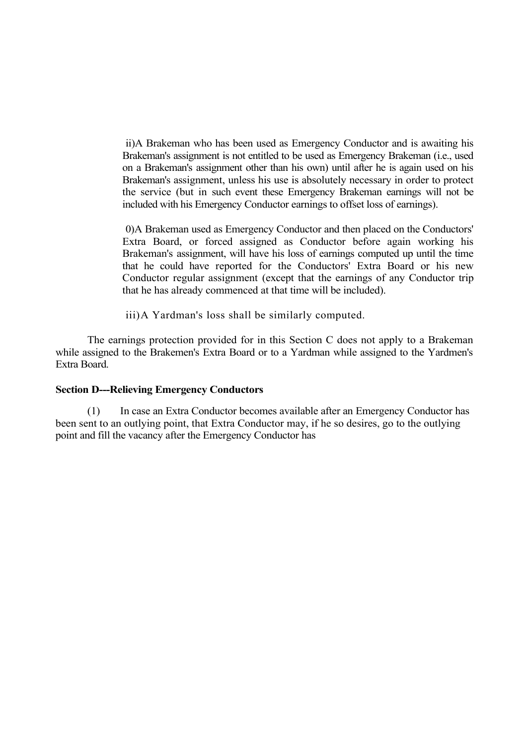ii)A Brakeman who has been used as Emergency Conductor and is awaiting his Brakeman's assignment is not entitled to be used as Emergency Brakeman (i.e., used on a Brakeman's assignment other than his own) until after he is again used on his Brakeman's assignment, unless his use is absolutely necessary in order to protect the service (but in such event these Emergency Brakeman earnings will not be included with his Emergency Conductor earnings to offset loss of earnings).

0)A Brakeman used as Emergency Conductor and then placed on the Conductors' Extra Board, or forced assigned as Conductor before again working his Brakeman's assignment, will have his loss of earnings computed up until the time that he could have reported for the Conductors' Extra Board or his new Conductor regular assignment (except that the earnings of any Conductor trip that he has already commenced at that time will be included).

iii)A Yardman's loss shall be similarly computed.

The earnings protection provided for in this Section C does not apply to a Brakeman while assigned to the Brakemen's Extra Board or to a Yardman while assigned to the Yardmen's Extra Board.

## **Section D---Relieving Emergency Conductors**

(1) In case an Extra Conductor becomes available after an Emergency Conductor has been sent to an outlying point, that Extra Conductor may, if he so desires, go to the outlying point and fill the vacancy after the Emergency Conductor has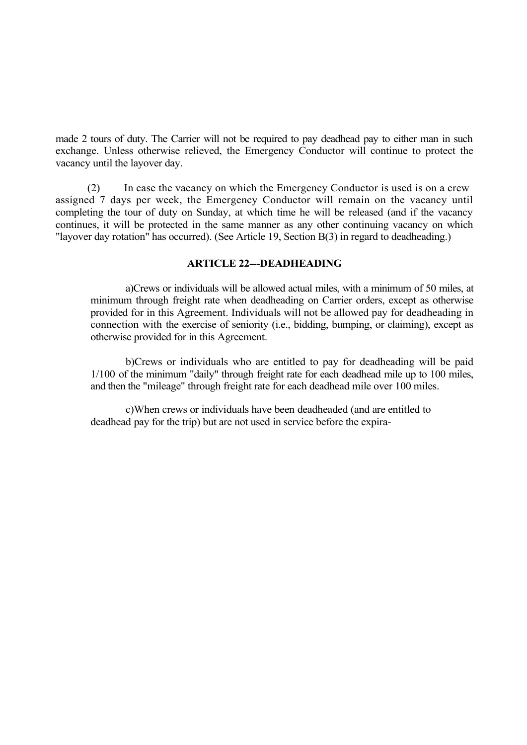made 2 tours of duty. The Carrier will not be required to pay deadhead pay to either man in such exchange. Unless otherwise relieved, the Emergency Conductor will continue to protect the vacancy until the layover day.

(2) In case the vacancy on which the Emergency Conductor is used is on a crew assigned 7 days per week, the Emergency Conductor will remain on the vacancy until completing the tour of duty on Sunday, at which time he will be released (and if the vacancy continues, it will be protected in the same manner as any other continuing vacancy on which "layover day rotation" has occurred). (See Article 19, Section B(3) in regard to deadheading.)

## **ARTICLE 22---DEADHEADING**

a)Crews or individuals will be allowed actual miles, with a minimum of 50 miles, at minimum through freight rate when deadheading on Carrier orders, except as otherwise provided for in this Agreement. Individuals will not be allowed pay for deadheading in connection with the exercise of seniority (i.e., bidding, bumping, or claiming), except as otherwise provided for in this Agreement.

b)Crews or individuals who are entitled to pay for deadheading will be paid 1/100 of the minimum "daily" through freight rate for each deadhead mile up to 100 miles, and then the "mileage" through freight rate for each deadhead mile over 100 miles.

c)When crews or individuals have been deadheaded (and are entitled to deadhead pay for the trip) but are not used in service before the expira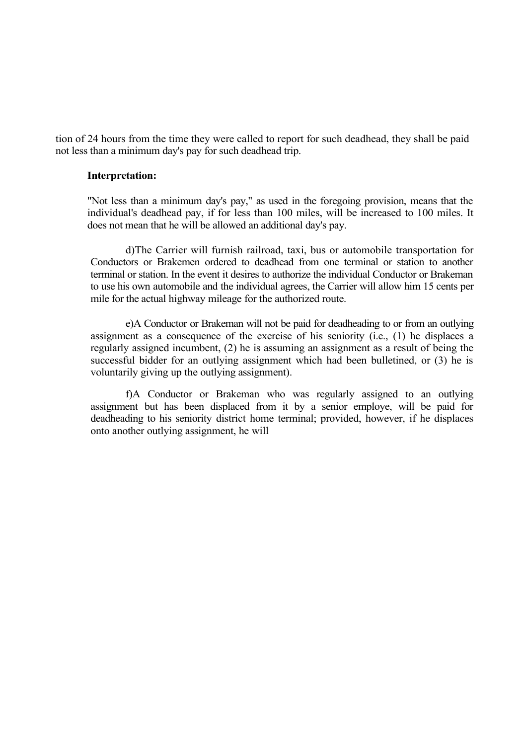tion of 24 hours from the time they were called to report for such deadhead, they shall be paid not less than a minimum day's pay for such deadhead trip.

#### **Interpretation:**

"Not less than a minimum day's pay," as used in the foregoing provision, means that the individual's deadhead pay, if for less than 100 miles, will be increased to 100 miles. It does not mean that he will be allowed an additional day's pay.

d)The Carrier will furnish railroad, taxi, bus or automobile transportation for Conductors or Brakemen ordered to deadhead from one terminal or station to another terminal or station. In the event it desires to authorize the individual Conductor or Brakeman to use his own automobile and the individual agrees, the Carrier will allow him 15 cents per mile for the actual highway mileage for the authorized route.

e)A Conductor or Brakeman will not be paid for deadheading to or from an outlying assignment as a consequence of the exercise of his seniority (i.e., (1) he displaces a regularly assigned incumbent, (2) he is assuming an assignment as a result of being the successful bidder for an outlying assignment which had been bulletined, or (3) he is voluntarily giving up the outlying assignment).

f)A Conductor or Brakeman who was regularly assigned to an outlying assignment but has been displaced from it by a senior employe, will be paid for deadheading to his seniority district home terminal; provided, however, if he displaces onto another outlying assignment, he will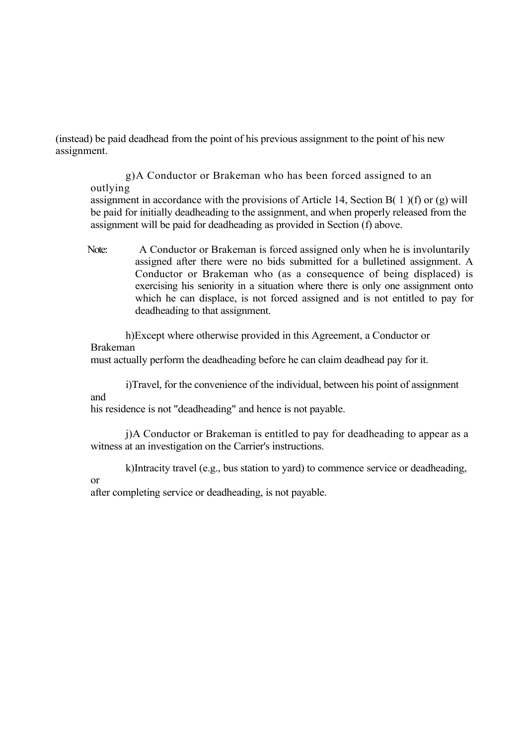(instead) be paid deadhead from the point of his previous assignment to the point of his new assignment.

g)A Conductor or Brakeman who has been forced assigned to an outlying

assignment in accordance with the provisions of Article 14, Section B( 1 )(f) or (g) will be paid for initially deadheading to the assignment, and when properly released from the assignment will be paid for deadheading as provided in Section (f) above.

Note: A Conductor or Brakeman is forced assigned only when he is involuntarily assigned after there were no bids submitted for a bulletined assignment. A Conductor or Brakeman who (as a consequence of being displaced) is exercising his seniority in a situation where there is only one assignment onto which he can displace, is not forced assigned and is not entitled to pay for deadheading to that assignment.

h)Except where otherwise provided in this Agreement, a Conductor or Brakeman

must actually perform the deadheading before he can claim deadhead pay for it.

i)Travel, for the convenience of the individual, between his point of assignment and

his residence is not "deadheading" and hence is not payable.

j)A Conductor or Brakeman is entitled to pay for deadheading to appear as a witness at an investigation on the Carrier's instructions.

k)Intracity travel (e.g., bus station to yard) to commence service or deadheading,

#### or

after completing service or deadheading, is not payable.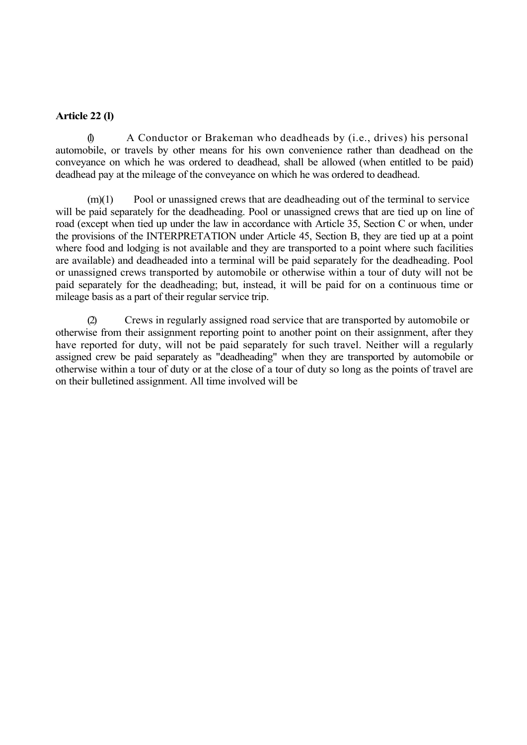## **Article 22 (l)**

 $\emptyset$  A Conductor or Brakeman who deadheads by (i.e., drives) his personal automobile, or travels by other means for his own convenience rather than deadhead on the conveyance on which he was ordered to deadhead, shall be allowed (when entitled to be paid) deadhead pay at the mileage of the conveyance on which he was ordered to deadhead.

 $(m)(1)$  Pool or unassigned crews that are deadheading out of the terminal to service will be paid separately for the deadheading. Pool or unassigned crews that are tied up on line of road (except when tied up under the law in accordance with Article 35, Section C or when, under the provisions of the INTERPRETATION under Article 45, Section B, they are tied up at a point where food and lodging is not available and they are transported to a point where such facilities are available) and deadheaded into a terminal will be paid separately for the deadheading. Pool or unassigned crews transported by automobile or otherwise within a tour of duty will not be paid separately for the deadheading; but, instead, it will be paid for on a continuous time or mileage basis as a part of their regular service trip.

(2) Crews in regularly assigned road service that are transported by automobile or otherwise from their assignment reporting point to another point on their assignment, after they have reported for duty, will not be paid separately for such travel. Neither will a regularly assigned crew be paid separately as "deadheading" when they are transported by automobile or otherwise within a tour of duty or at the close of a tour of duty so long as the points of travel are on their bulletined assignment. All time involved will be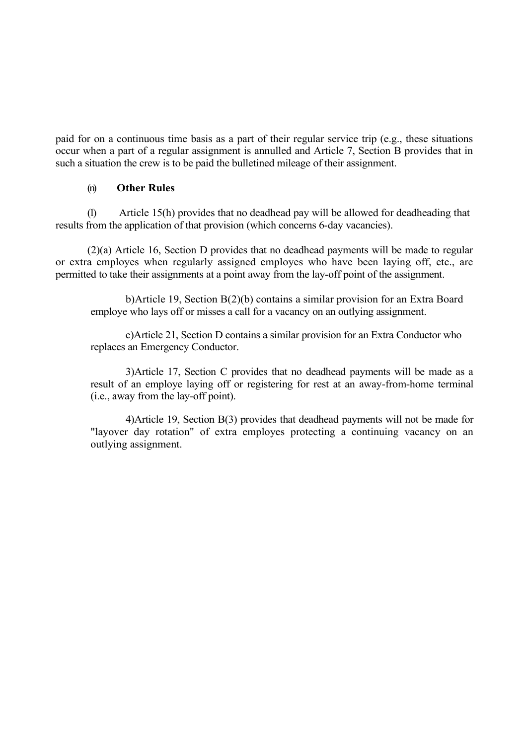paid for on a continuous time basis as a part of their regular service trip (e.g., these situations occur when a part of a regular assignment is annulled and Article 7, Section B provides that in such a situation the crew is to be paid the bulletined mileage of their assignment.

## (n) **Other Rules**

(1) Article 15(h) provides that no deadhead pay will be allowed for deadheading that results from the application of that provision (which concerns 6-day vacancies).

(2)(a) Article 16, Section D provides that no deadhead payments will be made to regular or extra employes when regularly assigned employes who have been laying off, etc., are permitted to take their assignments at a point away from the lay-off point of the assignment.

b)Article 19, Section B(2)(b) contains a similar provision for an Extra Board employe who lays off or misses a call for a vacancy on an outlying assignment.

c)Article 21, Section D contains a similar provision for an Extra Conductor who replaces an Emergency Conductor.

3)Article 17, Section C provides that no deadhead payments will be made as a result of an employe laying off or registering for rest at an away-from-home terminal (i.e., away from the lay-off point).

4)Article 19, Section B(3) provides that deadhead payments will not be made for "layover day rotation" of extra employes protecting a continuing vacancy on an outlying assignment.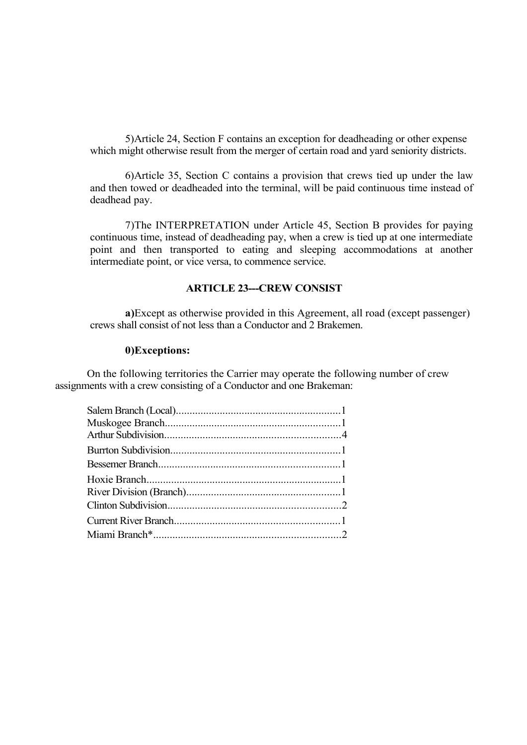5)Article 24, Section F contains an exception for deadheading or other expense which might otherwise result from the merger of certain road and yard seniority districts.

6)Article 35, Section C contains a provision that crews tied up under the law and then towed or deadheaded into the terminal, will be paid continuous time instead of deadhead pay.

7)The INTERPRETATION under Article 45, Section B provides for paying continuous time, instead of deadheading pay, when a crew is tied up at one intermediate point and then transported to eating and sleeping accommodations at another intermediate point, or vice versa, to commence service.

#### **ARTICLE 23---CREW CONSIST**

**a)**Except as otherwise provided in this Agreement, all road (except passenger) crews shall consist of not less than a Conductor and 2 Brakemen.

#### **0)Exceptions:**

On the following territories the Carrier may operate the following number of crew assignments with a crew consisting of a Conductor and one Brakeman: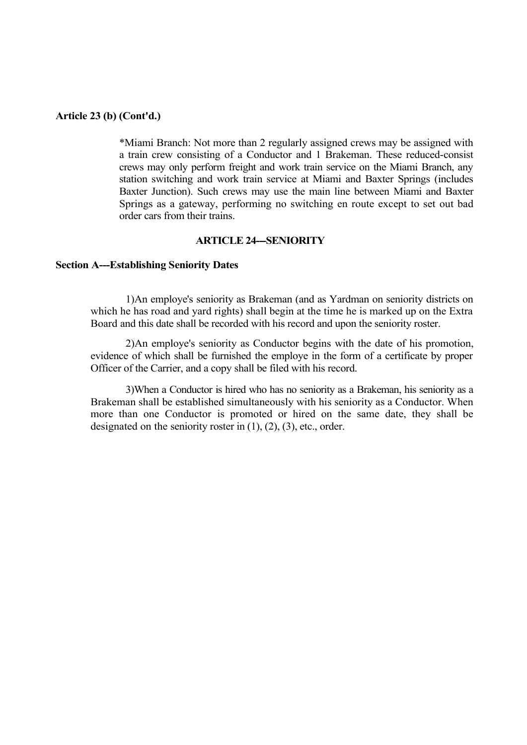#### **Article 23 (b) (Cont'd.)**

\*Miami Branch: Not more than 2 regularly assigned crews may be assigned with a train crew consisting of a Conductor and 1 Brakeman. These reduced-consist crews may only perform freight and work train service on the Miami Branch, any station switching and work train service at Miami and Baxter Springs (includes Baxter Junction). Such crews may use the main line between Miami and Baxter Springs as a gateway, performing no switching en route except to set out bad order cars from their trains.

#### **ARTICLE 24---SENIORITY**

#### **Section A---Establishing Seniority Dates**

1)An employe's seniority as Brakeman (and as Yardman on seniority districts on which he has road and yard rights) shall begin at the time he is marked up on the Extra Board and this date shall be recorded with his record and upon the seniority roster.

2)An employe's seniority as Conductor begins with the date of his promotion, evidence of which shall be furnished the employe in the form of a certificate by proper Officer of the Carrier, and a copy shall be filed with his record.

3)When a Conductor is hired who has no seniority as a Brakeman, his seniority as a Brakeman shall be established simultaneously with his seniority as a Conductor. When more than one Conductor is promoted or hired on the same date, they shall be designated on the seniority roster in  $(1)$ ,  $(2)$ ,  $(3)$ , etc., order.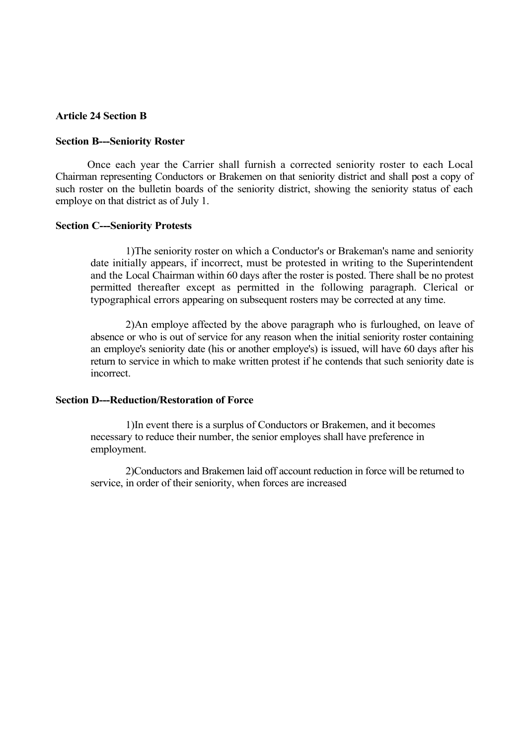### **Article 24 Section B**

#### **Section B---Seniority Roster**

Once each year the Carrier shall furnish a corrected seniority roster to each Local Chairman representing Conductors or Brakemen on that seniority district and shall post a copy of such roster on the bulletin boards of the seniority district, showing the seniority status of each employe on that district as of July 1.

#### **Section C---Seniority Protests**

1)The seniority roster on which a Conductor's or Brakeman's name and seniority date initially appears, if incorrect, must be protested in writing to the Superintendent and the Local Chairman within 60 days after the roster is posted. There shall be no protest permitted thereafter except as permitted in the following paragraph. Clerical or typographical errors appearing on subsequent rosters may be corrected at any time.

2)An employe affected by the above paragraph who is furloughed, on leave of absence or who is out of service for any reason when the initial seniority roster containing an employe's seniority date (his or another employe's) is issued, will have 60 days after his return to service in which to make written protest if he contends that such seniority date is incorrect.

#### **Section D---Reduction/Restoration of Force**

1)In event there is a surplus of Conductors or Brakemen, and it becomes necessary to reduce their number, the senior employes shall have preference in employment.

2)Conductors and Brakemen laid off account reduction in force will be returned to service, in order of their seniority, when forces are increased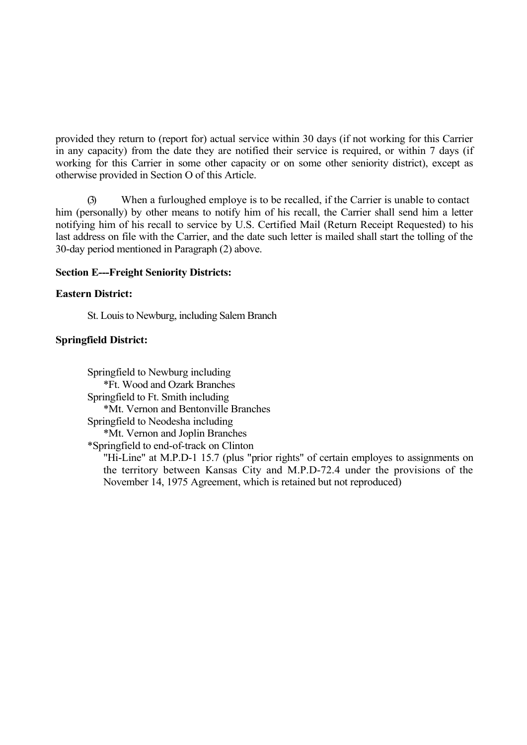provided they return to (report for) actual service within 30 days (if not working for this Carrier in any capacity) from the date they are notified their service is required, or within 7 days (if working for this Carrier in some other capacity or on some other seniority district), except as otherwise provided in Section O of this Article.

(3) When a furloughed employe is to be recalled, if the Carrier is unable to contact him (personally) by other means to notify him of his recall, the Carrier shall send him a letter notifying him of his recall to service by U.S. Certified Mail (Return Receipt Requested) to his last address on file with the Carrier, and the date such letter is mailed shall start the tolling of the 30-day period mentioned in Paragraph (2) above.

## **Section E---Freight Seniority Districts:**

## **Eastern District:**

St. Louis to Newburg, including Salem Branch

## **Springfield District:**

Springfield to Newburg including \*Ft. Wood and Ozark Branches Springfield to Ft. Smith including \*Mt. Vernon and Bentonville Branches Springfield to Neodesha including \*Mt. Vernon and Joplin Branches \*Springfield to end-of-track on Clinton

"Hi-Line" at M.P.D-1 15.7 (plus "prior rights" of certain employes to assignments on the territory between Kansas City and M.P.D-72.4 under the provisions of the November 14, 1975 Agreement, which is retained but not reproduced)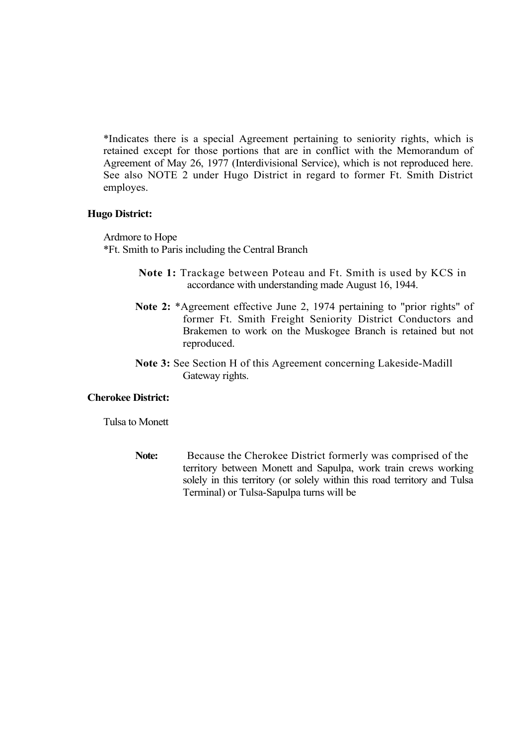\*Indicates there is a special Agreement pertaining to seniority rights, which is retained except for those portions that are in conflict with the Memorandum of Agreement of May 26, 1977 (Interdivisional Service), which is not reproduced here. See also NOTE 2 under Hugo District in regard to former Ft. Smith District employes.

### **Hugo District:**

Ardmore to Hope \*Ft. Smith to Paris including the Central Branch

- **Note 1:** Trackage between Poteau and Ft. Smith is used by KCS in accordance with understanding made August 16, 1944.
- **Note 2:** \*Agreement effective June 2, 1974 pertaining to "prior rights" of former Ft. Smith Freight Seniority District Conductors and Brakemen to work on the Muskogee Branch is retained but not reproduced.
- **Note 3:** See Section H of this Agreement concerning Lakeside-Madill Gateway rights.

## **Cherokee District:**

Tulsa to Monett

**Note:** Because the Cherokee District formerly was comprised of the territory between Monett and Sapulpa, work train crews working solely in this territory (or solely within this road territory and Tulsa Terminal) or Tulsa-Sapulpa turns will be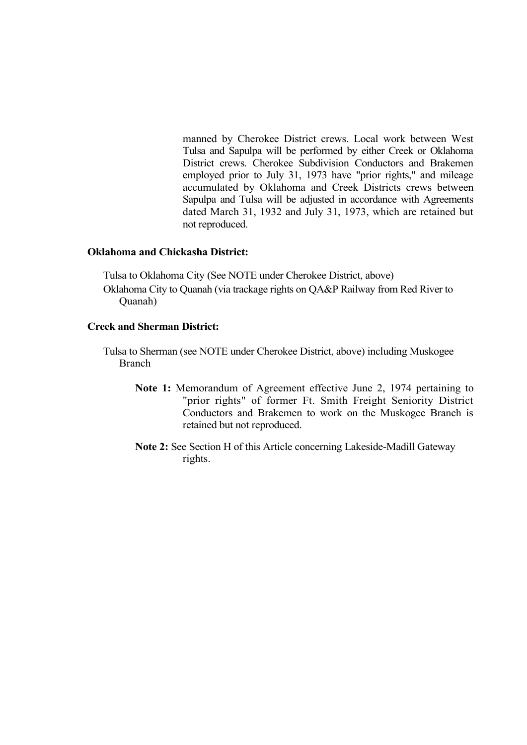manned by Cherokee District crews. Local work between West Tulsa and Sapulpa will be performed by either Creek or Oklahoma District crews. Cherokee Subdivision Conductors and Brakemen employed prior to July 31, 1973 have "prior rights," and mileage accumulated by Oklahoma and Creek Districts crews between Sapulpa and Tulsa will be adjusted in accordance with Agreements dated March 31, 1932 and July 31, 1973, which are retained but not reproduced.

### **Oklahoma and Chickasha District:**

Tulsa to Oklahoma City (See NOTE under Cherokee District, above) Oklahoma City to Quanah (via trackage rights on QA&P Railway from Red River to Quanah)

### **Creek and Sherman District:**

- Tulsa to Sherman (see NOTE under Cherokee District, above) including Muskogee Branch
	- **Note 1:** Memorandum of Agreement effective June 2, 1974 pertaining to "prior rights" of former Ft. Smith Freight Seniority District Conductors and Brakemen to work on the Muskogee Branch is retained but not reproduced.
	- **Note 2:** See Section H of this Article concerning Lakeside-Madill Gateway rights.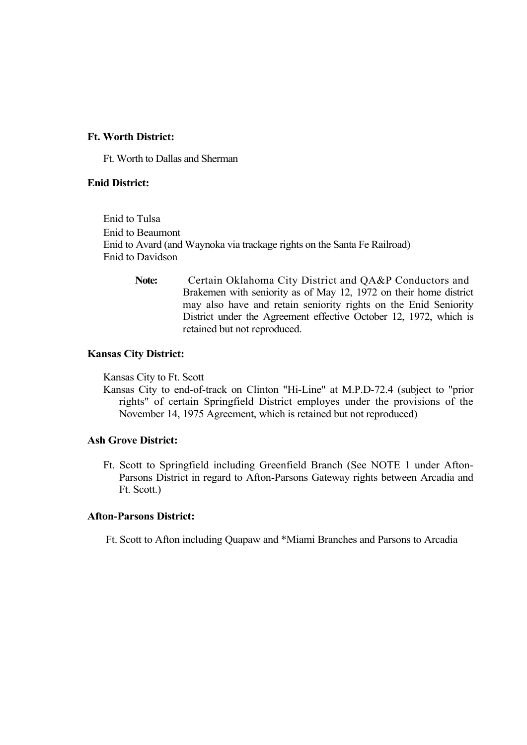### **Ft. Worth District:**

Ft. Worth to Dallas and Sherman

## **Enid District:**

Enid to Tulsa Enid to Beaumont Enid to Avard (and Waynoka via trackage rights on the Santa Fe Railroad) Enid to Davidson

> Note: Certain Oklahoma City District and QA&P Conductors and Brakemen with seniority as of May 12, 1972 on their home district may also have and retain seniority rights on the Enid Seniority District under the Agreement effective October 12, 1972, which is retained but not reproduced.

#### **Kansas City District:**

Kansas City to Ft. Scott

Kansas City to end-of-track on Clinton "Hi-Line" at M.P.D-72.4 (subject to "prior rights" of certain Springfield District employes under the provisions of the November 14, 1975 Agreement, which is retained but not reproduced)

### **Ash Grove District:**

Ft. Scott to Springfield including Greenfield Branch (See NOTE 1 under Afton-Parsons District in regard to Afton-Parsons Gateway rights between Arcadia and Ft. Scott.)

### **Afton-Parsons District:**

Ft. Scott to Afton including Quapaw and \*Miami Branches and Parsons to Arcadia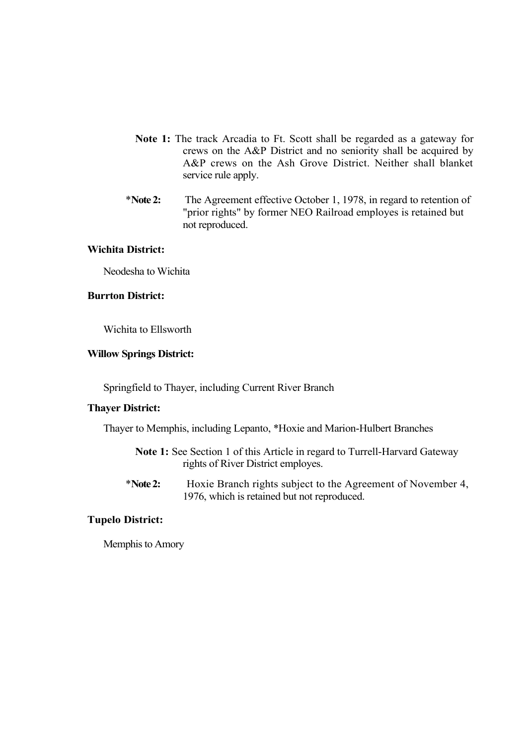- **Note 1:** The track Arcadia to Ft. Scott shall be regarded as a gateway for crews on the A&P District and no seniority shall be acquired by A&P crews on the Ash Grove District. Neither shall blanket service rule apply.
- \***Note 2:** The Agreement effective October 1, 1978, in regard to retention of "prior rights" by former NEO Railroad employes is retained but not reproduced.

## **Wichita District:**

Neodesha to Wichita

### **Burrton District:**

Wichita to Ellsworth

### **Willow Springs District:**

Springfield to Thayer, including Current River Branch

## **Thayer District:**

Thayer to Memphis, including Lepanto, \*Hoxie and Marion-Hulbert Branches

- **Note 1:** See Section 1 of this Article in regard to Turrell-Harvard Gateway rights of River District employes.
- \***Note 2:** Hoxie Branch rights subject to the Agreement of November 4, 1976, which is retained but not reproduced.

## **Tupelo District:**

Memphis to Amory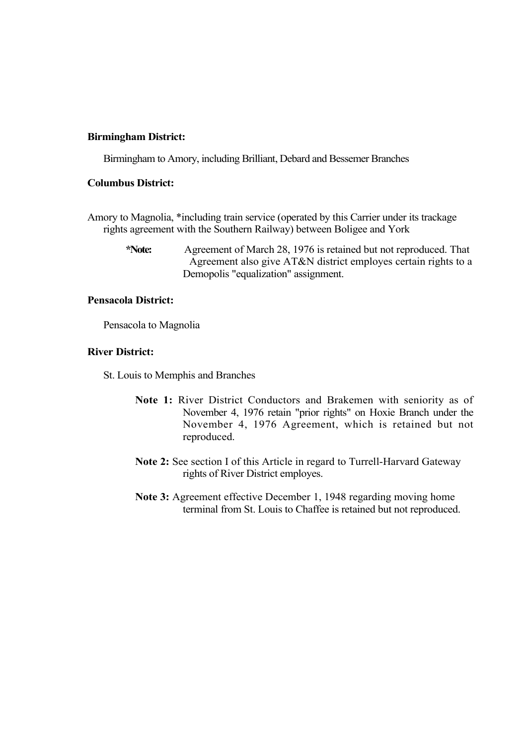### **Birmingham District:**

Birmingham to Amory, including Brilliant, Debard and Bessemer Branches

## **Columbus District:**

- Amory to Magnolia, \*including train service (operated by this Carrier under its trackage rights agreement with the Southern Railway) between Boligee and York
	- **\*Note:** Agreement of March 28, 1976 is retained but not reproduced. That Agreement also give AT&N district employes certain rights to a Demopolis "equalization" assignment.

## **Pensacola District:**

Pensacola to Magnolia

### **River District:**

St. Louis to Memphis and Branches

- **Note 1:** River District Conductors and Brakemen with seniority as of November 4, 1976 retain "prior rights" on Hoxie Branch under the November 4, 1976 Agreement, which is retained but not reproduced.
- **Note 2:** See section I of this Article in regard to Turrell-Harvard Gateway rights of River District employes.
- **Note 3:** Agreement effective December 1, 1948 regarding moving home terminal from St. Louis to Chaffee is retained but not reproduced.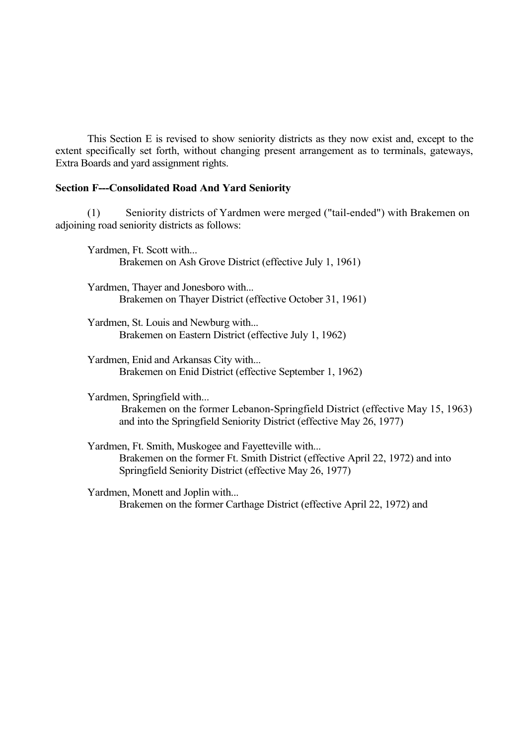This Section E is revised to show seniority districts as they now exist and, except to the extent specifically set forth, without changing present arrangement as to terminals, gateways, Extra Boards and yard assignment rights.

## **Section F---Consolidated Road And Yard Seniority**

(1) Seniority districts of Yardmen were merged ("tail-ended") with Brakemen on adjoining road seniority districts as follows:

Yardmen, Ft. Scott with... Brakemen on Ash Grove District (effective July 1, 1961)

Yardmen, Thayer and Jonesboro with... Brakemen on Thayer District (effective October 31, 1961)

Yardmen, St. Louis and Newburg with... Brakemen on Eastern District (effective July 1, 1962)

Yardmen, Enid and Arkansas City with... Brakemen on Enid District (effective September 1, 1962)

Yardmen, Springfield with...

Brakemen on the former Lebanon-Springfield District (effective May 15, 1963) and into the Springfield Seniority District (effective May 26, 1977)

Yardmen, Ft. Smith, Muskogee and Fayetteville with... Brakemen on the former Ft. Smith District (effective April 22, 1972) and into Springfield Seniority District (effective May 26, 1977)

Yardmen, Monett and Joplin with... Brakemen on the former Carthage District (effective April 22, 1972) and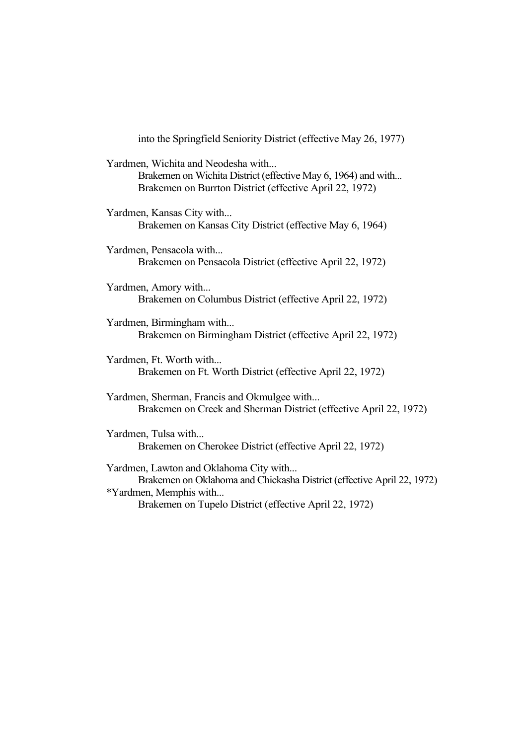| into the Springfield Seniority District (effective May 26, 1977)                                                                                               |
|----------------------------------------------------------------------------------------------------------------------------------------------------------------|
| Yardmen, Wichita and Neodesha with<br>Brakemen on Wichita District (effective May 6, 1964) and with<br>Brakemen on Burrton District (effective April 22, 1972) |
| Yardmen, Kansas City with<br>Brakemen on Kansas City District (effective May 6, 1964)                                                                          |
| Yardmen, Pensacola with<br>Brakemen on Pensacola District (effective April 22, 1972)                                                                           |
| Yardmen, Amory with<br>Brakemen on Columbus District (effective April 22, 1972)                                                                                |
| Yardmen, Birmingham with<br>Brakemen on Birmingham District (effective April 22, 1972)                                                                         |
| Yardmen, Ft. Worth with<br>Brakemen on Ft. Worth District (effective April 22, 1972)                                                                           |
| Yardmen, Sherman, Francis and Okmulgee with<br>Brakemen on Creek and Sherman District (effective April 22, 1972)                                               |
| Yardmen, Tulsa with<br>Brakemen on Cherokee District (effective April 22, 1972)                                                                                |
| Yardmen, Lawton and Oklahoma City with<br>Brakemen on Oklahoma and Chickasha District (effective April 22, 1972)<br>*Yardmen, Memphis with                     |

Brakemen on Tupelo District (effective April 22, 1972)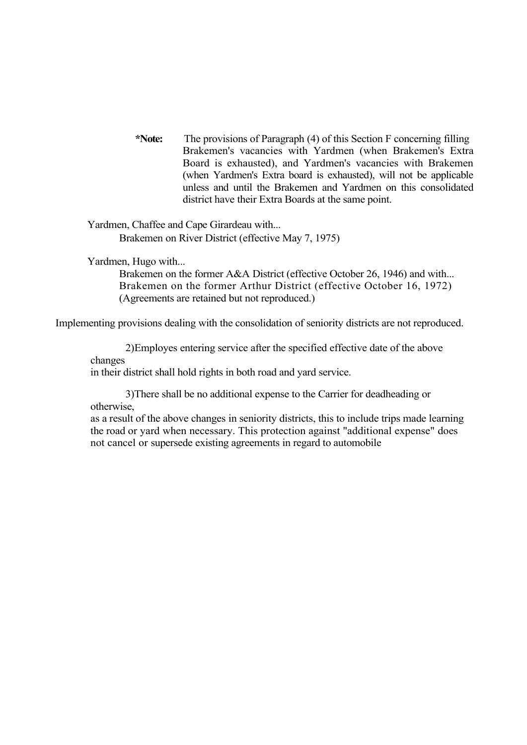**\*Note:** The provisions of Paragraph (4) of this Section F concerning filling Brakemen's vacancies with Yardmen (when Brakemen's Extra Board is exhausted), and Yardmen's vacancies with Brakemen (when Yardmen's Extra board is exhausted), will not be applicable unless and until the Brakemen and Yardmen on this consolidated district have their Extra Boards at the same point.

Yardmen, Chaffee and Cape Girardeau with... Brakemen on River District (effective May 7, 1975)

Yardmen, Hugo with...

Brakemen on the former A&A District (effective October 26, 1946) and with... Brakemen on the former Arthur District (effective October 16, 1972) (Agreements are retained but not reproduced.)

Implementing provisions dealing with the consolidation of seniority districts are not reproduced.

2)Employes entering service after the specified effective date of the above changes

in their district shall hold rights in both road and yard service.

3)There shall be no additional expense to the Carrier for deadheading or otherwise,

as a result of the above changes in seniority districts, this to include trips made learning the road or yard when necessary. This protection against "additional expense" does not cancel or supersede existing agreements in regard to automobile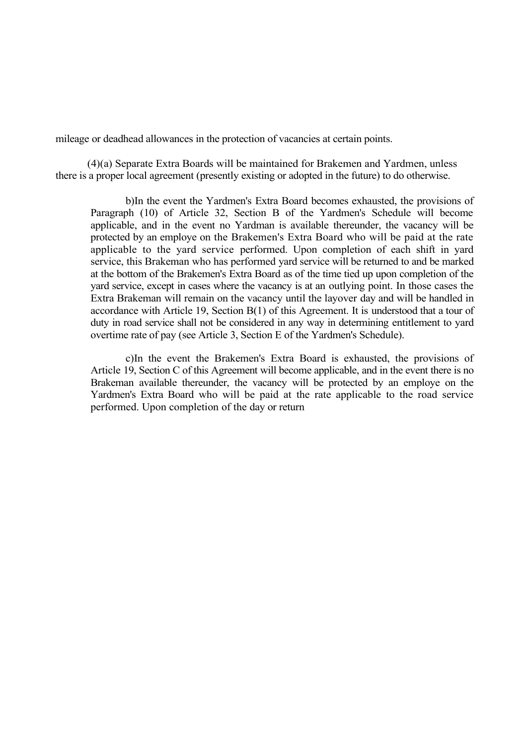mileage or deadhead allowances in the protection of vacancies at certain points.

(4)(a) Separate Extra Boards will be maintained for Brakemen and Yardmen, unless there is a proper local agreement (presently existing or adopted in the future) to do otherwise.

b)In the event the Yardmen's Extra Board becomes exhausted, the provisions of Paragraph (10) of Article 32, Section B of the Yardmen's Schedule will become applicable, and in the event no Yardman is available thereunder, the vacancy will be protected by an employe on the Brakemen's Extra Board who will be paid at the rate applicable to the yard service performed. Upon completion of each shift in yard service, this Brakeman who has performed yard service will be returned to and be marked at the bottom of the Brakemen's Extra Board as of the time tied up upon completion of the yard service, except in cases where the vacancy is at an outlying point. In those cases the Extra Brakeman will remain on the vacancy until the layover day and will be handled in accordance with Article 19, Section B(1) of this Agreement. It is understood that a tour of duty in road service shall not be considered in any way in determining entitlement to yard overtime rate of pay (see Article 3, Section E of the Yardmen's Schedule).

c)In the event the Brakemen's Extra Board is exhausted, the provisions of Article 19, Section C of this Agreement will become applicable, and in the event there is no Brakeman available thereunder, the vacancy will be protected by an employe on the Yardmen's Extra Board who will be paid at the rate applicable to the road service performed. Upon completion of the day or return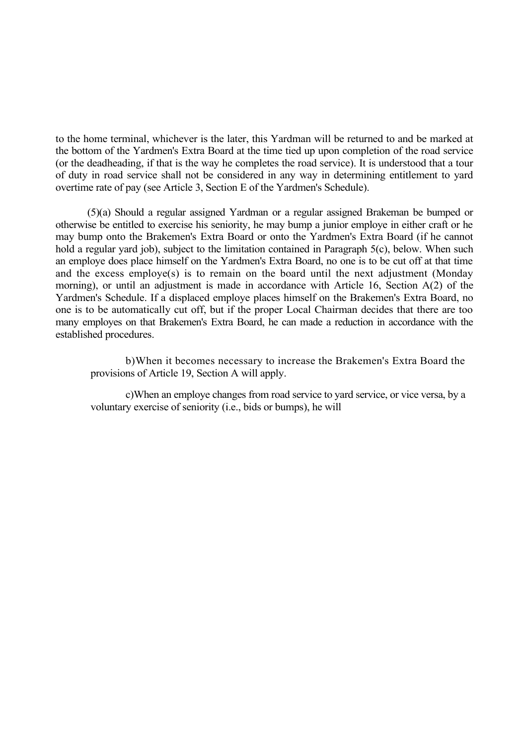to the home terminal, whichever is the later, this Yardman will be returned to and be marked at the bottom of the Yardmen's Extra Board at the time tied up upon completion of the road service (or the deadheading, if that is the way he completes the road service). It is understood that a tour of duty in road service shall not be considered in any way in determining entitlement to yard overtime rate of pay (see Article 3, Section E of the Yardmen's Schedule).

(5)(a) Should a regular assigned Yardman or a regular assigned Brakeman be bumped or otherwise be entitled to exercise his seniority, he may bump a junior employe in either craft or he may bump onto the Brakemen's Extra Board or onto the Yardmen's Extra Board (if he cannot hold a regular yard job), subject to the limitation contained in Paragraph 5(c), below. When such an employe does place himself on the Yardmen's Extra Board, no one is to be cut off at that time and the excess employe(s) is to remain on the board until the next adjustment (Monday morning), or until an adjustment is made in accordance with Article 16, Section A(2) of the Yardmen's Schedule. If a displaced employe places himself on the Brakemen's Extra Board, no one is to be automatically cut off, but if the proper Local Chairman decides that there are too many employes on that Brakemen's Extra Board, he can made a reduction in accordance with the established procedures.

b)When it becomes necessary to increase the Brakemen's Extra Board the provisions of Article 19, Section A will apply.

c)When an employe changes from road service to yard service, or vice versa, by a voluntary exercise of seniority (i.e., bids or bumps), he will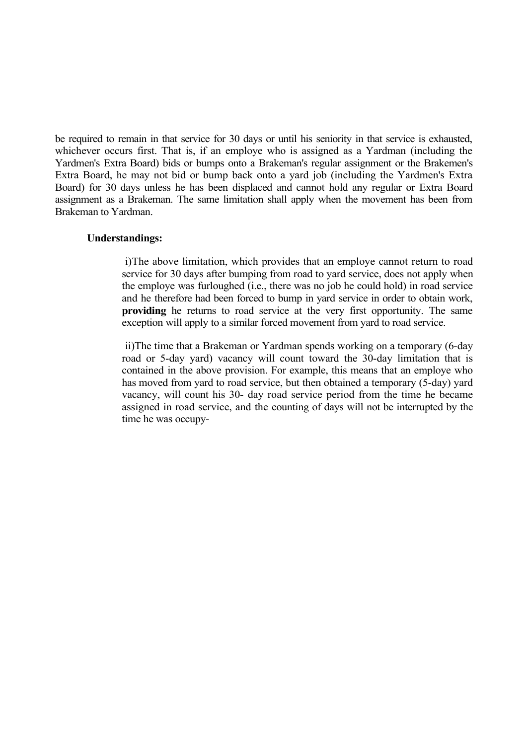be required to remain in that service for 30 days or until his seniority in that service is exhausted, whichever occurs first. That is, if an employe who is assigned as a Yardman (including the Yardmen's Extra Board) bids or bumps onto a Brakeman's regular assignment or the Brakemen's Extra Board, he may not bid or bump back onto a yard job (including the Yardmen's Extra Board) for 30 days unless he has been displaced and cannot hold any regular or Extra Board assignment as a Brakeman. The same limitation shall apply when the movement has been from Brakeman to Yardman.

### **Understandings:**

i)The above limitation, which provides that an employe cannot return to road service for 30 days after bumping from road to yard service, does not apply when the employe was furloughed (i.e., there was no job he could hold) in road service and he therefore had been forced to bump in yard service in order to obtain work, **providing** he returns to road service at the very first opportunity. The same exception will apply to a similar forced movement from yard to road service.

ii)The time that a Brakeman or Yardman spends working on a temporary (6-day road or 5-day yard) vacancy will count toward the 30-day limitation that is contained in the above provision. For example, this means that an employe who has moved from yard to road service, but then obtained a temporary (5-day) yard vacancy, will count his 30- day road service period from the time he became assigned in road service, and the counting of days will not be interrupted by the time he was occupy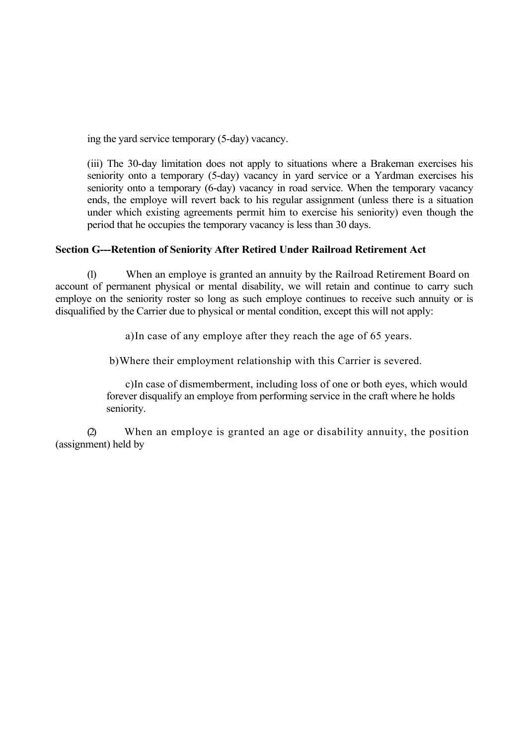ing the yard service temporary (5-day) vacancy.

(iii) The 30-day limitation does not apply to situations where a Brakeman exercises his seniority onto a temporary (5-day) vacancy in yard service or a Yardman exercises his seniority onto a temporary (6-day) vacancy in road service. When the temporary vacancy ends, the employe will revert back to his regular assignment (unless there is a situation under which existing agreements permit him to exercise his seniority) even though the period that he occupies the temporary vacancy is less than 30 days.

# **Section G---Retention of Seniority After Retired Under Railroad Retirement Act**

(1) When an employe is granted an annuity by the Railroad Retirement Board on account of permanent physical or mental disability, we will retain and continue to carry such employe on the seniority roster so long as such employe continues to receive such annuity or is disqualified by the Carrier due to physical or mental condition, except this will not apply:

a)In case of any employe after they reach the age of 65 years.

b)Where their employment relationship with this Carrier is severed.

c)In case of dismemberment, including loss of one or both eyes, which would forever disqualify an employe from performing service in the craft where he holds seniority.

(2) When an employe is granted an age or disability annuity, the position (assignment) held by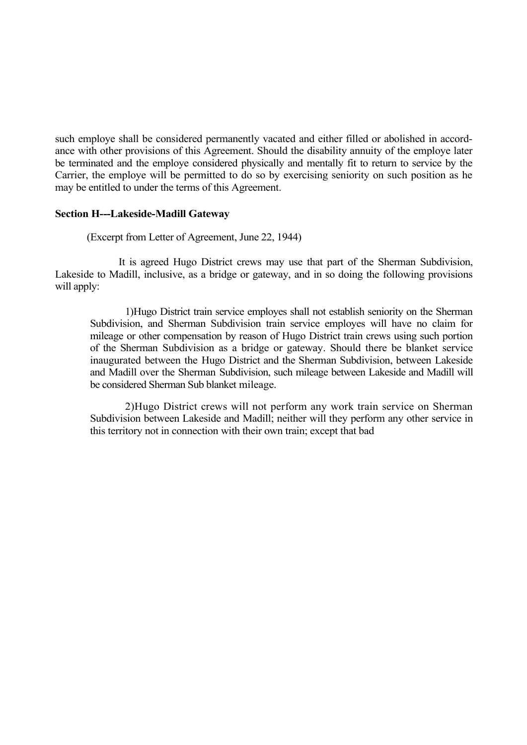such employe shall be considered permanently vacated and either filled or abolished in accordance with other provisions of this Agreement. Should the disability annuity of the employe later be terminated and the employe considered physically and mentally fit to return to service by the Carrier, the employe will be permitted to do so by exercising seniority on such position as he may be entitled to under the terms of this Agreement.

## **Section H---Lakeside-Madill Gateway**

(Excerpt from Letter of Agreement, June 22, 1944)

It is agreed Hugo District crews may use that part of the Sherman Subdivision, Lakeside to Madill, inclusive, as a bridge or gateway, and in so doing the following provisions will apply:

1)Hugo District train service employes shall not establish seniority on the Sherman Subdivision, and Sherman Subdivision train service employes will have no claim for mileage or other compensation by reason of Hugo District train crews using such portion of the Sherman Subdivision as a bridge or gateway. Should there be blanket service inaugurated between the Hugo District and the Sherman Subdivision, between Lakeside and Madill over the Sherman Subdivision, such mileage between Lakeside and Madill will be considered Sherman Sub blanket mileage.

2)Hugo District crews will not perform any work train service on Sherman Subdivision between Lakeside and Madill; neither will they perform any other service in this territory not in connection with their own train; except that bad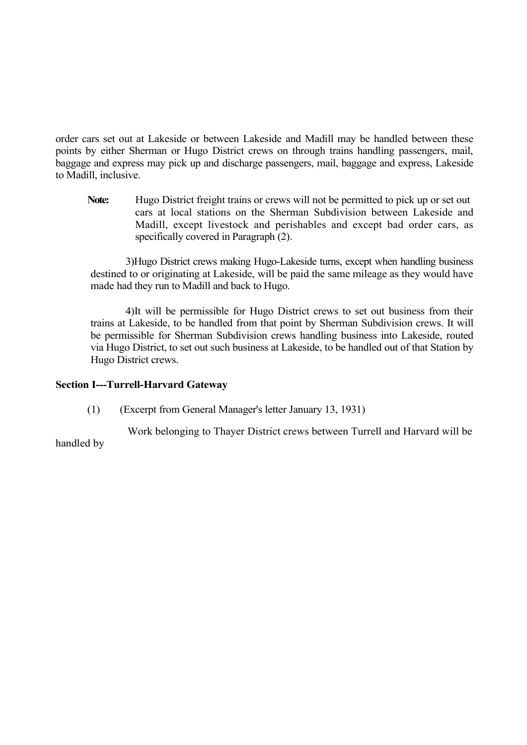order cars set out at Lakeside or between Lakeside and Madill may be handled between these points by either Sherman or Hugo District crews on through trains handling passengers, mail, baggage and express may pick up and discharge passengers, mail, baggage and express, Lakeside to Madill, inclusive.

Note: Hugo District freight trains or crews will not be permitted to pick up or set out cars at local stations on the Sherman Subdivision between Lakeside and Madill, except livestock and perishables and except bad order cars, as specifically covered in Paragraph (2).

3)Hugo District crews making Hugo-Lakeside turns, except when handling business destined to or originating at Lakeside, will be paid the same mileage as they would have made had they run to Madill and back to Hugo.

4)It will be permissible for Hugo District crews to set out business from their trains at Lakeside, to be handled from that point by Sherman Subdivision crews. It will be permissible for Sherman Subdivision crews handling business into Lakeside, routed via Hugo District, to set out such business at Lakeside, to be handled out of that Station by Hugo District crews.

# **Section I---Turrell-Harvard Gateway**

(1) (Excerpt from General Manager's letter January 13, 1931)

Work belonging to Thayer District crews between Turrell and Harvard will be handled by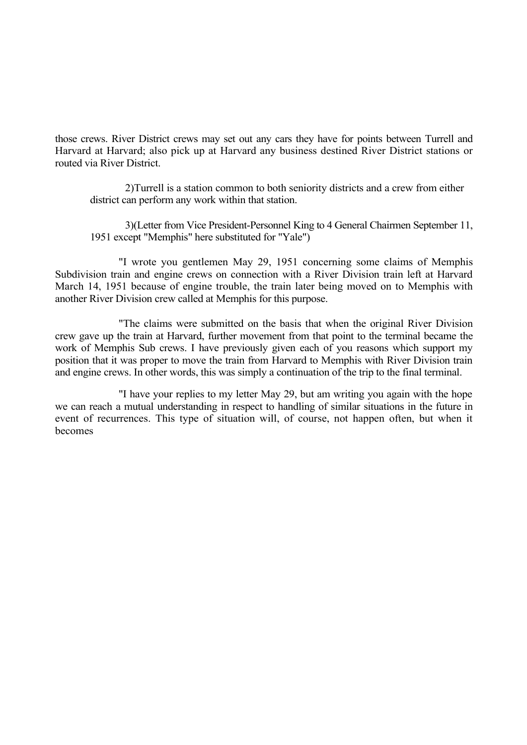those crews. River District crews may set out any cars they have for points between Turrell and Harvard at Harvard; also pick up at Harvard any business destined River District stations or routed via River District.

2)Turrell is a station common to both seniority districts and a crew from either district can perform any work within that station.

3)(Letter from Vice President-Personnel King to 4 General Chairmen September 11, 1951 except "Memphis" here substituted for "Yale")

"I wrote you gentlemen May 29, 1951 concerning some claims of Memphis Subdivision train and engine crews on connection with a River Division train left at Harvard March 14, 1951 because of engine trouble, the train later being moved on to Memphis with another River Division crew called at Memphis for this purpose.

"The claims were submitted on the basis that when the original River Division crew gave up the train at Harvard, further movement from that point to the terminal became the work of Memphis Sub crews. I have previously given each of you reasons which support my position that it was proper to move the train from Harvard to Memphis with River Division train and engine crews. In other words, this was simply a continuation of the trip to the final terminal.

"I have your replies to my letter May 29, but am writing you again with the hope we can reach a mutual understanding in respect to handling of similar situations in the future in event of recurrences. This type of situation will, of course, not happen often, but when it becomes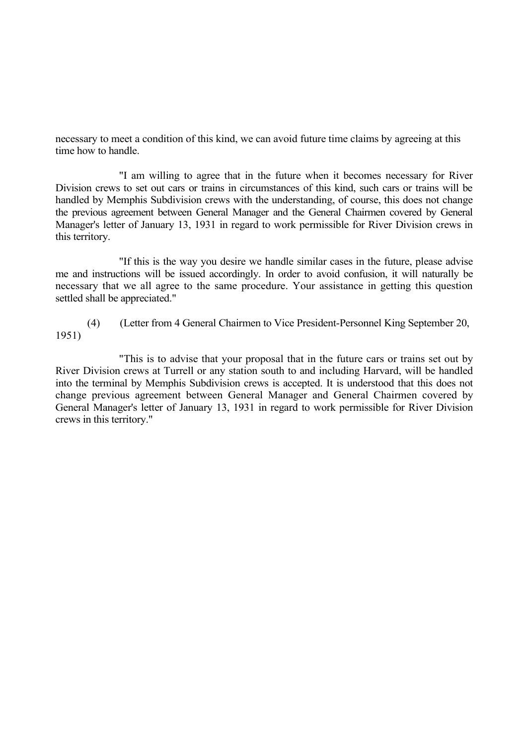necessary to meet a condition of this kind, we can avoid future time claims by agreeing at this time how to handle.

"I am willing to agree that in the future when it becomes necessary for River Division crews to set out cars or trains in circumstances of this kind, such cars or trains will be handled by Memphis Subdivision crews with the understanding, of course, this does not change the previous agreement between General Manager and the General Chairmen covered by General Manager's letter of January 13, 1931 in regard to work permissible for River Division crews in this territory.

"If this is the way you desire we handle similar cases in the future, please advise me and instructions will be issued accordingly. In order to avoid confusion, it will naturally be necessary that we all agree to the same procedure. Your assistance in getting this question settled shall be appreciated."

(4) (Letter from 4 General Chairmen to Vice President-Personnel King September 20, 1951)

"This is to advise that your proposal that in the future cars or trains set out by River Division crews at Turrell or any station south to and including Harvard, will be handled into the terminal by Memphis Subdivision crews is accepted. It is understood that this does not change previous agreement between General Manager and General Chairmen covered by General Manager's letter of January 13, 1931 in regard to work permissible for River Division crews in this territory."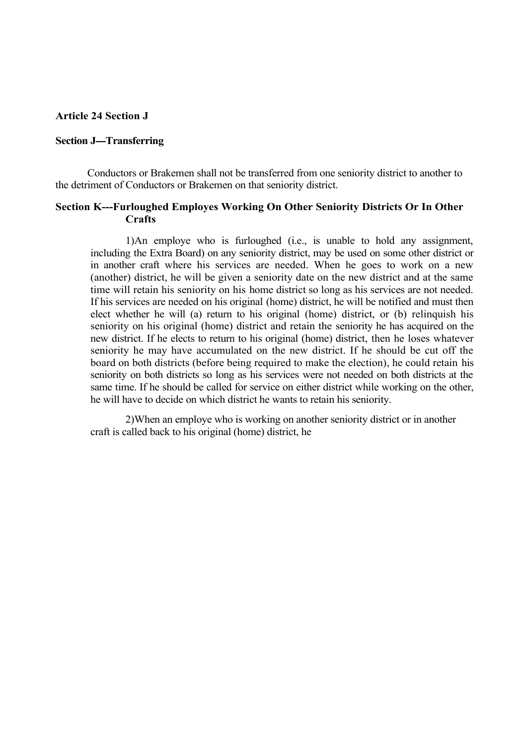#### **Article 24 Section J**

#### **Section J---Transferring**

Conductors or Brakemen shall not be transferred from one seniority district to another to the detriment of Conductors or Brakemen on that seniority district.

### **Section K---Furloughed Employes Working On Other Seniority Districts Or In Other Crafts**

1)An employe who is furloughed (i.e., is unable to hold any assignment, including the Extra Board) on any seniority district, may be used on some other district or in another craft where his services are needed. When he goes to work on a new (another) district, he will be given a seniority date on the new district and at the same time will retain his seniority on his home district so long as his services are not needed. If his services are needed on his original (home) district, he will be notified and must then elect whether he will (a) return to his original (home) district, or (b) relinquish his seniority on his original (home) district and retain the seniority he has acquired on the new district. If he elects to return to his original (home) district, then he loses whatever seniority he may have accumulated on the new district. If he should be cut off the board on both districts (before being required to make the election), he could retain his seniority on both districts so long as his services were not needed on both districts at the same time. If he should be called for service on either district while working on the other, he will have to decide on which district he wants to retain his seniority.

2)When an employe who is working on another seniority district or in another craft is called back to his original (home) district, he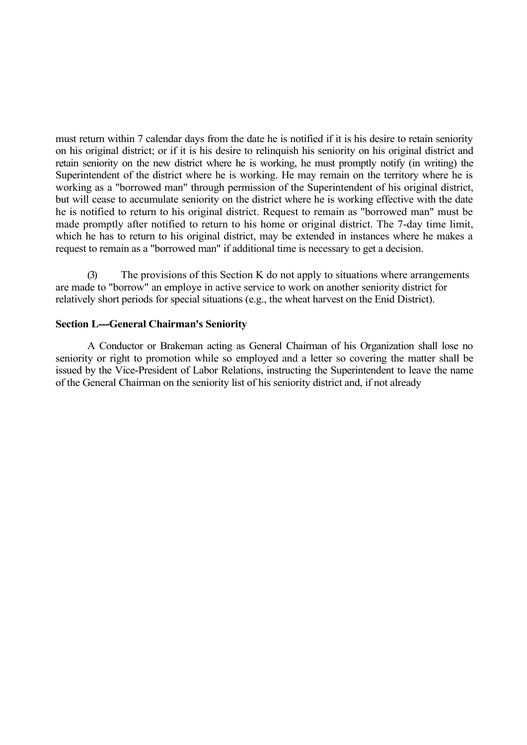must return within 7 calendar days from the date he is notified if it is his desire to retain seniority on his original district; or if it is his desire to relinquish his seniority on his original district and retain seniority on the new district where he is working, he must promptly notify (in writing) the Superintendent of the district where he is working. He may remain on the territory where he is working as a "borrowed man" through permission of the Superintendent of his original district, but will cease to accumulate seniority on the district where he is working effective with the date he is notified to return to his original district. Request to remain as "borrowed man" must be made promptly after notified to return to his home or original district. The 7-day time limit, which he has to return to his original district, may be extended in instances where he makes a request to remain as a "borrowed man" if additional time is necessary to get a decision.

The provisions of this Section K do not apply to situations where arrangements are made to "borrow" an employe in active service to work on another seniority district for relatively short periods for special situations (e.g., the wheat harvest on the Enid District).

## **Section L---General Chairman's Seniority**

A Conductor or Brakeman acting as General Chairman of his Organization shall lose no seniority or right to promotion while so employed and a letter so covering the matter shall be issued by the Vice-President of Labor Relations, instructing the Superintendent to leave the name of the General Chairman on the seniority list of his seniority district and, if not already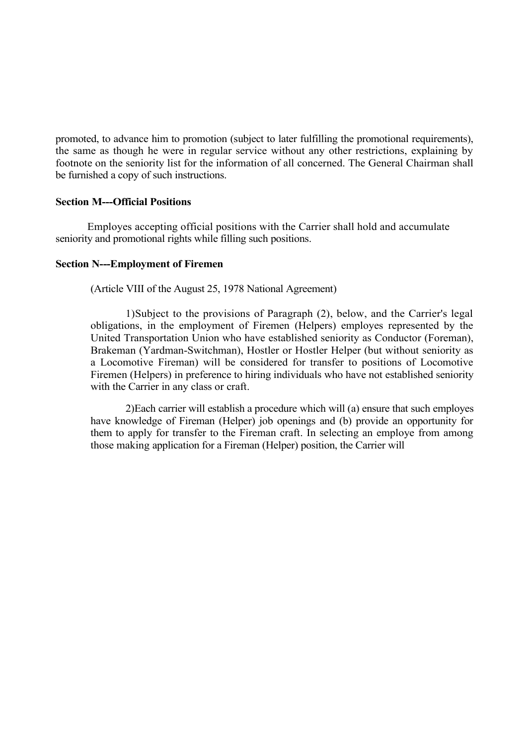promoted, to advance him to promotion (subject to later fulfilling the promotional requirements), the same as though he were in regular service without any other restrictions, explaining by footnote on the seniority list for the information of all concerned. The General Chairman shall be furnished a copy of such instructions.

## **Section M---Official Positions**

Employes accepting official positions with the Carrier shall hold and accumulate seniority and promotional rights while filling such positions.

## **Section N---Employment of Firemen**

(Article VIII of the August 25, 1978 National Agreement)

1)Subject to the provisions of Paragraph (2), below, and the Carrier's legal obligations, in the employment of Firemen (Helpers) employes represented by the United Transportation Union who have established seniority as Conductor (Foreman), Brakeman (Yardman-Switchman), Hostler or Hostler Helper (but without seniority as a Locomotive Fireman) will be considered for transfer to positions of Locomotive Firemen (Helpers) in preference to hiring individuals who have not established seniority with the Carrier in any class or craft.

2)Each carrier will establish a procedure which will (a) ensure that such employes have knowledge of Fireman (Helper) job openings and (b) provide an opportunity for them to apply for transfer to the Fireman craft. In selecting an employe from among those making application for a Fireman (Helper) position, the Carrier will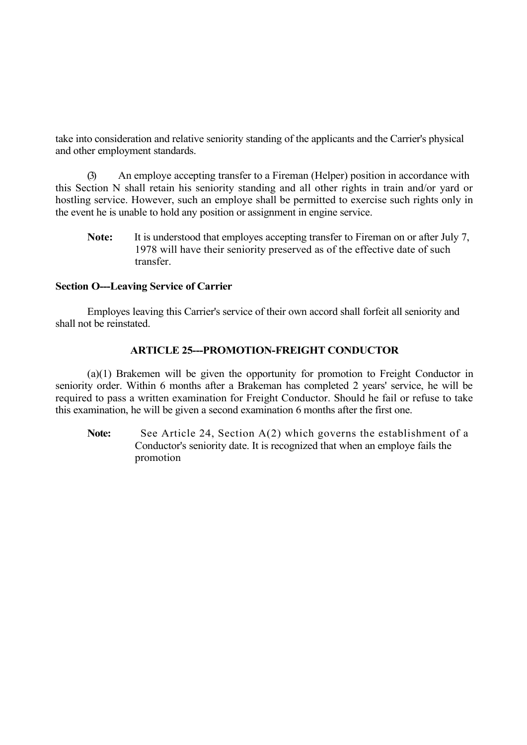take into consideration and relative seniority standing of the applicants and the Carrier's physical and other employment standards.

(3) An employe accepting transfer to a Fireman (Helper) position in accordance with this Section N shall retain his seniority standing and all other rights in train and/or yard or hostling service. However, such an employe shall be permitted to exercise such rights only in the event he is unable to hold any position or assignment in engine service.

Note: It is understood that employes accepting transfer to Fireman on or after July 7, 1978 will have their seniority preserved as of the effective date of such transfer.

## **Section O---Leaving Service of Carrier**

Employes leaving this Carrier's service of their own accord shall forfeit all seniority and shall not be reinstated.

# **ARTICLE 25---PROMOTION-FREIGHT CONDUCTOR**

(a)(1) Brakemen will be given the opportunity for promotion to Freight Conductor in seniority order. Within 6 months after a Brakeman has completed 2 years' service, he will be required to pass a written examination for Freight Conductor. Should he fail or refuse to take this examination, he will be given a second examination 6 months after the first one.

Note: See Article 24, Section A(2) which governs the establishment of a Conductor's seniority date. It is recognized that when an employe fails the promotion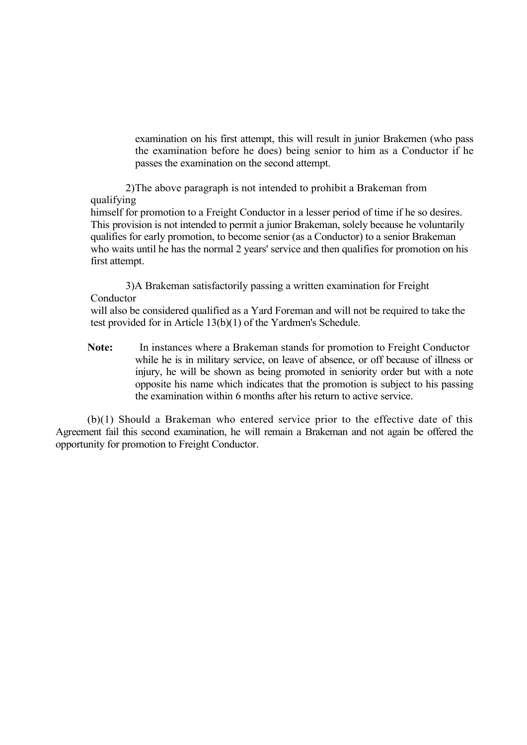examination on his first attempt, this will result in junior Brakemen (who pass the examination before he does) being senior to him as a Conductor if he passes the examination on the second attempt.

2)The above paragraph is not intended to prohibit a Brakeman from qualifying

himself for promotion to a Freight Conductor in a lesser period of time if he so desires. This provision is not intended to permit a junior Brakeman, solely because he voluntarily qualifies for early promotion, to become senior (as a Conductor) to a senior Brakeman who waits until he has the normal 2 years' service and then qualifies for promotion on his first attempt.

3)A Brakeman satisfactorily passing a written examination for Freight Conductor will also be considered qualified as a Yard Foreman and will not be required to take the

test provided for in Article 13(b)(1) of the Yardmen's Schedule.

**Note:** In instances where a Brakeman stands for promotion to Freight Conductor while he is in military service, on leave of absence, or off because of illness or injury, he will be shown as being promoted in seniority order but with a note opposite his name which indicates that the promotion is subject to his passing the examination within 6 months after his return to active service.

(b)(1) Should a Brakeman who entered service prior to the effective date of this Agreement fail this second examination, he will remain a Brakeman and not again be offered the opportunity for promotion to Freight Conductor.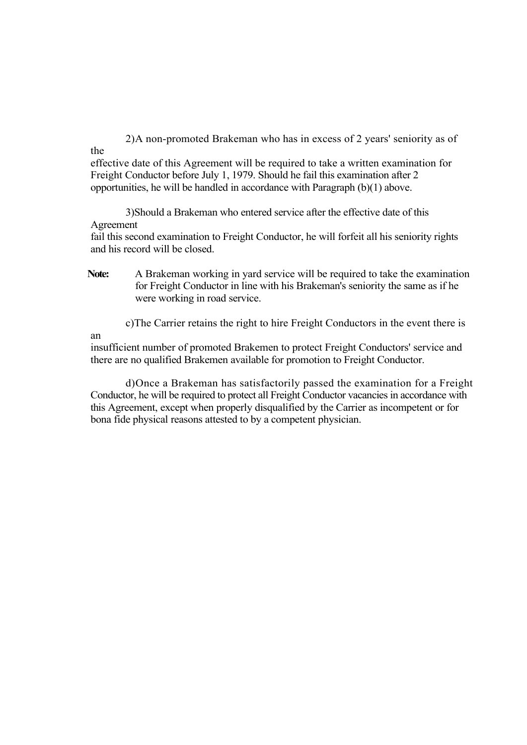2)A non-promoted Brakeman who has in excess of 2 years' seniority as of the

effective date of this Agreement will be required to take a written examination for Freight Conductor before July 1, 1979. Should he fail this examination after 2 opportunities, he will be handled in accordance with Paragraph (b)(1) above.

3)Should a Brakeman who entered service after the effective date of this Agreement

fail this second examination to Freight Conductor, he will forfeit all his seniority rights and his record will be closed.

**Note:** A Brakeman working in yard service will be required to take the examination for Freight Conductor in line with his Brakeman's seniority the same as if he were working in road service.

c)The Carrier retains the right to hire Freight Conductors in the event there is

an

insufficient number of promoted Brakemen to protect Freight Conductors' service and there are no qualified Brakemen available for promotion to Freight Conductor.

d)Once a Brakeman has satisfactorily passed the examination for a Freight Conductor, he will be required to protect all Freight Conductor vacancies in accordance with this Agreement, except when properly disqualified by the Carrier as incompetent or for bona fide physical reasons attested to by a competent physician.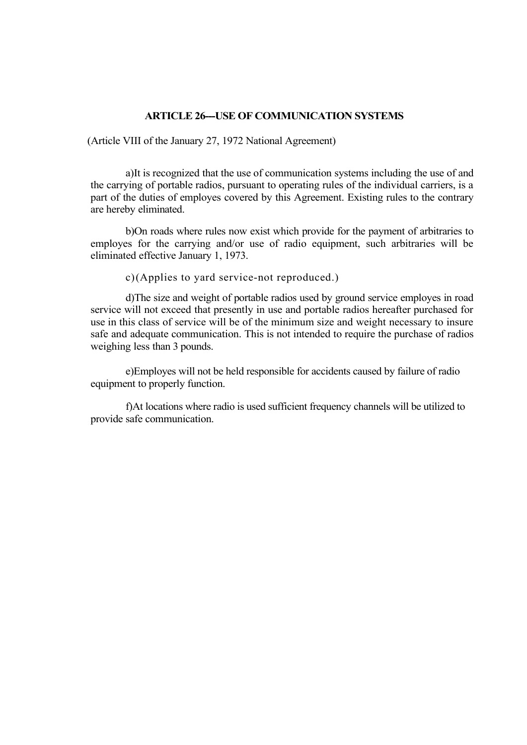### **ARTICLE 26---USE OF COMMUNICATION SYSTEMS**

(Article VIII of the January 27, 1972 National Agreement)

a)It is recognized that the use of communication systems including the use of and the carrying of portable radios, pursuant to operating rules of the individual carriers, is a part of the duties of employes covered by this Agreement. Existing rules to the contrary are hereby eliminated.

b)On roads where rules now exist which provide for the payment of arbitraries to employes for the carrying and/or use of radio equipment, such arbitraries will be eliminated effective January 1, 1973.

c)(Applies to yard service-not reproduced.)

d)The size and weight of portable radios used by ground service employes in road service will not exceed that presently in use and portable radios hereafter purchased for use in this class of service will be of the minimum size and weight necessary to insure safe and adequate communication. This is not intended to require the purchase of radios weighing less than 3 pounds.

e)Employes will not be held responsible for accidents caused by failure of radio equipment to properly function.

f)At locations where radio is used sufficient frequency channels will be utilized to provide safe communication.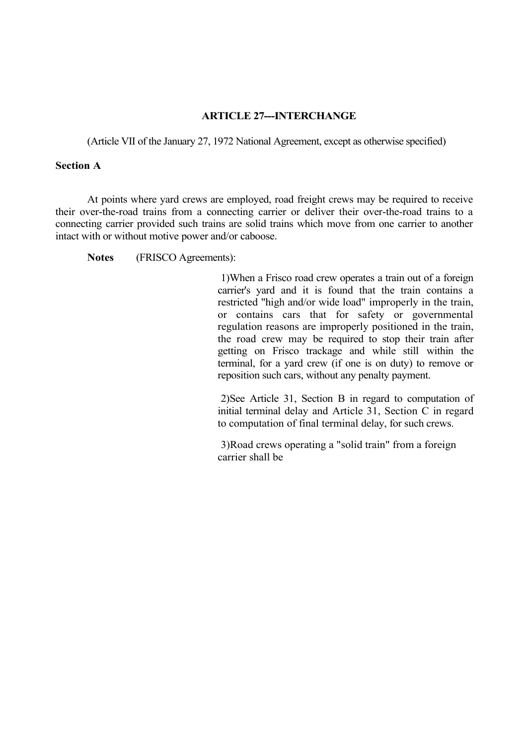## **ARTICLE 27---INTERCHANGE**

(Article VII of the January 27, 1972 National Agreement, except as otherwise specified)

### **Section A**

At points where yard crews are employed, road freight crews may be required to receive their over-the-road trains from a connecting carrier or deliver their over-the-road trains to a connecting carrier provided such trains are solid trains which move from one carrier to another intact with or without motive power and/or caboose.

**Notes** (FRISCO Agreements):

1)When a Frisco road crew operates a train out of a foreign carrier's yard and it is found that the train contains a restricted "high and/or wide load" improperly in the train, or contains cars that for safety or governmental regulation reasons are improperly positioned in the train, the road crew may be required to stop their train after getting on Frisco trackage and while still within the terminal, for a yard crew (if one is on duty) to remove or reposition such cars, without any penalty payment.

2)See Article 31, Section B in regard to computation of initial terminal delay and Article 31, Section C in regard to computation of final terminal delay, for such crews.

3)Road crews operating a "solid train" from a foreign carrier shall be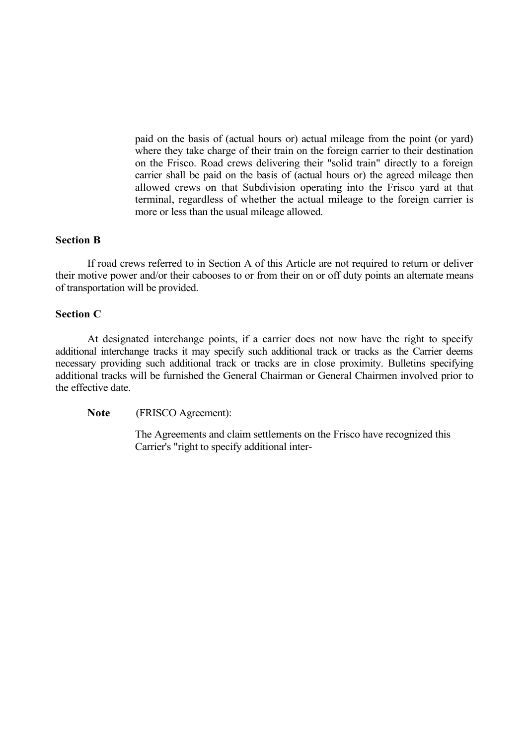paid on the basis of (actual hours or) actual mileage from the point (or yard) where they take charge of their train on the foreign carrier to their destination on the Frisco. Road crews delivering their "solid train" directly to a foreign carrier shall be paid on the basis of (actual hours or) the agreed mileage then allowed crews on that Subdivision operating into the Frisco yard at that terminal, regardless of whether the actual mileage to the foreign carrier is more or less than the usual mileage allowed.

### **Section B**

If road crews referred to in Section A of this Article are not required to return or deliver their motive power and/or their cabooses to or from their on or off duty points an alternate means of transportation will be provided.

#### **Section C**

At designated interchange points, if a carrier does not now have the right to specify additional interchange tracks it may specify such additional track or tracks as the Carrier deems necessary providing such additional track or tracks are in close proximity. Bulletins specifying additional tracks will be furnished the General Chairman or General Chairmen involved prior to the effective date.

**Note** (FRISCO Agreement):

The Agreements and claim settlements on the Frisco have recognized this Carrier's "right to specify additional inter-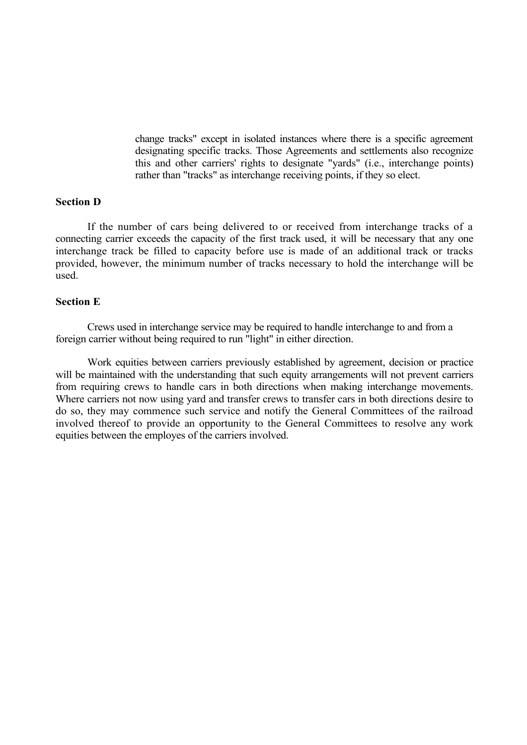change tracks" except in isolated instances where there is a specific agreement designating specific tracks. Those Agreements and settlements also recognize this and other carriers' rights to designate "yards" (i.e., interchange points) rather than "tracks" as interchange receiving points, if they so elect.

## **Section D**

If the number of cars being delivered to or received from interchange tracks of a connecting carrier exceeds the capacity of the first track used, it will be necessary that any one interchange track be filled to capacity before use is made of an additional track or tracks provided, however, the minimum number of tracks necessary to hold the interchange will be used.

### **Section E**

Crews used in interchange service may be required to handle interchange to and from a foreign carrier without being required to run "light" in either direction.

Work equities between carriers previously established by agreement, decision or practice will be maintained with the understanding that such equity arrangements will not prevent carriers from requiring crews to handle cars in both directions when making interchange movements. Where carriers not now using yard and transfer crews to transfer cars in both directions desire to do so, they may commence such service and notify the General Committees of the railroad involved thereof to provide an opportunity to the General Committees to resolve any work equities between the employes of the carriers involved.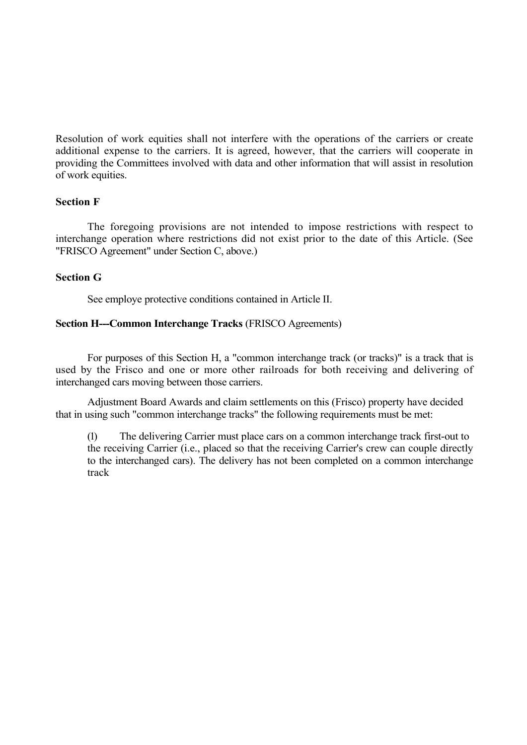Resolution of work equities shall not interfere with the operations of the carriers or create additional expense to the carriers. It is agreed, however, that the carriers will cooperate in providing the Committees involved with data and other information that will assist in resolution of work equities.

## **Section F**

The foregoing provisions are not intended to impose restrictions with respect to interchange operation where restrictions did not exist prior to the date of this Article. (See "FRISCO Agreement" under Section C, above.)

## **Section G**

See employe protective conditions contained in Article II.

# **Section H---Common Interchange Tracks** (FRISCO Agreements)

For purposes of this Section H, a "common interchange track (or tracks)" is a track that is used by the Frisco and one or more other railroads for both receiving and delivering of interchanged cars moving between those carriers.

Adjustment Board Awards and claim settlements on this (Frisco) property have decided that in using such "common interchange tracks" the following requirements must be met:

(1) The delivering Carrier must place cars on a common interchange track first-out to the receiving Carrier (i.e., placed so that the receiving Carrier's crew can couple directly to the interchanged cars). The delivery has not been completed on a common interchange track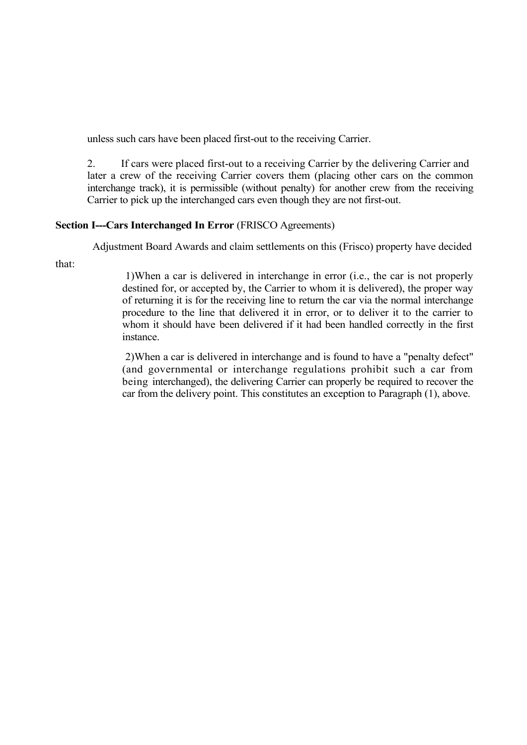unless such cars have been placed first-out to the receiving Carrier.

2. If cars were placed first-out to a receiving Carrier by the delivering Carrier and later a crew of the receiving Carrier covers them (placing other cars on the common interchange track), it is permissible (without penalty) for another crew from the receiving Carrier to pick up the interchanged cars even though they are not first-out.

# **Section I---Cars Interchanged In Error** (FRISCO Agreements)

Adjustment Board Awards and claim settlements on this (Frisco) property have decided

that:

1)When a car is delivered in interchange in error (i.e., the car is not properly destined for, or accepted by, the Carrier to whom it is delivered), the proper way of returning it is for the receiving line to return the car via the normal interchange procedure to the line that delivered it in error, or to deliver it to the carrier to whom it should have been delivered if it had been handled correctly in the first instance.

2)When a car is delivered in interchange and is found to have a "penalty defect" (and governmental or interchange regulations prohibit such a car from being interchanged), the delivering Carrier can properly be required to recover the car from the delivery point. This constitutes an exception to Paragraph (1), above.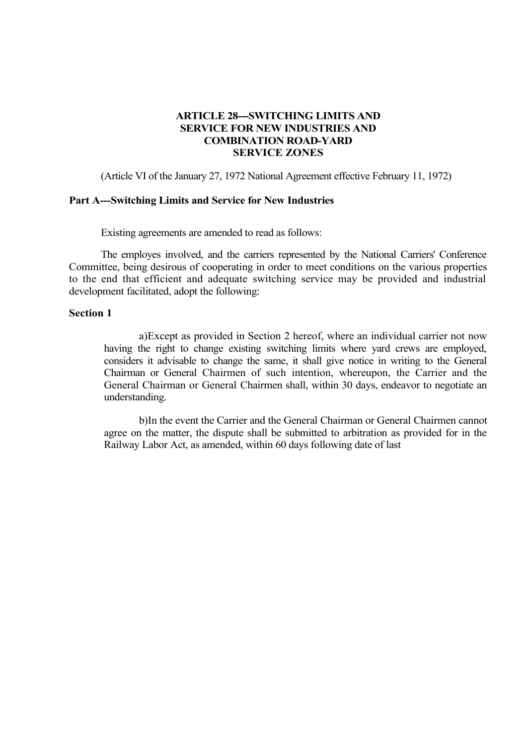# **ARTICLE 28---SWITCHING LIMITS AND SERVICE FOR NEW INDUSTRIES AND COMBINATION ROAD-YARD SERVICE ZONES**

(Article VI of the January 27, 1972 National Agreement effective February 11, 1972)

### **Part A---Switching Limits and Service for New Industries**

Existing agreements are amended to read as follows:

The employes involved, and the carriers represented by the National Carriers' Conference Committee, being desirous of cooperating in order to meet conditions on the various properties to the end that efficient and adequate switching service may be provided and industrial development facilitated, adopt the following:

#### **Section 1**

a)Except as provided in Section 2 hereof, where an individual carrier not now having the right to change existing switching limits where yard crews are employed, considers it advisable to change the same, it shall give notice in writing to the General Chairman or General Chairmen of such intention, whereupon, the Carrier and the General Chairman or General Chairmen shall, within 30 days, endeavor to negotiate an understanding.

b)In the event the Carrier and the General Chairman or General Chairmen cannot agree on the matter, the dispute shall be submitted to arbitration as provided for in the Railway Labor Act, as amended, within 60 days following date of last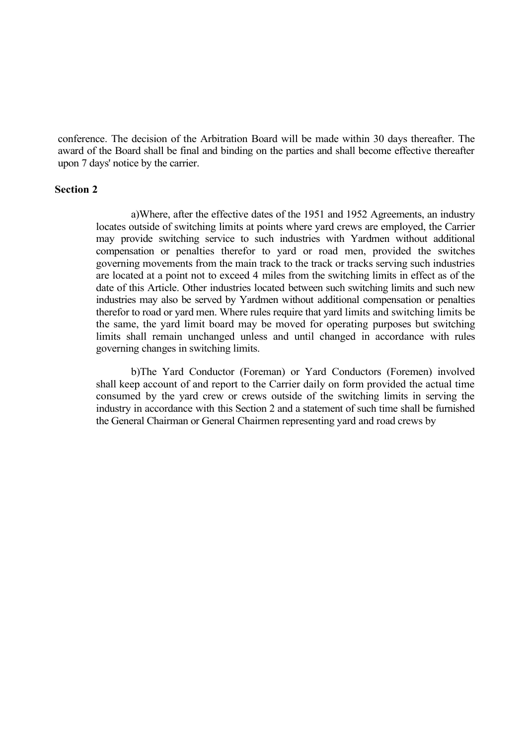conference. The decision of the Arbitration Board will be made within 30 days thereafter. The award of the Board shall be final and binding on the parties and shall become effective thereafter upon 7 days' notice by the carrier.

### **Section 2**

a)Where, after the effective dates of the 1951 and 1952 Agreements, an industry locates outside of switching limits at points where yard crews are employed, the Carrier may provide switching service to such industries with Yardmen without additional compensation or penalties therefor to yard or road men, provided the switches governing movements from the main track to the track or tracks serving such industries are located at a point not to exceed 4 miles from the switching limits in effect as of the date of this Article. Other industries located between such switching limits and such new industries may also be served by Yardmen without additional compensation or penalties therefor to road or yard men. Where rules require that yard limits and switching limits be the same, the yard limit board may be moved for operating purposes but switching limits shall remain unchanged unless and until changed in accordance with rules governing changes in switching limits.

b)The Yard Conductor (Foreman) or Yard Conductors (Foremen) involved shall keep account of and report to the Carrier daily on form provided the actual time consumed by the yard crew or crews outside of the switching limits in serving the industry in accordance with this Section 2 and a statement of such time shall be furnished the General Chairman or General Chairmen representing yard and road crews by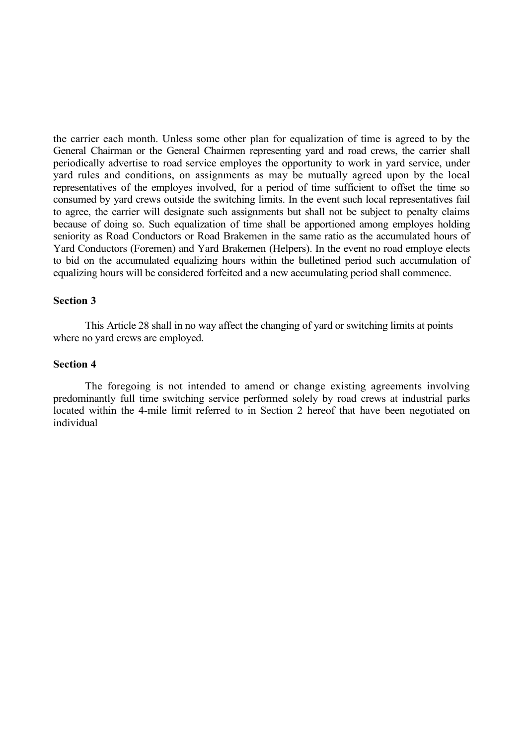the carrier each month. Unless some other plan for equalization of time is agreed to by the General Chairman or the General Chairmen representing yard and road crews, the carrier shall periodically advertise to road service employes the opportunity to work in yard service, under yard rules and conditions, on assignments as may be mutually agreed upon by the local representatives of the employes involved, for a period of time sufficient to offset the time so consumed by yard crews outside the switching limits. In the event such local representatives fail to agree, the carrier will designate such assignments but shall not be subject to penalty claims because of doing so. Such equalization of time shall be apportioned among employes holding seniority as Road Conductors or Road Brakemen in the same ratio as the accumulated hours of Yard Conductors (Foremen) and Yard Brakemen (Helpers). In the event no road employe elects to bid on the accumulated equalizing hours within the bulletined period such accumulation of equalizing hours will be considered forfeited and a new accumulating period shall commence.

### **Section 3**

This Article 28 shall in no way affect the changing of yard or switching limits at points where no yard crews are employed.

### **Section 4**

The foregoing is not intended to amend or change existing agreements involving predominantly full time switching service performed solely by road crews at industrial parks located within the 4-mile limit referred to in Section 2 hereof that have been negotiated on individual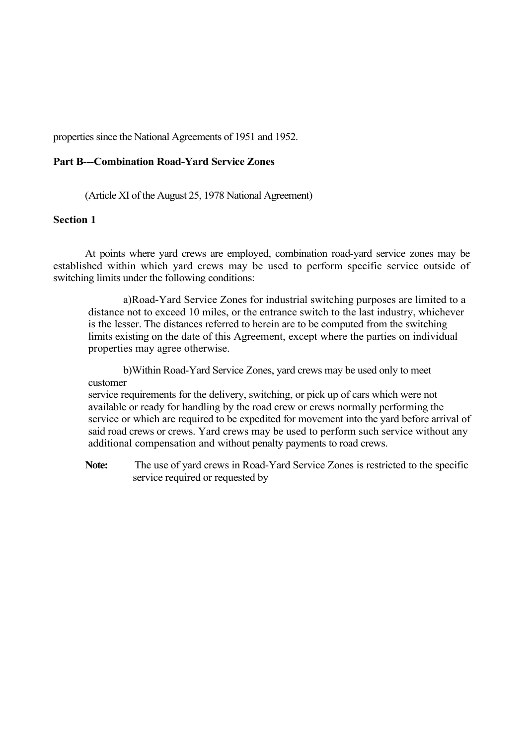properties since the National Agreements of 1951 and 1952.

# **Part B---Combination Road-Yard Service Zones**

(Article XI of the August 25, 1978 National Agreement)

### **Section 1**

At points where yard crews are employed, combination road-yard service zones may be established within which yard crews may be used to perform specific service outside of switching limits under the following conditions:

a)Road-Yard Service Zones for industrial switching purposes are limited to a distance not to exceed 10 miles, or the entrance switch to the last industry, whichever is the lesser. The distances referred to herein are to be computed from the switching limits existing on the date of this Agreement, except where the parties on individual properties may agree otherwise.

b)Within Road-Yard Service Zones, yard crews may be used only to meet customer

service requirements for the delivery, switching, or pick up of cars which were not available or ready for handling by the road crew or crews normally performing the service or which are required to be expedited for movement into the yard before arrival of said road crews or crews. Yard crews may be used to perform such service without any additional compensation and without penalty payments to road crews.

**Note:** The use of yard crews in Road-Yard Service Zones is restricted to the specific service required or requested by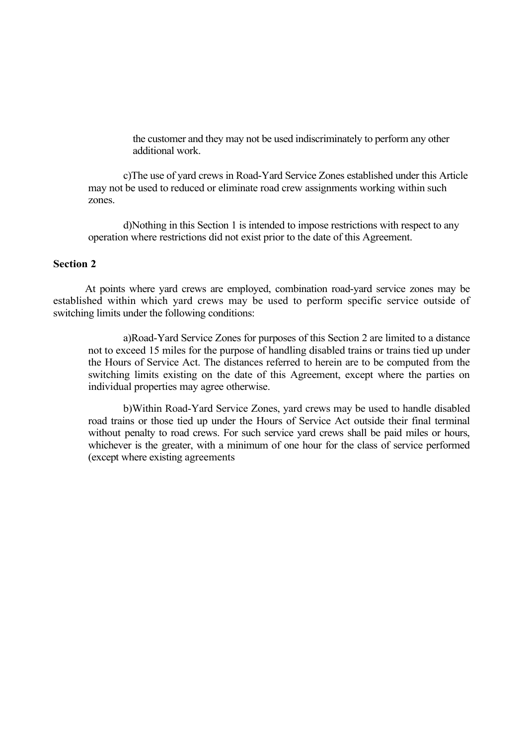the customer and they may not be used indiscriminately to perform any other additional work.

c)The use of yard crews in Road-Yard Service Zones established under this Article may not be used to reduced or eliminate road crew assignments working within such zones.

d)Nothing in this Section 1 is intended to impose restrictions with respect to any operation where restrictions did not exist prior to the date of this Agreement.

## **Section 2**

At points where yard crews are employed, combination road-yard service zones may be established within which yard crews may be used to perform specific service outside of switching limits under the following conditions:

a)Road-Yard Service Zones for purposes of this Section 2 are limited to a distance not to exceed 15 miles for the purpose of handling disabled trains or trains tied up under the Hours of Service Act. The distances referred to herein are to be computed from the switching limits existing on the date of this Agreement, except where the parties on individual properties may agree otherwise.

b)Within Road-Yard Service Zones, yard crews may be used to handle disabled road trains or those tied up under the Hours of Service Act outside their final terminal without penalty to road crews. For such service yard crews shall be paid miles or hours, whichever is the greater, with a minimum of one hour for the class of service performed (except where existing agreements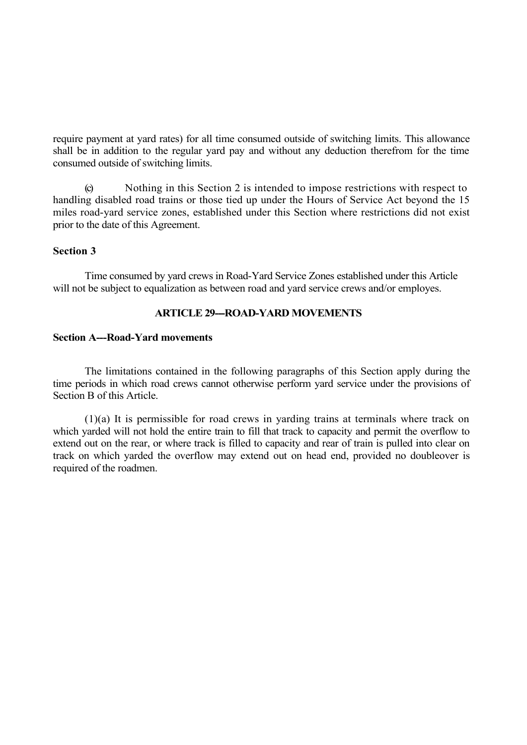require payment at yard rates) for all time consumed outside of switching limits. This allowance shall be in addition to the regular yard pay and without any deduction therefrom for the time consumed outside of switching limits.

(c) Nothing in this Section 2 is intended to impose restrictions with respect to handling disabled road trains or those tied up under the Hours of Service Act beyond the 15 miles road-yard service zones, established under this Section where restrictions did not exist prior to the date of this Agreement.

## **Section 3**

Time consumed by yard crews in Road-Yard Service Zones established under this Article will not be subject to equalization as between road and yard service crews and/or employes.

# **ARTICLE 29---ROAD-YARD MOVEMENTS**

#### **Section A---Road-Yard movements**

The limitations contained in the following paragraphs of this Section apply during the time periods in which road crews cannot otherwise perform yard service under the provisions of Section B of this Article.

(1)(a) It is permissible for road crews in yarding trains at terminals where track on which yarded will not hold the entire train to fill that track to capacity and permit the overflow to extend out on the rear, or where track is filled to capacity and rear of train is pulled into clear on track on which yarded the overflow may extend out on head end, provided no doubleover is required of the roadmen.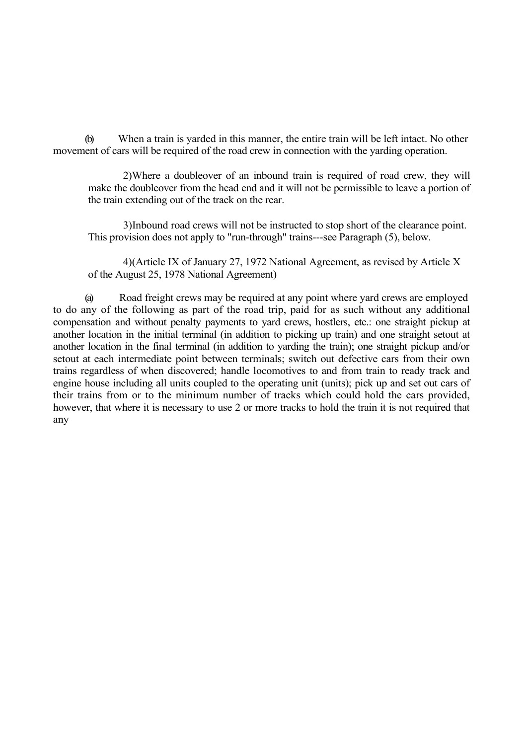(b) When a train is yarded in this manner, the entire train will be left intact. No other movement of cars will be required of the road crew in connection with the yarding operation.

2)Where a doubleover of an inbound train is required of road crew, they will make the doubleover from the head end and it will not be permissible to leave a portion of the train extending out of the track on the rear.

3)Inbound road crews will not be instructed to stop short of the clearance point. This provision does not apply to "run-through" trains---see Paragraph (5), below.

4)(Article IX of January 27, 1972 National Agreement, as revised by Article X of the August 25, 1978 National Agreement)

(a) Road freight crews may be required at any point where yard crews are employed to do any of the following as part of the road trip, paid for as such without any additional compensation and without penalty payments to yard crews, hostlers, etc.: one straight pickup at another location in the initial terminal (in addition to picking up train) and one straight setout at another location in the final terminal (in addition to yarding the train); one straight pickup and/or setout at each intermediate point between terminals; switch out defective cars from their own trains regardless of when discovered; handle locomotives to and from train to ready track and engine house including all units coupled to the operating unit (units); pick up and set out cars of their trains from or to the minimum number of tracks which could hold the cars provided, however, that where it is necessary to use 2 or more tracks to hold the train it is not required that any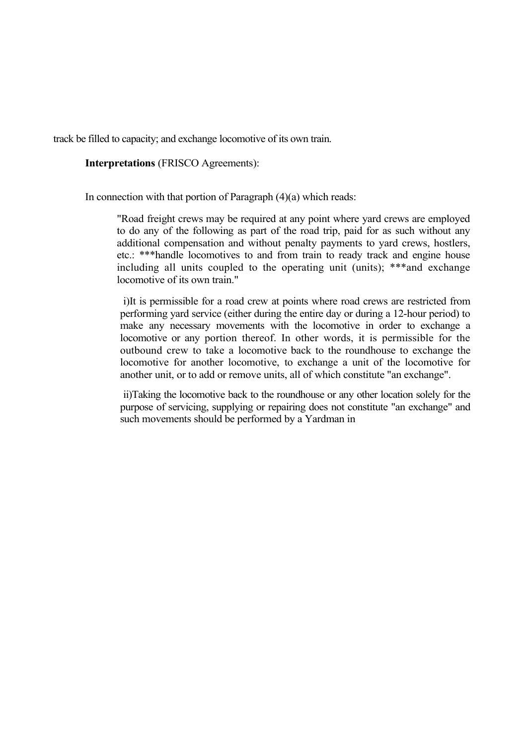track be filled to capacity; and exchange locomotive of its own train.

**Interpretations** (FRISCO Agreements):

In connection with that portion of Paragraph  $(4)(a)$  which reads:

"Road freight crews may be required at any point where yard crews are employed to do any of the following as part of the road trip, paid for as such without any additional compensation and without penalty payments to yard crews, hostlers, etc.: \*\*\*handle locomotives to and from train to ready track and engine house including all units coupled to the operating unit (units); \*\*\*and exchange locomotive of its own train."

i)It is permissible for a road crew at points where road crews are restricted from performing yard service (either during the entire day or during a 12-hour period) to make any necessary movements with the locomotive in order to exchange a locomotive or any portion thereof. In other words, it is permissible for the outbound crew to take a locomotive back to the roundhouse to exchange the locomotive for another locomotive, to exchange a unit of the locomotive for another unit, or to add or remove units, all of which constitute "an exchange".

ii)Taking the locomotive back to the roundhouse or any other location solely for the purpose of servicing, supplying or repairing does not constitute "an exchange" and such movements should be performed by a Yardman in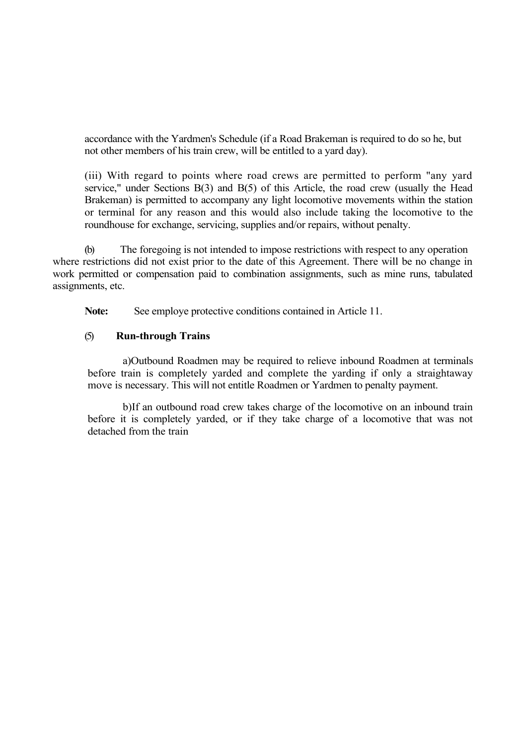accordance with the Yardmen's Schedule (if a Road Brakeman is required to do so he, but not other members of his train crew, will be entitled to a yard day).

(iii) With regard to points where road crews are permitted to perform "any yard service," under Sections B(3) and B(5) of this Article, the road crew (usually the Head Brakeman) is permitted to accompany any light locomotive movements within the station or terminal for any reason and this would also include taking the locomotive to the roundhouse for exchange, servicing, supplies and/or repairs, without penalty.

(b) The foregoing is not intended to impose restrictions with respect to any operation where restrictions did not exist prior to the date of this Agreement. There will be no change in work permitted or compensation paid to combination assignments, such as mine runs, tabulated assignments, etc.

**Note:** See employe protective conditions contained in Article 11.

### (5) **Run-through Trains**

a)Outbound Roadmen may be required to relieve inbound Roadmen at terminals before train is completely yarded and complete the yarding if only a straightaway move is necessary. This will not entitle Roadmen or Yardmen to penalty payment.

b)If an outbound road crew takes charge of the locomotive on an inbound train before it is completely yarded, or if they take charge of a locomotive that was not detached from the train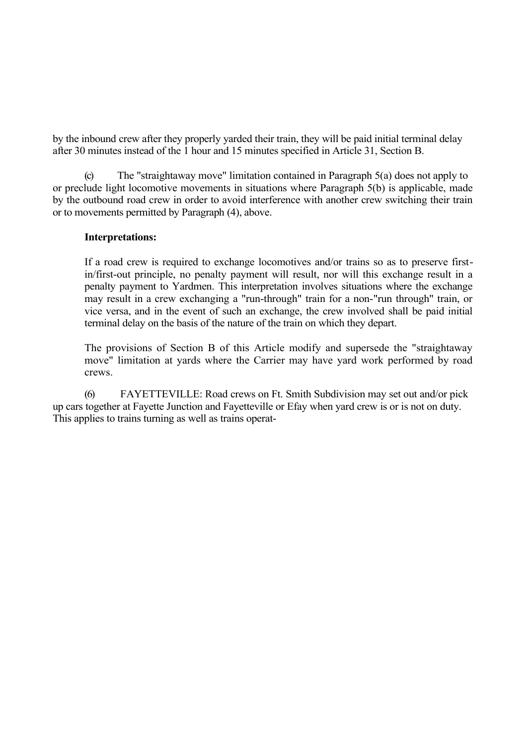by the inbound crew after they properly yarded their train, they will be paid initial terminal delay after 30 minutes instead of the 1 hour and 15 minutes specified in Article 31, Section B.

The "straightaway move" limitation contained in Paragraph  $5(a)$  does not apply to or preclude light locomotive movements in situations where Paragraph 5(b) is applicable, made by the outbound road crew in order to avoid interference with another crew switching their train or to movements permitted by Paragraph (4), above.

### **Interpretations:**

If a road crew is required to exchange locomotives and/or trains so as to preserve firstin/first-out principle, no penalty payment will result, nor will this exchange result in a penalty payment to Yardmen. This interpretation involves situations where the exchange may result in a crew exchanging a "run-through" train for a non-"run through" train, or vice versa, and in the event of such an exchange, the crew involved shall be paid initial terminal delay on the basis of the nature of the train on which they depart.

The provisions of Section B of this Article modify and supersede the "straightaway move" limitation at yards where the Carrier may have yard work performed by road crews.

(6) FAYETTEVILLE: Road crews on Ft. Smith Subdivision may set out and/or pick up cars together at Fayette Junction and Fayetteville or Efay when yard crew is or is not on duty. This applies to trains turning as well as trains operat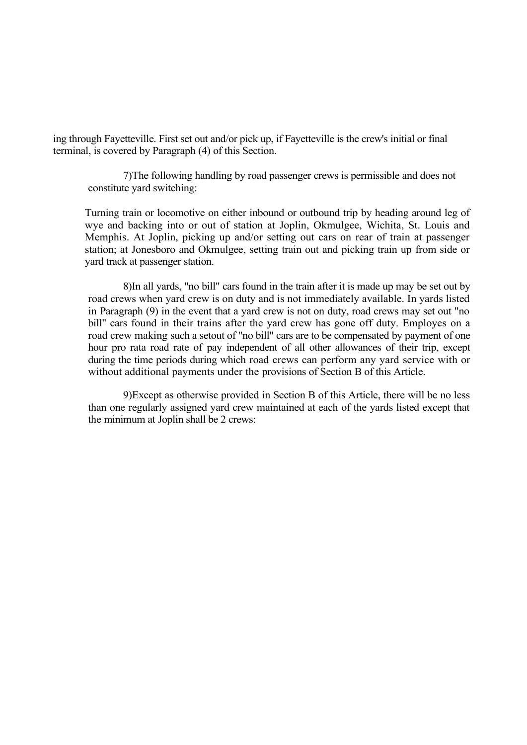ing through Fayetteville. First set out and/or pick up, if Fayetteville is the crew's initial or final terminal, is covered by Paragraph (4) of this Section.

7)The following handling by road passenger crews is permissible and does not constitute yard switching:

Turning train or locomotive on either inbound or outbound trip by heading around leg of wye and backing into or out of station at Joplin, Okmulgee, Wichita, St. Louis and Memphis. At Joplin, picking up and/or setting out cars on rear of train at passenger station; at Jonesboro and Okmulgee, setting train out and picking train up from side or yard track at passenger station.

8)In all yards, "no bill" cars found in the train after it is made up may be set out by road crews when yard crew is on duty and is not immediately available. In yards listed in Paragraph (9) in the event that a yard crew is not on duty, road crews may set out "no bill" cars found in their trains after the yard crew has gone off duty. Employes on a road crew making such a setout of "no bill" cars are to be compensated by payment of one hour pro rata road rate of pay independent of all other allowances of their trip, except during the time periods during which road crews can perform any yard service with or without additional payments under the provisions of Section B of this Article.

9)Except as otherwise provided in Section B of this Article, there will be no less than one regularly assigned yard crew maintained at each of the yards listed except that the minimum at Joplin shall be 2 crews: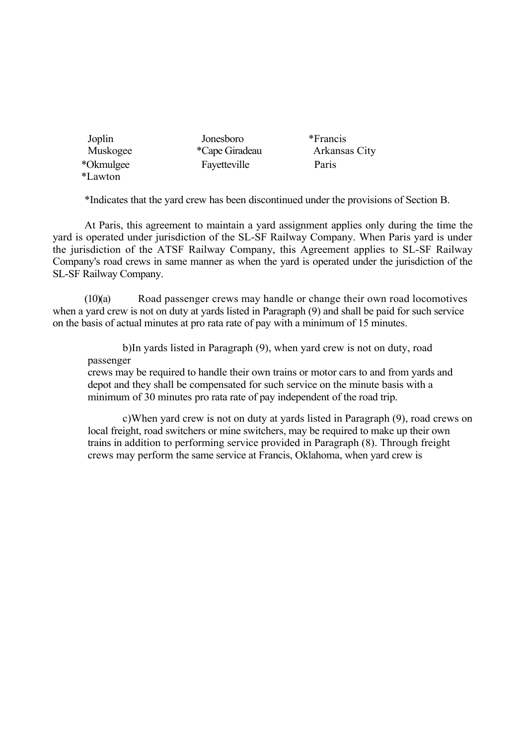| Joplin         | Jonesboro      | *Francis      |
|----------------|----------------|---------------|
| Muskogee       | *Cape Giradeau | Arkansas City |
| *Okmulgee      | Fayetteville   | Paris         |
| <i>*Lawton</i> |                |               |

\*Indicates that the yard crew has been discontinued under the provisions of Section B.

At Paris, this agreement to maintain a yard assignment applies only during the time the yard is operated under jurisdiction of the SL-SF Railway Company. When Paris yard is under the jurisdiction of the ATSF Railway Company, this Agreement applies to SL-SF Railway Company's road crews in same manner as when the yard is operated under the jurisdiction of the SL-SF Railway Company.

(10)(a) Road passenger crews may handle or change their own road locomotives when a yard crew is not on duty at yards listed in Paragraph (9) and shall be paid for such service on the basis of actual minutes at pro rata rate of pay with a minimum of 15 minutes.

b)In yards listed in Paragraph (9), when yard crew is not on duty, road passenger

crews may be required to handle their own trains or motor cars to and from yards and depot and they shall be compensated for such service on the minute basis with a minimum of 30 minutes pro rata rate of pay independent of the road trip.

c)When yard crew is not on duty at yards listed in Paragraph (9), road crews on local freight, road switchers or mine switchers, may be required to make up their own trains in addition to performing service provided in Paragraph (8). Through freight crews may perform the same service at Francis, Oklahoma, when yard crew is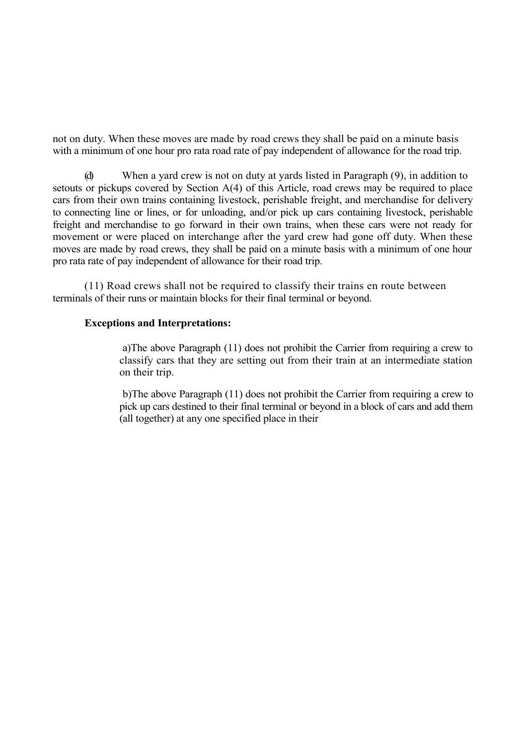not on duty. When these moves are made by road crews they shall be paid on a minute basis with a minimum of one hour pro rata road rate of pay independent of allowance for the road trip.

When a yard crew is not on duty at yards listed in Paragraph  $(9)$ , in addition to setouts or pickups covered by Section A(4) of this Article, road crews may be required to place cars from their own trains containing livestock, perishable freight, and merchandise for delivery to connecting line or lines, or for unloading, and/or pick up cars containing livestock, perishable freight and merchandise to go forward in their own trains, when these cars were not ready for movement or were placed on interchange after the yard crew had gone off duty. When these moves are made by road crews, they shall be paid on a minute basis with a minimum of one hour pro rata rate of pay independent of allowance for their road trip.

(11) Road crews shall not be required to classify their trains en route between terminals of their runs or maintain blocks for their final terminal or beyond.

### **Exceptions and Interpretations:**

a)The above Paragraph (11) does not prohibit the Carrier from requiring a crew to classify cars that they are setting out from their train at an intermediate station on their trip.

b)The above Paragraph (11) does not prohibit the Carrier from requiring a crew to pick up cars destined to their final terminal or beyond in a block of cars and add them (all together) at any one specified place in their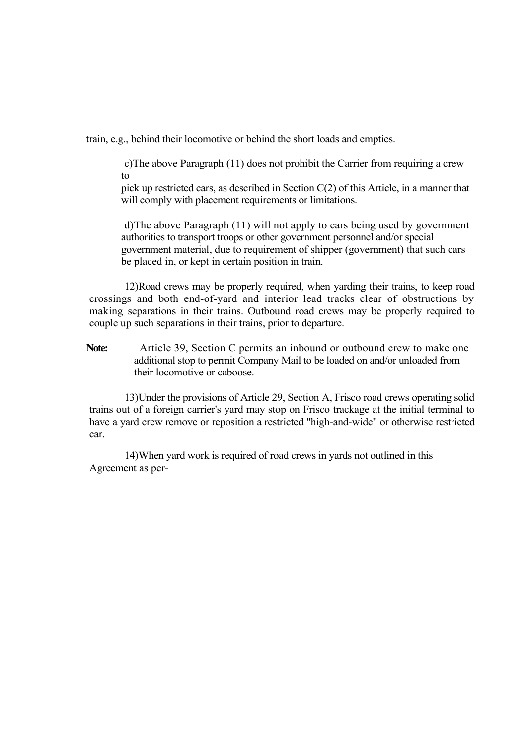train, e.g., behind their locomotive or behind the short loads and empties.

c)The above Paragraph (11) does not prohibit the Carrier from requiring a crew to

pick up restricted cars, as described in Section C(2) of this Article, in a manner that will comply with placement requirements or limitations.

d)The above Paragraph (11) will not apply to cars being used by government authorities to transport troops or other government personnel and/or special government material, due to requirement of shipper (government) that such cars be placed in, or kept in certain position in train.

12)Road crews may be properly required, when yarding their trains, to keep road crossings and both end-of-yard and interior lead tracks clear of obstructions by making separations in their trains. Outbound road crews may be properly required to couple up such separations in their trains, prior to departure.

Note: Article 39, Section C permits an inbound or outbound crew to make one additional stop to permit Company Mail to be loaded on and/or unloaded from their locomotive or caboose.

13)Under the provisions of Article 29, Section A, Frisco road crews operating solid trains out of a foreign carrier's yard may stop on Frisco trackage at the initial terminal to have a yard crew remove or reposition a restricted "high-and-wide" or otherwise restricted car.

14)When yard work is required of road crews in yards not outlined in this Agreement as per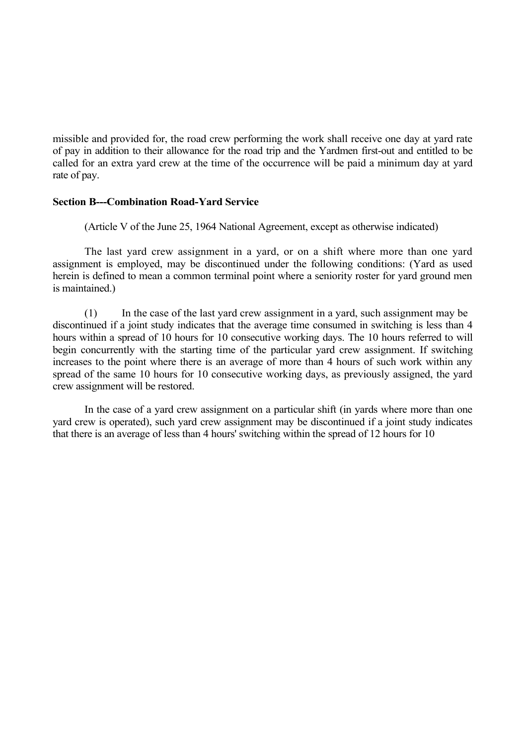missible and provided for, the road crew performing the work shall receive one day at yard rate of pay in addition to their allowance for the road trip and the Yardmen first-out and entitled to be called for an extra yard crew at the time of the occurrence will be paid a minimum day at yard rate of pay.

### **Section B---Combination Road-Yard Service**

(Article V of the June 25, 1964 National Agreement, except as otherwise indicated)

The last yard crew assignment in a yard, or on a shift where more than one yard assignment is employed, may be discontinued under the following conditions: (Yard as used herein is defined to mean a common terminal point where a seniority roster for yard ground men is maintained.)

(1) In the case of the last yard crew assignment in a yard, such assignment may be discontinued if a joint study indicates that the average time consumed in switching is less than 4 hours within a spread of 10 hours for 10 consecutive working days. The 10 hours referred to will begin concurrently with the starting time of the particular yard crew assignment. If switching increases to the point where there is an average of more than 4 hours of such work within any spread of the same 10 hours for 10 consecutive working days, as previously assigned, the yard crew assignment will be restored.

In the case of a yard crew assignment on a particular shift (in yards where more than one yard crew is operated), such yard crew assignment may be discontinued if a joint study indicates that there is an average of less than 4 hours' switching within the spread of 12 hours for 10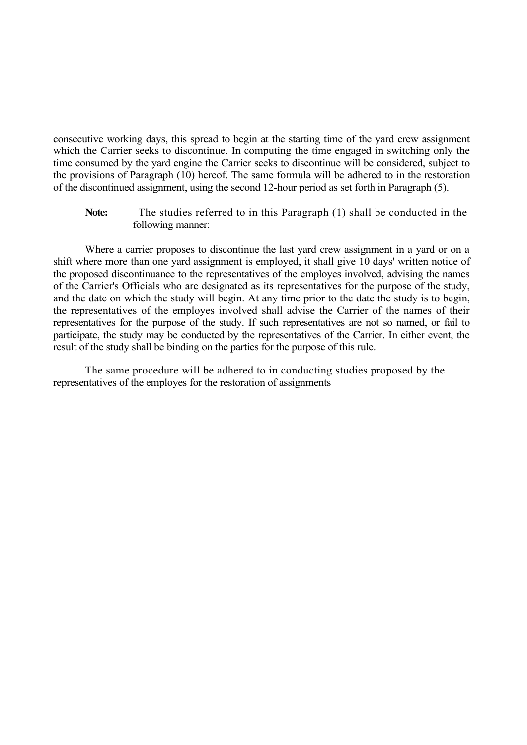consecutive working days, this spread to begin at the starting time of the yard crew assignment which the Carrier seeks to discontinue. In computing the time engaged in switching only the time consumed by the yard engine the Carrier seeks to discontinue will be considered, subject to the provisions of Paragraph (10) hereof. The same formula will be adhered to in the restoration of the discontinued assignment, using the second 12-hour period as set forth in Paragraph (5).

**Note:** The studies referred to in this Paragraph (1) shall be conducted in the following manner:

Where a carrier proposes to discontinue the last yard crew assignment in a yard or on a shift where more than one yard assignment is employed, it shall give 10 days' written notice of the proposed discontinuance to the representatives of the employes involved, advising the names of the Carrier's Officials who are designated as its representatives for the purpose of the study, and the date on which the study will begin. At any time prior to the date the study is to begin, the representatives of the employes involved shall advise the Carrier of the names of their representatives for the purpose of the study. If such representatives are not so named, or fail to participate, the study may be conducted by the representatives of the Carrier. In either event, the result of the study shall be binding on the parties for the purpose of this rule.

The same procedure will be adhered to in conducting studies proposed by the representatives of the employes for the restoration of assignments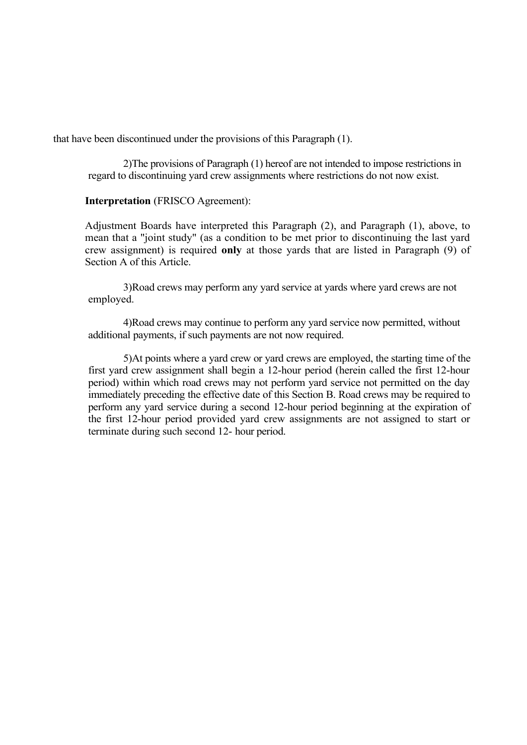that have been discontinued under the provisions of this Paragraph (1).

2)The provisions of Paragraph (1) hereof are not intended to impose restrictions in regard to discontinuing yard crew assignments where restrictions do not now exist.

# **Interpretation** (FRISCO Agreement):

Adjustment Boards have interpreted this Paragraph (2), and Paragraph (1), above, to mean that a "joint study" (as a condition to be met prior to discontinuing the last yard crew assignment) is required **only** at those yards that are listed in Paragraph (9) of Section A of this Article.

3)Road crews may perform any yard service at yards where yard crews are not employed.

4)Road crews may continue to perform any yard service now permitted, without additional payments, if such payments are not now required.

5)At points where a yard crew or yard crews are employed, the starting time of the first yard crew assignment shall begin a 12-hour period (herein called the first 12-hour period) within which road crews may not perform yard service not permitted on the day immediately preceding the effective date of this Section B. Road crews may be required to perform any yard service during a second 12-hour period beginning at the expiration of the first 12-hour period provided yard crew assignments are not assigned to start or terminate during such second 12- hour period.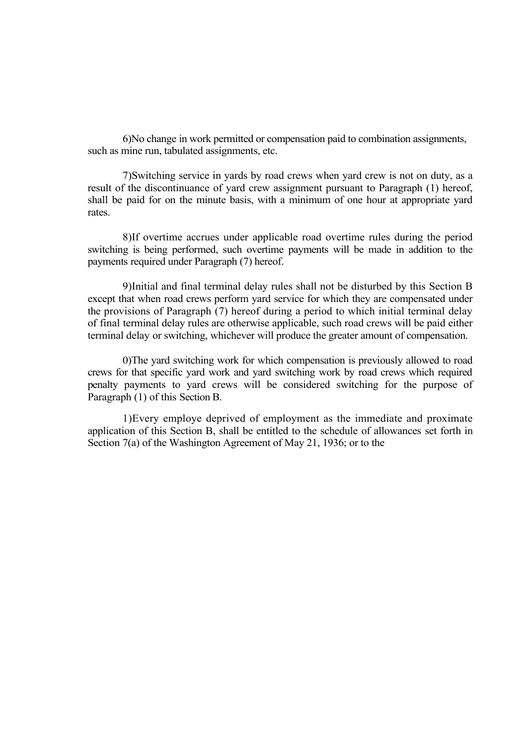6)No change in work permitted or compensation paid to combination assignments, such as mine run, tabulated assignments, etc.

7)Switching service in yards by road crews when yard crew is not on duty, as a result of the discontinuance of yard crew assignment pursuant to Paragraph (1) hereof, shall be paid for on the minute basis, with a minimum of one hour at appropriate yard rates.

8)If overtime accrues under applicable road overtime rules during the period switching is being performed, such overtime payments will be made in addition to the payments required under Paragraph (7) hereof.

9)Initial and final terminal delay rules shall not be disturbed by this Section B except that when road crews perform yard service for which they are compensated under the provisions of Paragraph (7) hereof during a period to which initial terminal delay of final terminal delay rules are otherwise applicable, such road crews will be paid either terminal delay or switching, whichever will produce the greater amount of compensation.

0)The yard switching work for which compensation is previously allowed to road crews for that specific yard work and yard switching work by road crews which required penalty payments to yard crews will be considered switching for the purpose of Paragraph (1) of this Section B.

1)Every employe deprived of employment as the immediate and proximate application of this Section B, shall be entitled to the schedule of allowances set forth in Section 7(a) of the Washington Agreement of May 21, 1936; or to the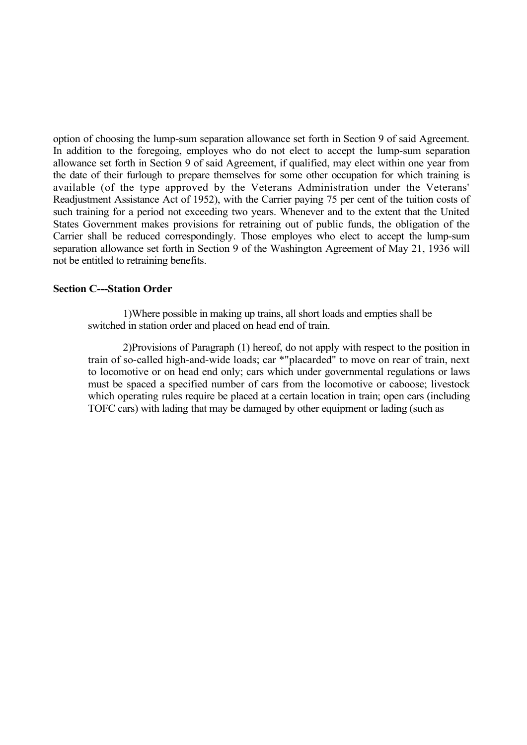option of choosing the lump-sum separation allowance set forth in Section 9 of said Agreement. In addition to the foregoing, employes who do not elect to accept the lump-sum separation allowance set forth in Section 9 of said Agreement, if qualified, may elect within one year from the date of their furlough to prepare themselves for some other occupation for which training is available (of the type approved by the Veterans Administration under the Veterans' Readjustment Assistance Act of 1952), with the Carrier paying 75 per cent of the tuition costs of such training for a period not exceeding two years. Whenever and to the extent that the United States Government makes provisions for retraining out of public funds, the obligation of the Carrier shall be reduced correspondingly. Those employes who elect to accept the lump-sum separation allowance set forth in Section 9 of the Washington Agreement of May 21, 1936 will not be entitled to retraining benefits.

## **Section C---Station Order**

1)Where possible in making up trains, all short loads and empties shall be switched in station order and placed on head end of train.

2)Provisions of Paragraph (1) hereof, do not apply with respect to the position in train of so-called high-and-wide loads; car \*"placarded" to move on rear of train, next to locomotive or on head end only; cars which under governmental regulations or laws must be spaced a specified number of cars from the locomotive or caboose; livestock which operating rules require be placed at a certain location in train; open cars (including TOFC cars) with lading that may be damaged by other equipment or lading (such as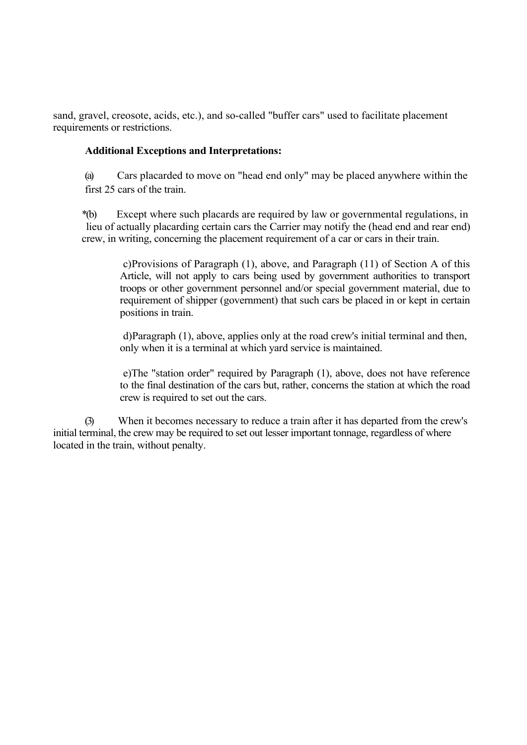sand, gravel, creosote, acids, etc.), and so-called "buffer cars" used to facilitate placement requirements or restrictions.

# **Additional Exceptions and Interpretations:**

(a) Cars placarded to move on "head end only" may be placed anywhere within the first 25 cars of the train.

\*(b) Except where such placards are required by law or governmental regulations, in lieu of actually placarding certain cars the Carrier may notify the (head end and rear end) crew, in writing, concerning the placement requirement of a car or cars in their train.

c)Provisions of Paragraph (1), above, and Paragraph (11) of Section A of this Article, will not apply to cars being used by government authorities to transport troops or other government personnel and/or special government material, due to requirement of shipper (government) that such cars be placed in or kept in certain positions in train.

d)Paragraph (1), above, applies only at the road crew's initial terminal and then, only when it is a terminal at which yard service is maintained.

e)The "station order" required by Paragraph (1), above, does not have reference to the final destination of the cars but, rather, concerns the station at which the road crew is required to set out the cars.

(3) When it becomes necessary to reduce a train after it has departed from the crew's initial terminal, the crew may be required to set out lesser important tonnage, regardless of where located in the train, without penalty.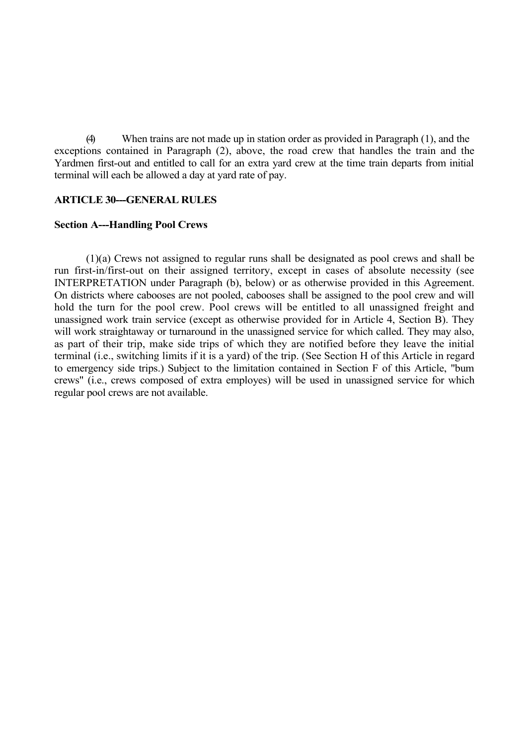(4) When trains are not made up in station order as provided in Paragraph (1), and the exceptions contained in Paragraph (2), above, the road crew that handles the train and the Yardmen first-out and entitled to call for an extra yard crew at the time train departs from initial terminal will each be allowed a day at yard rate of pay.

### **ARTICLE 30---GENERAL RULES**

#### **Section A---Handling Pool Crews**

(1)(a) Crews not assigned to regular runs shall be designated as pool crews and shall be run first-in/first-out on their assigned territory, except in cases of absolute necessity (see INTERPRETATION under Paragraph (b), below) or as otherwise provided in this Agreement. On districts where cabooses are not pooled, cabooses shall be assigned to the pool crew and will hold the turn for the pool crew. Pool crews will be entitled to all unassigned freight and unassigned work train service (except as otherwise provided for in Article 4, Section B). They will work straightaway or turnaround in the unassigned service for which called. They may also, as part of their trip, make side trips of which they are notified before they leave the initial terminal (i.e., switching limits if it is a yard) of the trip. (See Section H of this Article in regard to emergency side trips.) Subject to the limitation contained in Section F of this Article, "bum crews" (i.e., crews composed of extra employes) will be used in unassigned service for which regular pool crews are not available.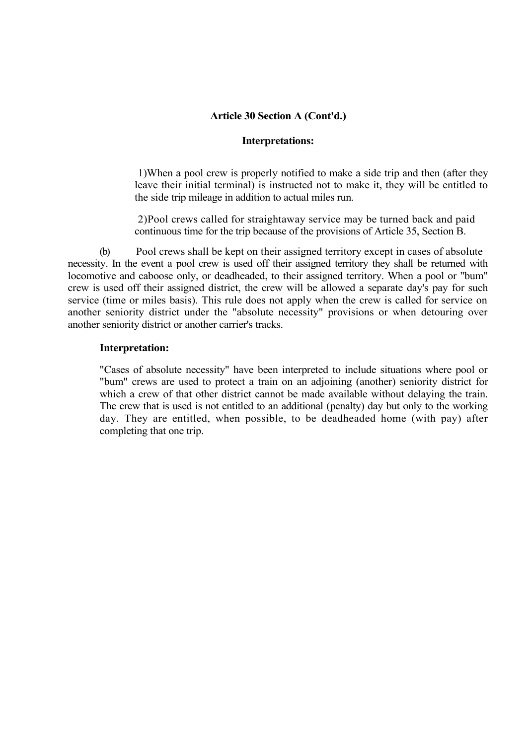# **Article 30 Section A (Cont'd.)**

#### **Interpretations:**

1)When a pool crew is properly notified to make a side trip and then (after they leave their initial terminal) is instructed not to make it, they will be entitled to the side trip mileage in addition to actual miles run.

2)Pool crews called for straightaway service may be turned back and paid continuous time for the trip because of the provisions of Article 35, Section B.

(b) Pool crews shall be kept on their assigned territory except in cases of absolute necessity. In the event a pool crew is used off their assigned territory they shall be returned with locomotive and caboose only, or deadheaded, to their assigned territory. When a pool or "bum" crew is used off their assigned district, the crew will be allowed a separate day's pay for such service (time or miles basis). This rule does not apply when the crew is called for service on another seniority district under the "absolute necessity" provisions or when detouring over another seniority district or another carrier's tracks.

### **Interpretation:**

"Cases of absolute necessity" have been interpreted to include situations where pool or "bum" crews are used to protect a train on an adjoining (another) seniority district for which a crew of that other district cannot be made available without delaying the train. The crew that is used is not entitled to an additional (penalty) day but only to the working day. They are entitled, when possible, to be deadheaded home (with pay) after completing that one trip.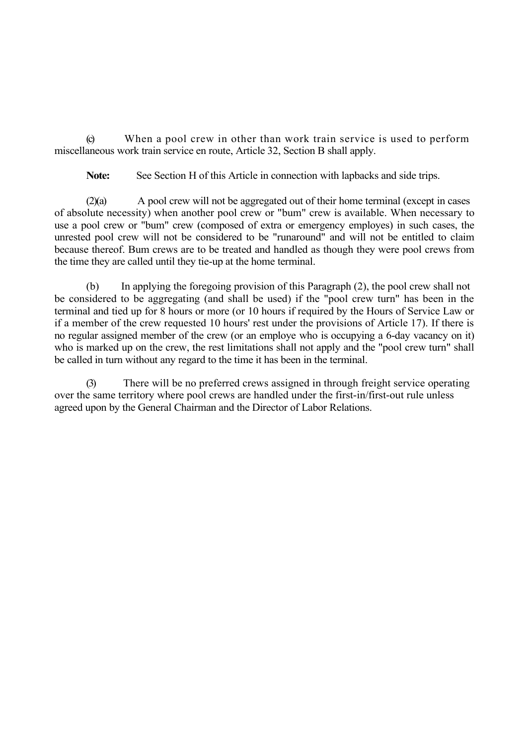(c) When a pool crew in other than work train service is used to perform miscellaneous work train service en route, Article 32, Section B shall apply.

**Note:** See Section H of this Article in connection with lapbacks and side trips.

(2)(a) A pool crew will not be aggregated out of their home terminal (except in cases of absolute necessity) when another pool crew or "bum" crew is available. When necessary to use a pool crew or "bum" crew (composed of extra or emergency employes) in such cases, the unrested pool crew will not be considered to be "runaround" and will not be entitled to claim because thereof. Bum crews are to be treated and handled as though they were pool crews from the time they are called until they tie-up at the home terminal.

(b) In applying the foregoing provision of this Paragraph (2), the pool crew shall not be considered to be aggregating (and shall be used) if the "pool crew turn" has been in the terminal and tied up for 8 hours or more (or 10 hours if required by the Hours of Service Law or if a member of the crew requested 10 hours' rest under the provisions of Article 17). If there is no regular assigned member of the crew (or an employe who is occupying a 6-day vacancy on it) who is marked up on the crew, the rest limitations shall not apply and the "pool crew turn" shall be called in turn without any regard to the time it has been in the terminal.

(3) There will be no preferred crews assigned in through freight service operating over the same territory where pool crews are handled under the first-in/first-out rule unless agreed upon by the General Chairman and the Director of Labor Relations.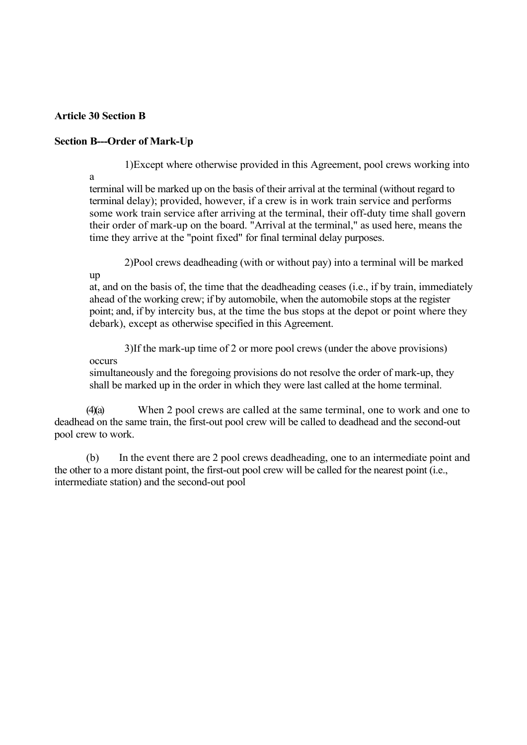# **Article 30 Section B**

# **Section B---Order of Mark-Up**

1)Except where otherwise provided in this Agreement, pool crews working into

a

up

terminal will be marked up on the basis of their arrival at the terminal (without regard to terminal delay); provided, however, if a crew is in work train service and performs some work train service after arriving at the terminal, their off-duty time shall govern their order of mark-up on the board. "Arrival at the terminal," as used here, means the time they arrive at the "point fixed" for final terminal delay purposes.

2)Pool crews deadheading (with or without pay) into a terminal will be marked

at, and on the basis of, the time that the deadheading ceases (i.e., if by train, immediately ahead of the working crew; if by automobile, when the automobile stops at the register point; and, if by intercity bus, at the time the bus stops at the depot or point where they debark), except as otherwise specified in this Agreement.

3)If the mark-up time of 2 or more pool crews (under the above provisions) occurs

simultaneously and the foregoing provisions do not resolve the order of mark-up, they shall be marked up in the order in which they were last called at the home terminal.

(4)(a) When 2 pool crews are called at the same terminal, one to work and one to deadhead on the same train, the first-out pool crew will be called to deadhead and the second-out pool crew to work.

(b) In the event there are 2 pool crews deadheading, one to an intermediate point and the other to a more distant point, the first-out pool crew will be called for the nearest point (i.e., intermediate station) and the second-out pool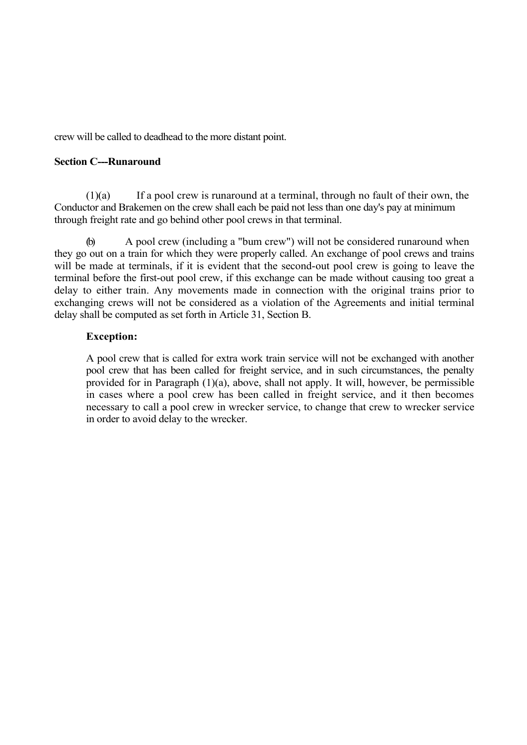crew will be called to deadhead to the more distant point.

## **Section C---Runaround**

(1)(a) If a pool crew is runaround at a terminal, through no fault of their own, the Conductor and Brakemen on the crew shall each be paid not less than one day's pay at minimum through freight rate and go behind other pool crews in that terminal.

(b) A pool crew (including a "bum crew") will not be considered runaround when they go out on a train for which they were properly called. An exchange of pool crews and trains will be made at terminals, if it is evident that the second-out pool crew is going to leave the terminal before the first-out pool crew, if this exchange can be made without causing too great a delay to either train. Any movements made in connection with the original trains prior to exchanging crews will not be considered as a violation of the Agreements and initial terminal delay shall be computed as set forth in Article 31, Section B.

## **Exception:**

A pool crew that is called for extra work train service will not be exchanged with another pool crew that has been called for freight service, and in such circumstances, the penalty provided for in Paragraph (1)(a), above, shall not apply. It will, however, be permissible in cases where a pool crew has been called in freight service, and it then becomes necessary to call a pool crew in wrecker service, to change that crew to wrecker service in order to avoid delay to the wrecker.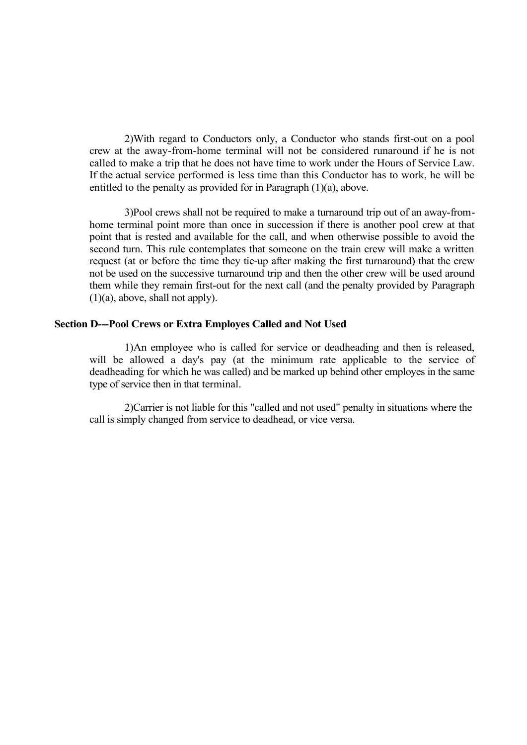2)With regard to Conductors only, a Conductor who stands first-out on a pool crew at the away-from-home terminal will not be considered runaround if he is not called to make a trip that he does not have time to work under the Hours of Service Law. If the actual service performed is less time than this Conductor has to work, he will be entitled to the penalty as provided for in Paragraph (1)(a), above.

3)Pool crews shall not be required to make a turnaround trip out of an away-fromhome terminal point more than once in succession if there is another pool crew at that point that is rested and available for the call, and when otherwise possible to avoid the second turn. This rule contemplates that someone on the train crew will make a written request (at or before the time they tie-up after making the first turnaround) that the crew not be used on the successive turnaround trip and then the other crew will be used around them while they remain first-out for the next call (and the penalty provided by Paragraph (1)(a), above, shall not apply).

#### **Section D---Pool Crews or Extra Employes Called and Not Used**

1)An employee who is called for service or deadheading and then is released, will be allowed a day's pay (at the minimum rate applicable to the service of deadheading for which he was called) and be marked up behind other employes in the same type of service then in that terminal.

2)Carrier is not liable for this "called and not used" penalty in situations where the call is simply changed from service to deadhead, or vice versa.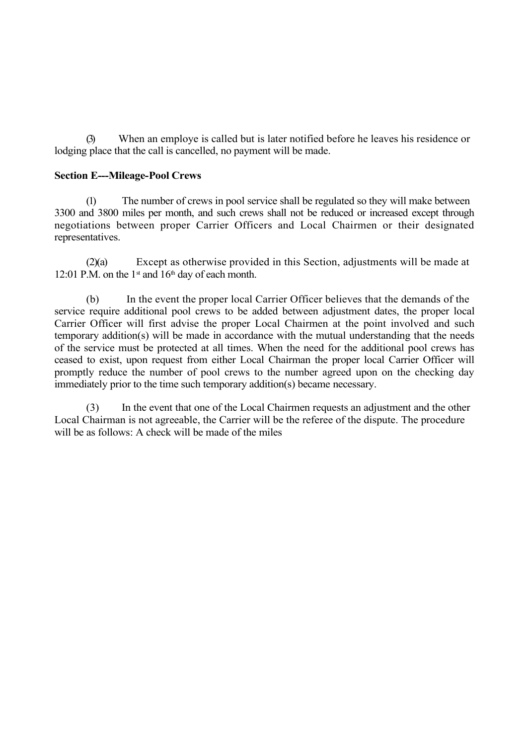(3) When an employe is called but is later notified before he leaves his residence or lodging place that the call is cancelled, no payment will be made.

# **Section E---Mileage-Pool Crews**

(1) The number of crews in pool service shall be regulated so they will make between 3300 and 3800 miles per month, and such crews shall not be reduced or increased except through negotiations between proper Carrier Officers and Local Chairmen or their designated representatives.

(2)(a) Except as otherwise provided in this Section, adjustments will be made at 12:01 P.M. on the  $1<sup>st</sup>$  and  $16<sup>th</sup>$  day of each month.

(b) In the event the proper local Carrier Officer believes that the demands of the service require additional pool crews to be added between adjustment dates, the proper local Carrier Officer will first advise the proper Local Chairmen at the point involved and such temporary addition(s) will be made in accordance with the mutual understanding that the needs of the service must be protected at all times. When the need for the additional pool crews has ceased to exist, upon request from either Local Chairman the proper local Carrier Officer will promptly reduce the number of pool crews to the number agreed upon on the checking day immediately prior to the time such temporary addition(s) became necessary.

(3) In the event that one of the Local Chairmen requests an adjustment and the other Local Chairman is not agreeable, the Carrier will be the referee of the dispute. The procedure will be as follows: A check will be made of the miles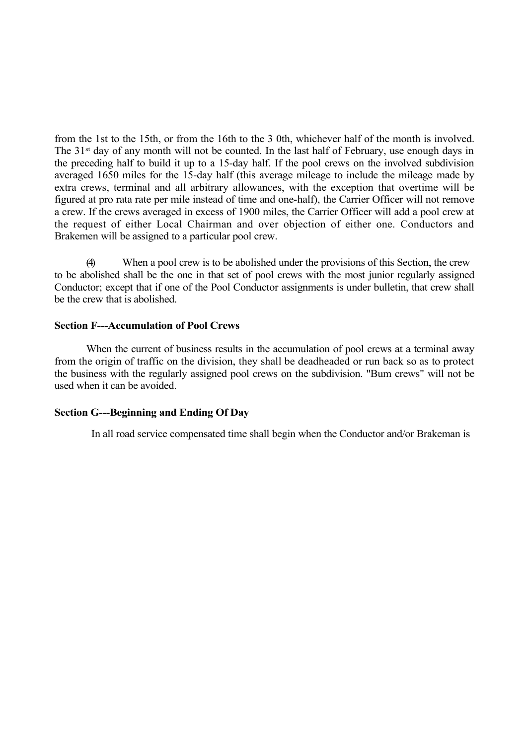from the 1st to the 15th, or from the 16th to the 3 0th, whichever half of the month is involved. The 31<sup>st</sup> day of any month will not be counted. In the last half of February, use enough days in the preceding half to build it up to a 15-day half. If the pool crews on the involved subdivision averaged 1650 miles for the 15-day half (this average mileage to include the mileage made by extra crews, terminal and all arbitrary allowances, with the exception that overtime will be figured at pro rata rate per mile instead of time and one-half), the Carrier Officer will not remove a crew. If the crews averaged in excess of 1900 miles, the Carrier Officer will add a pool crew at the request of either Local Chairman and over objection of either one. Conductors and Brakemen will be assigned to a particular pool crew.

(4) When a pool crew is to be abolished under the provisions of this Section, the crew to be abolished shall be the one in that set of pool crews with the most junior regularly assigned Conductor; except that if one of the Pool Conductor assignments is under bulletin, that crew shall be the crew that is abolished.

## **Section F---Accumulation of Pool Crews**

When the current of business results in the accumulation of pool crews at a terminal away from the origin of traffic on the division, they shall be deadheaded or run back so as to protect the business with the regularly assigned pool crews on the subdivision. "Bum crews" will not be used when it can be avoided.

#### **Section G---Beginning and Ending Of Day**

In all road service compensated time shall begin when the Conductor and/or Brakeman is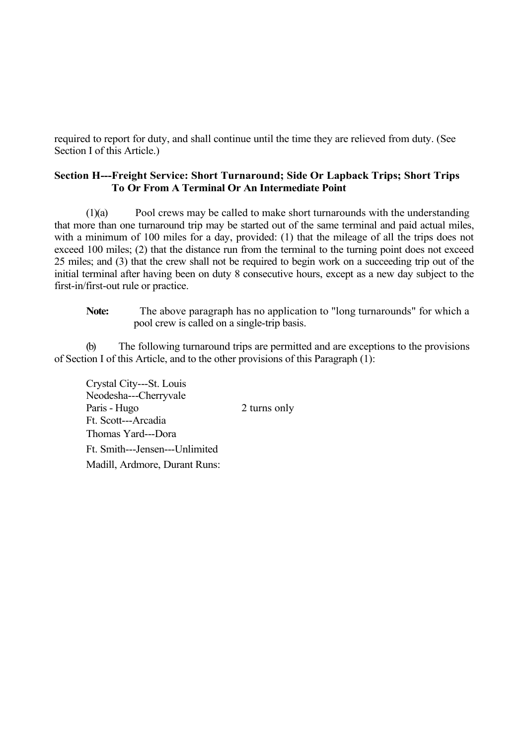required to report for duty, and shall continue until the time they are relieved from duty. (See Section I of this Article.)

# **Section H---Freight Service: Short Turnaround; Side Or Lapback Trips; Short Trips To Or From A Terminal Or An Intermediate Point**

(1)(a) Pool crews may be called to make short turnarounds with the understanding that more than one turnaround trip may be started out of the same terminal and paid actual miles, with a minimum of 100 miles for a day, provided: (1) that the mileage of all the trips does not exceed 100 miles; (2) that the distance run from the terminal to the turning point does not exceed 25 miles; and (3) that the crew shall not be required to begin work on a succeeding trip out of the initial terminal after having been on duty 8 consecutive hours, except as a new day subject to the first-in/first-out rule or practice.

**Note:** The above paragraph has no application to "long turnarounds" for which a pool crew is called on a single-trip basis.

(b) The following turnaround trips are permitted and are exceptions to the provisions of Section I of this Article, and to the other provisions of this Paragraph (1):

Crystal City---St. Louis Neodesha---Cherryvale Paris - Hugo 2 turns only Ft. Scott---Arcadia Thomas Yard---Dora Ft. Smith---Jensen---Unlimited Madill, Ardmore, Durant Runs: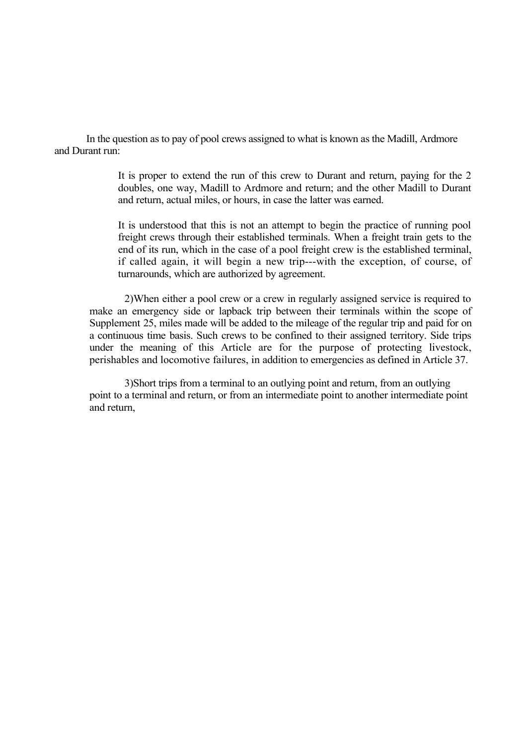In the question as to pay of pool crews assigned to what is known as the Madill, Ardmore and Durant run:

> It is proper to extend the run of this crew to Durant and return, paying for the 2 doubles, one way, Madill to Ardmore and return; and the other Madill to Durant and return, actual miles, or hours, in case the latter was earned.

> It is understood that this is not an attempt to begin the practice of running pool freight crews through their established terminals. When a freight train gets to the end of its run, which in the case of a pool freight crew is the established terminal, if called again, it will begin a new trip---with the exception, of course, of turnarounds, which are authorized by agreement.

2)When either a pool crew or a crew in regularly assigned service is required to make an emergency side or lapback trip between their terminals within the scope of Supplement 25, miles made will be added to the mileage of the regular trip and paid for on a continuous time basis. Such crews to be confined to their assigned territory. Side trips under the meaning of this Article are for the purpose of protecting livestock, perishables and locomotive failures, in addition to emergencies as defined in Article 37.

3)Short trips from a terminal to an outlying point and return, from an outlying point to a terminal and return, or from an intermediate point to another intermediate point and return,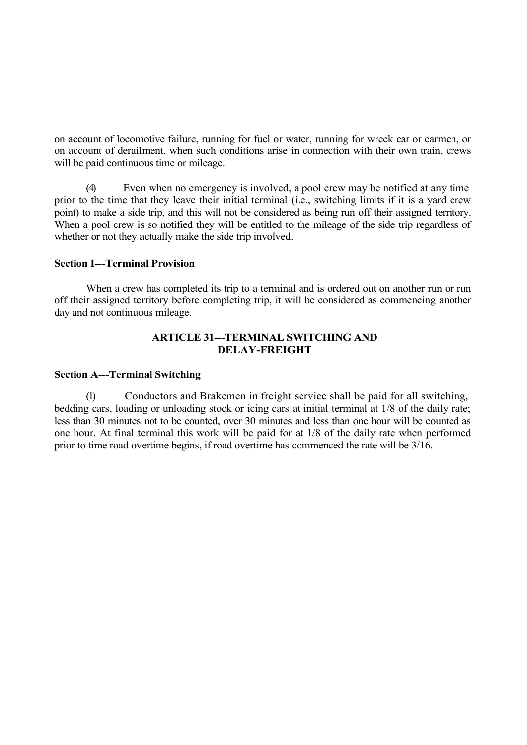on account of locomotive failure, running for fuel or water, running for wreck car or carmen, or on account of derailment, when such conditions arise in connection with their own train, crews will be paid continuous time or mileage.

(4) Even when no emergency is involved, a pool crew may be notified at any time prior to the time that they leave their initial terminal (i.e., switching limits if it is a yard crew point) to make a side trip, and this will not be considered as being run off their assigned territory. When a pool crew is so notified they will be entitled to the mileage of the side trip regardless of whether or not they actually make the side trip involved.

## **Section I---Terminal Provision**

When a crew has completed its trip to a terminal and is ordered out on another run or run off their assigned territory before completing trip, it will be considered as commencing another day and not continuous mileage.

# **ARTICLE 31---TERMINAL SWITCHING AND DELAY-FREIGHT**

## **Section A---Terminal Switching**

(1) Conductors and Brakemen in freight service shall be paid for all switching, bedding cars, loading or unloading stock or icing cars at initial terminal at 1/8 of the daily rate; less than 30 minutes not to be counted, over 30 minutes and less than one hour will be counted as one hour. At final terminal this work will be paid for at 1/8 of the daily rate when performed prior to time road overtime begins, if road overtime has commenced the rate will be 3/16.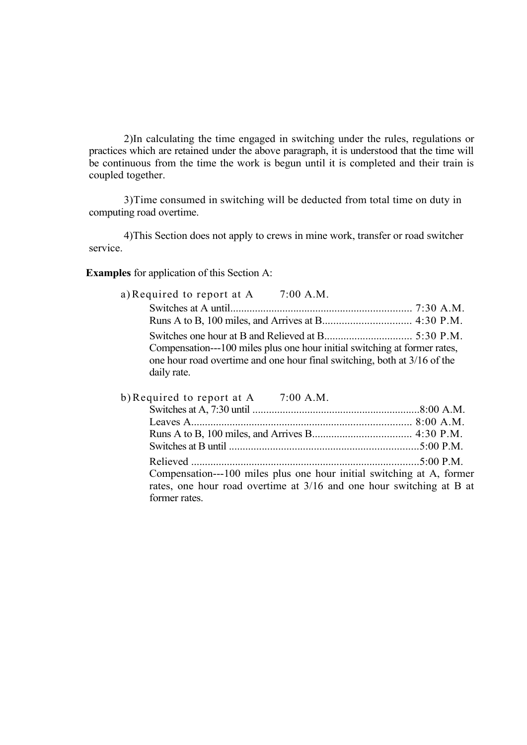2)In calculating the time engaged in switching under the rules, regulations or practices which are retained under the above paragraph, it is understood that the time will be continuous from the time the work is begun until it is completed and their train is coupled together.

3)Time consumed in switching will be deducted from total time on duty in computing road overtime.

4)This Section does not apply to crews in mine work, transfer or road switcher service.

**Examples** for application of this Section A:

| a) Required to report at A $7:00$ A.M.                                                  |  |
|-----------------------------------------------------------------------------------------|--|
|                                                                                         |  |
|                                                                                         |  |
|                                                                                         |  |
| Compensation---100 miles plus one hour initial switching at former rates,               |  |
| one hour road overtime and one hour final switching, both at 3/16 of the<br>daily rate. |  |
|                                                                                         |  |

| b) Required to report at $A = 7:00$ A.M.                              |  |
|-----------------------------------------------------------------------|--|
|                                                                       |  |
|                                                                       |  |
|                                                                       |  |
|                                                                       |  |
|                                                                       |  |
| Compensation---100 miles plus one hour initial switching at A, former |  |
| rates, one hour road overtime at 3/16 and one hour switching at B at  |  |
| former rates.                                                         |  |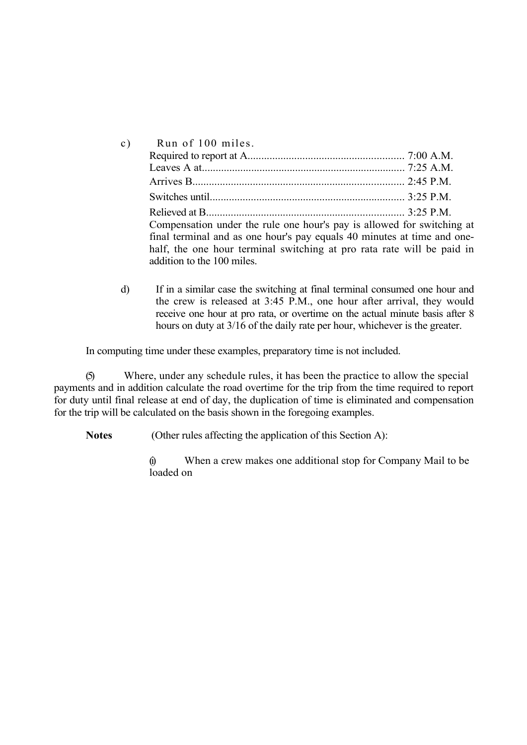| $\mathbf{c})$ | Run of 100 miles.                                                                                                                                                                                                                                         |  |
|---------------|-----------------------------------------------------------------------------------------------------------------------------------------------------------------------------------------------------------------------------------------------------------|--|
|               |                                                                                                                                                                                                                                                           |  |
|               |                                                                                                                                                                                                                                                           |  |
|               |                                                                                                                                                                                                                                                           |  |
|               |                                                                                                                                                                                                                                                           |  |
|               | Compensation under the rule one hour's pay is allowed for switching at<br>final terminal and as one hour's pay equals 40 minutes at time and one-<br>half, the one hour terminal switching at pro rata rate will be paid in<br>addition to the 100 miles. |  |

d) If in a similar case the switching at final terminal consumed one hour and the crew is released at 3:45 P.M., one hour after arrival, they would receive one hour at pro rata, or overtime on the actual minute basis after 8 hours on duty at 3/16 of the daily rate per hour, whichever is the greater.

In computing time under these examples, preparatory time is not included.

(5) Where, under any schedule rules, it has been the practice to allow the special payments and in addition calculate the road overtime for the trip from the time required to report for duty until final release at end of day, the duplication of time is eliminated and compensation for the trip will be calculated on the basis shown in the foregoing examples.

**Notes** (Other rules affecting the application of this Section A):

(i) When a crew makes one additional stop for Company Mail to be loaded on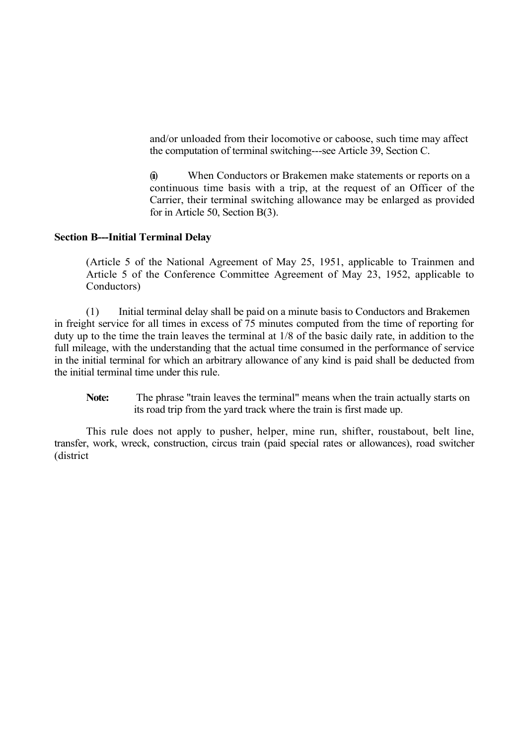and/or unloaded from their locomotive or caboose, such time may affect the computation of terminal switching---see Article 39, Section C.

(ii) When Conductors or Brakemen make statements or reports on a continuous time basis with a trip, at the request of an Officer of the Carrier, their terminal switching allowance may be enlarged as provided for in Article 50, Section B(3).

#### **Section B---Initial Terminal Delay**

(Article 5 of the National Agreement of May 25, 1951, applicable to Trainmen and Article 5 of the Conference Committee Agreement of May 23, 1952, applicable to Conductors)

(1) Initial terminal delay shall be paid on a minute basis to Conductors and Brakemen in freight service for all times in excess of 75 minutes computed from the time of reporting for duty up to the time the train leaves the terminal at 1/8 of the basic daily rate, in addition to the full mileage, with the understanding that the actual time consumed in the performance of service in the initial terminal for which an arbitrary allowance of any kind is paid shall be deducted from the initial terminal time under this rule.

Note: The phrase "train leaves the terminal" means when the train actually starts on its road trip from the yard track where the train is first made up.

This rule does not apply to pusher, helper, mine run, shifter, roustabout, belt line, transfer, work, wreck, construction, circus train (paid special rates or allowances), road switcher (district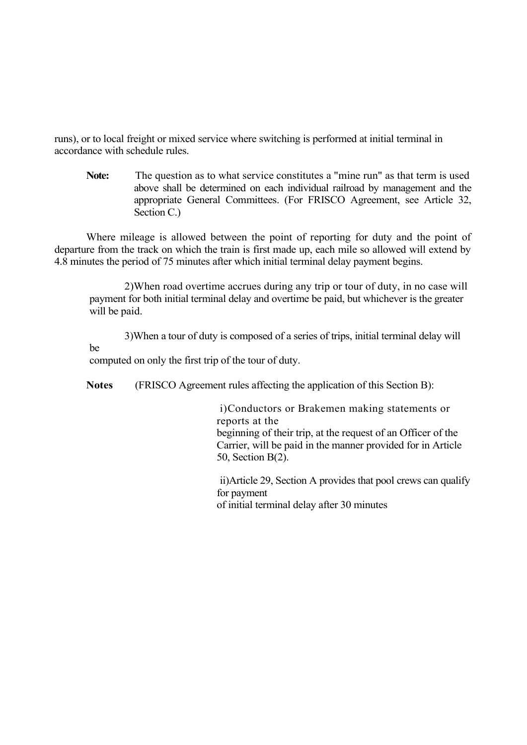runs), or to local freight or mixed service where switching is performed at initial terminal in accordance with schedule rules.

**Note:** The question as to what service constitutes a "mine run" as that term is used above shall be determined on each individual railroad by management and the appropriate General Committees. (For FRISCO Agreement, see Article 32, Section C.)

Where mileage is allowed between the point of reporting for duty and the point of departure from the track on which the train is first made up, each mile so allowed will extend by 4.8 minutes the period of 75 minutes after which initial terminal delay payment begins.

2)When road overtime accrues during any trip or tour of duty, in no case will payment for both initial terminal delay and overtime be paid, but whichever is the greater will be paid.

3)When a tour of duty is composed of a series of trips, initial terminal delay will be computed on only the first trip of the tour of duty.

**Notes** (FRISCO Agreement rules affecting the application of this Section B):

i)Conductors or Brakemen making statements or reports at the beginning of their trip, at the request of an Officer of the Carrier, will be paid in the manner provided for in Article 50, Section B(2).

ii)Article 29, Section A provides that pool crews can qualify for payment of initial terminal delay after 30 minutes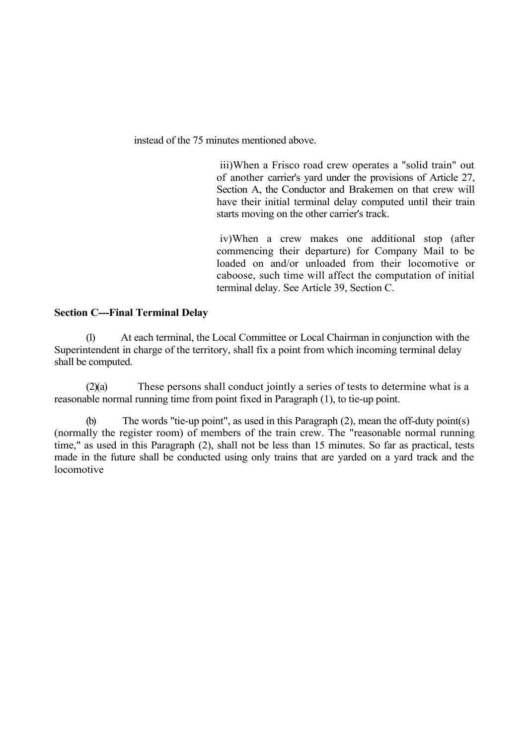instead of the 75 minutes mentioned above.

iii)When a Frisco road crew operates a "solid train" out of another carrier's yard under the provisions of Article 27, Section A, the Conductor and Brakemen on that crew will have their initial terminal delay computed until their train starts moving on the other carrier's track.

iv)When a crew makes one additional stop (after commencing their departure) for Company Mail to be loaded on and/or unloaded from their locomotive or caboose, such time will affect the computation of initial terminal delay. See Article 39, Section C.

### **Section C---Final Terminal Delay**

(1) At each terminal, the Local Committee or Local Chairman in conjunction with the Superintendent in charge of the territory, shall fix a point from which incoming terminal delay shall be computed.

(2)(a) These persons shall conduct jointly a series of tests to determine what is a reasonable normal running time from point fixed in Paragraph (1), to tie-up point.

(b) The words "tie-up point", as used in this Paragraph (2), mean the off-duty point(s) (normally the register room) of members of the train crew. The "reasonable normal running time," as used in this Paragraph (2), shall not be less than 15 minutes. So far as practical, tests made in the future shall be conducted using only trains that are yarded on a yard track and the locomotive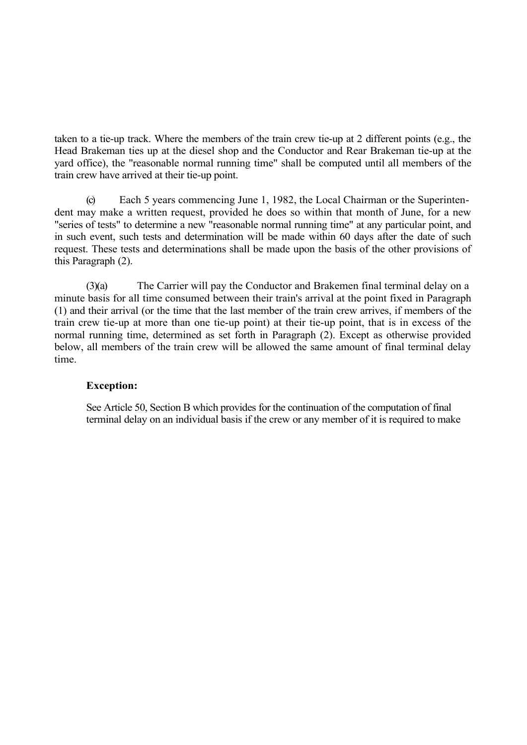taken to a tie-up track. Where the members of the train crew tie-up at 2 different points (e.g., the Head Brakeman ties up at the diesel shop and the Conductor and Rear Brakeman tie-up at the yard office), the "reasonable normal running time" shall be computed until all members of the train crew have arrived at their tie-up point.

(c) Each 5 years commencing June 1, 1982, the Local Chairman or the Superintendent may make a written request, provided he does so within that month of June, for a new "series of tests" to determine a new "reasonable normal running time" at any particular point, and in such event, such tests and determination will be made within 60 days after the date of such request. These tests and determinations shall be made upon the basis of the other provisions of this Paragraph (2).

(3)(a) The Carrier will pay the Conductor and Brakemen final terminal delay on a minute basis for all time consumed between their train's arrival at the point fixed in Paragraph (1) and their arrival (or the time that the last member of the train crew arrives, if members of the train crew tie-up at more than one tie-up point) at their tie-up point, that is in excess of the normal running time, determined as set forth in Paragraph (2). Except as otherwise provided below, all members of the train crew will be allowed the same amount of final terminal delay time.

### **Exception:**

See Article 50, Section B which provides for the continuation of the computation of final terminal delay on an individual basis if the crew or any member of it is required to make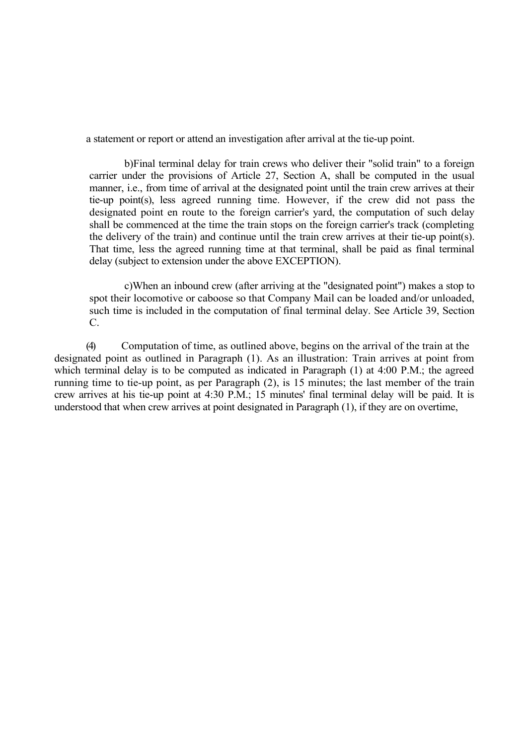a statement or report or attend an investigation after arrival at the tie-up point.

b)Final terminal delay for train crews who deliver their "solid train" to a foreign carrier under the provisions of Article 27, Section A, shall be computed in the usual manner, i.e., from time of arrival at the designated point until the train crew arrives at their tie-up point(s), less agreed running time. However, if the crew did not pass the designated point en route to the foreign carrier's yard, the computation of such delay shall be commenced at the time the train stops on the foreign carrier's track (completing the delivery of the train) and continue until the train crew arrives at their tie-up point(s). That time, less the agreed running time at that terminal, shall be paid as final terminal delay (subject to extension under the above EXCEPTION).

c)When an inbound crew (after arriving at the "designated point") makes a stop to spot their locomotive or caboose so that Company Mail can be loaded and/or unloaded, such time is included in the computation of final terminal delay. See Article 39, Section C.

(4) Computation of time, as outlined above, begins on the arrival of the train at the designated point as outlined in Paragraph (1). As an illustration: Train arrives at point from which terminal delay is to be computed as indicated in Paragraph (1) at 4:00 P.M.; the agreed running time to tie-up point, as per Paragraph (2), is 15 minutes; the last member of the train crew arrives at his tie-up point at 4:30 P.M.; 15 minutes' final terminal delay will be paid. It is understood that when crew arrives at point designated in Paragraph (1), if they are on overtime,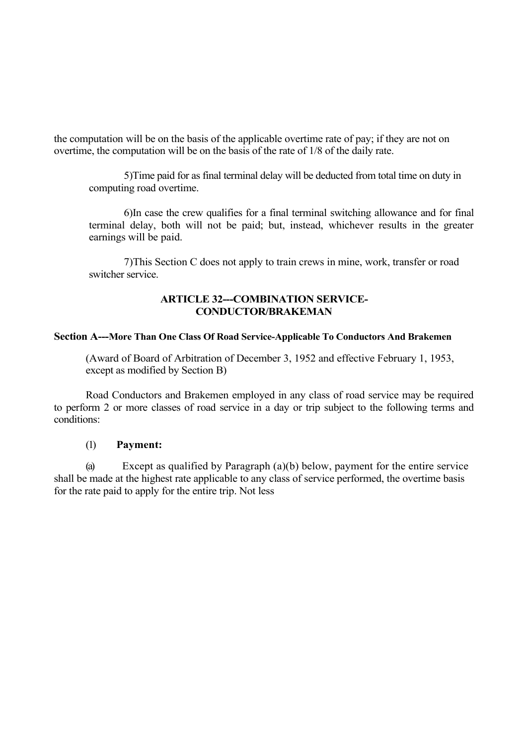the computation will be on the basis of the applicable overtime rate of pay; if they are not on overtime, the computation will be on the basis of the rate of 1/8 of the daily rate.

5)Time paid for as final terminal delay will be deducted from total time on duty in computing road overtime.

6)In case the crew qualifies for a final terminal switching allowance and for final terminal delay, both will not be paid; but, instead, whichever results in the greater earnings will be paid.

7)This Section C does not apply to train crews in mine, work, transfer or road switcher service.

## **ARTICLE 32---COMBINATION SERVICE-CONDUCTOR/BRAKEMAN**

#### **Section A---More Than One Class Of Road Service-Applicable To Conductors And Brakemen**

(Award of Board of Arbitration of December 3, 1952 and effective February 1, 1953, except as modified by Section B)

Road Conductors and Brakemen employed in any class of road service may be required to perform 2 or more classes of road service in a day or trip subject to the following terms and conditions:

### (1) **Payment:**

(a) Except as qualified by Paragraph (a)(b) below, payment for the entire service shall be made at the highest rate applicable to any class of service performed, the overtime basis for the rate paid to apply for the entire trip. Not less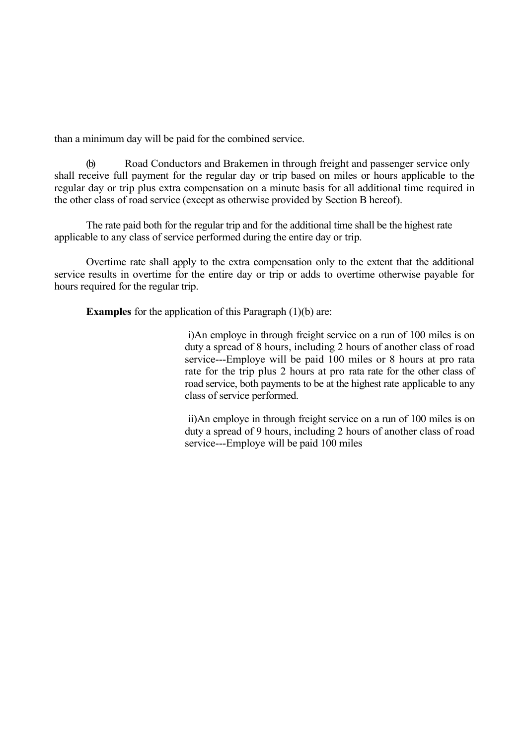than a minimum day will be paid for the combined service.

(b) Road Conductors and Brakemen in through freight and passenger service only shall receive full payment for the regular day or trip based on miles or hours applicable to the regular day or trip plus extra compensation on a minute basis for all additional time required in the other class of road service (except as otherwise provided by Section B hereof).

The rate paid both for the regular trip and for the additional time shall be the highest rate applicable to any class of service performed during the entire day or trip.

Overtime rate shall apply to the extra compensation only to the extent that the additional service results in overtime for the entire day or trip or adds to overtime otherwise payable for hours required for the regular trip.

**Examples** for the application of this Paragraph (1)(b) are:

i)An employe in through freight service on a run of 100 miles is on duty a spread of 8 hours, including 2 hours of another class of road service---Employe will be paid 100 miles or 8 hours at pro rata rate for the trip plus 2 hours at pro rata rate for the other class of road service, both payments to be at the highest rate applicable to any class of service performed.

ii)An employe in through freight service on a run of 100 miles is on duty a spread of 9 hours, including 2 hours of another class of road service---Employe will be paid 100 miles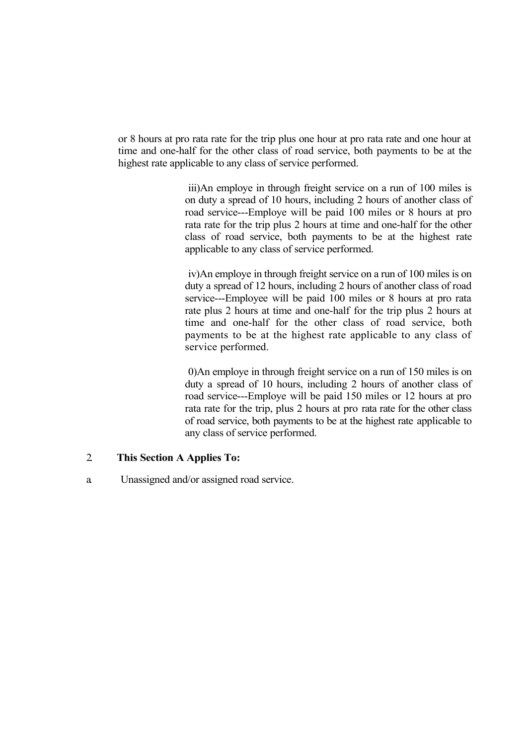or 8 hours at pro rata rate for the trip plus one hour at pro rata rate and one hour at time and one-half for the other class of road service, both payments to be at the highest rate applicable to any class of service performed.

> iii)An employe in through freight service on a run of 100 miles is on duty a spread of 10 hours, including 2 hours of another class of road service---Employe will be paid 100 miles or 8 hours at pro rata rate for the trip plus 2 hours at time and one-half for the other class of road service, both payments to be at the highest rate applicable to any class of service performed.

> iv)An employe in through freight service on a run of 100 miles is on duty a spread of 12 hours, including 2 hours of another class of road service---Employee will be paid 100 miles or 8 hours at pro rata rate plus 2 hours at time and one-half for the trip plus 2 hours at time and one-half for the other class of road service, both payments to be at the highest rate applicable to any class of service performed.

> 0)An employe in through freight service on a run of 150 miles is on duty a spread of 10 hours, including 2 hours of another class of road service---Employe will be paid 150 miles or 12 hours at pro rata rate for the trip, plus 2 hours at pro rata rate for the other class of road service, both payments to be at the highest rate applicable to any class of service performed.

# 2. **This Section A Applies To:**

a. Unassigned and/or assigned road service.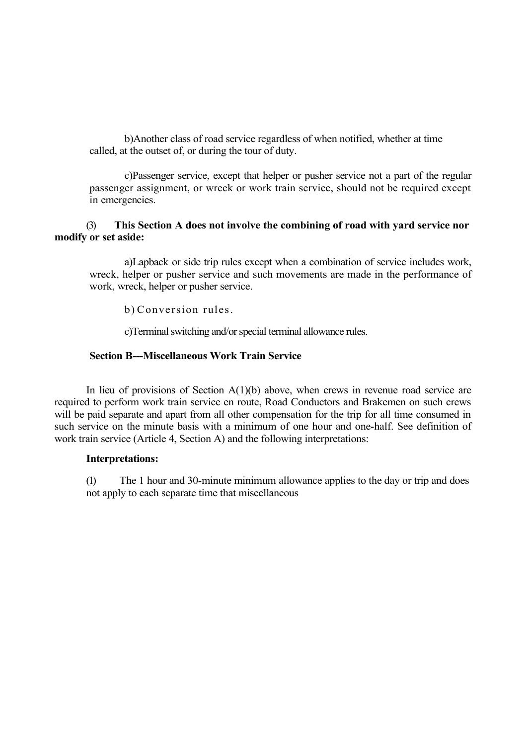b)Another class of road service regardless of when notified, whether at time called, at the outset of, or during the tour of duty.

c)Passenger service, except that helper or pusher service not a part of the regular passenger assignment, or wreck or work train service, should not be required except in emergencies.

# (3) **This Section A does not involve the combining of road with yard service nor modify or set aside:**

a)Lapback or side trip rules except when a combination of service includes work, wreck, helper or pusher service and such movements are made in the performance of work, wreck, helper or pusher service.

b) Conversion rules.

c)Terminal switching and/or special terminal allowance rules.

#### **Section B---Miscellaneous Work Train Service**

In lieu of provisions of Section  $A(1)(b)$  above, when crews in revenue road service are required to perform work train service en route, Road Conductors and Brakemen on such crews will be paid separate and apart from all other compensation for the trip for all time consumed in such service on the minute basis with a minimum of one hour and one-half. See definition of work train service (Article 4, Section A) and the following interpretations:

#### **Interpretations:**

(1) The 1 hour and 30-minute minimum allowance applies to the day or trip and does not apply to each separate time that miscellaneous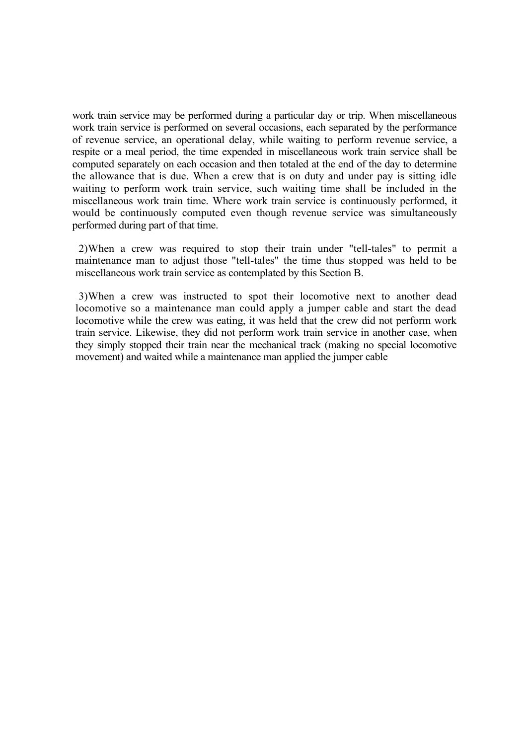work train service may be performed during a particular day or trip. When miscellaneous work train service is performed on several occasions, each separated by the performance of revenue service, an operational delay, while waiting to perform revenue service, a respite or a meal period, the time expended in miscellaneous work train service shall be computed separately on each occasion and then totaled at the end of the day to determine the allowance that is due. When a crew that is on duty and under pay is sitting idle waiting to perform work train service, such waiting time shall be included in the miscellaneous work train time. Where work train service is continuously performed, it would be continuously computed even though revenue service was simultaneously performed during part of that time.

2)When a crew was required to stop their train under "tell-tales" to permit a maintenance man to adjust those "tell-tales" the time thus stopped was held to be miscellaneous work train service as contemplated by this Section B.

3)When a crew was instructed to spot their locomotive next to another dead locomotive so a maintenance man could apply a jumper cable and start the dead locomotive while the crew was eating, it was held that the crew did not perform work train service. Likewise, they did not perform work train service in another case, when they simply stopped their train near the mechanical track (making no special locomotive movement) and waited while a maintenance man applied the jumper cable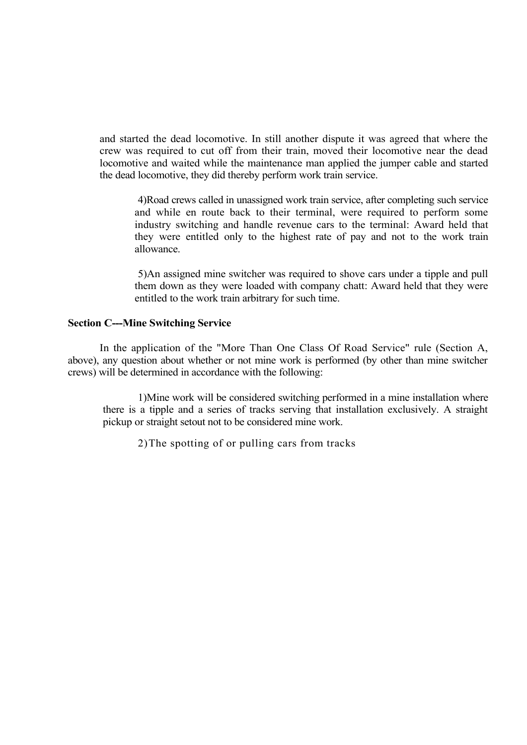and started the dead locomotive. In still another dispute it was agreed that where the crew was required to cut off from their train, moved their locomotive near the dead locomotive and waited while the maintenance man applied the jumper cable and started the dead locomotive, they did thereby perform work train service.

4)Road crews called in unassigned work train service, after completing such service and while en route back to their terminal, were required to perform some industry switching and handle revenue cars to the terminal: Award held that they were entitled only to the highest rate of pay and not to the work train allowance.

5)An assigned mine switcher was required to shove cars under a tipple and pull them down as they were loaded with company chatt: Award held that they were entitled to the work train arbitrary for such time.

#### **Section C---Mine Switching Service**

In the application of the "More Than One Class Of Road Service" rule (Section A, above), any question about whether or not mine work is performed (by other than mine switcher crews) will be determined in accordance with the following:

1)Mine work will be considered switching performed in a mine installation where there is a tipple and a series of tracks serving that installation exclusively. A straight pickup or straight setout not to be considered mine work.

2)The spotting of or pulling cars from tracks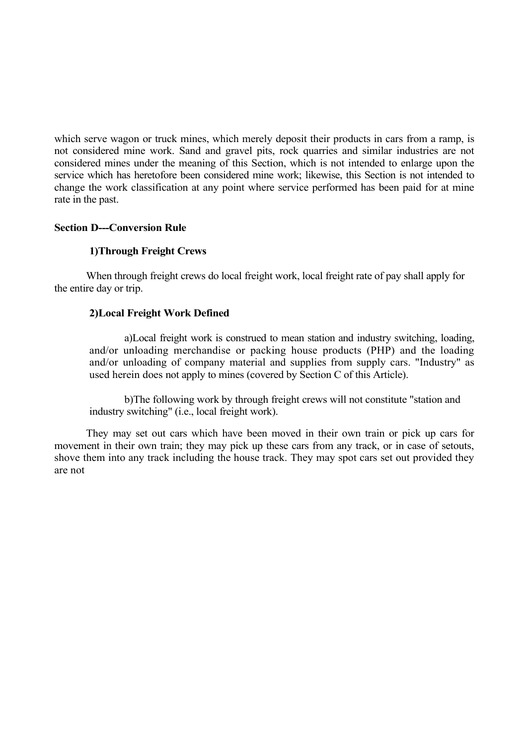which serve wagon or truck mines, which merely deposit their products in cars from a ramp, is not considered mine work. Sand and gravel pits, rock quarries and similar industries are not considered mines under the meaning of this Section, which is not intended to enlarge upon the service which has heretofore been considered mine work; likewise, this Section is not intended to change the work classification at any point where service performed has been paid for at mine rate in the past.

## **Section D---Conversion Rule**

## **1)Through Freight Crews**

When through freight crews do local freight work, local freight rate of pay shall apply for the entire day or trip.

## **2)Local Freight Work Defined**

a)Local freight work is construed to mean station and industry switching, loading, and/or unloading merchandise or packing house products (PHP) and the loading and/or unloading of company material and supplies from supply cars. "Industry" as used herein does not apply to mines (covered by Section C of this Article).

b)The following work by through freight crews will not constitute "station and industry switching" (i.e., local freight work).

They may set out cars which have been moved in their own train or pick up cars for movement in their own train; they may pick up these cars from any track, or in case of setouts, shove them into any track including the house track. They may spot cars set out provided they are not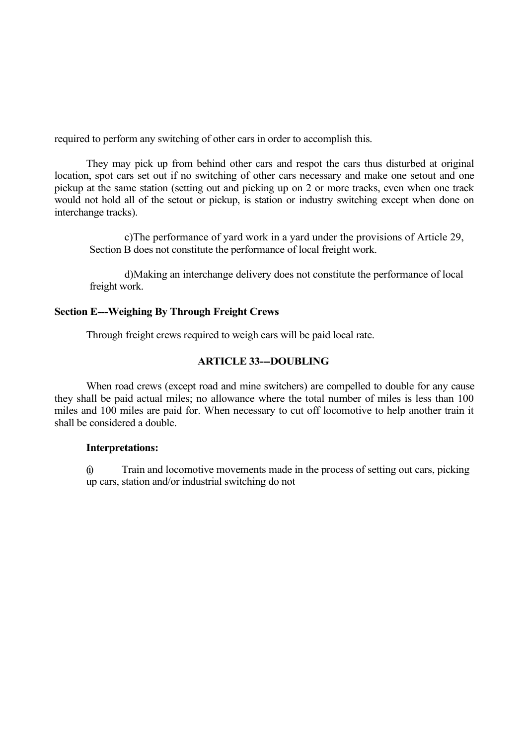required to perform any switching of other cars in order to accomplish this.

They may pick up from behind other cars and respot the cars thus disturbed at original location, spot cars set out if no switching of other cars necessary and make one setout and one pickup at the same station (setting out and picking up on 2 or more tracks, even when one track would not hold all of the setout or pickup, is station or industry switching except when done on interchange tracks).

c)The performance of yard work in a yard under the provisions of Article 29, Section B does not constitute the performance of local freight work.

d)Making an interchange delivery does not constitute the performance of local freight work.

## **Section E---Weighing By Through Freight Crews**

Through freight crews required to weigh cars will be paid local rate.

## **ARTICLE 33---DOUBLING**

When road crews (except road and mine switchers) are compelled to double for any cause they shall be paid actual miles; no allowance where the total number of miles is less than 100 miles and 100 miles are paid for. When necessary to cut off locomotive to help another train it shall be considered a double.

### **Interpretations:**

(i) Train and locomotive movements made in the process of setting out cars, picking up cars, station and/or industrial switching do not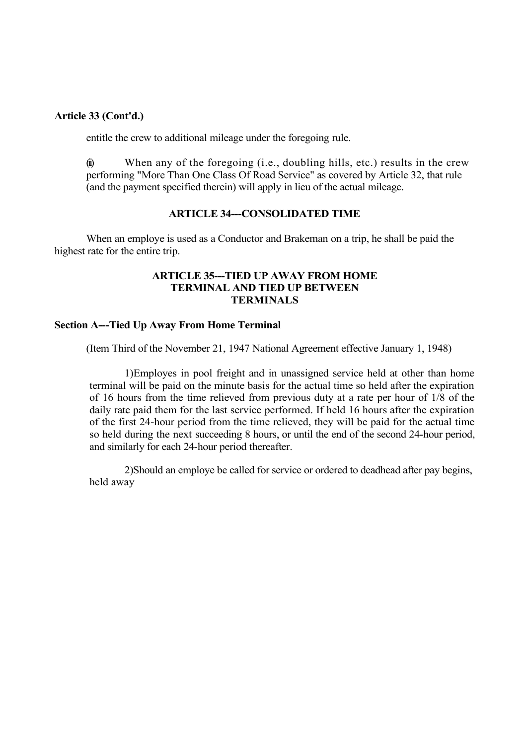### **Article 33 (Cont'd.)**

entitle the crew to additional mileage under the foregoing rule.

 $\hat{u}$  When any of the foregoing (i.e., doubling hills, etc.) results in the crew performing "More Than One Class Of Road Service" as covered by Article 32, that rule (and the payment specified therein) will apply in lieu of the actual mileage.

## **ARTICLE 34---CONSOLIDATED TIME**

When an employe is used as a Conductor and Brakeman on a trip, he shall be paid the highest rate for the entire trip.

### **ARTICLE 35---TIED UP AWAY FROM HOME TERMINAL AND TIED UP BETWEEN TERMINALS**

#### **Section A---Tied Up Away From Home Terminal**

(Item Third of the November 21, 1947 National Agreement effective January 1, 1948)

1)Employes in pool freight and in unassigned service held at other than home terminal will be paid on the minute basis for the actual time so held after the expiration of 16 hours from the time relieved from previous duty at a rate per hour of 1/8 of the daily rate paid them for the last service performed. If held 16 hours after the expiration of the first 24-hour period from the time relieved, they will be paid for the actual time so held during the next succeeding 8 hours, or until the end of the second 24-hour period, and similarly for each 24-hour period thereafter.

2)Should an employe be called for service or ordered to deadhead after pay begins, held away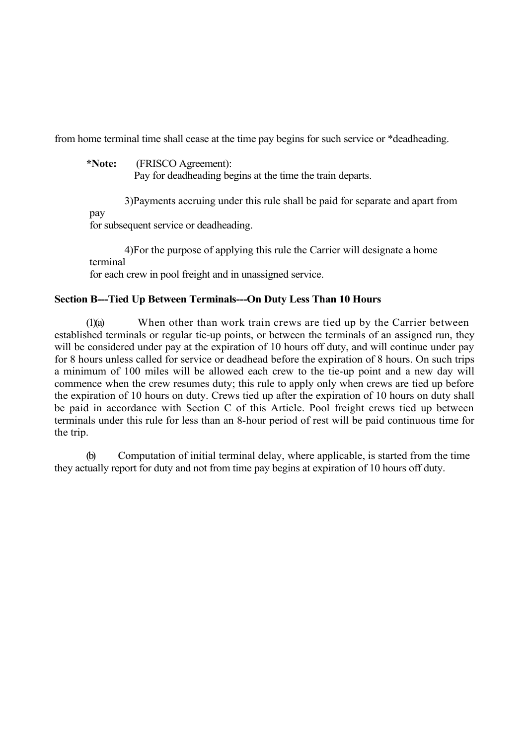from home terminal time shall cease at the time pay begins for such service or \*deadheading.

**\*Note:** (FRISCO Agreement):

Pay for deadheading begins at the time the train departs.

3)Payments accruing under this rule shall be paid for separate and apart from pay for subsequent service or deadheading.

4)For the purpose of applying this rule the Carrier will designate a home terminal

for each crew in pool freight and in unassigned service.

# **Section B---Tied Up Between Terminals---On Duty Less Than 10 Hours**

(1)(a) When other than work train crews are tied up by the Carrier between established terminals or regular tie-up points, or between the terminals of an assigned run, they will be considered under pay at the expiration of 10 hours off duty, and will continue under pay for 8 hours unless called for service or deadhead before the expiration of 8 hours. On such trips a minimum of 100 miles will be allowed each crew to the tie-up point and a new day will commence when the crew resumes duty; this rule to apply only when crews are tied up before the expiration of 10 hours on duty. Crews tied up after the expiration of 10 hours on duty shall be paid in accordance with Section C of this Article. Pool freight crews tied up between terminals under this rule for less than an 8-hour period of rest will be paid continuous time for the trip.

(b) Computation of initial terminal delay, where applicable, is started from the time they actually report for duty and not from time pay begins at expiration of 10 hours off duty.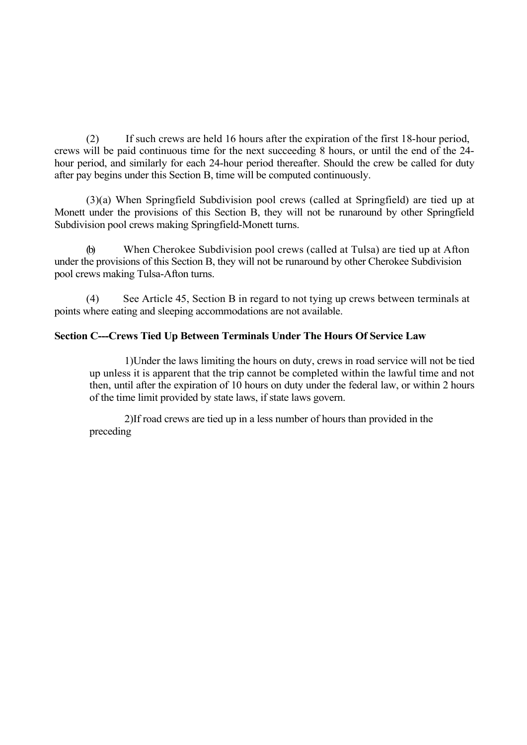(2) If such crews are held 16 hours after the expiration of the first 18-hour period, crews will be paid continuous time for the next succeeding 8 hours, or until the end of the 24 hour period, and similarly for each 24-hour period thereafter. Should the crew be called for duty after pay begins under this Section B, time will be computed continuously.

(3)(a) When Springfield Subdivision pool crews (called at Springfield) are tied up at Monett under the provisions of this Section B, they will not be runaround by other Springfield Subdivision pool crews making Springfield-Monett turns.

(b) When Cherokee Subdivision pool crews (called at Tulsa) are tied up at Afton under the provisions of this Section B, they will not be runaround by other Cherokee Subdivision pool crews making Tulsa-Afton turns.

(4) See Article 45, Section B in regard to not tying up crews between terminals at points where eating and sleeping accommodations are not available.

## **Section C---Crews Tied Up Between Terminals Under The Hours Of Service Law**

1)Under the laws limiting the hours on duty, crews in road service will not be tied up unless it is apparent that the trip cannot be completed within the lawful time and not then, until after the expiration of 10 hours on duty under the federal law, or within 2 hours of the time limit provided by state laws, if state laws govern.

2)If road crews are tied up in a less number of hours than provided in the preceding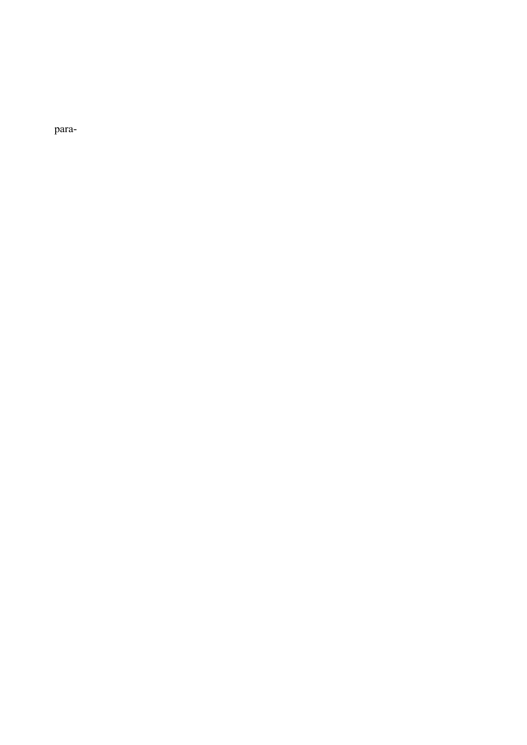para-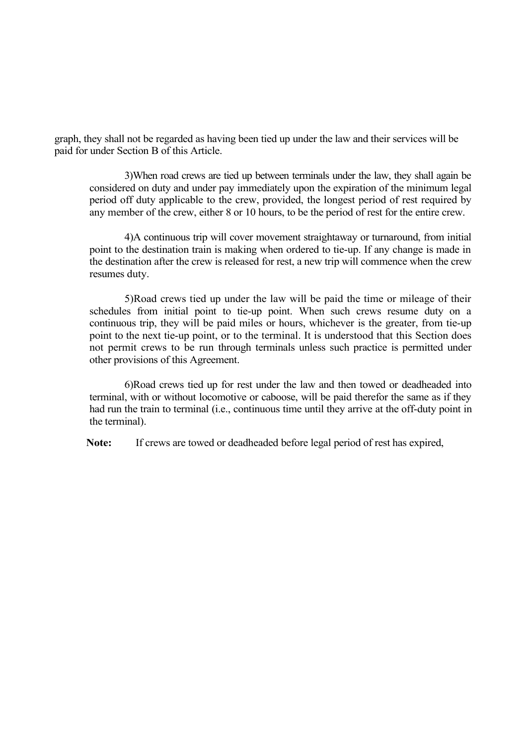graph, they shall not be regarded as having been tied up under the law and their services will be paid for under Section B of this Article.

3)When road crews are tied up between terminals under the law, they shall again be considered on duty and under pay immediately upon the expiration of the minimum legal period off duty applicable to the crew, provided, the longest period of rest required by any member of the crew, either 8 or 10 hours, to be the period of rest for the entire crew.

4)A continuous trip will cover movement straightaway or turnaround, from initial point to the destination train is making when ordered to tie-up. If any change is made in the destination after the crew is released for rest, a new trip will commence when the crew resumes duty.

5)Road crews tied up under the law will be paid the time or mileage of their schedules from initial point to tie-up point. When such crews resume duty on a continuous trip, they will be paid miles or hours, whichever is the greater, from tie-up point to the next tie-up point, or to the terminal. It is understood that this Section does not permit crews to be run through terminals unless such practice is permitted under other provisions of this Agreement.

6)Road crews tied up for rest under the law and then towed or deadheaded into terminal, with or without locomotive or caboose, will be paid therefor the same as if they had run the train to terminal (i.e., continuous time until they arrive at the off-duty point in the terminal).

**Note:** If crews are towed or deadheaded before legal period of rest has expired,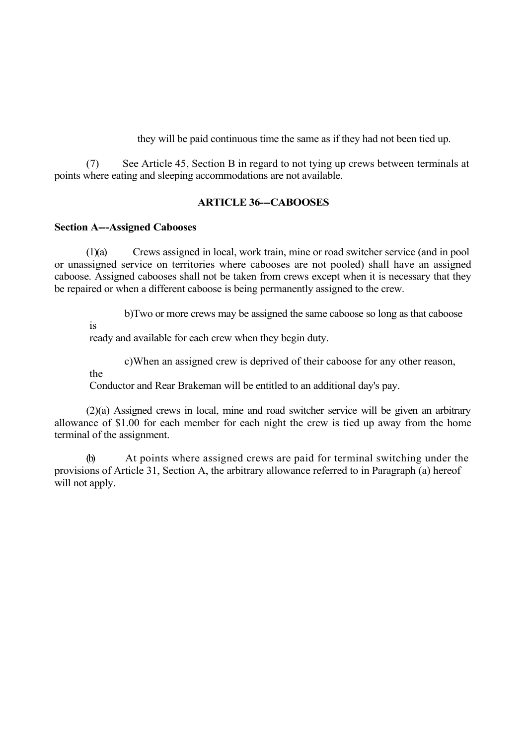they will be paid continuous time the same as if they had not been tied up.

(7) See Article 45, Section B in regard to not tying up crews between terminals at points where eating and sleeping accommodations are not available.

## **ARTICLE 36---CABOOSES**

#### **Section A---Assigned Cabooses**

(1)(a) Crews assigned in local, work train, mine or road switcher service (and in pool or unassigned service on territories where cabooses are not pooled) shall have an assigned caboose. Assigned cabooses shall not be taken from crews except when it is necessary that they be repaired or when a different caboose is being permanently assigned to the crew.

b)Two or more crews may be assigned the same caboose so long as that caboose

is

ready and available for each crew when they begin duty.

c)When an assigned crew is deprived of their caboose for any other reason,

the

Conductor and Rear Brakeman will be entitled to an additional day's pay.

(2)(a) Assigned crews in local, mine and road switcher service will be given an arbitrary allowance of \$1.00 for each member for each night the crew is tied up away from the home terminal of the assignment.

(b) At points where assigned crews are paid for terminal switching under the provisions of Article 31, Section A, the arbitrary allowance referred to in Paragraph (a) hereof will not apply.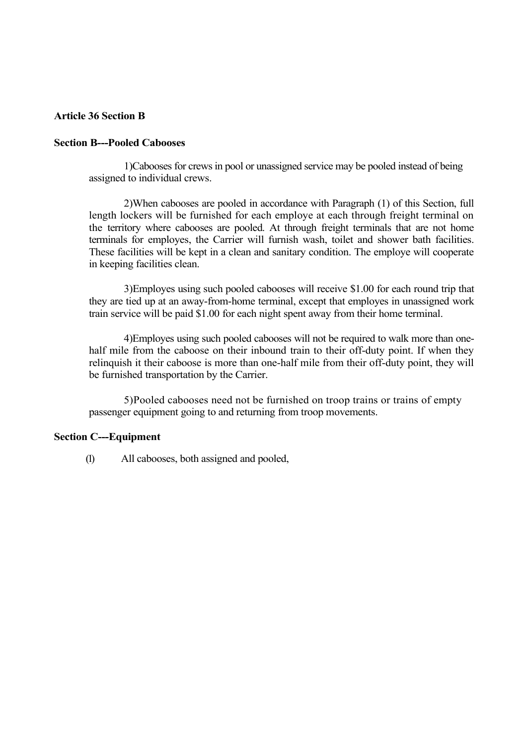## **Article 36 Section B**

#### **Section B---Pooled Cabooses**

1)Cabooses for crews in pool or unassigned service may be pooled instead of being assigned to individual crews.

2)When cabooses are pooled in accordance with Paragraph (1) of this Section, full length lockers will be furnished for each employe at each through freight terminal on the territory where cabooses are pooled. At through freight terminals that are not home terminals for employes, the Carrier will furnish wash, toilet and shower bath facilities. These facilities will be kept in a clean and sanitary condition. The employe will cooperate in keeping facilities clean.

3)Employes using such pooled cabooses will receive \$1.00 for each round trip that they are tied up at an away-from-home terminal, except that employes in unassigned work train service will be paid \$1.00 for each night spent away from their home terminal.

4)Employes using such pooled cabooses will not be required to walk more than onehalf mile from the caboose on their inbound train to their off-duty point. If when they relinquish it their caboose is more than one-half mile from their off-duty point, they will be furnished transportation by the Carrier.

5)Pooled cabooses need not be furnished on troop trains or trains of empty passenger equipment going to and returning from troop movements.

### **Section C---Equipment**

(1) All cabooses, both assigned and pooled,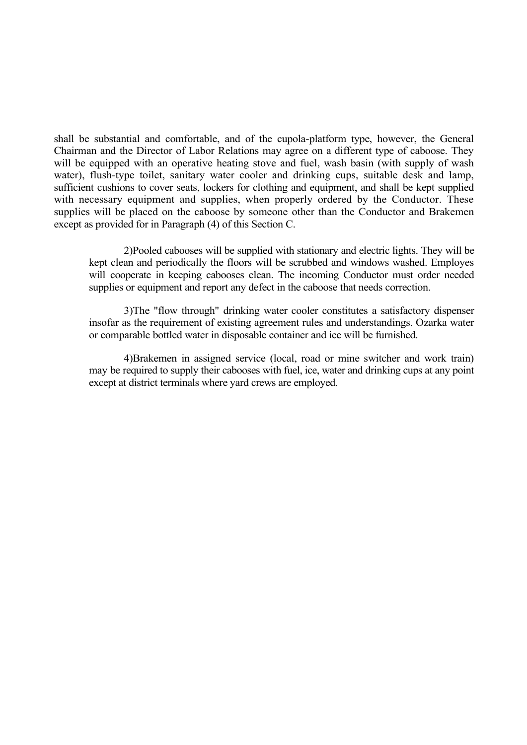shall be substantial and comfortable, and of the cupola-platform type, however, the General Chairman and the Director of Labor Relations may agree on a different type of caboose. They will be equipped with an operative heating stove and fuel, wash basin (with supply of wash water), flush-type toilet, sanitary water cooler and drinking cups, suitable desk and lamp, sufficient cushions to cover seats, lockers for clothing and equipment, and shall be kept supplied with necessary equipment and supplies, when properly ordered by the Conductor. These supplies will be placed on the caboose by someone other than the Conductor and Brakemen except as provided for in Paragraph (4) of this Section C.

2)Pooled cabooses will be supplied with stationary and electric lights. They will be kept clean and periodically the floors will be scrubbed and windows washed. Employes will cooperate in keeping cabooses clean. The incoming Conductor must order needed supplies or equipment and report any defect in the caboose that needs correction.

3)The "flow through" drinking water cooler constitutes a satisfactory dispenser insofar as the requirement of existing agreement rules and understandings. Ozarka water or comparable bottled water in disposable container and ice will be furnished.

4)Brakemen in assigned service (local, road or mine switcher and work train) may be required to supply their cabooses with fuel, ice, water and drinking cups at any point except at district terminals where yard crews are employed.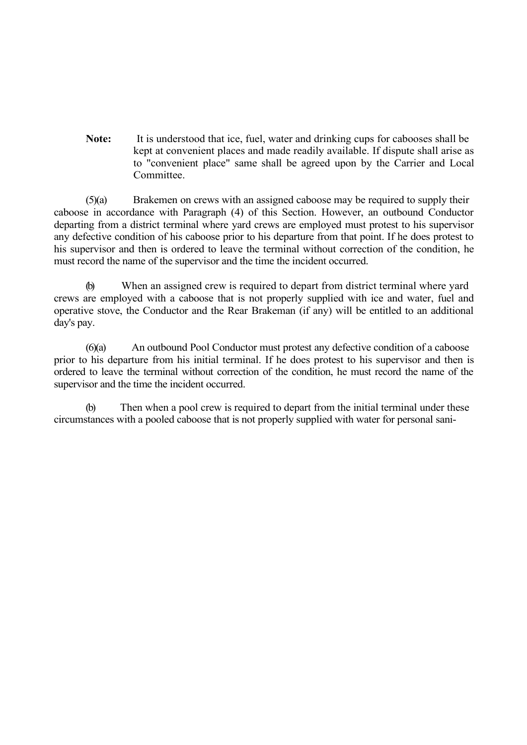**Note:** It is understood that ice, fuel, water and drinking cups for cabooses shall be kept at convenient places and made readily available. If dispute shall arise as to "convenient place" same shall be agreed upon by the Carrier and Local Committee.

(5)(a) Brakemen on crews with an assigned caboose may be required to supply their caboose in accordance with Paragraph (4) of this Section. However, an outbound Conductor departing from a district terminal where yard crews are employed must protest to his supervisor any defective condition of his caboose prior to his departure from that point. If he does protest to his supervisor and then is ordered to leave the terminal without correction of the condition, he must record the name of the supervisor and the time the incident occurred.

(b) When an assigned crew is required to depart from district terminal where yard crews are employed with a caboose that is not properly supplied with ice and water, fuel and operative stove, the Conductor and the Rear Brakeman (if any) will be entitled to an additional day's pay.

(6)(a) An outbound Pool Conductor must protest any defective condition of a caboose prior to his departure from his initial terminal. If he does protest to his supervisor and then is ordered to leave the terminal without correction of the condition, he must record the name of the supervisor and the time the incident occurred.

(b) Then when a pool crew is required to depart from the initial terminal under these circumstances with a pooled caboose that is not properly supplied with water for personal sani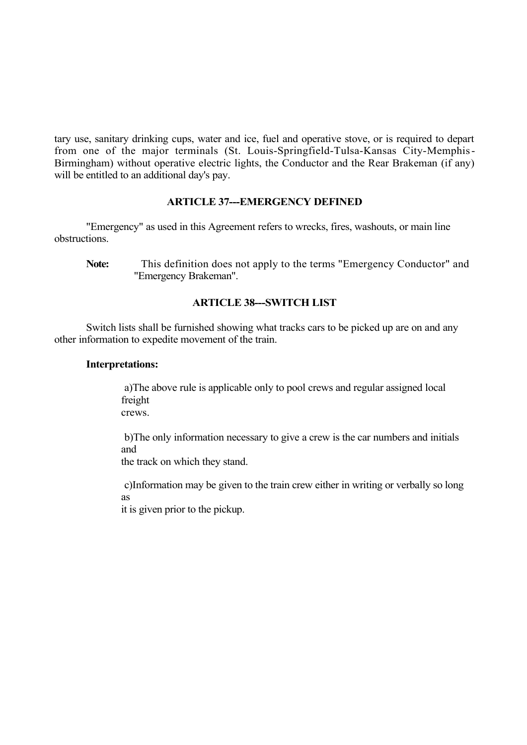tary use, sanitary drinking cups, water and ice, fuel and operative stove, or is required to depart from one of the major terminals (St. Louis-Springfield-Tulsa-Kansas City-Memphis-Birmingham) without operative electric lights, the Conductor and the Rear Brakeman (if any) will be entitled to an additional day's pay.

## **ARTICLE 37---EMERGENCY DEFINED**

"Emergency" as used in this Agreement refers to wrecks, fires, washouts, or main line obstructions.

## **ARTICLE 38---SWITCH LIST**

Switch lists shall be furnished showing what tracks cars to be picked up are on and any other information to expedite movement of the train.

#### **Interpretations:**

a)The above rule is applicable only to pool crews and regular assigned local freight crews.

b)The only information necessary to give a crew is the car numbers and initials and

the track on which they stand.

c)Information may be given to the train crew either in writing or verbally so long as

it is given prior to the pickup.

**Note:** This definition does not apply to the terms "Emergency Conductor" and "Emergency Brakeman".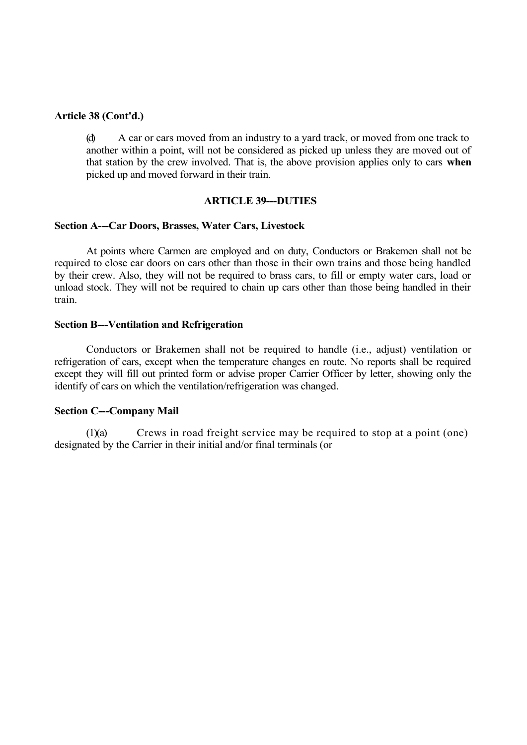#### **Article 38 (Cont'd.)**

(d) A car or cars moved from an industry to a yard track, or moved from one track to another within a point, will not be considered as picked up unless they are moved out of that station by the crew involved. That is, the above provision applies only to cars **when** picked up and moved forward in their train.

#### **ARTICLE 39---DUTIES**

#### **Section A---Car Doors, Brasses, Water Cars, Livestock**

At points where Carmen are employed and on duty, Conductors or Brakemen shall not be required to close car doors on cars other than those in their own trains and those being handled by their crew. Also, they will not be required to brass cars, to fill or empty water cars, load or unload stock. They will not be required to chain up cars other than those being handled in their train.

#### **Section B---Ventilation and Refrigeration**

Conductors or Brakemen shall not be required to handle (i.e., adjust) ventilation or refrigeration of cars, except when the temperature changes en route. No reports shall be required except they will fill out printed form or advise proper Carrier Officer by letter, showing only the identify of cars on which the ventilation/refrigeration was changed.

#### **Section C---Company Mail**

(1)(a) Crews in road freight service may be required to stop at a point (one) designated by the Carrier in their initial and/or final terminals (or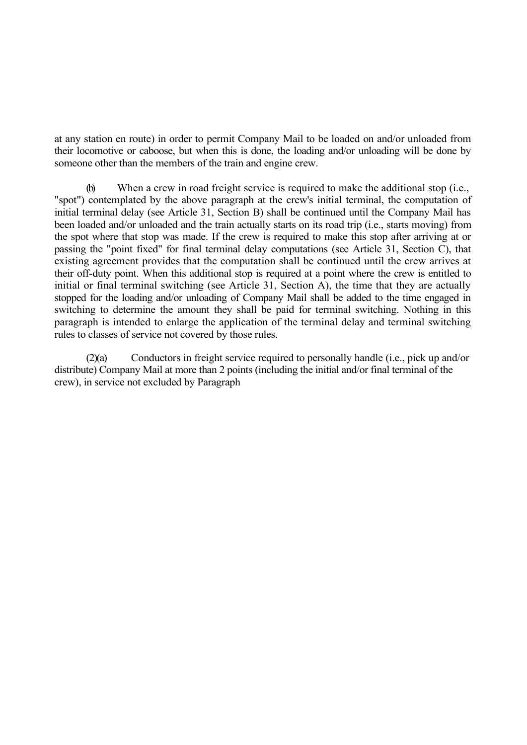at any station en route) in order to permit Company Mail to be loaded on and/or unloaded from their locomotive or caboose, but when this is done, the loading and/or unloading will be done by someone other than the members of the train and engine crew.

(b) When a crew in road freight service is required to make the additional stop (i.e., "spot") contemplated by the above paragraph at the crew's initial terminal, the computation of initial terminal delay (see Article 31, Section B) shall be continued until the Company Mail has been loaded and/or unloaded and the train actually starts on its road trip (i.e., starts moving) from the spot where that stop was made. If the crew is required to make this stop after arriving at or passing the "point fixed" for final terminal delay computations (see Article 31, Section C), that existing agreement provides that the computation shall be continued until the crew arrives at their off-duty point. When this additional stop is required at a point where the crew is entitled to initial or final terminal switching (see Article 31, Section A), the time that they are actually stopped for the loading and/or unloading of Company Mail shall be added to the time engaged in switching to determine the amount they shall be paid for terminal switching. Nothing in this paragraph is intended to enlarge the application of the terminal delay and terminal switching rules to classes of service not covered by those rules.

(2)(a) Conductors in freight service required to personally handle (i.e., pick up and/or distribute) Company Mail at more than 2 points (including the initial and/or final terminal of the crew), in service not excluded by Paragraph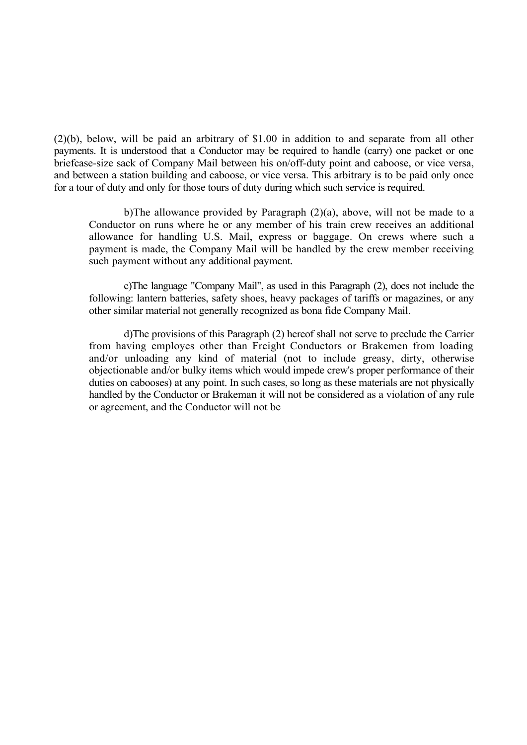(2)(b), below, will be paid an arbitrary of \$1.00 in addition to and separate from all other payments. It is understood that a Conductor may be required to handle (carry) one packet or one briefcase-size sack of Company Mail between his on/off-duty point and caboose, or vice versa, and between a station building and caboose, or vice versa. This arbitrary is to be paid only once for a tour of duty and only for those tours of duty during which such service is required.

b)The allowance provided by Paragraph (2)(a), above, will not be made to a Conductor on runs where he or any member of his train crew receives an additional allowance for handling U.S. Mail, express or baggage. On crews where such a payment is made, the Company Mail will be handled by the crew member receiving such payment without any additional payment.

c)The language "Company Mail", as used in this Paragraph (2), does not include the following: lantern batteries, safety shoes, heavy packages of tariffs or magazines, or any other similar material not generally recognized as bona fide Company Mail.

d)The provisions of this Paragraph (2) hereof shall not serve to preclude the Carrier from having employes other than Freight Conductors or Brakemen from loading and/or unloading any kind of material (not to include greasy, dirty, otherwise objectionable and/or bulky items which would impede crew's proper performance of their duties on cabooses) at any point. In such cases, so long as these materials are not physically handled by the Conductor or Brakeman it will not be considered as a violation of any rule or agreement, and the Conductor will not be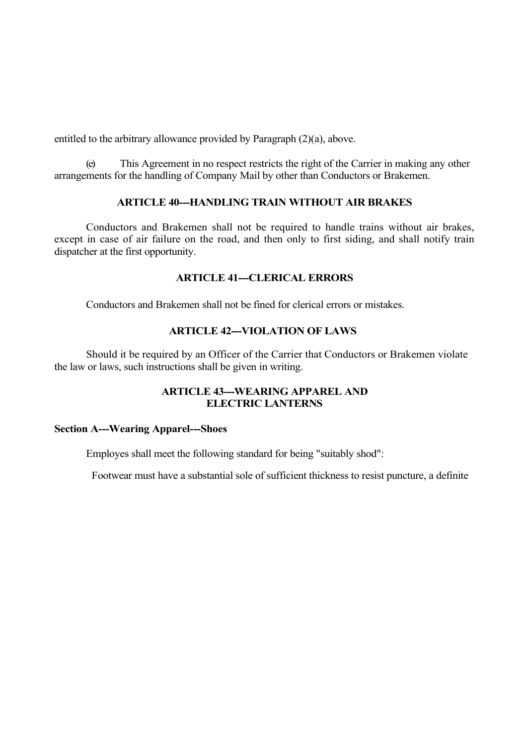entitled to the arbitrary allowance provided by Paragraph (2)(a), above.

(e) This Agreement in no respect restricts the right of the Carrier in making any other arrangements for the handling of Company Mail by other than Conductors or Brakemen.

# **ARTICLE 40---HANDLING TRAIN WITHOUT AIR BRAKES**

Conductors and Brakemen shall not be required to handle trains without air brakes, except in case of air failure on the road, and then only to first siding, and shall notify train dispatcher at the first opportunity.

## **ARTICLE 41---CLERICAL ERRORS**

Conductors and Brakemen shall not be fined for clerical errors or mistakes.

# **ARTICLE 42---VIOLATION OF LAWS**

Should it be required by an Officer of the Carrier that Conductors or Brakemen violate the law or laws, such instructions shall be given in writing.

## **ARTICLE 43---WEARING APPAREL AND ELECTRIC LANTERNS**

## **Section A---Wearing Apparel---Shoes**

Employes shall meet the following standard for being "suitably shod":

Footwear must have a substantial sole of sufficient thickness to resist puncture, a definite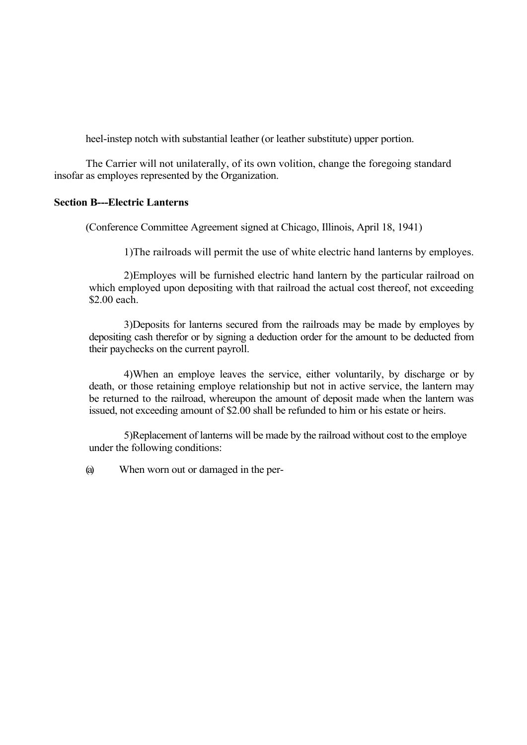heel-instep notch with substantial leather (or leather substitute) upper portion.

The Carrier will not unilaterally, of its own volition, change the foregoing standard insofar as employes represented by the Organization.

## **Section B---Electric Lanterns**

(Conference Committee Agreement signed at Chicago, Illinois, April 18, 1941)

1)The railroads will permit the use of white electric hand lanterns by employes.

2)Employes will be furnished electric hand lantern by the particular railroad on which employed upon depositing with that railroad the actual cost thereof, not exceeding \$2.00 each.

3)Deposits for lanterns secured from the railroads may be made by employes by depositing cash therefor or by signing a deduction order for the amount to be deducted from their paychecks on the current payroll.

4)When an employe leaves the service, either voluntarily, by discharge or by death, or those retaining employe relationship but not in active service, the lantern may be returned to the railroad, whereupon the amount of deposit made when the lantern was issued, not exceeding amount of \$2.00 shall be refunded to him or his estate or heirs.

5)Replacement of lanterns will be made by the railroad without cost to the employe under the following conditions:

(a) When worn out or damaged in the per-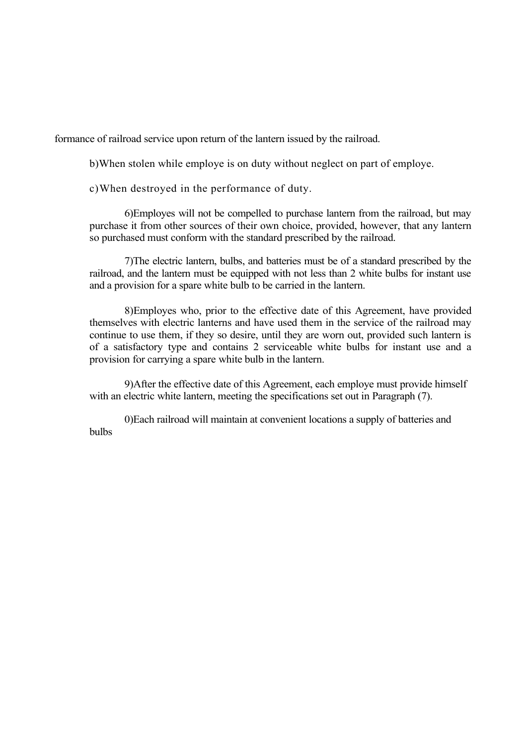formance of railroad service upon return of the lantern issued by the railroad.

b)When stolen while employe is on duty without neglect on part of employe.

c)When destroyed in the performance of duty.

6)Employes will not be compelled to purchase lantern from the railroad, but may purchase it from other sources of their own choice, provided, however, that any lantern so purchased must conform with the standard prescribed by the railroad.

7)The electric lantern, bulbs, and batteries must be of a standard prescribed by the railroad, and the lantern must be equipped with not less than 2 white bulbs for instant use and a provision for a spare white bulb to be carried in the lantern.

8)Employes who, prior to the effective date of this Agreement, have provided themselves with electric lanterns and have used them in the service of the railroad may continue to use them, if they so desire, until they are worn out, provided such lantern is of a satisfactory type and contains 2 serviceable white bulbs for instant use and a provision for carrying a spare white bulb in the lantern.

9)After the effective date of this Agreement, each employe must provide himself with an electric white lantern, meeting the specifications set out in Paragraph (7).

0)Each railroad will maintain at convenient locations a supply of batteries and bulbs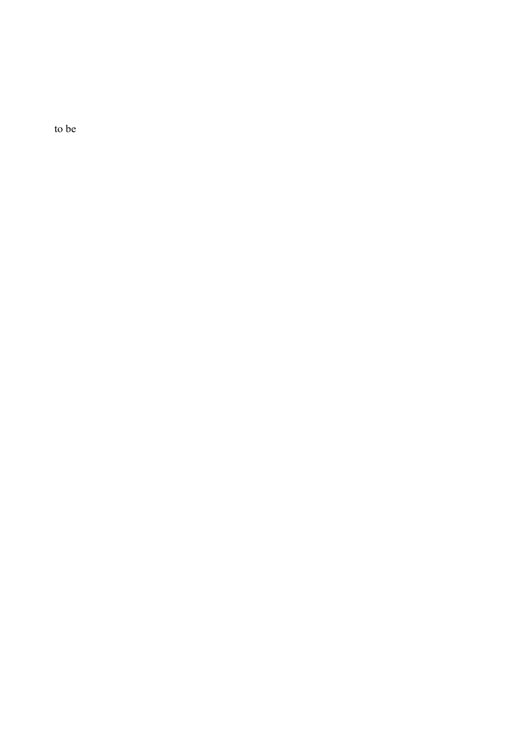to be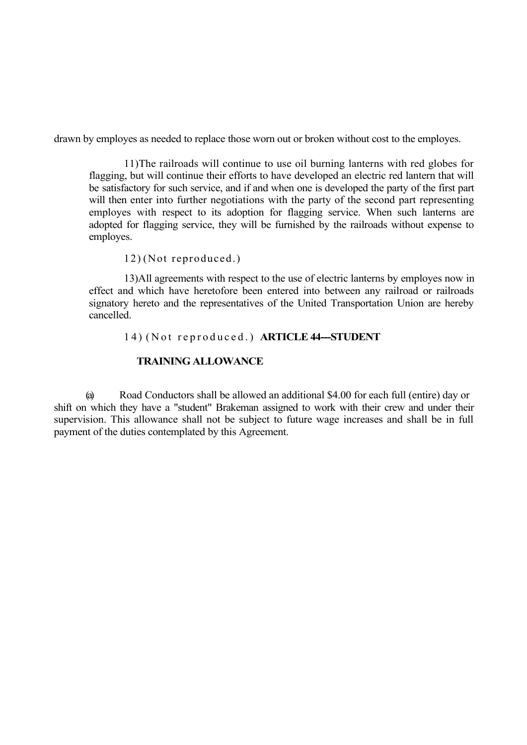drawn by employes as needed to replace those worn out or broken without cost to the employes.

11)The railroads will continue to use oil burning lanterns with red globes for flagging, but will continue their efforts to have developed an electric red lantern that will be satisfactory for such service, and if and when one is developed the party of the first part will then enter into further negotiations with the party of the second part representing employes with respect to its adoption for flagging service. When such lanterns are adopted for flagging service, they will be furnished by the railroads without expense to employes.

12) (Not reproduced.)

13)All agreements with respect to the use of electric lanterns by employes now in effect and which have heretofore been entered into between any railroad or railroads signatory hereto and the representatives of the United Transportation Union are hereby cancelled.

#### 1 4 ) ( N o t r e p r o d u c e d . ) **ARTICLE 44---STUDENT**

## **TRAINING ALLOWANCE**

(a) Road Conductors shall be allowed an additional \$4.00 for each full (entire) day or shift on which they have a "student" Brakeman assigned to work with their crew and under their supervision. This allowance shall not be subject to future wage increases and shall be in full payment of the duties contemplated by this Agreement.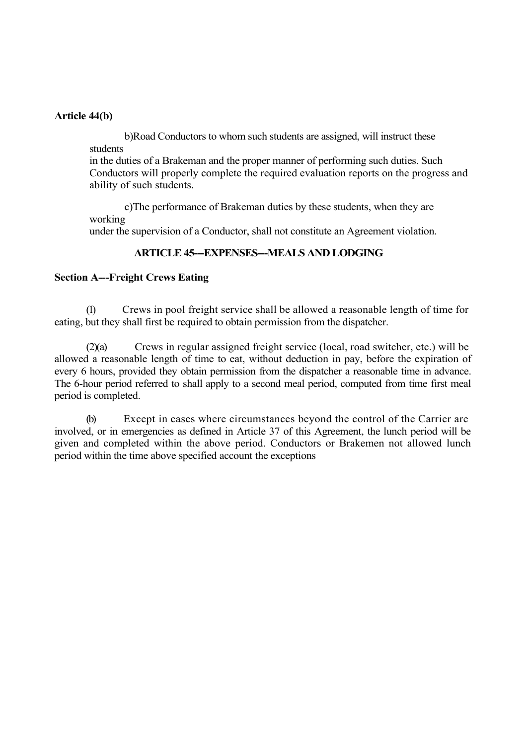### **Article 44(b)**

b)Road Conductors to whom such students are assigned, will instruct these students

in the duties of a Brakeman and the proper manner of performing such duties. Such Conductors will properly complete the required evaluation reports on the progress and ability of such students.

c)The performance of Brakeman duties by these students, when they are working under the supervision of a Conductor, shall not constitute an Agreement violation.

## **ARTICLE 45--EXPENSES--MEALS AND LODGING**

### **Section A---Freight Crews Eating**

(1) Crews in pool freight service shall be allowed a reasonable length of time for eating, but they shall first be required to obtain permission from the dispatcher.

(2)(a) Crews in regular assigned freight service (local, road switcher, etc.) will be allowed a reasonable length of time to eat, without deduction in pay, before the expiration of every 6 hours, provided they obtain permission from the dispatcher a reasonable time in advance. The 6-hour period referred to shall apply to a second meal period, computed from time first meal period is completed.

(b) Except in cases where circumstances beyond the control of the Carrier are involved, or in emergencies as defined in Article 37 of this Agreement, the lunch period will be given and completed within the above period. Conductors or Brakemen not allowed lunch period within the time above specified account the exceptions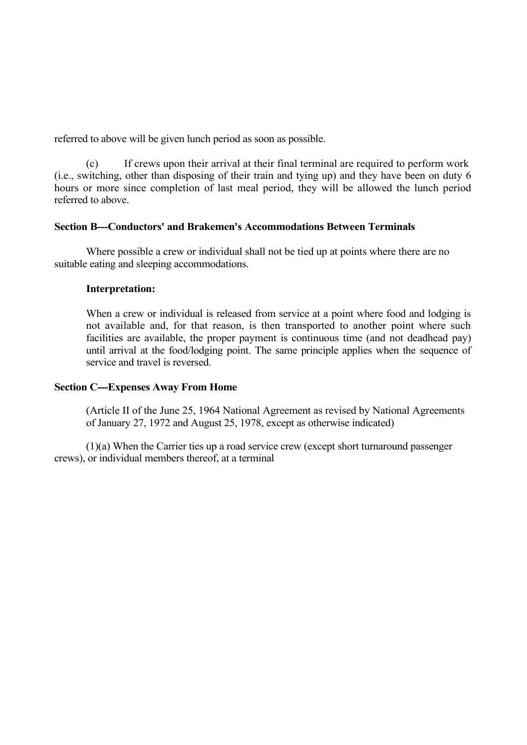referred to above will be given lunch period as soon as possible.

(c) If crews upon their arrival at their final terminal are required to perform work (i.e., switching, other than disposing of their train and tying up) and they have been on duty 6 hours or more since completion of last meal period, they will be allowed the lunch period referred to above.

## **Section B---Conductors' and Brakemen's Accommodations Between Terminals**

Where possible a crew or individual shall not be tied up at points where there are no suitable eating and sleeping accommodations.

## **Interpretation:**

When a crew or individual is released from service at a point where food and lodging is not available and, for that reason, is then transported to another point where such facilities are available, the proper payment is continuous time (and not deadhead pay) until arrival at the food/lodging point. The same principle applies when the sequence of service and travel is reversed.

# **Section C---Expenses Away From Home**

(Article II of the June 25, 1964 National Agreement as revised by National Agreements of January 27, 1972 and August 25, 1978, except as otherwise indicated)

(1)(a) When the Carrier ties up a road service crew (except short turnaround passenger crews), or individual members thereof, at a terminal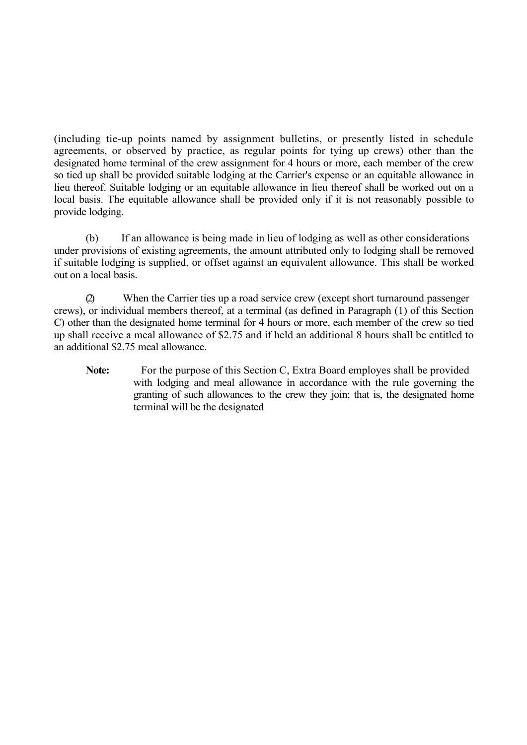(including tie-up points named by assignment bulletins, or presently listed in schedule agreements, or observed by practice, as regular points for tying up crews) other than the designated home terminal of the crew assignment for 4 hours or more, each member of the crew so tied up shall be provided suitable lodging at the Carrier's expense or an equitable allowance in lieu thereof. Suitable lodging or an equitable allowance in lieu thereof shall be worked out on a local basis. The equitable allowance shall be provided only if it is not reasonably possible to provide lodging.

(b) If an allowance is being made in lieu of lodging as well as other considerations under provisions of existing agreements, the amount attributed only to lodging shall be removed if suitable lodging is supplied, or offset against an equivalent allowance. This shall be worked out on a local basis.

(2) When the Carrier ties up a road service crew (except short turnaround passenger crews), or individual members thereof, at a terminal (as defined in Paragraph (1) of this Section C) other than the designated home terminal for 4 hours or more, each member of the crew so tied up shall receive a meal allowance of \$2.75 and if held an additional 8 hours shall be entitled to an additional \$2.75 meal allowance.

Note: For the purpose of this Section C, Extra Board employes shall be provided with lodging and meal allowance in accordance with the rule governing the granting of such allowances to the crew they join; that is, the designated home terminal will be the designated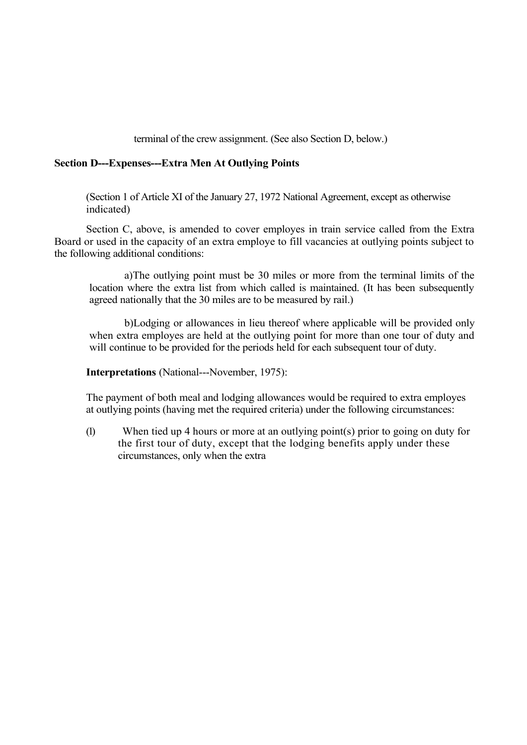terminal of the crew assignment. (See also Section D, below.)

## **Section D---Expenses---Extra Men At Outlying Points**

(Section 1 of Article XI of the January 27, 1972 National Agreement, except as otherwise indicated)

Section C, above, is amended to cover employes in train service called from the Extra Board or used in the capacity of an extra employe to fill vacancies at outlying points subject to the following additional conditions:

a)The outlying point must be 30 miles or more from the terminal limits of the location where the extra list from which called is maintained. (It has been subsequently agreed nationally that the 30 miles are to be measured by rail.)

b)Lodging or allowances in lieu thereof where applicable will be provided only when extra employes are held at the outlying point for more than one tour of duty and will continue to be provided for the periods held for each subsequent tour of duty.

**Interpretations** (National---November, 1975):

The payment of both meal and lodging allowances would be required to extra employes at outlying points (having met the required criteria) under the following circumstances:

(1) When tied up 4 hours or more at an outlying point(s) prior to going on duty for the first tour of duty, except that the lodging benefits apply under these circumstances, only when the extra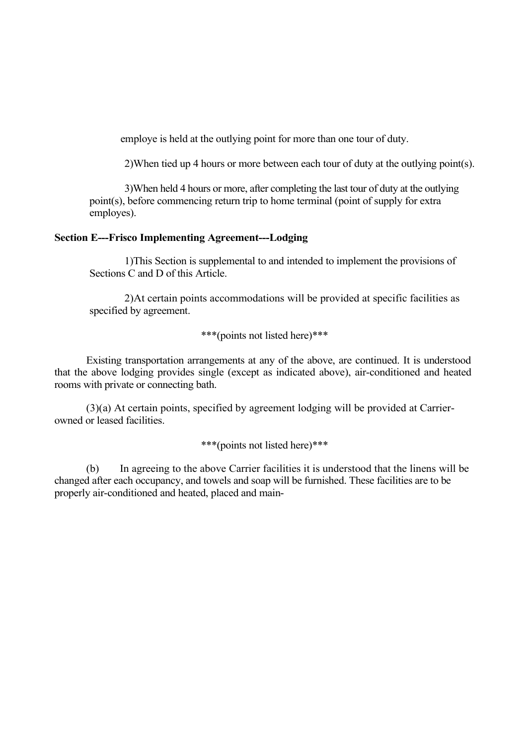employe is held at the outlying point for more than one tour of duty.

2)When tied up 4 hours or more between each tour of duty at the outlying point(s).

3)When held 4 hours or more, after completing the last tour of duty at the outlying point(s), before commencing return trip to home terminal (point of supply for extra employes).

#### **Section E---Frisco Implementing Agreement---Lodging**

1)This Section is supplemental to and intended to implement the provisions of Sections C and D of this Article.

2)At certain points accommodations will be provided at specific facilities as specified by agreement.

\*\*\*(points not listed here)\*\*\*

Existing transportation arrangements at any of the above, are continued. It is understood that the above lodging provides single (except as indicated above), air-conditioned and heated rooms with private or connecting bath.

(3)(a) At certain points, specified by agreement lodging will be provided at Carrierowned or leased facilities.

\*\*\*(points not listed here)\*\*\*

(b) In agreeing to the above Carrier facilities it is understood that the linens will be changed after each occupancy, and towels and soap will be furnished. These facilities are to be properly air-conditioned and heated, placed and main-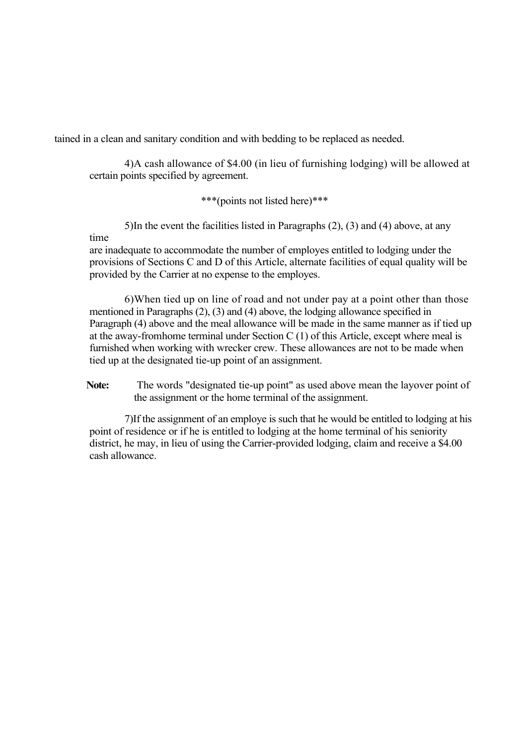tained in a clean and sanitary condition and with bedding to be replaced as needed.

4)A cash allowance of \$4.00 (in lieu of furnishing lodging) will be allowed at certain points specified by agreement.

\*\*\*(points not listed here)\*\*\*

5)In the event the facilities listed in Paragraphs (2), (3) and (4) above, at any time

are inadequate to accommodate the number of employes entitled to lodging under the provisions of Sections C and D of this Article, alternate facilities of equal quality will be provided by the Carrier at no expense to the employes.

6)When tied up on line of road and not under pay at a point other than those mentioned in Paragraphs (2), (3) and (4) above, the lodging allowance specified in Paragraph (4) above and the meal allowance will be made in the same manner as if tied up at the away-fromhome terminal under Section C (1) of this Article, except where meal is furnished when working with wrecker crew. These allowances are not to be made when tied up at the designated tie-up point of an assignment.

**Note:** The words "designated tie-up point" as used above mean the layover point of the assignment or the home terminal of the assignment.

7)If the assignment of an employe is such that he would be entitled to lodging at his point of residence or if he is entitled to lodging at the home terminal of his seniority district, he may, in lieu of using the Carrier-provided lodging, claim and receive a \$4.00 cash allowance.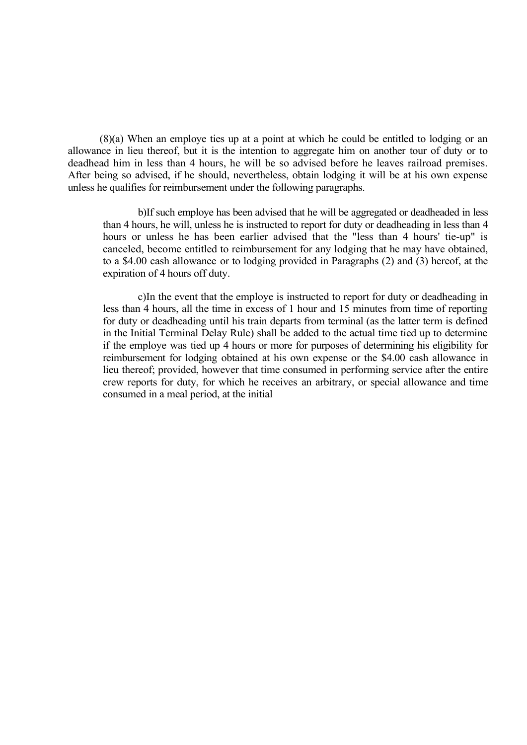(8)(a) When an employe ties up at a point at which he could be entitled to lodging or an allowance in lieu thereof, but it is the intention to aggregate him on another tour of duty or to deadhead him in less than 4 hours, he will be so advised before he leaves railroad premises. After being so advised, if he should, nevertheless, obtain lodging it will be at his own expense unless he qualifies for reimbursement under the following paragraphs.

b)If such employe has been advised that he will be aggregated or deadheaded in less than 4 hours, he will, unless he is instructed to report for duty or deadheading in less than 4 hours or unless he has been earlier advised that the "less than 4 hours' tie-up" is canceled, become entitled to reimbursement for any lodging that he may have obtained, to a \$4.00 cash allowance or to lodging provided in Paragraphs (2) and (3) hereof, at the expiration of 4 hours off duty.

c)In the event that the employe is instructed to report for duty or deadheading in less than 4 hours, all the time in excess of 1 hour and 15 minutes from time of reporting for duty or deadheading until his train departs from terminal (as the latter term is defined in the Initial Terminal Delay Rule) shall be added to the actual time tied up to determine if the employe was tied up 4 hours or more for purposes of determining his eligibility for reimbursement for lodging obtained at his own expense or the \$4.00 cash allowance in lieu thereof; provided, however that time consumed in performing service after the entire crew reports for duty, for which he receives an arbitrary, or special allowance and time consumed in a meal period, at the initial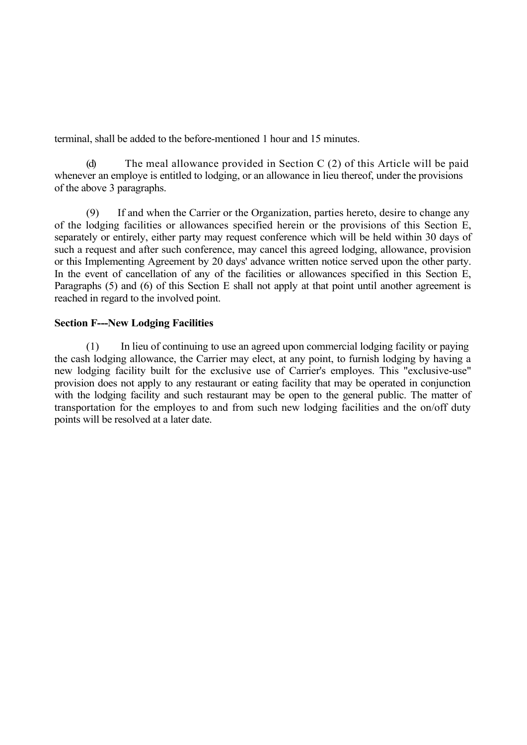terminal, shall be added to the before-mentioned 1 hour and 15 minutes.

(d) The meal allowance provided in Section C (2) of this Article will be paid whenever an employe is entitled to lodging, or an allowance in lieu thereof, under the provisions of the above 3 paragraphs.

(9) If and when the Carrier or the Organization, parties hereto, desire to change any of the lodging facilities or allowances specified herein or the provisions of this Section E, separately or entirely, either party may request conference which will be held within 30 days of such a request and after such conference, may cancel this agreed lodging, allowance, provision or this Implementing Agreement by 20 days' advance written notice served upon the other party. In the event of cancellation of any of the facilities or allowances specified in this Section E, Paragraphs (5) and (6) of this Section E shall not apply at that point until another agreement is reached in regard to the involved point.

# **Section F---New Lodging Facilities**

(1) In lieu of continuing to use an agreed upon commercial lodging facility or paying the cash lodging allowance, the Carrier may elect, at any point, to furnish lodging by having a new lodging facility built for the exclusive use of Carrier's employes. This "exclusive-use" provision does not apply to any restaurant or eating facility that may be operated in conjunction with the lodging facility and such restaurant may be open to the general public. The matter of transportation for the employes to and from such new lodging facilities and the on/off duty points will be resolved at a later date.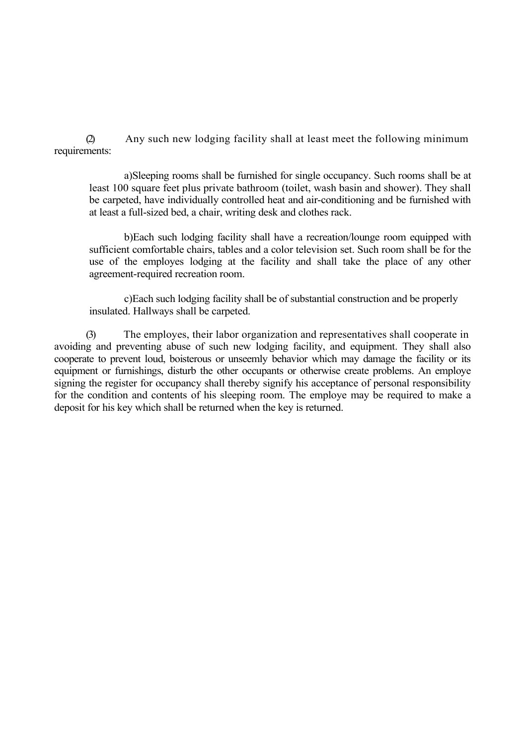(2) Any such new lodging facility shall at least meet the following minimum requirements:

a)Sleeping rooms shall be furnished for single occupancy. Such rooms shall be at least 100 square feet plus private bathroom (toilet, wash basin and shower). They shall be carpeted, have individually controlled heat and air-conditioning and be furnished with at least a full-sized bed, a chair, writing desk and clothes rack.

b)Each such lodging facility shall have a recreation/lounge room equipped with sufficient comfortable chairs, tables and a color television set. Such room shall be for the use of the employes lodging at the facility and shall take the place of any other agreement-required recreation room.

c)Each such lodging facility shall be of substantial construction and be properly insulated. Hallways shall be carpeted.

(3) The employes, their labor organization and representatives shall cooperate in avoiding and preventing abuse of such new lodging facility, and equipment. They shall also cooperate to prevent loud, boisterous or unseemly behavior which may damage the facility or its equipment or furnishings, disturb the other occupants or otherwise create problems. An employe signing the register for occupancy shall thereby signify his acceptance of personal responsibility for the condition and contents of his sleeping room. The employe may be required to make a deposit for his key which shall be returned when the key is returned.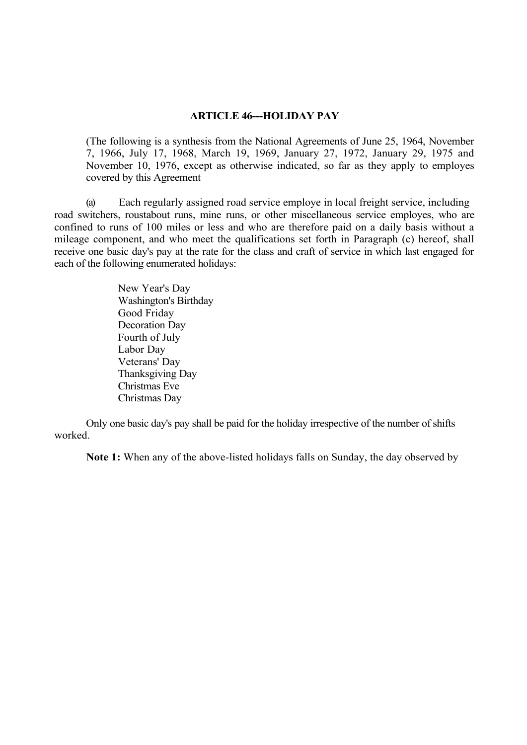# **ARTICLE 46---HOLIDAY PAY**

(The following is a synthesis from the National Agreements of June 25, 1964, November 7, 1966, July 17, 1968, March 19, 1969, January 27, 1972, January 29, 1975 and November 10, 1976, except as otherwise indicated, so far as they apply to employes covered by this Agreement

(a) Each regularly assigned road service employe in local freight service, including road switchers, roustabout runs, mine runs, or other miscellaneous service employes, who are confined to runs of 100 miles or less and who are therefore paid on a daily basis without a mileage component, and who meet the qualifications set forth in Paragraph (c) hereof, shall receive one basic day's pay at the rate for the class and craft of service in which last engaged for each of the following enumerated holidays:

> New Year's Day Washington's Birthday Good Friday Decoration Day Fourth of July Labor Day Veterans' Day Thanksgiving Day Christmas Eve Christmas Day

Only one basic day's pay shall be paid for the holiday irrespective of the number of shifts worked.

**Note 1:** When any of the above-listed holidays falls on Sunday, the day observed by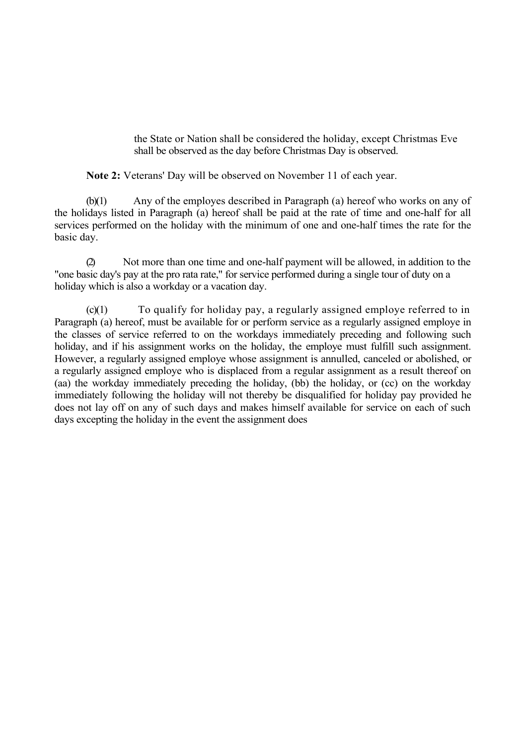the State or Nation shall be considered the holiday, except Christmas Eve shall be observed as the day before Christmas Day is observed.

**Note 2:** Veterans' Day will be observed on November 11 of each year.

(b)(1) Any of the employes described in Paragraph (a) hereof who works on any of the holidays listed in Paragraph (a) hereof shall be paid at the rate of time and one-half for all services performed on the holiday with the minimum of one and one-half times the rate for the basic day.

Not more than one time and one-half payment will be allowed, in addition to the "one basic day's pay at the pro rata rate," for service performed during a single tour of duty on a holiday which is also a workday or a vacation day.

 $(c)(1)$  To qualify for holiday pay, a regularly assigned employe referred to in Paragraph (a) hereof, must be available for or perform service as a regularly assigned employe in the classes of service referred to on the workdays immediately preceding and following such holiday, and if his assignment works on the holiday, the employe must fulfill such assignment. However, a regularly assigned employe whose assignment is annulled, canceled or abolished, or a regularly assigned employe who is displaced from a regular assignment as a result thereof on (aa) the workday immediately preceding the holiday, (bb) the holiday, or (cc) on the workday immediately following the holiday will not thereby be disqualified for holiday pay provided he does not lay off on any of such days and makes himself available for service on each of such days excepting the holiday in the event the assignment does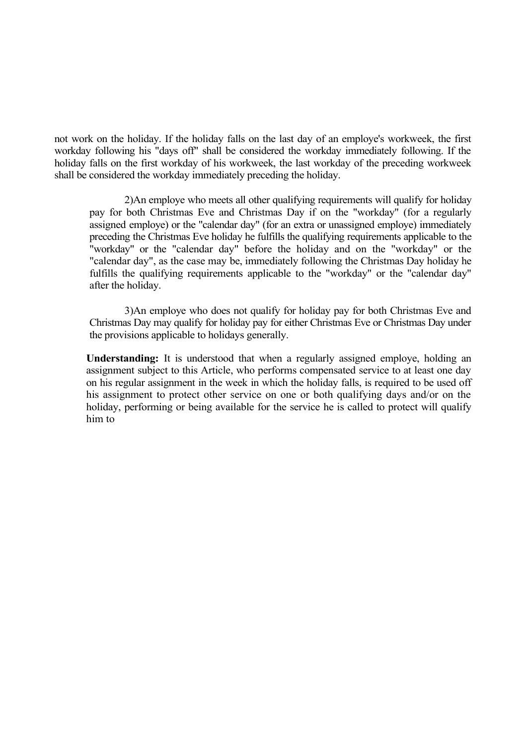not work on the holiday. If the holiday falls on the last day of an employe's workweek, the first workday following his "days off" shall be considered the workday immediately following. If the holiday falls on the first workday of his workweek, the last workday of the preceding workweek shall be considered the workday immediately preceding the holiday.

2)An employe who meets all other qualifying requirements will qualify for holiday pay for both Christmas Eve and Christmas Day if on the "workday" (for a regularly assigned employe) or the "calendar day" (for an extra or unassigned employe) immediately preceding the Christmas Eve holiday he fulfills the qualifying requirements applicable to the "workday" or the "calendar day" before the holiday and on the "workday" or the "calendar day", as the case may be, immediately following the Christmas Day holiday he fulfills the qualifying requirements applicable to the "workday" or the "calendar day" after the holiday.

3)An employe who does not qualify for holiday pay for both Christmas Eve and Christmas Day may qualify for holiday pay for either Christmas Eve or Christmas Day under the provisions applicable to holidays generally.

**Understanding:** It is understood that when a regularly assigned employe, holding an assignment subject to this Article, who performs compensated service to at least one day on his regular assignment in the week in which the holiday falls, is required to be used off his assignment to protect other service on one or both qualifying days and/or on the holiday, performing or being available for the service he is called to protect will qualify him to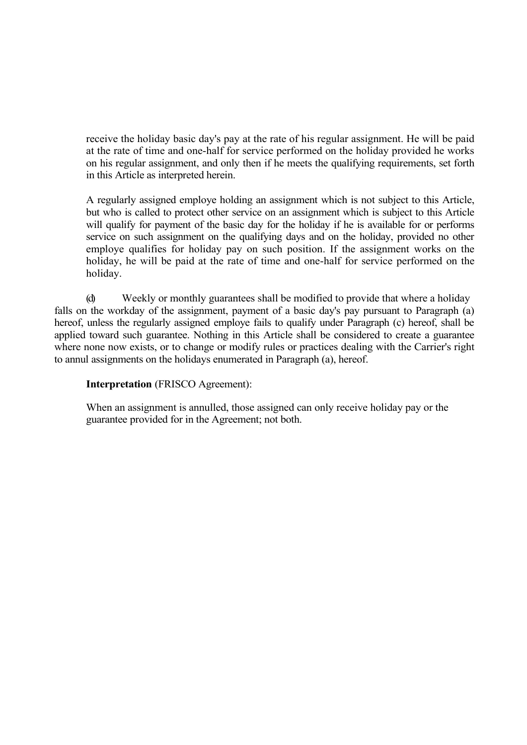receive the holiday basic day's pay at the rate of his regular assignment. He will be paid at the rate of time and one-half for service performed on the holiday provided he works on his regular assignment, and only then if he meets the qualifying requirements, set forth in this Article as interpreted herein.

A regularly assigned employe holding an assignment which is not subject to this Article, but who is called to protect other service on an assignment which is subject to this Article will qualify for payment of the basic day for the holiday if he is available for or performs service on such assignment on the qualifying days and on the holiday, provided no other employe qualifies for holiday pay on such position. If the assignment works on the holiday, he will be paid at the rate of time and one-half for service performed on the holiday.

(d) Weekly or monthly guarantees shall be modified to provide that where a holiday falls on the workday of the assignment, payment of a basic day's pay pursuant to Paragraph (a) hereof, unless the regularly assigned employe fails to qualify under Paragraph (c) hereof, shall be applied toward such guarantee. Nothing in this Article shall be considered to create a guarantee where none now exists, or to change or modify rules or practices dealing with the Carrier's right to annul assignments on the holidays enumerated in Paragraph (a), hereof.

# **Interpretation** (FRISCO Agreement):

When an assignment is annulled, those assigned can only receive holiday pay or the guarantee provided for in the Agreement; not both.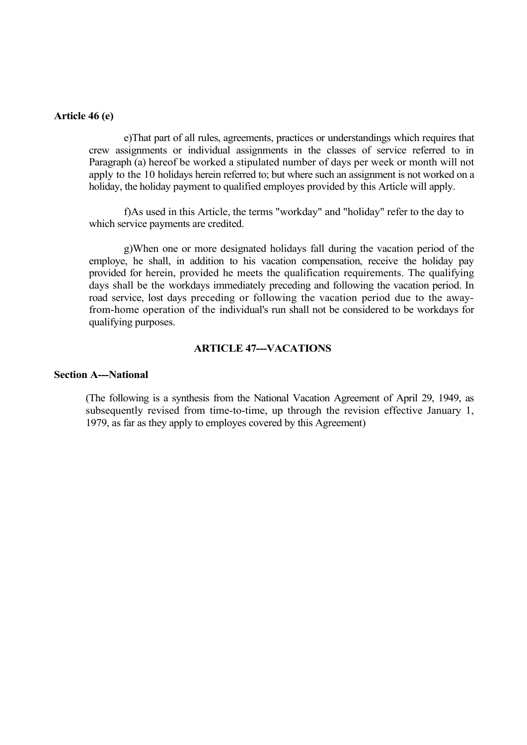#### **Article 46 (e)**

e)That part of all rules, agreements, practices or understandings which requires that crew assignments or individual assignments in the classes of service referred to in Paragraph (a) hereof be worked a stipulated number of days per week or month will not apply to the 10 holidays herein referred to; but where such an assignment is not worked on a holiday, the holiday payment to qualified employes provided by this Article will apply.

f)As used in this Article, the terms "workday" and "holiday" refer to the day to which service payments are credited.

g)When one or more designated holidays fall during the vacation period of the employe, he shall, in addition to his vacation compensation, receive the holiday pay provided for herein, provided he meets the qualification requirements. The qualifying days shall be the workdays immediately preceding and following the vacation period. In road service, lost days preceding or following the vacation period due to the awayfrom-home operation of the individual's run shall not be considered to be workdays for qualifying purposes.

# **ARTICLE 47---VACATIONS**

#### **Section A---National**

(The following is a synthesis from the National Vacation Agreement of April 29, 1949, as subsequently revised from time-to-time, up through the revision effective January 1, 1979, as far as they apply to employes covered by this Agreement)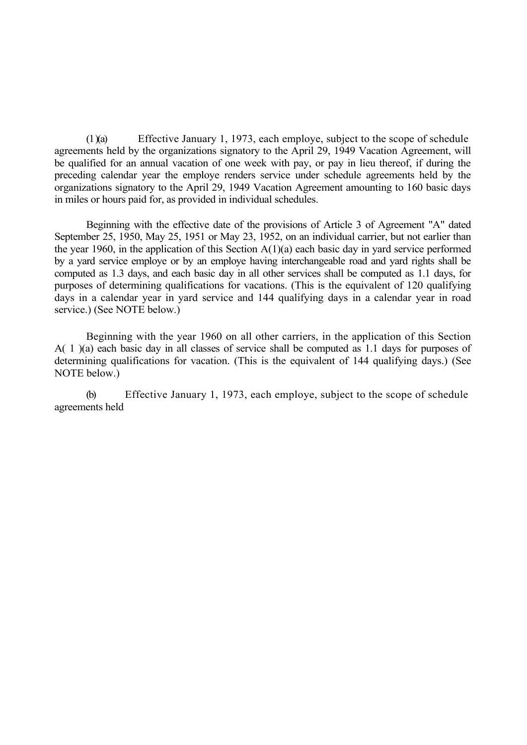(1 )(a) Effective January 1, 1973, each employe, subject to the scope of schedule agreements held by the organizations signatory to the April 29, 1949 Vacation Agreement, will be qualified for an annual vacation of one week with pay, or pay in lieu thereof, if during the preceding calendar year the employe renders service under schedule agreements held by the organizations signatory to the April 29, 1949 Vacation Agreement amounting to 160 basic days in miles or hours paid for, as provided in individual schedules.

Beginning with the effective date of the provisions of Article 3 of Agreement "A" dated September 25, 1950, May 25, 1951 or May 23, 1952, on an individual carrier, but not earlier than the year 1960, in the application of this Section  $A(1)(a)$  each basic day in yard service performed by a yard service employe or by an employe having interchangeable road and yard rights shall be computed as 1.3 days, and each basic day in all other services shall be computed as 1.1 days, for purposes of determining qualifications for vacations. (This is the equivalent of 120 qualifying days in a calendar year in yard service and 144 qualifying days in a calendar year in road service.) (See NOTE below.)

Beginning with the year 1960 on all other carriers, in the application of this Section A( 1 )(a) each basic day in all classes of service shall be computed as 1.1 days for purposes of determining qualifications for vacation. (This is the equivalent of 144 qualifying days.) (See NOTE below.)

(b) Effective January 1, 1973, each employe, subject to the scope of schedule agreements held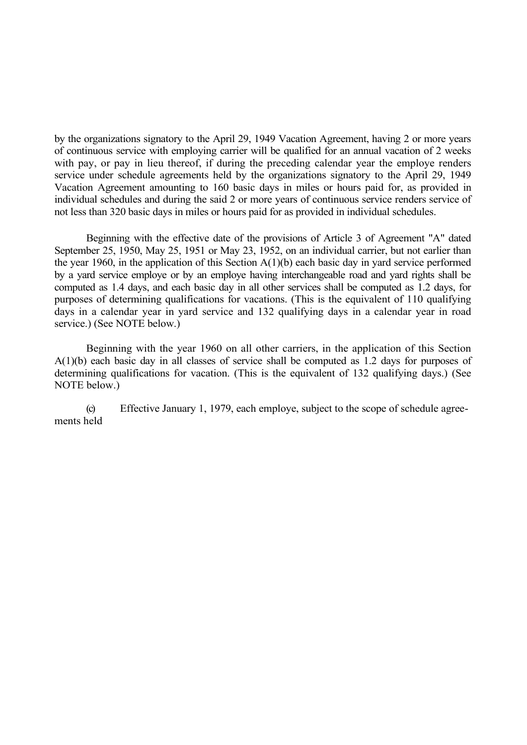by the organizations signatory to the April 29, 1949 Vacation Agreement, having 2 or more years of continuous service with employing carrier will be qualified for an annual vacation of 2 weeks with pay, or pay in lieu thereof, if during the preceding calendar year the employe renders service under schedule agreements held by the organizations signatory to the April 29, 1949 Vacation Agreement amounting to 160 basic days in miles or hours paid for, as provided in individual schedules and during the said 2 or more years of continuous service renders service of not less than 320 basic days in miles or hours paid for as provided in individual schedules.

Beginning with the effective date of the provisions of Article 3 of Agreement "A" dated September 25, 1950, May 25, 1951 or May 23, 1952, on an individual carrier, but not earlier than the year 1960, in the application of this Section A(1)(b) each basic day in yard service performed by a yard service employe or by an employe having interchangeable road and yard rights shall be computed as 1.4 days, and each basic day in all other services shall be computed as 1.2 days, for purposes of determining qualifications for vacations. (This is the equivalent of 110 qualifying days in a calendar year in yard service and 132 qualifying days in a calendar year in road service.) (See NOTE below.)

Beginning with the year 1960 on all other carriers, in the application of this Section A(1)(b) each basic day in all classes of service shall be computed as 1.2 days for purposes of determining qualifications for vacation. (This is the equivalent of 132 qualifying days.) (See NOTE below.)

(c) Effective January 1, 1979, each employe, subject to the scope of schedule agreements held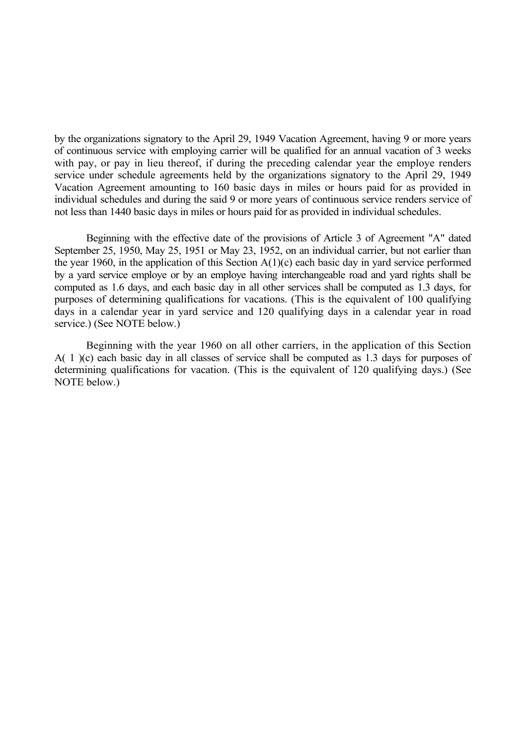by the organizations signatory to the April 29, 1949 Vacation Agreement, having 9 or more years of continuous service with employing carrier will be qualified for an annual vacation of 3 weeks with pay, or pay in lieu thereof, if during the preceding calendar year the employe renders service under schedule agreements held by the organizations signatory to the April 29, 1949 Vacation Agreement amounting to 160 basic days in miles or hours paid for as provided in individual schedules and during the said 9 or more years of continuous service renders service of not less than 1440 basic days in miles or hours paid for as provided in individual schedules.

Beginning with the effective date of the provisions of Article 3 of Agreement "A" dated September 25, 1950, May 25, 1951 or May 23, 1952, on an individual carrier, but not earlier than the year 1960, in the application of this Section A(1)(c) each basic day in yard service performed by a yard service employe or by an employe having interchangeable road and yard rights shall be computed as 1.6 days, and each basic day in all other services shall be computed as 1.3 days, for purposes of determining qualifications for vacations. (This is the equivalent of 100 qualifying days in a calendar year in yard service and 120 qualifying days in a calendar year in road service.) (See NOTE below.)

Beginning with the year 1960 on all other carriers, in the application of this Section A( 1 )(c) each basic day in all classes of service shall be computed as 1.3 days for purposes of determining qualifications for vacation. (This is the equivalent of 120 qualifying days.) (See NOTE below.)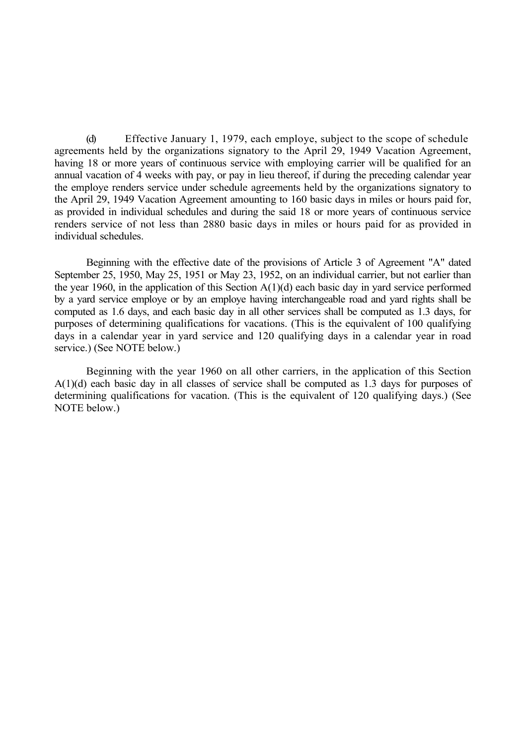(d) Effective January 1, 1979, each employe, subject to the scope of schedule agreements held by the organizations signatory to the April 29, 1949 Vacation Agreement, having 18 or more years of continuous service with employing carrier will be qualified for an annual vacation of 4 weeks with pay, or pay in lieu thereof, if during the preceding calendar year the employe renders service under schedule agreements held by the organizations signatory to the April 29, 1949 Vacation Agreement amounting to 160 basic days in miles or hours paid for, as provided in individual schedules and during the said 18 or more years of continuous service renders service of not less than 2880 basic days in miles or hours paid for as provided in individual schedules.

Beginning with the effective date of the provisions of Article 3 of Agreement "A" dated September 25, 1950, May 25, 1951 or May 23, 1952, on an individual carrier, but not earlier than the year 1960, in the application of this Section A(1)(d) each basic day in yard service performed by a yard service employe or by an employe having interchangeable road and yard rights shall be computed as 1.6 days, and each basic day in all other services shall be computed as 1.3 days, for purposes of determining qualifications for vacations. (This is the equivalent of 100 qualifying days in a calendar year in yard service and 120 qualifying days in a calendar year in road service.) (See NOTE below.)

Beginning with the year 1960 on all other carriers, in the application of this Section A(1)(d) each basic day in all classes of service shall be computed as 1.3 days for purposes of determining qualifications for vacation. (This is the equivalent of 120 qualifying days.) (See NOTE below.)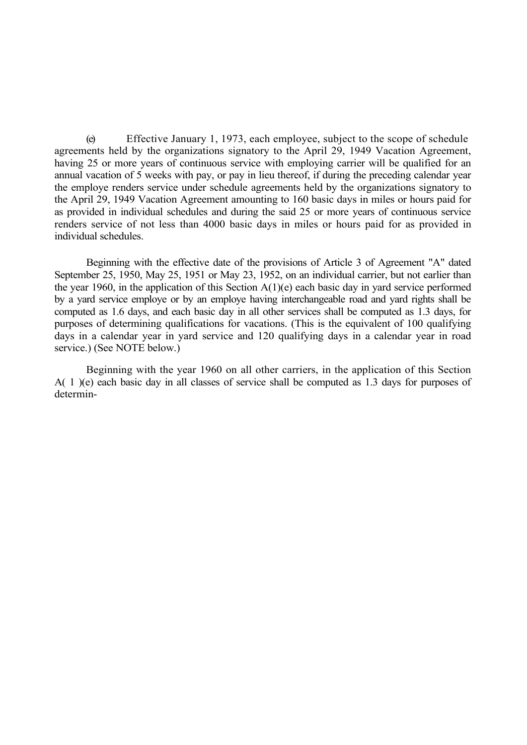(e) Effective January 1, 1973, each employee, subject to the scope of schedule agreements held by the organizations signatory to the April 29, 1949 Vacation Agreement, having 25 or more years of continuous service with employing carrier will be qualified for an annual vacation of 5 weeks with pay, or pay in lieu thereof, if during the preceding calendar year the employe renders service under schedule agreements held by the organizations signatory to the April 29, 1949 Vacation Agreement amounting to 160 basic days in miles or hours paid for as provided in individual schedules and during the said 25 or more years of continuous service renders service of not less than 4000 basic days in miles or hours paid for as provided in individual schedules.

Beginning with the effective date of the provisions of Article 3 of Agreement "A" dated September 25, 1950, May 25, 1951 or May 23, 1952, on an individual carrier, but not earlier than the year 1960, in the application of this Section  $A(1)(e)$  each basic day in yard service performed by a yard service employe or by an employe having interchangeable road and yard rights shall be computed as 1.6 days, and each basic day in all other services shall be computed as 1.3 days, for purposes of determining qualifications for vacations. (This is the equivalent of 100 qualifying days in a calendar year in yard service and 120 qualifying days in a calendar year in road service.) (See NOTE below.)

Beginning with the year 1960 on all other carriers, in the application of this Section A( 1 )(e) each basic day in all classes of service shall be computed as 1.3 days for purposes of determin-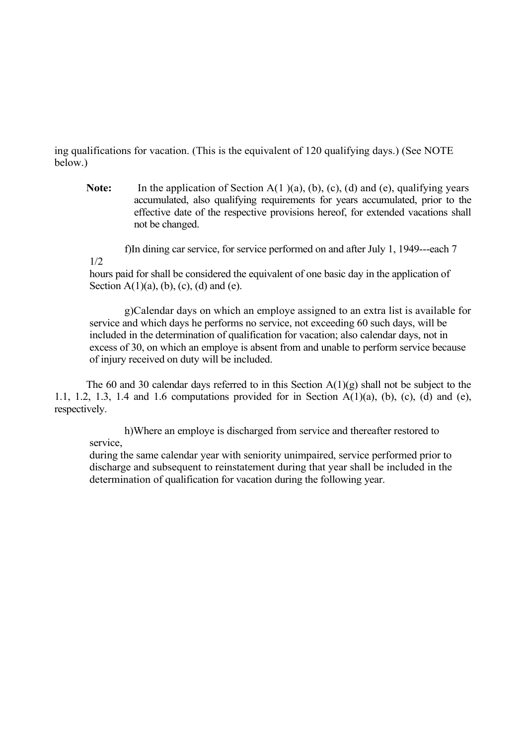ing qualifications for vacation. (This is the equivalent of 120 qualifying days.) (See NOTE below.)

Note: In the application of Section A(1)(a), (b), (c), (d) and (e), qualifying years accumulated, also qualifying requirements for years accumulated, prior to the effective date of the respective provisions hereof, for extended vacations shall not be changed.

f)In dining car service, for service performed on and after July 1, 1949---each 7

1/2

hours paid for shall be considered the equivalent of one basic day in the application of Section  $A(1)(a)$ , (b), (c), (d) and (e).

g)Calendar days on which an employe assigned to an extra list is available for service and which days he performs no service, not exceeding 60 such days, will be included in the determination of qualification for vacation; also calendar days, not in excess of 30, on which an employe is absent from and unable to perform service because of injury received on duty will be included.

The 60 and 30 calendar days referred to in this Section  $A(1)(g)$  shall not be subject to the 1.1, 1.2, 1.3, 1.4 and 1.6 computations provided for in Section A(1)(a), (b), (c), (d) and (e), respectively.

h)Where an employe is discharged from service and thereafter restored to service,

during the same calendar year with seniority unimpaired, service performed prior to discharge and subsequent to reinstatement during that year shall be included in the determination of qualification for vacation during the following year.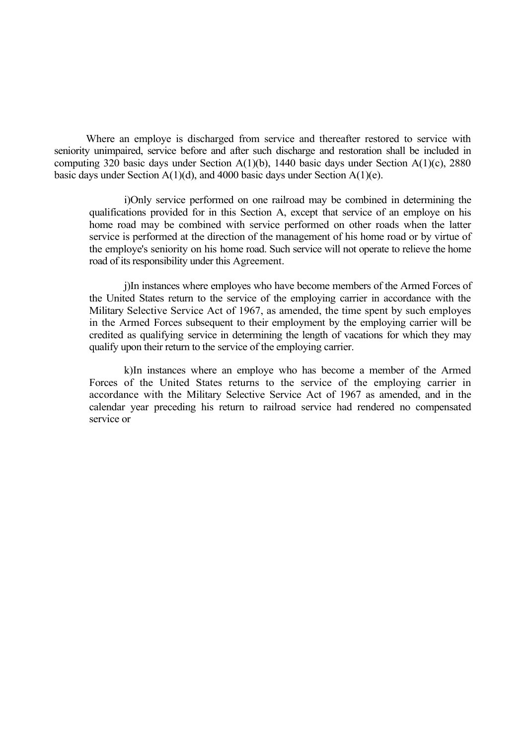Where an employe is discharged from service and thereafter restored to service with seniority unimpaired, service before and after such discharge and restoration shall be included in computing 320 basic days under Section A(1)(b), 1440 basic days under Section A(1)(c), 2880 basic days under Section  $A(1)(d)$ , and 4000 basic days under Section  $A(1)(e)$ .

i)Only service performed on one railroad may be combined in determining the qualifications provided for in this Section A, except that service of an employe on his home road may be combined with service performed on other roads when the latter service is performed at the direction of the management of his home road or by virtue of the employe's seniority on his home road. Such service will not operate to relieve the home road of its responsibility under this Agreement.

j)In instances where employes who have become members of the Armed Forces of the United States return to the service of the employing carrier in accordance with the Military Selective Service Act of 1967, as amended, the time spent by such employes in the Armed Forces subsequent to their employment by the employing carrier will be credited as qualifying service in determining the length of vacations for which they may qualify upon their return to the service of the employing carrier.

k)In instances where an employe who has become a member of the Armed Forces of the United States returns to the service of the employing carrier in accordance with the Military Selective Service Act of 1967 as amended, and in the calendar year preceding his return to railroad service had rendered no compensated service or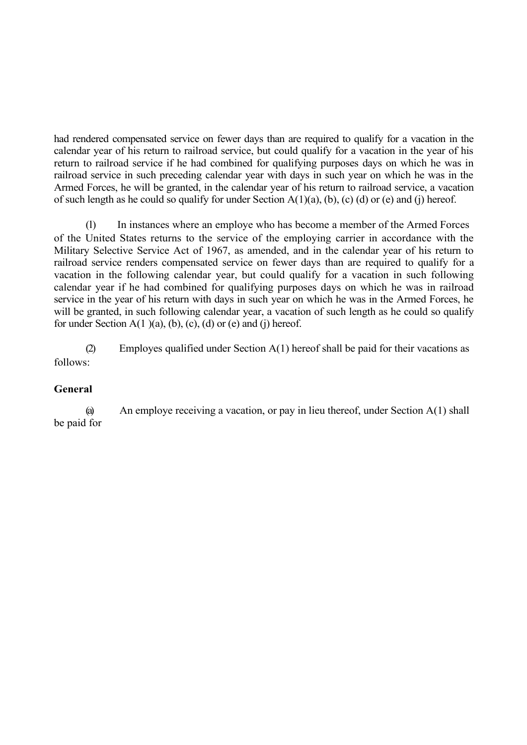had rendered compensated service on fewer days than are required to qualify for a vacation in the calendar year of his return to railroad service, but could qualify for a vacation in the year of his return to railroad service if he had combined for qualifying purposes days on which he was in railroad service in such preceding calendar year with days in such year on which he was in the Armed Forces, he will be granted, in the calendar year of his return to railroad service, a vacation of such length as he could so qualify for under Section  $A(1)(a)$ , (b), (c) (d) or (e) and (j) hereof.

(l) In instances where an employe who has become a member of the Armed Forces of the United States returns to the service of the employing carrier in accordance with the Military Selective Service Act of 1967, as amended, and in the calendar year of his return to railroad service renders compensated service on fewer days than are required to qualify for a vacation in the following calendar year, but could qualify for a vacation in such following calendar year if he had combined for qualifying purposes days on which he was in railroad service in the year of his return with days in such year on which he was in the Armed Forces, he will be granted, in such following calendar year, a vacation of such length as he could so qualify for under Section  $A(1)(a)$ , (b), (c), (d) or (e) and (j) hereof.

(2) Employes qualified under Section A(1) hereof shall be paid for their vacations as follows:

# **General**

(a) An employe receiving a vacation, or pay in lieu thereof, under Section A(1) shall be paid for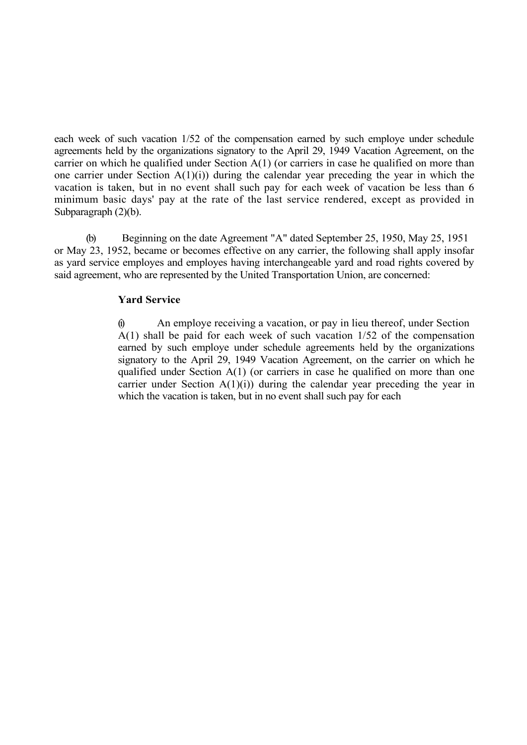each week of such vacation 1/52 of the compensation earned by such employe under schedule agreements held by the organizations signatory to the April 29, 1949 Vacation Agreement, on the carrier on which he qualified under Section A(1) (or carriers in case he qualified on more than one carrier under Section  $A(1)(i)$  during the calendar year preceding the year in which the vacation is taken, but in no event shall such pay for each week of vacation be less than 6 minimum basic days' pay at the rate of the last service rendered, except as provided in Subparagraph (2)(b).

(b) Beginning on the date Agreement "A" dated September 25, 1950, May 25, 1951 or May 23, 1952, became or becomes effective on any carrier, the following shall apply insofar as yard service employes and employes having interchangeable yard and road rights covered by said agreement, who are represented by the United Transportation Union, are concerned:

# **Yard Service**

(i) An employe receiving a vacation, or pay in lieu thereof, under Section A(1) shall be paid for each week of such vacation 1/52 of the compensation earned by such employe under schedule agreements held by the organizations signatory to the April 29, 1949 Vacation Agreement, on the carrier on which he qualified under Section A(1) (or carriers in case he qualified on more than one carrier under Section  $A(1)(i)$  during the calendar year preceding the year in which the vacation is taken, but in no event shall such pay for each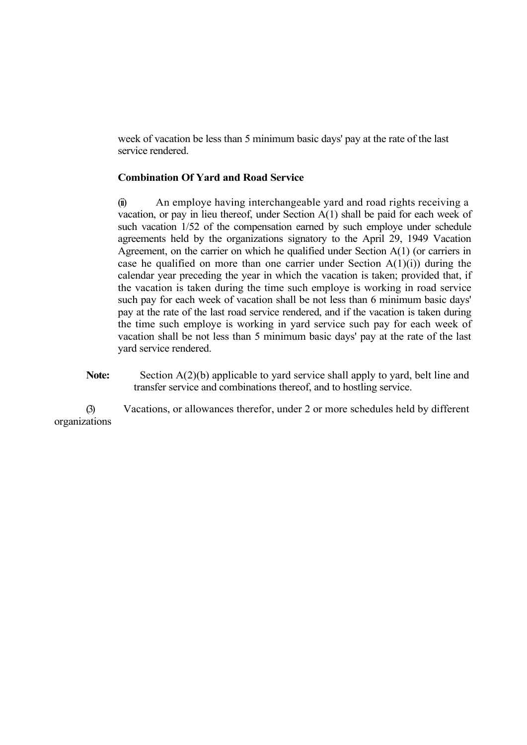week of vacation be less than 5 minimum basic days' pay at the rate of the last service rendered.

#### **Combination Of Yard and Road Service**

(ii) An employe having interchangeable yard and road rights receiving a vacation, or pay in lieu thereof, under Section A(1) shall be paid for each week of such vacation 1/52 of the compensation earned by such employe under schedule agreements held by the organizations signatory to the April 29, 1949 Vacation Agreement, on the carrier on which he qualified under Section A(1) (or carriers in case he qualified on more than one carrier under Section  $A(1)(i)$  during the calendar year preceding the year in which the vacation is taken; provided that, if the vacation is taken during the time such employe is working in road service such pay for each week of vacation shall be not less than 6 minimum basic days' pay at the rate of the last road service rendered, and if the vacation is taken during the time such employe is working in yard service such pay for each week of vacation shall be not less than 5 minimum basic days' pay at the rate of the last yard service rendered.

Note: Section A(2)(b) applicable to yard service shall apply to yard, belt line and transfer service and combinations thereof, and to hostling service.

(3) Vacations, or allowances therefor, under 2 or more schedules held by different organizations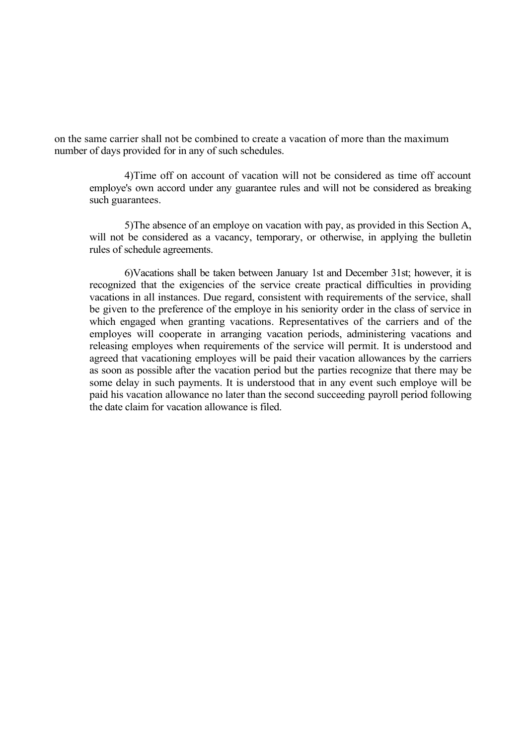on the same carrier shall not be combined to create a vacation of more than the maximum number of days provided for in any of such schedules.

4)Time off on account of vacation will not be considered as time off account employe's own accord under any guarantee rules and will not be considered as breaking such guarantees.

5)The absence of an employe on vacation with pay, as provided in this Section A, will not be considered as a vacancy, temporary, or otherwise, in applying the bulletin rules of schedule agreements.

6)Vacations shall be taken between January 1st and December 31st; however, it is recognized that the exigencies of the service create practical difficulties in providing vacations in all instances. Due regard, consistent with requirements of the service, shall be given to the preference of the employe in his seniority order in the class of service in which engaged when granting vacations. Representatives of the carriers and of the employes will cooperate in arranging vacation periods, administering vacations and releasing employes when requirements of the service will permit. It is understood and agreed that vacationing employes will be paid their vacation allowances by the carriers as soon as possible after the vacation period but the parties recognize that there may be some delay in such payments. It is understood that in any event such employe will be paid his vacation allowance no later than the second succeeding payroll period following the date claim for vacation allowance is filed.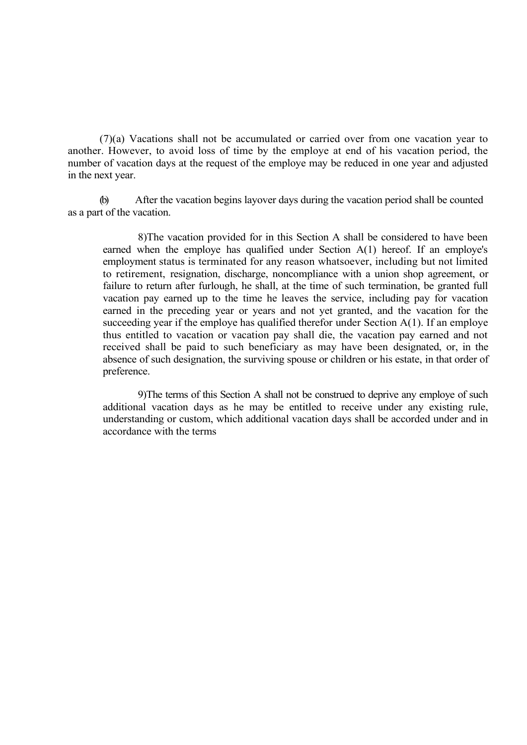(7)(a) Vacations shall not be accumulated or carried over from one vacation year to another. However, to avoid loss of time by the employe at end of his vacation period, the number of vacation days at the request of the employe may be reduced in one year and adjusted in the next year.

(b) After the vacation begins layover days during the vacation period shall be counted as a part of the vacation.

8)The vacation provided for in this Section A shall be considered to have been earned when the employe has qualified under Section A(1) hereof. If an employe's employment status is terminated for any reason whatsoever, including but not limited to retirement, resignation, discharge, noncompliance with a union shop agreement, or failure to return after furlough, he shall, at the time of such termination, be granted full vacation pay earned up to the time he leaves the service, including pay for vacation earned in the preceding year or years and not yet granted, and the vacation for the succeeding year if the employe has qualified therefor under Section A(1). If an employe thus entitled to vacation or vacation pay shall die, the vacation pay earned and not received shall be paid to such beneficiary as may have been designated, or, in the absence of such designation, the surviving spouse or children or his estate, in that order of preference.

9)The terms of this Section A shall not be construed to deprive any employe of such additional vacation days as he may be entitled to receive under any existing rule, understanding or custom, which additional vacation days shall be accorded under and in accordance with the terms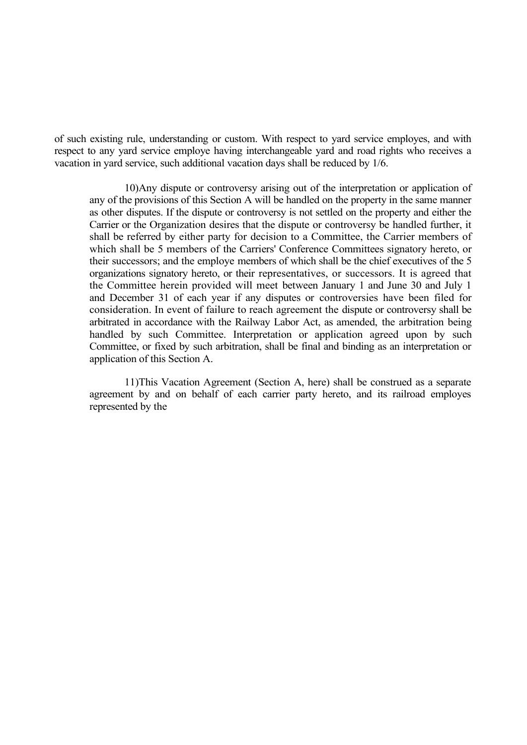of such existing rule, understanding or custom. With respect to yard service employes, and with respect to any yard service employe having interchangeable yard and road rights who receives a vacation in yard service, such additional vacation days shall be reduced by 1/6.

10)Any dispute or controversy arising out of the interpretation or application of any of the provisions of this Section A will be handled on the property in the same manner as other disputes. If the dispute or controversy is not settled on the property and either the Carrier or the Organization desires that the dispute or controversy be handled further, it shall be referred by either party for decision to a Committee, the Carrier members of which shall be 5 members of the Carriers' Conference Committees signatory hereto, or their successors; and the employe members of which shall be the chief executives of the 5 organizations signatory hereto, or their representatives, or successors. It is agreed that the Committee herein provided will meet between January 1 and June 30 and July 1 and December 31 of each year if any disputes or controversies have been filed for consideration. In event of failure to reach agreement the dispute or controversy shall be arbitrated in accordance with the Railway Labor Act, as amended, the arbitration being handled by such Committee. Interpretation or application agreed upon by such Committee, or fixed by such arbitration, shall be final and binding as an interpretation or application of this Section A.

11)This Vacation Agreement (Section A, here) shall be construed as a separate agreement by and on behalf of each carrier party hereto, and its railroad employes represented by the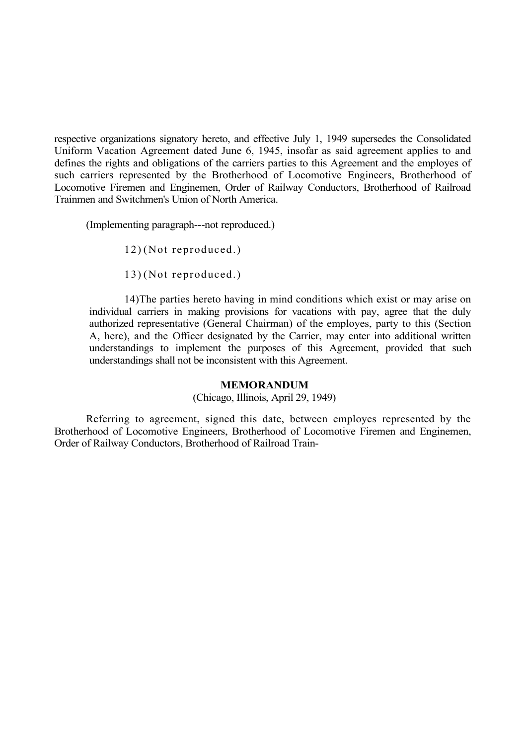respective organizations signatory hereto, and effective July 1, 1949 supersedes the Consolidated Uniform Vacation Agreement dated June 6, 1945, insofar as said agreement applies to and defines the rights and obligations of the carriers parties to this Agreement and the employes of such carriers represented by the Brotherhood of Locomotive Engineers, Brotherhood of Locomotive Firemen and Enginemen, Order of Railway Conductors, Brotherhood of Railroad Trainmen and Switchmen's Union of North America.

(Implementing paragraph---not reproduced.)

12) (Not reproduced.)

13) (Not reproduced.)

14)The parties hereto having in mind conditions which exist or may arise on individual carriers in making provisions for vacations with pay, agree that the duly authorized representative (General Chairman) of the employes, party to this (Section A, here), and the Officer designated by the Carrier, may enter into additional written understandings to implement the purposes of this Agreement, provided that such understandings shall not be inconsistent with this Agreement.

#### **MEMORANDUM**

(Chicago, Illinois, April 29, 1949)

Referring to agreement, signed this date, between employes represented by the Brotherhood of Locomotive Engineers, Brotherhood of Locomotive Firemen and Enginemen, Order of Railway Conductors, Brotherhood of Railroad Train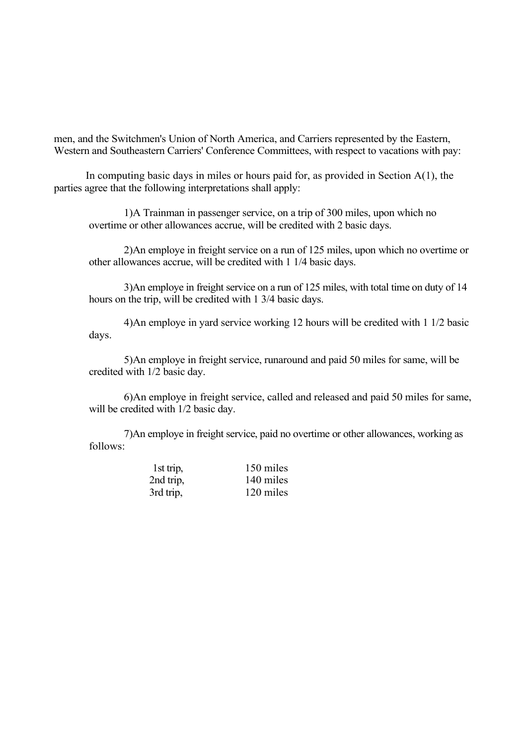men, and the Switchmen's Union of North America, and Carriers represented by the Eastern, Western and Southeastern Carriers' Conference Committees, with respect to vacations with pay:

In computing basic days in miles or hours paid for, as provided in Section  $A(1)$ , the parties agree that the following interpretations shall apply:

1)A Trainman in passenger service, on a trip of 300 miles, upon which no overtime or other allowances accrue, will be credited with 2 basic days.

2)An employe in freight service on a run of 125 miles, upon which no overtime or other allowances accrue, will be credited with 1 1/4 basic days.

3)An employe in freight service on a run of 125 miles, with total time on duty of 14 hours on the trip, will be credited with 1 3/4 basic days.

4)An employe in yard service working 12 hours will be credited with 1 1/2 basic days.

5)An employe in freight service, runaround and paid 50 miles for same, will be credited with 1/2 basic day.

6)An employe in freight service, called and released and paid 50 miles for same, will be credited with  $1/2$  basic day.

7)An employe in freight service, paid no overtime or other allowances, working as follows:

| 1st trip, | 150 miles |
|-----------|-----------|
| 2nd trip. | 140 miles |
| 3rd trip, | 120 miles |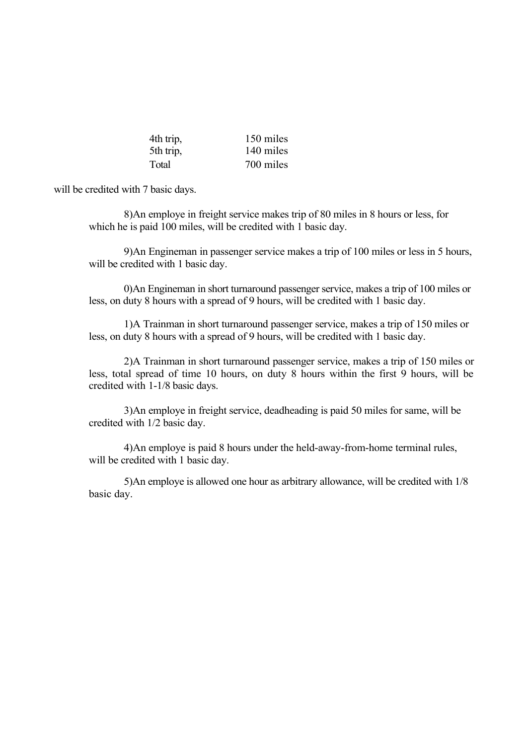| 4th trip, | 150 miles |
|-----------|-----------|
| 5th trip, | 140 miles |
| Total     | 700 miles |

will be credited with 7 basic days.

8)An employe in freight service makes trip of 80 miles in 8 hours or less, for which he is paid 100 miles, will be credited with 1 basic day.

9)An Engineman in passenger service makes a trip of 100 miles or less in 5 hours, will be credited with 1 basic day.

0)An Engineman in short turnaround passenger service, makes a trip of 100 miles or less, on duty 8 hours with a spread of 9 hours, will be credited with 1 basic day.

1)A Trainman in short turnaround passenger service, makes a trip of 150 miles or less, on duty 8 hours with a spread of 9 hours, will be credited with 1 basic day.

2)A Trainman in short turnaround passenger service, makes a trip of 150 miles or less, total spread of time 10 hours, on duty 8 hours within the first 9 hours, will be credited with 1-1/8 basic days.

3)An employe in freight service, deadheading is paid 50 miles for same, will be credited with 1/2 basic day.

4)An employe is paid 8 hours under the held-away-from-home terminal rules, will be credited with 1 basic day.

5)An employe is allowed one hour as arbitrary allowance, will be credited with 1/8 basic day.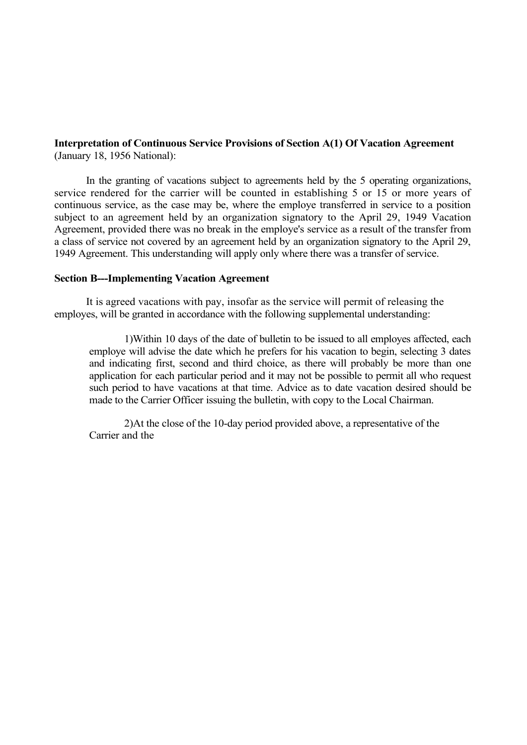#### **Interpretation of Continuous Service Provisions of Section A(1) Of Vacation Agreement** (January 18, 1956 National):

In the granting of vacations subject to agreements held by the 5 operating organizations, service rendered for the carrier will be counted in establishing 5 or 15 or more years of continuous service, as the case may be, where the employe transferred in service to a position subject to an agreement held by an organization signatory to the April 29, 1949 Vacation Agreement, provided there was no break in the employe's service as a result of the transfer from a class of service not covered by an agreement held by an organization signatory to the April 29, 1949 Agreement. This understanding will apply only where there was a transfer of service.

#### **Section B---Implementing Vacation Agreement**

It is agreed vacations with pay, insofar as the service will permit of releasing the employes, will be granted in accordance with the following supplemental understanding:

1)Within 10 days of the date of bulletin to be issued to all employes affected, each employe will advise the date which he prefers for his vacation to begin, selecting 3 dates and indicating first, second and third choice, as there will probably be more than one application for each particular period and it may not be possible to permit all who request such period to have vacations at that time. Advice as to date vacation desired should be made to the Carrier Officer issuing the bulletin, with copy to the Local Chairman.

2)At the close of the 10-day period provided above, a representative of the Carrier and the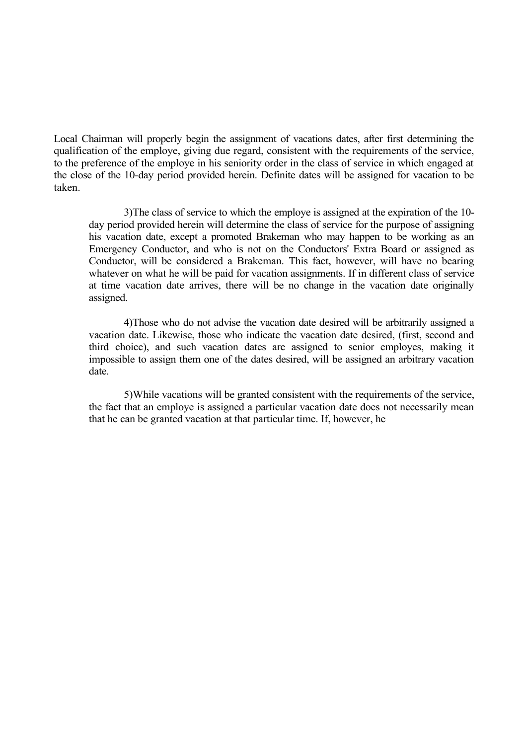Local Chairman will properly begin the assignment of vacations dates, after first determining the qualification of the employe, giving due regard, consistent with the requirements of the service, to the preference of the employe in his seniority order in the class of service in which engaged at the close of the 10-day period provided herein. Definite dates will be assigned for vacation to be taken.

3)The class of service to which the employe is assigned at the expiration of the 10 day period provided herein will determine the class of service for the purpose of assigning his vacation date, except a promoted Brakeman who may happen to be working as an Emergency Conductor, and who is not on the Conductors' Extra Board or assigned as Conductor, will be considered a Brakeman. This fact, however, will have no bearing whatever on what he will be paid for vacation assignments. If in different class of service at time vacation date arrives, there will be no change in the vacation date originally assigned.

4)Those who do not advise the vacation date desired will be arbitrarily assigned a vacation date. Likewise, those who indicate the vacation date desired, (first, second and third choice), and such vacation dates are assigned to senior employes, making it impossible to assign them one of the dates desired, will be assigned an arbitrary vacation date.

5)While vacations will be granted consistent with the requirements of the service, the fact that an employe is assigned a particular vacation date does not necessarily mean that he can be granted vacation at that particular time. If, however, he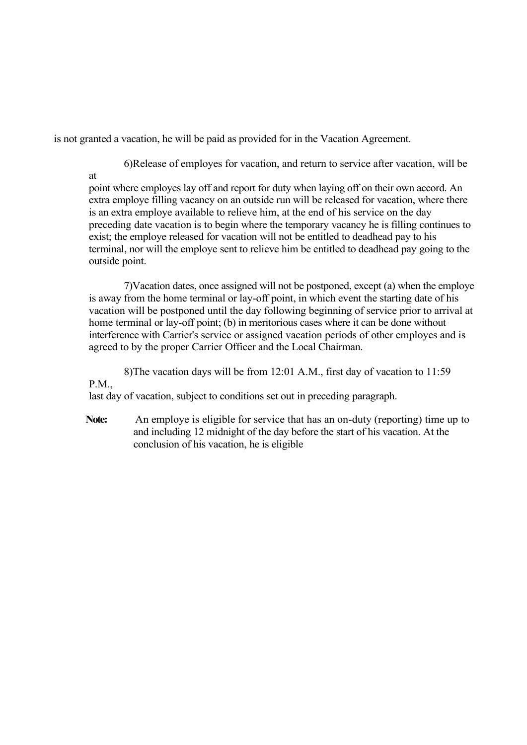is not granted a vacation, he will be paid as provided for in the Vacation Agreement.

6)Release of employes for vacation, and return to service after vacation, will be

at

point where employes lay off and report for duty when laying off on their own accord. An extra employe filling vacancy on an outside run will be released for vacation, where there is an extra employe available to relieve him, at the end of his service on the day preceding date vacation is to begin where the temporary vacancy he is filling continues to exist; the employe released for vacation will not be entitled to deadhead pay to his terminal, nor will the employe sent to relieve him be entitled to deadhead pay going to the outside point.

7)Vacation dates, once assigned will not be postponed, except (a) when the employe is away from the home terminal or lay-off point, in which event the starting date of his vacation will be postponed until the day following beginning of service prior to arrival at home terminal or lay-off point; (b) in meritorious cases where it can be done without interference with Carrier's service or assigned vacation periods of other employes and is agreed to by the proper Carrier Officer and the Local Chairman.

8)The vacation days will be from 12:01 A.M., first day of vacation to 11:59

P.M.,

last day of vacation, subject to conditions set out in preceding paragraph.

**Note:** An employe is eligible for service that has an on-duty (reporting) time up to and including 12 midnight of the day before the start of his vacation. At the conclusion of his vacation, he is eligible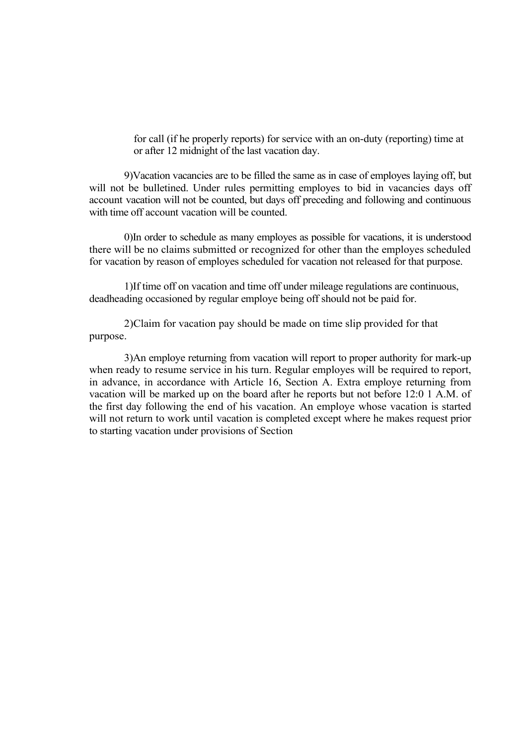for call (if he properly reports) for service with an on-duty (reporting) time at or after 12 midnight of the last vacation day.

9)Vacation vacancies are to be filled the same as in case of employes laying off, but will not be bulletined. Under rules permitting employes to bid in vacancies days off account vacation will not be counted, but days off preceding and following and continuous with time off account vacation will be counted.

0)In order to schedule as many employes as possible for vacations, it is understood there will be no claims submitted or recognized for other than the employes scheduled for vacation by reason of employes scheduled for vacation not released for that purpose.

1)If time off on vacation and time off under mileage regulations are continuous, deadheading occasioned by regular employe being off should not be paid for.

2)Claim for vacation pay should be made on time slip provided for that purpose.

3)An employe returning from vacation will report to proper authority for mark-up when ready to resume service in his turn. Regular employes will be required to report, in advance, in accordance with Article 16, Section A. Extra employe returning from vacation will be marked up on the board after he reports but not before 12:0 1 A.M. of the first day following the end of his vacation. An employe whose vacation is started will not return to work until vacation is completed except where he makes request prior to starting vacation under provisions of Section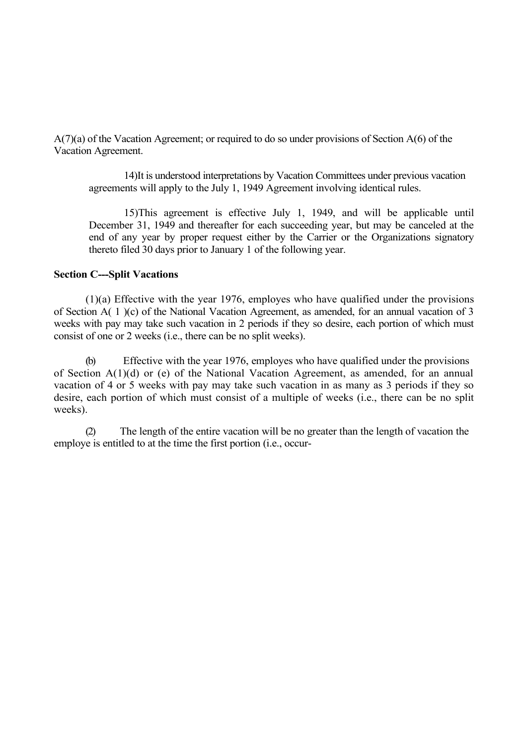A(7)(a) of the Vacation Agreement; or required to do so under provisions of Section A(6) of the Vacation Agreement.

14)It is understood interpretations by Vacation Committees under previous vacation agreements will apply to the July 1, 1949 Agreement involving identical rules.

15)This agreement is effective July 1, 1949, and will be applicable until December 31, 1949 and thereafter for each succeeding year, but may be canceled at the end of any year by proper request either by the Carrier or the Organizations signatory thereto filed 30 days prior to January 1 of the following year.

#### **Section C---Split Vacations**

(1)(a) Effective with the year 1976, employes who have qualified under the provisions of Section A( 1 )(c) of the National Vacation Agreement, as amended, for an annual vacation of 3 weeks with pay may take such vacation in 2 periods if they so desire, each portion of which must consist of one or 2 weeks (i.e., there can be no split weeks).

(b) Effective with the year 1976, employes who have qualified under the provisions of Section A(1)(d) or (e) of the National Vacation Agreement, as amended, for an annual vacation of 4 or 5 weeks with pay may take such vacation in as many as 3 periods if they so desire, each portion of which must consist of a multiple of weeks (i.e., there can be no split weeks).

(2) The length of the entire vacation will be no greater than the length of vacation the employe is entitled to at the time the first portion (i.e., occur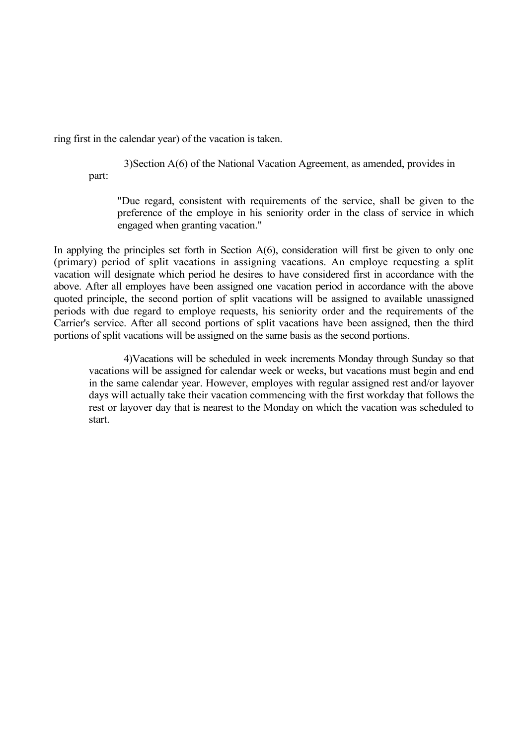ring first in the calendar year) of the vacation is taken.

3)Section A(6) of the National Vacation Agreement, as amended, provides in part:

"Due regard, consistent with requirements of the service, shall be given to the preference of the employe in his seniority order in the class of service in which engaged when granting vacation."

In applying the principles set forth in Section  $A(6)$ , consideration will first be given to only one (primary) period of split vacations in assigning vacations. An employe requesting a split vacation will designate which period he desires to have considered first in accordance with the above. After all employes have been assigned one vacation period in accordance with the above quoted principle, the second portion of split vacations will be assigned to available unassigned periods with due regard to employe requests, his seniority order and the requirements of the Carrier's service. After all second portions of split vacations have been assigned, then the third portions of split vacations will be assigned on the same basis as the second portions.

4)Vacations will be scheduled in week increments Monday through Sunday so that vacations will be assigned for calendar week or weeks, but vacations must begin and end in the same calendar year. However, employes with regular assigned rest and/or layover days will actually take their vacation commencing with the first workday that follows the rest or layover day that is nearest to the Monday on which the vacation was scheduled to start.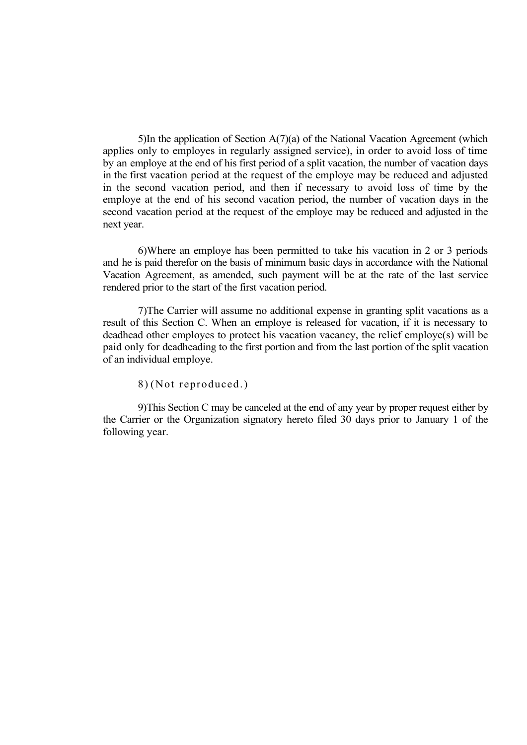5)In the application of Section A(7)(a) of the National Vacation Agreement (which applies only to employes in regularly assigned service), in order to avoid loss of time by an employe at the end of his first period of a split vacation, the number of vacation days in the first vacation period at the request of the employe may be reduced and adjusted in the second vacation period, and then if necessary to avoid loss of time by the employe at the end of his second vacation period, the number of vacation days in the second vacation period at the request of the employe may be reduced and adjusted in the next year.

6)Where an employe has been permitted to take his vacation in 2 or 3 periods and he is paid therefor on the basis of minimum basic days in accordance with the National Vacation Agreement, as amended, such payment will be at the rate of the last service rendered prior to the start of the first vacation period.

7)The Carrier will assume no additional expense in granting split vacations as a result of this Section C. When an employe is released for vacation, if it is necessary to deadhead other employes to protect his vacation vacancy, the relief employe(s) will be paid only for deadheading to the first portion and from the last portion of the split vacation of an individual employe.

8) (Not reproduced.)

9)This Section C may be canceled at the end of any year by proper request either by the Carrier or the Organization signatory hereto filed 30 days prior to January 1 of the following year.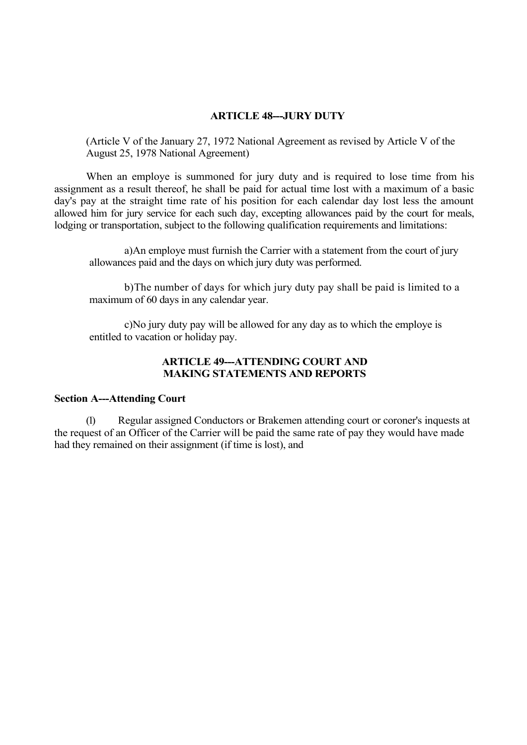# **ARTICLE 48---JURY DUTY**

(Article V of the January 27, 1972 National Agreement as revised by Article V of the August 25, 1978 National Agreement)

When an employe is summoned for jury duty and is required to lose time from his assignment as a result thereof, he shall be paid for actual time lost with a maximum of a basic day's pay at the straight time rate of his position for each calendar day lost less the amount allowed him for jury service for each such day, excepting allowances paid by the court for meals, lodging or transportation, subject to the following qualification requirements and limitations:

a)An employe must furnish the Carrier with a statement from the court of jury allowances paid and the days on which jury duty was performed.

b)The number of days for which jury duty pay shall be paid is limited to a maximum of 60 days in any calendar year.

c)No jury duty pay will be allowed for any day as to which the employe is entitled to vacation or holiday pay.

# **ARTICLE 49---ATTENDING COURT AND MAKING STATEMENTS AND REPORTS**

### **Section A---Attending Court**

(1) Regular assigned Conductors or Brakemen attending court or coroner's inquests at the request of an Officer of the Carrier will be paid the same rate of pay they would have made had they remained on their assignment (if time is lost), and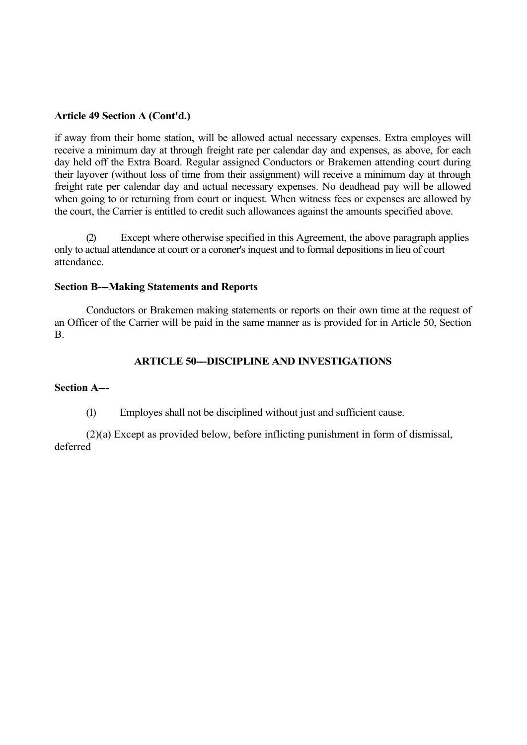# **Article 49 Section A (Cont'd.)**

if away from their home station, will be allowed actual necessary expenses. Extra employes will receive a minimum day at through freight rate per calendar day and expenses, as above, for each day held off the Extra Board. Regular assigned Conductors or Brakemen attending court during their layover (without loss of time from their assignment) will receive a minimum day at through freight rate per calendar day and actual necessary expenses. No deadhead pay will be allowed when going to or returning from court or inquest. When witness fees or expenses are allowed by the court, the Carrier is entitled to credit such allowances against the amounts specified above.

(2) Except where otherwise specified in this Agreement, the above paragraph applies only to actual attendance at court or a coroner's inquest and to formal depositions in lieu of court attendance.

# **Section B---Making Statements and Reports**

Conductors or Brakemen making statements or reports on their own time at the request of an Officer of the Carrier will be paid in the same manner as is provided for in Article 50, Section B.

# **ARTICLE 50---DISCIPLINE AND INVESTIGATIONS**

# **Section A---**

(1) Employes shall not be disciplined without just and sufficient cause.

(2)(a) Except as provided below, before inflicting punishment in form of dismissal, deferred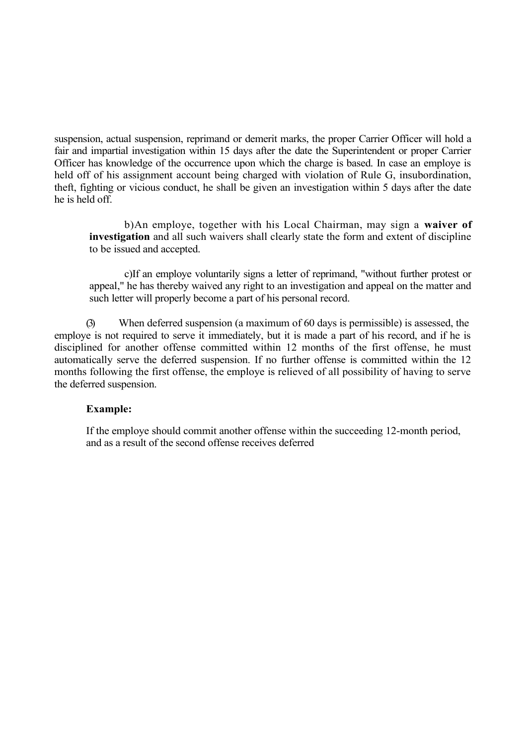suspension, actual suspension, reprimand or demerit marks, the proper Carrier Officer will hold a fair and impartial investigation within 15 days after the date the Superintendent or proper Carrier Officer has knowledge of the occurrence upon which the charge is based. In case an employe is held off of his assignment account being charged with violation of Rule G, insubordination, theft, fighting or vicious conduct, he shall be given an investigation within 5 days after the date he is held off.

b)An employe, together with his Local Chairman, may sign a **waiver of investigation** and all such waivers shall clearly state the form and extent of discipline to be issued and accepted.

c)If an employe voluntarily signs a letter of reprimand, "without further protest or appeal," he has thereby waived any right to an investigation and appeal on the matter and such letter will properly become a part of his personal record.

(3) When deferred suspension (a maximum of 60 days is permissible) is assessed, the employe is not required to serve it immediately, but it is made a part of his record, and if he is disciplined for another offense committed within 12 months of the first offense, he must automatically serve the deferred suspension. If no further offense is committed within the 12 months following the first offense, the employe is relieved of all possibility of having to serve the deferred suspension.

# **Example:**

If the employe should commit another offense within the succeeding 12-month period, and as a result of the second offense receives deferred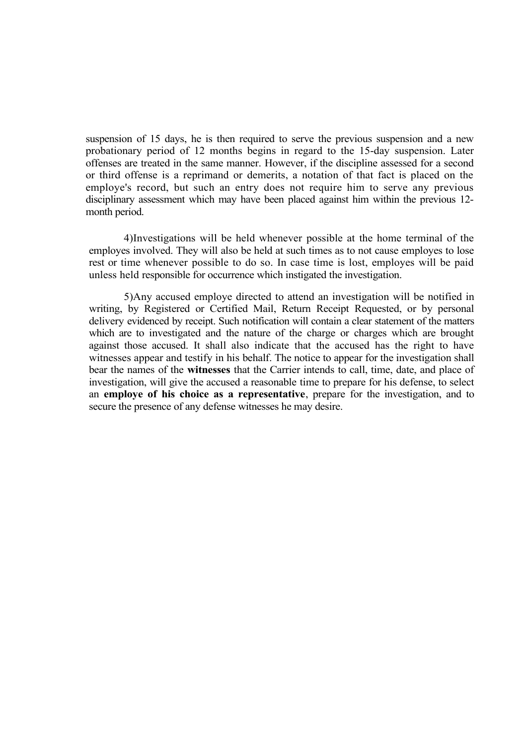suspension of 15 days, he is then required to serve the previous suspension and a new probationary period of 12 months begins in regard to the 15-day suspension. Later offenses are treated in the same manner. However, if the discipline assessed for a second or third offense is a reprimand or demerits, a notation of that fact is placed on the employe's record, but such an entry does not require him to serve any previous disciplinary assessment which may have been placed against him within the previous 12 month period.

4)Investigations will be held whenever possible at the home terminal of the employes involved. They will also be held at such times as to not cause employes to lose rest or time whenever possible to do so. In case time is lost, employes will be paid unless held responsible for occurrence which instigated the investigation.

5)Any accused employe directed to attend an investigation will be notified in writing, by Registered or Certified Mail, Return Receipt Requested, or by personal delivery evidenced by receipt. Such notification will contain a clear statement of the matters which are to investigated and the nature of the charge or charges which are brought against those accused. It shall also indicate that the accused has the right to have witnesses appear and testify in his behalf. The notice to appear for the investigation shall bear the names of the **witnesses** that the Carrier intends to call, time, date, and place of investigation, will give the accused a reasonable time to prepare for his defense, to select an **employe of his choice as a representative**, prepare for the investigation, and to secure the presence of any defense witnesses he may desire.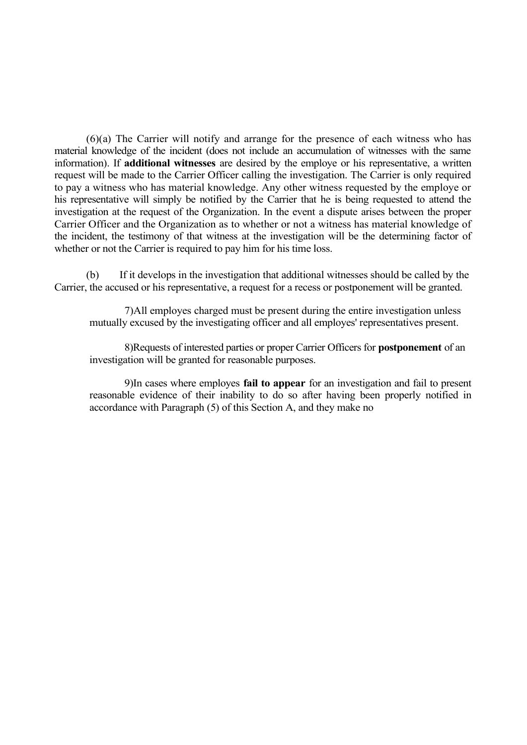(6)(a) The Carrier will notify and arrange for the presence of each witness who has material knowledge of the incident (does not include an accumulation of witnesses with the same information). If **additional witnesses** are desired by the employe or his representative, a written request will be made to the Carrier Officer calling the investigation. The Carrier is only required to pay a witness who has material knowledge. Any other witness requested by the employe or his representative will simply be notified by the Carrier that he is being requested to attend the investigation at the request of the Organization. In the event a dispute arises between the proper Carrier Officer and the Organization as to whether or not a witness has material knowledge of the incident, the testimony of that witness at the investigation will be the determining factor of whether or not the Carrier is required to pay him for his time loss.

(b) If it develops in the investigation that additional witnesses should be called by the Carrier, the accused or his representative, a request for a recess or postponement will be granted.

7)All employes charged must be present during the entire investigation unless mutually excused by the investigating officer and all employes' representatives present.

8)Requests of interested parties or proper Carrier Officers for **postponement** of an investigation will be granted for reasonable purposes.

9)In cases where employes **fail to appear** for an investigation and fail to present reasonable evidence of their inability to do so after having been properly notified in accordance with Paragraph (5) of this Section A, and they make no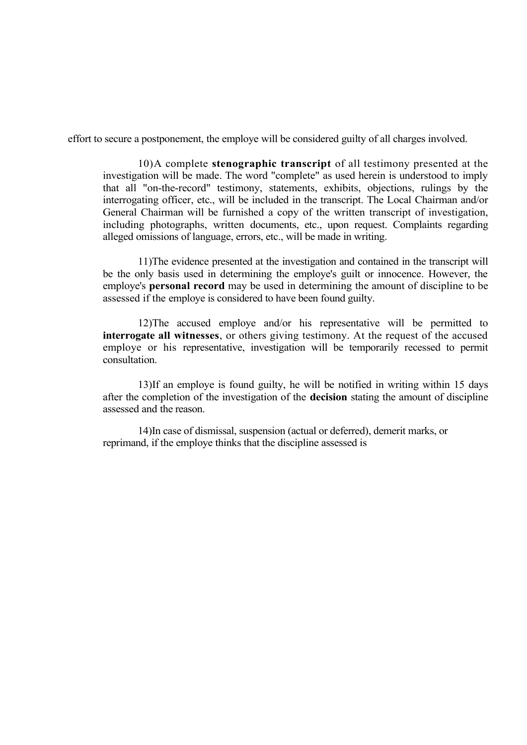effort to secure a postponement, the employe will be considered guilty of all charges involved.

10)A complete **stenographic transcript** of all testimony presented at the investigation will be made. The word "complete" as used herein is understood to imply that all "on-the-record" testimony, statements, exhibits, objections, rulings by the interrogating officer, etc., will be included in the transcript. The Local Chairman and/or General Chairman will be furnished a copy of the written transcript of investigation, including photographs, written documents, etc., upon request. Complaints regarding alleged omissions of language, errors, etc., will be made in writing.

11)The evidence presented at the investigation and contained in the transcript will be the only basis used in determining the employe's guilt or innocence. However, the employe's **personal record** may be used in determining the amount of discipline to be assessed if the employe is considered to have been found guilty.

12)The accused employe and/or his representative will be permitted to **interrogate all witnesses**, or others giving testimony. At the request of the accused employe or his representative, investigation will be temporarily recessed to permit consultation.

13)If an employe is found guilty, he will be notified in writing within 15 days after the completion of the investigation of the **decision** stating the amount of discipline assessed and the reason.

14)In case of dismissal, suspension (actual or deferred), demerit marks, or reprimand, if the employe thinks that the discipline assessed is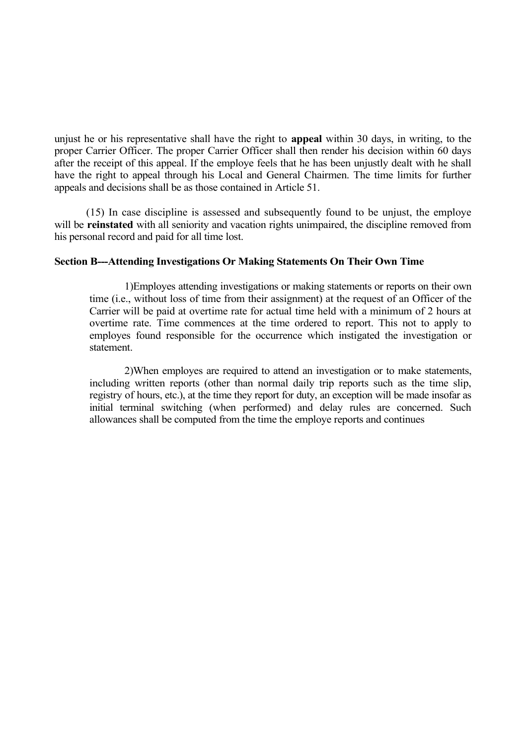unjust he or his representative shall have the right to **appeal** within 30 days, in writing, to the proper Carrier Officer. The proper Carrier Officer shall then render his decision within 60 days after the receipt of this appeal. If the employe feels that he has been unjustly dealt with he shall have the right to appeal through his Local and General Chairmen. The time limits for further appeals and decisions shall be as those contained in Article 51.

(15) In case discipline is assessed and subsequently found to be unjust, the employe will be **reinstated** with all seniority and vacation rights unimpaired, the discipline removed from his personal record and paid for all time lost.

### **Section B---Attending Investigations Or Making Statements On Their Own Time**

1)Employes attending investigations or making statements or reports on their own time (i.e., without loss of time from their assignment) at the request of an Officer of the Carrier will be paid at overtime rate for actual time held with a minimum of 2 hours at overtime rate. Time commences at the time ordered to report. This not to apply to employes found responsible for the occurrence which instigated the investigation or statement.

2)When employes are required to attend an investigation or to make statements, including written reports (other than normal daily trip reports such as the time slip, registry of hours, etc.), at the time they report for duty, an exception will be made insofar as initial terminal switching (when performed) and delay rules are concerned. Such allowances shall be computed from the time the employe reports and continues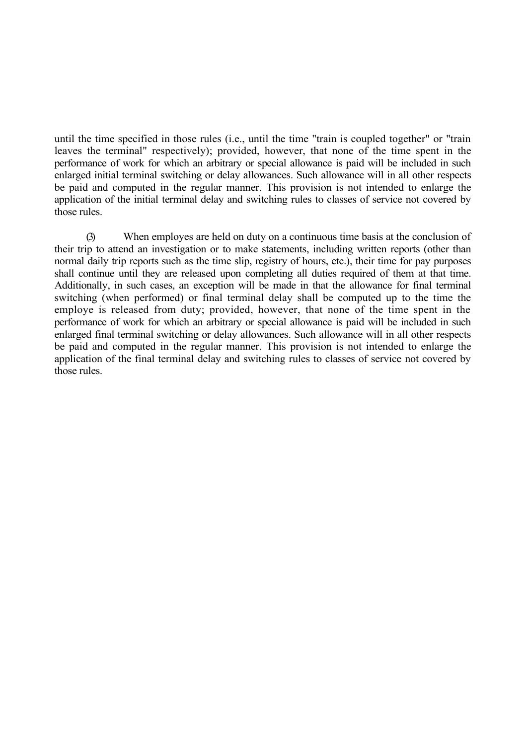until the time specified in those rules (i.e., until the time "train is coupled together" or "train leaves the terminal" respectively); provided, however, that none of the time spent in the performance of work for which an arbitrary or special allowance is paid will be included in such enlarged initial terminal switching or delay allowances. Such allowance will in all other respects be paid and computed in the regular manner. This provision is not intended to enlarge the application of the initial terminal delay and switching rules to classes of service not covered by those rules.

(3) When employes are held on duty on a continuous time basis at the conclusion of their trip to attend an investigation or to make statements, including written reports (other than normal daily trip reports such as the time slip, registry of hours, etc.), their time for pay purposes shall continue until they are released upon completing all duties required of them at that time. Additionally, in such cases, an exception will be made in that the allowance for final terminal switching (when performed) or final terminal delay shall be computed up to the time the employe is released from duty; provided, however, that none of the time spent in the performance of work for which an arbitrary or special allowance is paid will be included in such enlarged final terminal switching or delay allowances. Such allowance will in all other respects be paid and computed in the regular manner. This provision is not intended to enlarge the application of the final terminal delay and switching rules to classes of service not covered by those rules.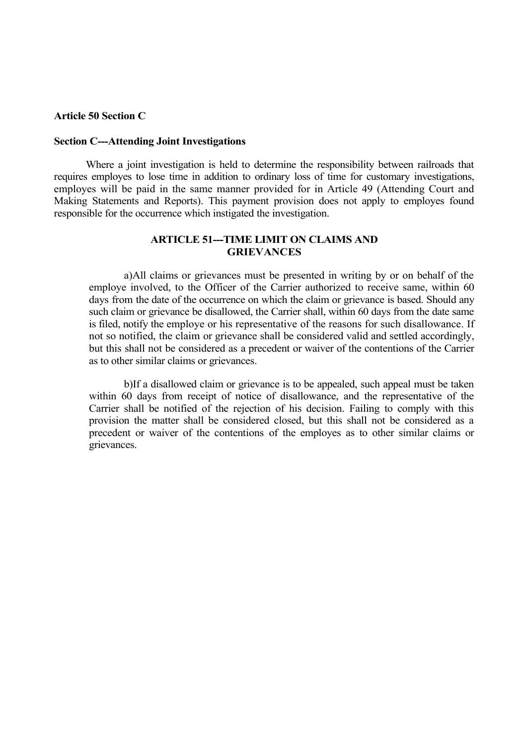#### **Article 50 Section C**

#### **Section C---Attending Joint Investigations**

Where a joint investigation is held to determine the responsibility between railroads that requires employes to lose time in addition to ordinary loss of time for customary investigations, employes will be paid in the same manner provided for in Article 49 (Attending Court and Making Statements and Reports). This payment provision does not apply to employes found responsible for the occurrence which instigated the investigation.

## **ARTICLE 51---TIME LIMIT ON CLAIMS AND GRIEVANCES**

a)All claims or grievances must be presented in writing by or on behalf of the employe involved, to the Officer of the Carrier authorized to receive same, within 60 days from the date of the occurrence on which the claim or grievance is based. Should any such claim or grievance be disallowed, the Carrier shall, within 60 days from the date same is filed, notify the employe or his representative of the reasons for such disallowance. If not so notified, the claim or grievance shall be considered valid and settled accordingly, but this shall not be considered as a precedent or waiver of the contentions of the Carrier as to other similar claims or grievances.

b)If a disallowed claim or grievance is to be appealed, such appeal must be taken within 60 days from receipt of notice of disallowance, and the representative of the Carrier shall be notified of the rejection of his decision. Failing to comply with this provision the matter shall be considered closed, but this shall not be considered as a precedent or waiver of the contentions of the employes as to other similar claims or grievances.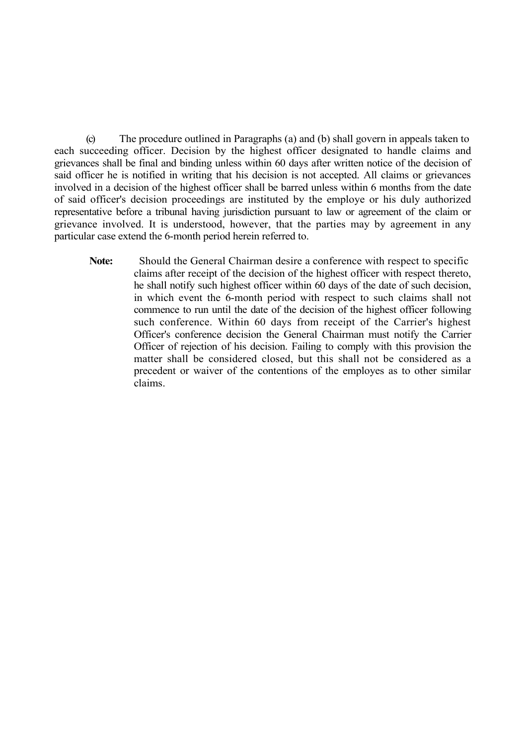(c) The procedure outlined in Paragraphs (a) and (b) shall govern in appeals taken to each succeeding officer. Decision by the highest officer designated to handle claims and grievances shall be final and binding unless within 60 days after written notice of the decision of said officer he is notified in writing that his decision is not accepted. All claims or grievances involved in a decision of the highest officer shall be barred unless within 6 months from the date of said officer's decision proceedings are instituted by the employe or his duly authorized representative before a tribunal having jurisdiction pursuant to law or agreement of the claim or grievance involved. It is understood, however, that the parties may by agreement in any particular case extend the 6-month period herein referred to.

**Note:** Should the General Chairman desire a conference with respect to specific claims after receipt of the decision of the highest officer with respect thereto, he shall notify such highest officer within 60 days of the date of such decision, in which event the 6-month period with respect to such claims shall not commence to run until the date of the decision of the highest officer following such conference. Within 60 days from receipt of the Carrier's highest Officer's conference decision the General Chairman must notify the Carrier Officer of rejection of his decision. Failing to comply with this provision the matter shall be considered closed, but this shall not be considered as a precedent or waiver of the contentions of the employes as to other similar claims.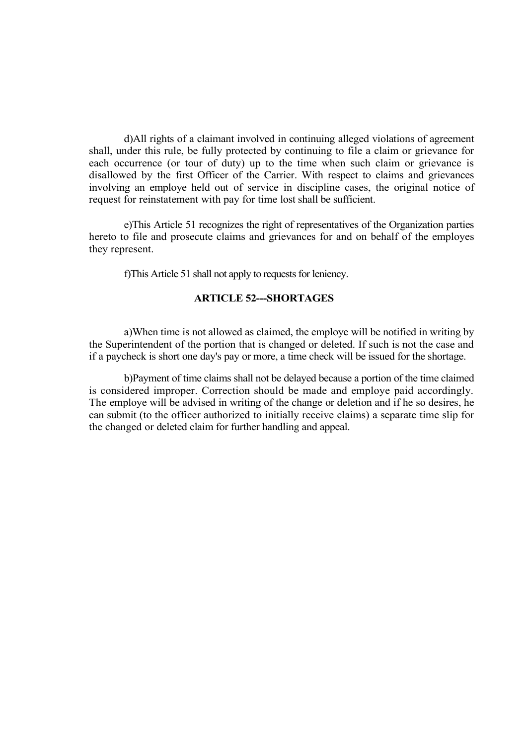d)All rights of a claimant involved in continuing alleged violations of agreement shall, under this rule, be fully protected by continuing to file a claim or grievance for each occurrence (or tour of duty) up to the time when such claim or grievance is disallowed by the first Officer of the Carrier. With respect to claims and grievances involving an employe held out of service in discipline cases, the original notice of request for reinstatement with pay for time lost shall be sufficient.

e)This Article 51 recognizes the right of representatives of the Organization parties hereto to file and prosecute claims and grievances for and on behalf of the employes they represent.

f)This Article 51 shall not apply to requests for leniency.

### **ARTICLE 52---SHORTAGES**

a)When time is not allowed as claimed, the employe will be notified in writing by the Superintendent of the portion that is changed or deleted. If such is not the case and if a paycheck is short one day's pay or more, a time check will be issued for the shortage.

b)Payment of time claims shall not be delayed because a portion of the time claimed is considered improper. Correction should be made and employe paid accordingly. The employe will be advised in writing of the change or deletion and if he so desires, he can submit (to the officer authorized to initially receive claims) a separate time slip for the changed or deleted claim for further handling and appeal.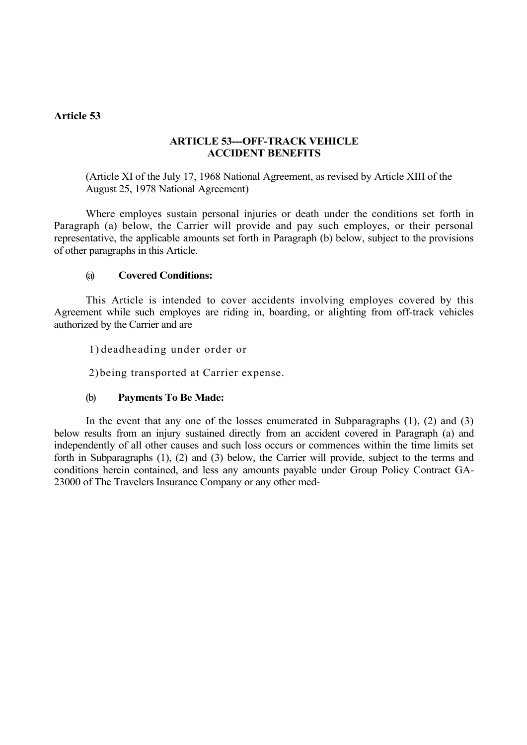### **Article 53**

### **ARTICLE 53---OFF-TRACK VEHICLE ACCIDENT BENEFITS**

(Article XI of the July 17, 1968 National Agreement, as revised by Article XIII of the August 25, 1978 National Agreement)

Where employes sustain personal injuries or death under the conditions set forth in Paragraph (a) below, the Carrier will provide and pay such employes, or their personal representative, the applicable amounts set forth in Paragraph (b) below, subject to the provisions of other paragraphs in this Article.

### (a) **Covered Conditions:**

This Article is intended to cover accidents involving employes covered by this Agreement while such employes are riding in, boarding, or alighting from off-track vehicles authorized by the Carrier and are

1) deadheading under order or

2)being transported at Carrier expense.

### (b) **Payments To Be Made:**

In the event that any one of the losses enumerated in Subparagraphs (1), (2) and (3) below results from an injury sustained directly from an accident covered in Paragraph (a) and independently of all other causes and such loss occurs or commences within the time limits set forth in Subparagraphs (1), (2) and (3) below, the Carrier will provide, subject to the terms and conditions herein contained, and less any amounts payable under Group Policy Contract GA-23000 of The Travelers Insurance Company or any other med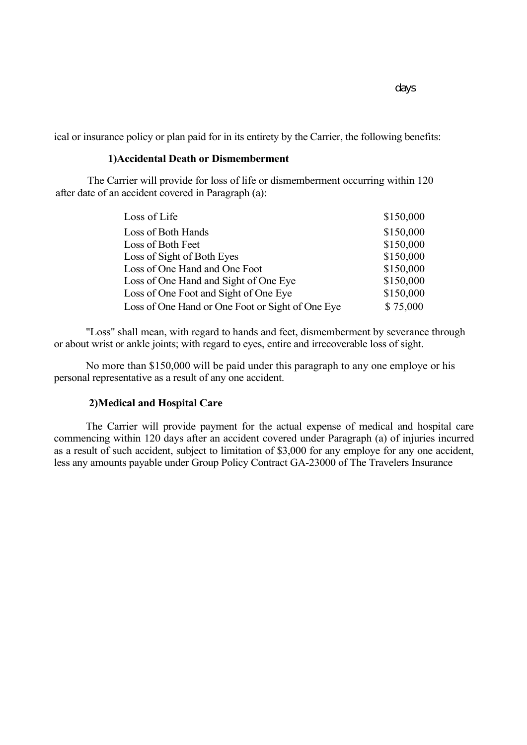ical or insurance policy or plan paid for in its entirety by the Carrier, the following benefits:

#### **1)Accidental Death or Dismemberment**

The Carrier will provide for loss of life or dismemberment occurring within 120 after date of an accident covered in Paragraph (a):

| Loss of Life                                     | \$150,000 |
|--------------------------------------------------|-----------|
| Loss of Both Hands                               | \$150,000 |
| Loss of Both Feet                                | \$150,000 |
| Loss of Sight of Both Eyes                       | \$150,000 |
| Loss of One Hand and One Foot                    | \$150,000 |
| Loss of One Hand and Sight of One Eye            | \$150,000 |
| Loss of One Foot and Sight of One Eye            | \$150,000 |
| Loss of One Hand or One Foot or Sight of One Eye | \$75,000  |

"Loss" shall mean, with regard to hands and feet, dismemberment by severance through or about wrist or ankle joints; with regard to eyes, entire and irrecoverable loss of sight.

No more than \$150,000 will be paid under this paragraph to any one employe or his personal representative as a result of any one accident.

#### **2)Medical and Hospital Care**

The Carrier will provide payment for the actual expense of medical and hospital care commencing within 120 days after an accident covered under Paragraph (a) of injuries incurred as a result of such accident, subject to limitation of \$3,000 for any employe for any one accident, less any amounts payable under Group Policy Contract GA-23000 of The Travelers Insurance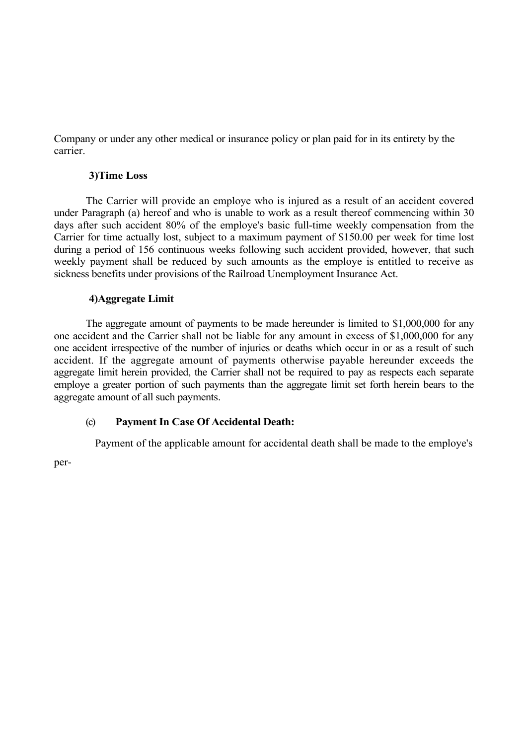Company or under any other medical or insurance policy or plan paid for in its entirety by the carrier.

### **3)Time Loss**

The Carrier will provide an employe who is injured as a result of an accident covered under Paragraph (a) hereof and who is unable to work as a result thereof commencing within 30 days after such accident 80% of the employe's basic full-time weekly compensation from the Carrier for time actually lost, subject to a maximum payment of \$150.00 per week for time lost during a period of 156 continuous weeks following such accident provided, however, that such weekly payment shall be reduced by such amounts as the employe is entitled to receive as sickness benefits under provisions of the Railroad Unemployment Insurance Act.

## **4)Aggregate Limit**

The aggregate amount of payments to be made hereunder is limited to \$1,000,000 for any one accident and the Carrier shall not be liable for any amount in excess of \$1,000,000 for any one accident irrespective of the number of injuries or deaths which occur in or as a result of such accident. If the aggregate amount of payments otherwise payable hereunder exceeds the aggregate limit herein provided, the Carrier shall not be required to pay as respects each separate employe a greater portion of such payments than the aggregate limit set forth herein bears to the aggregate amount of all such payments.

## (c) **Payment In Case Of Accidental Death:**

Payment of the applicable amount for accidental death shall be made to the employe's

per-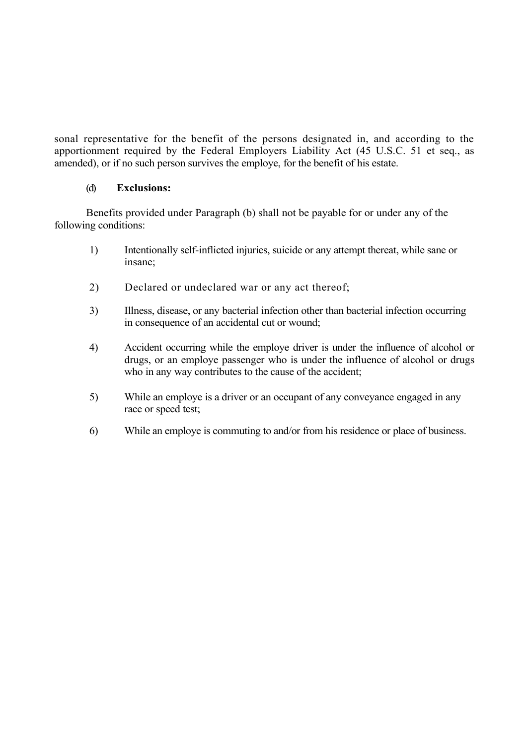sonal representative for the benefit of the persons designated in, and according to the apportionment required by the Federal Employers Liability Act (45 U.S.C. 51 et seq., as amended), or if no such person survives the employe, for the benefit of his estate.

## (d) **Exclusions:**

Benefits provided under Paragraph (b) shall not be payable for or under any of the following conditions:

- 1) Intentionally self-inflicted injuries, suicide or any attempt thereat, while sane or insane;
- 2) Declared or undeclared war or any act thereof;
- 3) Illness, disease, or any bacterial infection other than bacterial infection occurring in consequence of an accidental cut or wound;
- 4) Accident occurring while the employe driver is under the influence of alcohol or drugs, or an employe passenger who is under the influence of alcohol or drugs who in any way contributes to the cause of the accident;
- 5) While an employe is a driver or an occupant of any conveyance engaged in any race or speed test;
- 6) While an employe is commuting to and/or from his residence or place of business.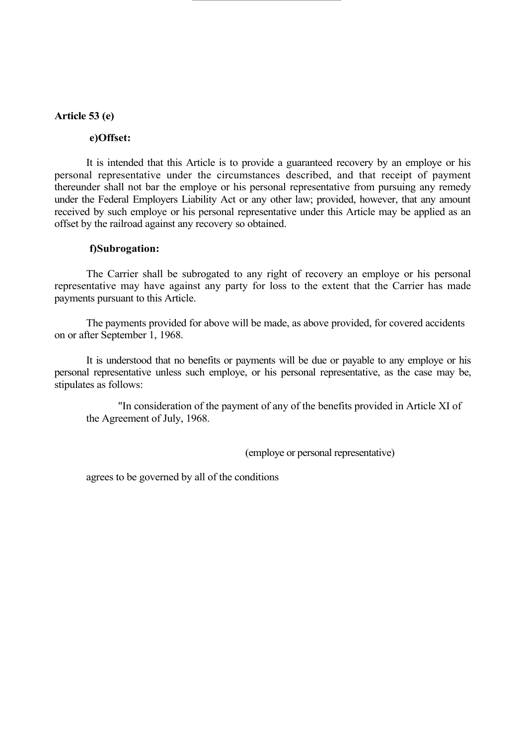#### **Article 53 (e)**

#### **e)Offset:**

It is intended that this Article is to provide a guaranteed recovery by an employe or his personal representative under the circumstances described, and that receipt of payment thereunder shall not bar the employe or his personal representative from pursuing any remedy under the Federal Employers Liability Act or any other law; provided, however, that any amount received by such employe or his personal representative under this Article may be applied as an offset by the railroad against any recovery so obtained.

#### **f)Subrogation:**

The Carrier shall be subrogated to any right of recovery an employe or his personal representative may have against any party for loss to the extent that the Carrier has made payments pursuant to this Article.

The payments provided for above will be made, as above provided, for covered accidents on or after September 1, 1968.

It is understood that no benefits or payments will be due or payable to any employe or his personal representative unless such employe, or his personal representative, as the case may be, stipulates as follows:

"In consideration of the payment of any of the benefits provided in Article XI of the Agreement of July, 1968.

(employe or personal representative)

agrees to be governed by all of the conditions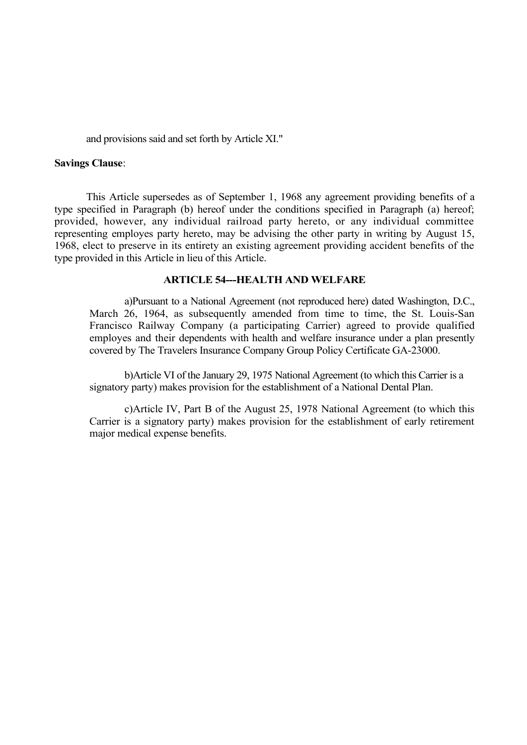and provisions said and set forth by Article XI."

#### **Savings Clause**:

This Article supersedes as of September 1, 1968 any agreement providing benefits of a type specified in Paragraph (b) hereof under the conditions specified in Paragraph (a) hereof; provided, however, any individual railroad party hereto, or any individual committee representing employes party hereto, may be advising the other party in writing by August 15, 1968, elect to preserve in its entirety an existing agreement providing accident benefits of the type provided in this Article in lieu of this Article.

### **ARTICLE 54---HEALTH AND WELFARE**

a)Pursuant to a National Agreement (not reproduced here) dated Washington, D.C., March 26, 1964, as subsequently amended from time to time, the St. Louis-San Francisco Railway Company (a participating Carrier) agreed to provide qualified employes and their dependents with health and welfare insurance under a plan presently covered by The Travelers Insurance Company Group Policy Certificate GA-23000.

b)Article VI of the January 29, 1975 National Agreement (to which this Carrier is a signatory party) makes provision for the establishment of a National Dental Plan.

c)Article IV, Part B of the August 25, 1978 National Agreement (to which this Carrier is a signatory party) makes provision for the establishment of early retirement major medical expense benefits.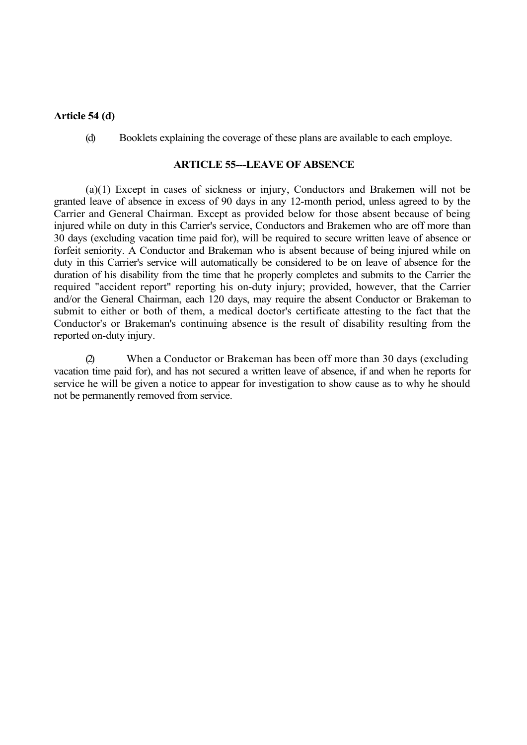#### **Article 54 (d)**

(d) Booklets explaining the coverage of these plans are available to each employe.

#### **ARTICLE 55---LEAVE OF ABSENCE**

(a)(1) Except in cases of sickness or injury, Conductors and Brakemen will not be granted leave of absence in excess of 90 days in any 12-month period, unless agreed to by the Carrier and General Chairman. Except as provided below for those absent because of being injured while on duty in this Carrier's service, Conductors and Brakemen who are off more than 30 days (excluding vacation time paid for), will be required to secure written leave of absence or forfeit seniority. A Conductor and Brakeman who is absent because of being injured while on duty in this Carrier's service will automatically be considered to be on leave of absence for the duration of his disability from the time that he properly completes and submits to the Carrier the required "accident report" reporting his on-duty injury; provided, however, that the Carrier and/or the General Chairman, each 120 days, may require the absent Conductor or Brakeman to submit to either or both of them, a medical doctor's certificate attesting to the fact that the Conductor's or Brakeman's continuing absence is the result of disability resulting from the reported on-duty injury.

(2) When a Conductor or Brakeman has been off more than 30 days (excluding vacation time paid for), and has not secured a written leave of absence, if and when he reports for service he will be given a notice to appear for investigation to show cause as to why he should not be permanently removed from service.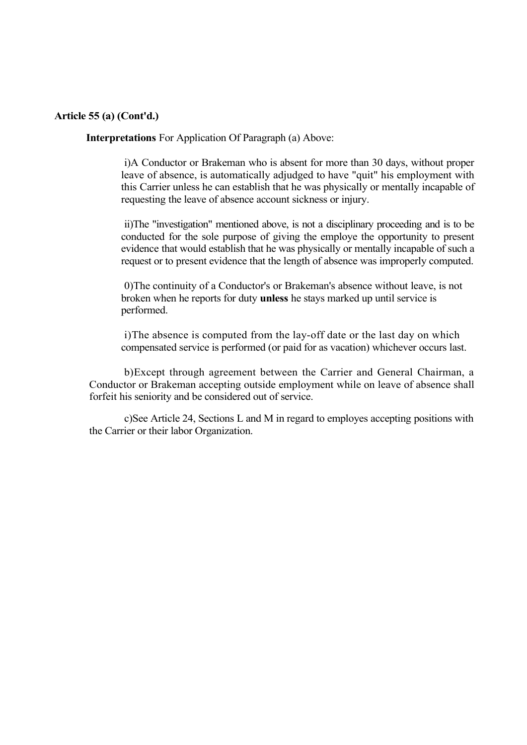### **Article 55 (a) (Cont'd.)**

**Interpretations** For Application Of Paragraph (a) Above:

i)A Conductor or Brakeman who is absent for more than 30 days, without proper leave of absence, is automatically adjudged to have "quit" his employment with this Carrier unless he can establish that he was physically or mentally incapable of requesting the leave of absence account sickness or injury.

ii)The "investigation" mentioned above, is not a disciplinary proceeding and is to be conducted for the sole purpose of giving the employe the opportunity to present evidence that would establish that he was physically or mentally incapable of such a request or to present evidence that the length of absence was improperly computed.

0)The continuity of a Conductor's or Brakeman's absence without leave, is not broken when he reports for duty **unless** he stays marked up until service is performed.

i)The absence is computed from the lay-off date or the last day on which compensated service is performed (or paid for as vacation) whichever occurs last.

b)Except through agreement between the Carrier and General Chairman, a Conductor or Brakeman accepting outside employment while on leave of absence shall forfeit his seniority and be considered out of service.

c)See Article 24, Sections L and M in regard to employes accepting positions with the Carrier or their labor Organization.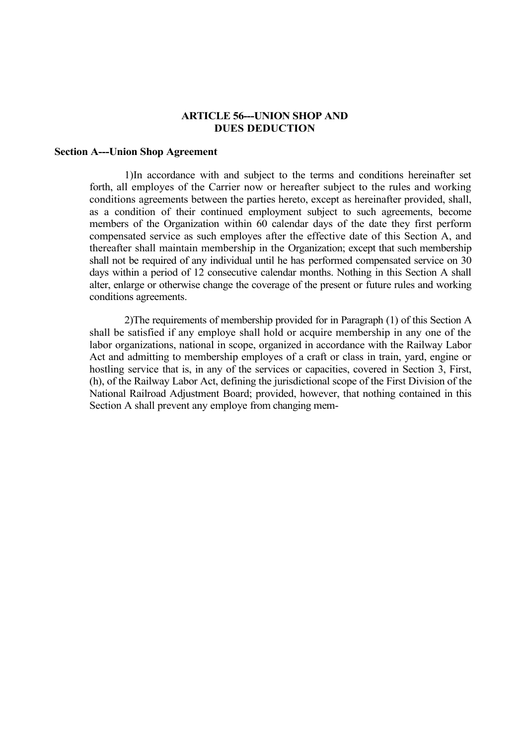#### **ARTICLE 56---UNION SHOP AND DUES DEDUCTION**

#### **Section A---Union Shop Agreement**

1)In accordance with and subject to the terms and conditions hereinafter set forth, all employes of the Carrier now or hereafter subject to the rules and working conditions agreements between the parties hereto, except as hereinafter provided, shall, as a condition of their continued employment subject to such agreements, become members of the Organization within 60 calendar days of the date they first perform compensated service as such employes after the effective date of this Section A, and thereafter shall maintain membership in the Organization; except that such membership shall not be required of any individual until he has performed compensated service on 30 days within a period of 12 consecutive calendar months. Nothing in this Section A shall alter, enlarge or otherwise change the coverage of the present or future rules and working conditions agreements.

2)The requirements of membership provided for in Paragraph (1) of this Section A shall be satisfied if any employe shall hold or acquire membership in any one of the labor organizations, national in scope, organized in accordance with the Railway Labor Act and admitting to membership employes of a craft or class in train, yard, engine or hostling service that is, in any of the services or capacities, covered in Section 3, First, (h), of the Railway Labor Act, defining the jurisdictional scope of the First Division of the National Railroad Adjustment Board; provided, however, that nothing contained in this Section A shall prevent any employe from changing mem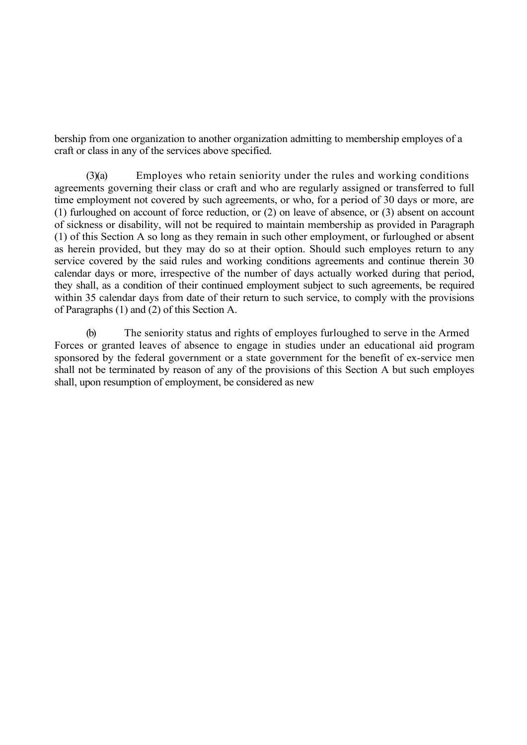bership from one organization to another organization admitting to membership employes of a craft or class in any of the services above specified.

(3)(a) Employes who retain seniority under the rules and working conditions agreements governing their class or craft and who are regularly assigned or transferred to full time employment not covered by such agreements, or who, for a period of 30 days or more, are (1) furloughed on account of force reduction, or (2) on leave of absence, or (3) absent on account of sickness or disability, will not be required to maintain membership as provided in Paragraph (1) of this Section A so long as they remain in such other employment, or furloughed or absent as herein provided, but they may do so at their option. Should such employes return to any service covered by the said rules and working conditions agreements and continue therein 30 calendar days or more, irrespective of the number of days actually worked during that period, they shall, as a condition of their continued employment subject to such agreements, be required within 35 calendar days from date of their return to such service, to comply with the provisions of Paragraphs (1) and (2) of this Section A.

(b) The seniority status and rights of employes furloughed to serve in the Armed Forces or granted leaves of absence to engage in studies under an educational aid program sponsored by the federal government or a state government for the benefit of ex-service men shall not be terminated by reason of any of the provisions of this Section A but such employes shall, upon resumption of employment, be considered as new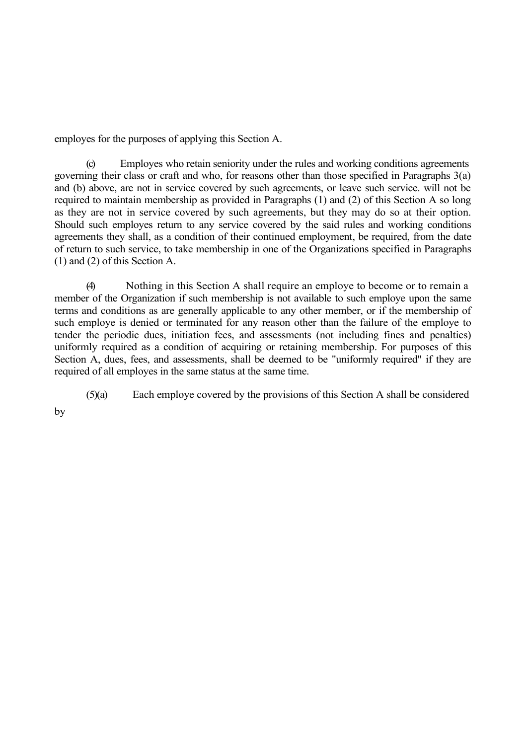employes for the purposes of applying this Section A.

(c) Employes who retain seniority under the rules and working conditions agreements governing their class or craft and who, for reasons other than those specified in Paragraphs 3(a) and (b) above, are not in service covered by such agreements, or leave such service. will not be required to maintain membership as provided in Paragraphs (1) and (2) of this Section A so long as they are not in service covered by such agreements, but they may do so at their option. Should such employes return to any service covered by the said rules and working conditions agreements they shall, as a condition of their continued employment, be required, from the date of return to such service, to take membership in one of the Organizations specified in Paragraphs (1) and (2) of this Section A.

(4) Nothing in this Section A shall require an employe to become or to remain a member of the Organization if such membership is not available to such employe upon the same terms and conditions as are generally applicable to any other member, or if the membership of such employe is denied or terminated for any reason other than the failure of the employe to tender the periodic dues, initiation fees, and assessments (not including fines and penalties) uniformly required as a condition of acquiring or retaining membership. For purposes of this Section A, dues, fees, and assessments, shall be deemed to be "uniformly required" if they are required of all employes in the same status at the same time.

(5)(a) Each employe covered by the provisions of this Section A shall be considered

by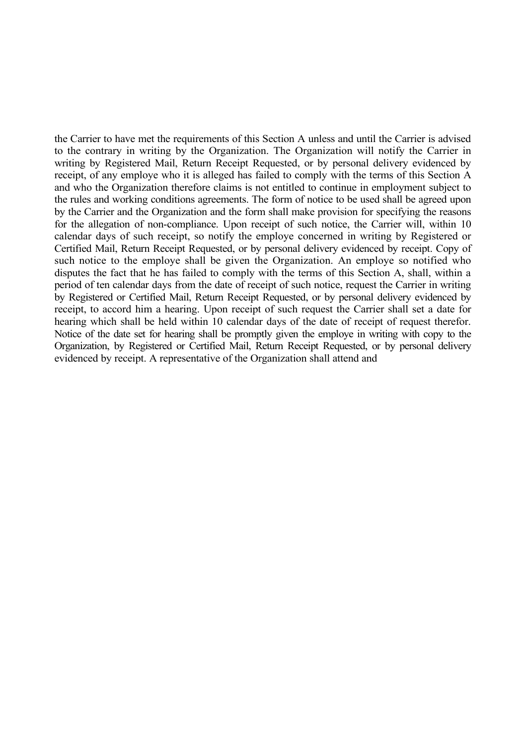the Carrier to have met the requirements of this Section A unless and until the Carrier is advised to the contrary in writing by the Organization. The Organization will notify the Carrier in writing by Registered Mail, Return Receipt Requested, or by personal delivery evidenced by receipt, of any employe who it is alleged has failed to comply with the terms of this Section A and who the Organization therefore claims is not entitled to continue in employment subject to the rules and working conditions agreements. The form of notice to be used shall be agreed upon by the Carrier and the Organization and the form shall make provision for specifying the reasons for the allegation of non-compliance. Upon receipt of such notice, the Carrier will, within 10 calendar days of such receipt, so notify the employe concerned in writing by Registered or Certified Mail, Return Receipt Requested, or by personal delivery evidenced by receipt. Copy of such notice to the employe shall be given the Organization. An employe so notified who disputes the fact that he has failed to comply with the terms of this Section A, shall, within a period of ten calendar days from the date of receipt of such notice, request the Carrier in writing by Registered or Certified Mail, Return Receipt Requested, or by personal delivery evidenced by receipt, to accord him a hearing. Upon receipt of such request the Carrier shall set a date for hearing which shall be held within 10 calendar days of the date of receipt of request therefor. Notice of the date set for hearing shall be promptly given the employe in writing with copy to the Organization, by Registered or Certified Mail, Return Receipt Requested, or by personal delivery evidenced by receipt. A representative of the Organization shall attend and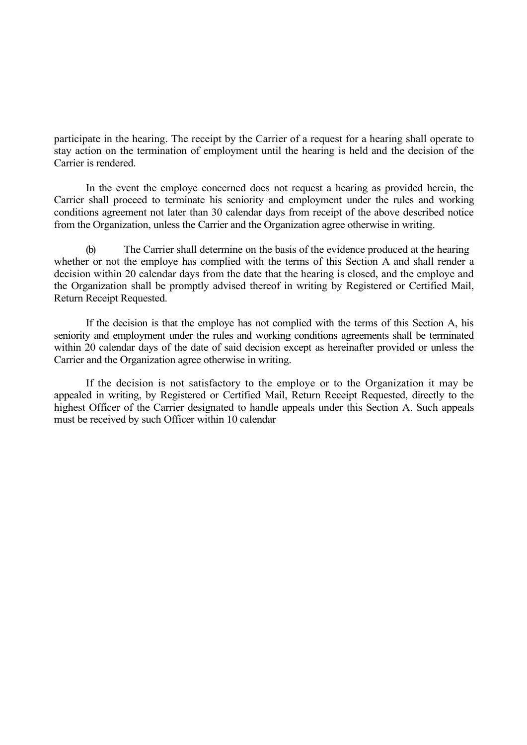participate in the hearing. The receipt by the Carrier of a request for a hearing shall operate to stay action on the termination of employment until the hearing is held and the decision of the Carrier is rendered.

In the event the employe concerned does not request a hearing as provided herein, the Carrier shall proceed to terminate his seniority and employment under the rules and working conditions agreement not later than 30 calendar days from receipt of the above described notice from the Organization, unless the Carrier and the Organization agree otherwise in writing.

(b) The Carrier shall determine on the basis of the evidence produced at the hearing whether or not the employe has complied with the terms of this Section A and shall render a decision within 20 calendar days from the date that the hearing is closed, and the employe and the Organization shall be promptly advised thereof in writing by Registered or Certified Mail, Return Receipt Requested.

If the decision is that the employe has not complied with the terms of this Section A, his seniority and employment under the rules and working conditions agreements shall be terminated within 20 calendar days of the date of said decision except as hereinafter provided or unless the Carrier and the Organization agree otherwise in writing.

If the decision is not satisfactory to the employe or to the Organization it may be appealed in writing, by Registered or Certified Mail, Return Receipt Requested, directly to the highest Officer of the Carrier designated to handle appeals under this Section A. Such appeals must be received by such Officer within 10 calendar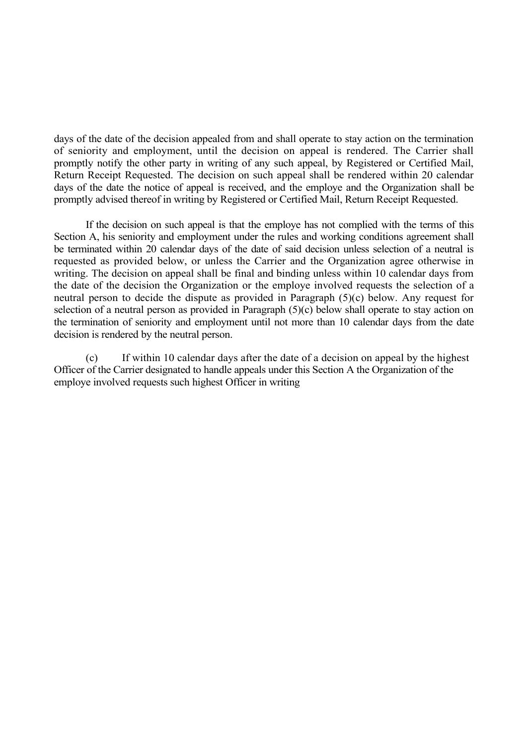days of the date of the decision appealed from and shall operate to stay action on the termination of seniority and employment, until the decision on appeal is rendered. The Carrier shall promptly notify the other party in writing of any such appeal, by Registered or Certified Mail, Return Receipt Requested. The decision on such appeal shall be rendered within 20 calendar days of the date the notice of appeal is received, and the employe and the Organization shall be promptly advised thereof in writing by Registered or Certified Mail, Return Receipt Requested.

If the decision on such appeal is that the employe has not complied with the terms of this Section A, his seniority and employment under the rules and working conditions agreement shall be terminated within 20 calendar days of the date of said decision unless selection of a neutral is requested as provided below, or unless the Carrier and the Organization agree otherwise in writing. The decision on appeal shall be final and binding unless within 10 calendar days from the date of the decision the Organization or the employe involved requests the selection of a neutral person to decide the dispute as provided in Paragraph (5)(c) below. Any request for selection of a neutral person as provided in Paragraph (5)(c) below shall operate to stay action on the termination of seniority and employment until not more than 10 calendar days from the date decision is rendered by the neutral person.

(c) If within 10 calendar days after the date of a decision on appeal by the highest Officer of the Carrier designated to handle appeals under this Section A the Organization of the employe involved requests such highest Officer in writing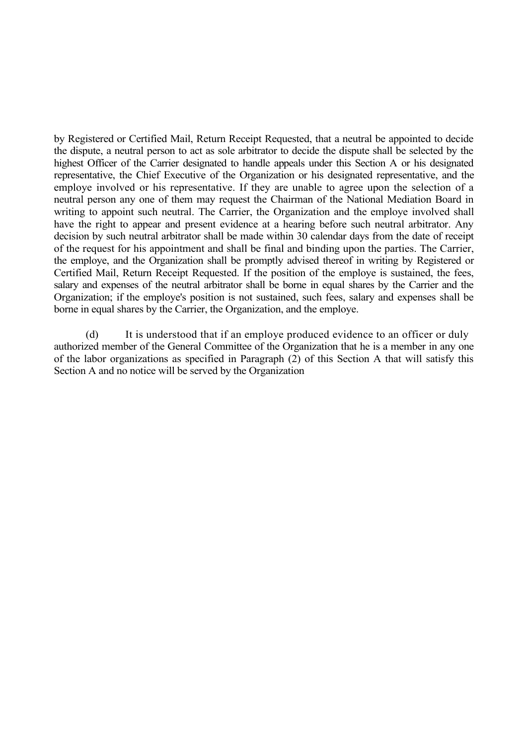by Registered or Certified Mail, Return Receipt Requested, that a neutral be appointed to decide the dispute, a neutral person to act as sole arbitrator to decide the dispute shall be selected by the highest Officer of the Carrier designated to handle appeals under this Section A or his designated representative, the Chief Executive of the Organization or his designated representative, and the employe involved or his representative. If they are unable to agree upon the selection of a neutral person any one of them may request the Chairman of the National Mediation Board in writing to appoint such neutral. The Carrier, the Organization and the employe involved shall have the right to appear and present evidence at a hearing before such neutral arbitrator. Any decision by such neutral arbitrator shall be made within 30 calendar days from the date of receipt of the request for his appointment and shall be final and binding upon the parties. The Carrier, the employe, and the Organization shall be promptly advised thereof in writing by Registered or Certified Mail, Return Receipt Requested. If the position of the employe is sustained, the fees, salary and expenses of the neutral arbitrator shall be borne in equal shares by the Carrier and the Organization; if the employe's position is not sustained, such fees, salary and expenses shall be borne in equal shares by the Carrier, the Organization, and the employe.

(d) It is understood that if an employe produced evidence to an officer or duly authorized member of the General Committee of the Organization that he is a member in any one of the labor organizations as specified in Paragraph (2) of this Section A that will satisfy this Section A and no notice will be served by the Organization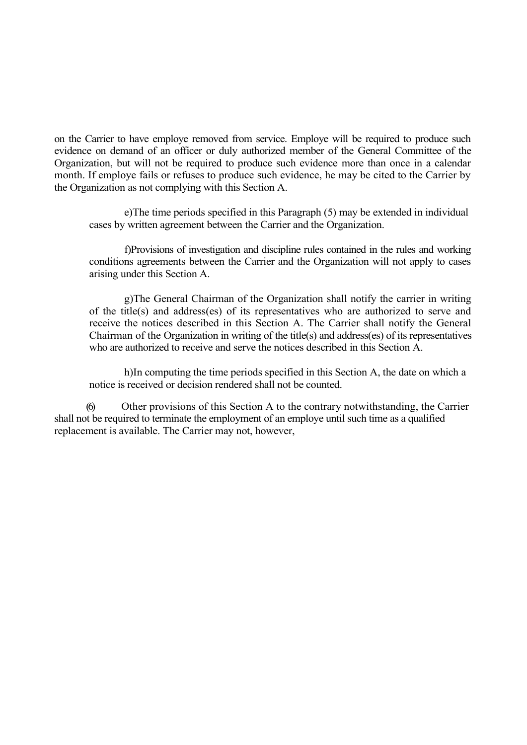on the Carrier to have employe removed from service. Employe will be required to produce such evidence on demand of an officer or duly authorized member of the General Committee of the Organization, but will not be required to produce such evidence more than once in a calendar month. If employe fails or refuses to produce such evidence, he may be cited to the Carrier by the Organization as not complying with this Section A.

e)The time periods specified in this Paragraph (5) may be extended in individual cases by written agreement between the Carrier and the Organization.

f)Provisions of investigation and discipline rules contained in the rules and working conditions agreements between the Carrier and the Organization will not apply to cases arising under this Section A.

g)The General Chairman of the Organization shall notify the carrier in writing of the title(s) and address(es) of its representatives who are authorized to serve and receive the notices described in this Section A. The Carrier shall notify the General Chairman of the Organization in writing of the title(s) and address(es) of its representatives who are authorized to receive and serve the notices described in this Section A.

h)In computing the time periods specified in this Section A, the date on which a notice is received or decision rendered shall not be counted.

(6) Other provisions of this Section A to the contrary notwithstanding, the Carrier shall not be required to terminate the employment of an employe until such time as a qualified replacement is available. The Carrier may not, however,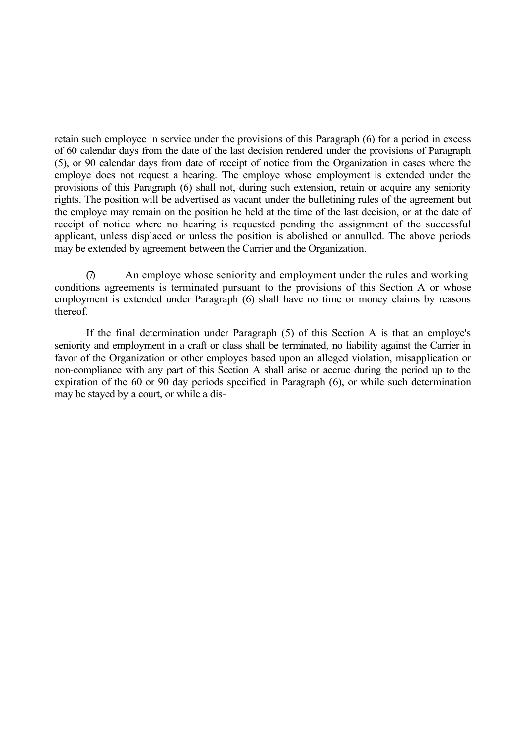retain such employee in service under the provisions of this Paragraph (6) for a period in excess of 60 calendar days from the date of the last decision rendered under the provisions of Paragraph (5), or 90 calendar days from date of receipt of notice from the Organization in cases where the employe does not request a hearing. The employe whose employment is extended under the provisions of this Paragraph (6) shall not, during such extension, retain or acquire any seniority rights. The position will be advertised as vacant under the bulletining rules of the agreement but the employe may remain on the position he held at the time of the last decision, or at the date of receipt of notice where no hearing is requested pending the assignment of the successful applicant, unless displaced or unless the position is abolished or annulled. The above periods may be extended by agreement between the Carrier and the Organization.

An employe whose seniority and employment under the rules and working conditions agreements is terminated pursuant to the provisions of this Section A or whose employment is extended under Paragraph (6) shall have no time or money claims by reasons thereof.

If the final determination under Paragraph (5) of this Section A is that an employe's seniority and employment in a craft or class shall be terminated, no liability against the Carrier in favor of the Organization or other employes based upon an alleged violation, misapplication or non-compliance with any part of this Section A shall arise or accrue during the period up to the expiration of the 60 or 90 day periods specified in Paragraph (6), or while such determination may be stayed by a court, or while a dis-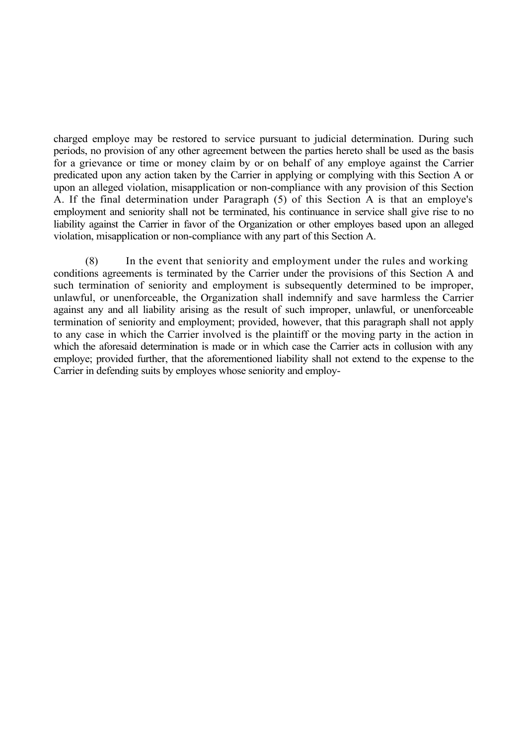charged employe may be restored to service pursuant to judicial determination. During such periods, no provision of any other agreement between the parties hereto shall be used as the basis for a grievance or time or money claim by or on behalf of any employe against the Carrier predicated upon any action taken by the Carrier in applying or complying with this Section A or upon an alleged violation, misapplication or non-compliance with any provision of this Section A. If the final determination under Paragraph (5) of this Section A is that an employe's employment and seniority shall not be terminated, his continuance in service shall give rise to no liability against the Carrier in favor of the Organization or other employes based upon an alleged violation, misapplication or non-compliance with any part of this Section A.

(8) In the event that seniority and employment under the rules and working conditions agreements is terminated by the Carrier under the provisions of this Section A and such termination of seniority and employment is subsequently determined to be improper, unlawful, or unenforceable, the Organization shall indemnify and save harmless the Carrier against any and all liability arising as the result of such improper, unlawful, or unenforceable termination of seniority and employment; provided, however, that this paragraph shall not apply to any case in which the Carrier involved is the plaintiff or the moving party in the action in which the aforesaid determination is made or in which case the Carrier acts in collusion with any employe; provided further, that the aforementioned liability shall not extend to the expense to the Carrier in defending suits by employes whose seniority and employ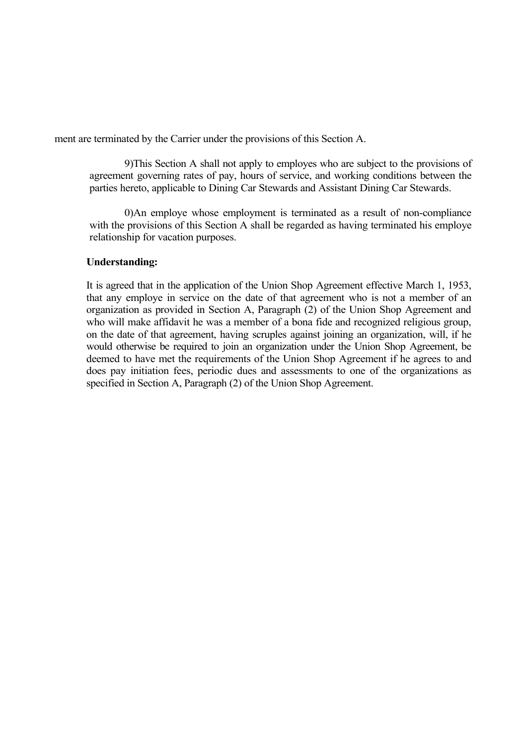ment are terminated by the Carrier under the provisions of this Section A.

9)This Section A shall not apply to employes who are subject to the provisions of agreement governing rates of pay, hours of service, and working conditions between the parties hereto, applicable to Dining Car Stewards and Assistant Dining Car Stewards.

0)An employe whose employment is terminated as a result of non-compliance with the provisions of this Section A shall be regarded as having terminated his employe relationship for vacation purposes.

### **Understanding:**

It is agreed that in the application of the Union Shop Agreement effective March 1, 1953, that any employe in service on the date of that agreement who is not a member of an organization as provided in Section A, Paragraph (2) of the Union Shop Agreement and who will make affidavit he was a member of a bona fide and recognized religious group, on the date of that agreement, having scruples against joining an organization, will, if he would otherwise be required to join an organization under the Union Shop Agreement, be deemed to have met the requirements of the Union Shop Agreement if he agrees to and does pay initiation fees, periodic dues and assessments to one of the organizations as specified in Section A, Paragraph (2) of the Union Shop Agreement.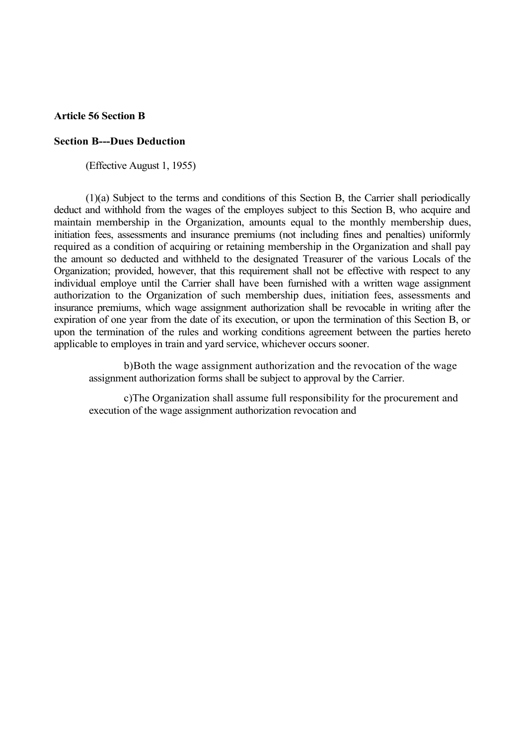#### **Article 56 Section B**

#### **Section B---Dues Deduction**

(Effective August 1, 1955)

(1)(a) Subject to the terms and conditions of this Section B, the Carrier shall periodically deduct and withhold from the wages of the employes subject to this Section B, who acquire and maintain membership in the Organization, amounts equal to the monthly membership dues, initiation fees, assessments and insurance premiums (not including fines and penalties) uniformly required as a condition of acquiring or retaining membership in the Organization and shall pay the amount so deducted and withheld to the designated Treasurer of the various Locals of the Organization; provided, however, that this requirement shall not be effective with respect to any individual employe until the Carrier shall have been furnished with a written wage assignment authorization to the Organization of such membership dues, initiation fees, assessments and insurance premiums, which wage assignment authorization shall be revocable in writing after the expiration of one year from the date of its execution, or upon the termination of this Section B, or upon the termination of the rules and working conditions agreement between the parties hereto applicable to employes in train and yard service, whichever occurs sooner.

b)Both the wage assignment authorization and the revocation of the wage assignment authorization forms shall be subject to approval by the Carrier.

c)The Organization shall assume full responsibility for the procurement and execution of the wage assignment authorization revocation and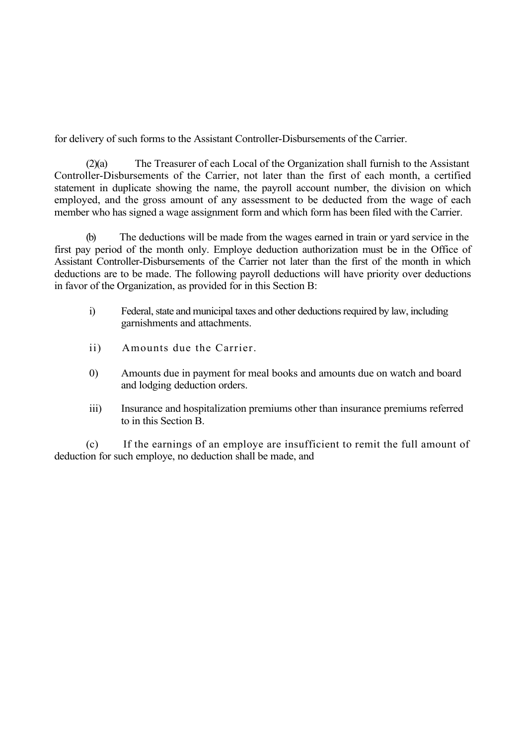for delivery of such forms to the Assistant Controller-Disbursements of the Carrier.

(2)(a) The Treasurer of each Local of the Organization shall furnish to the Assistant Controller-Disbursements of the Carrier, not later than the first of each month, a certified statement in duplicate showing the name, the payroll account number, the division on which employed, and the gross amount of any assessment to be deducted from the wage of each member who has signed a wage assignment form and which form has been filed with the Carrier.

(b) The deductions will be made from the wages earned in train or yard service in the first pay period of the month only. Employe deduction authorization must be in the Office of Assistant Controller-Disbursements of the Carrier not later than the first of the month in which deductions are to be made. The following payroll deductions will have priority over deductions in favor of the Organization, as provided for in this Section B:

- i) Federal, state and municipal taxes and other deductions required by law, including garnishments and attachments.
- ii) Amounts due the Carrier.
- 0) Amounts due in payment for meal books and amounts due on watch and board and lodging deduction orders.
- iii) Insurance and hospitalization premiums other than insurance premiums referred to in this Section B.

(c) If the earnings of an employe are insufficient to remit the full amount of deduction for such employe, no deduction shall be made, and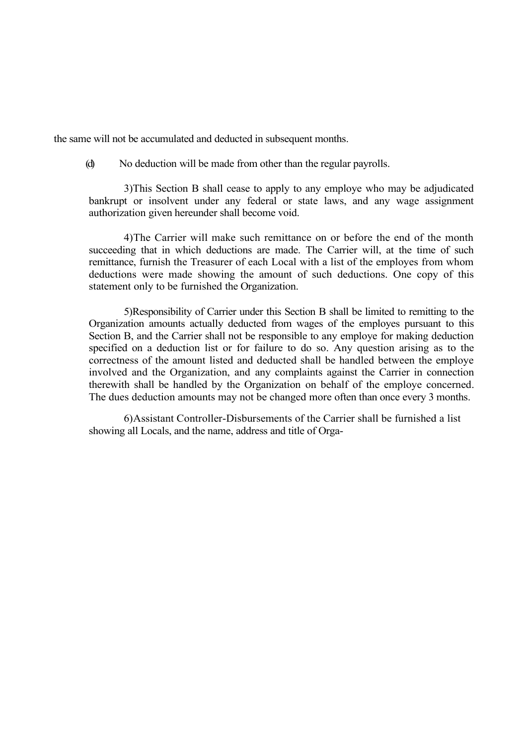the same will not be accumulated and deducted in subsequent months.

(d) No deduction will be made from other than the regular payrolls.

3)This Section B shall cease to apply to any employe who may be adjudicated bankrupt or insolvent under any federal or state laws, and any wage assignment authorization given hereunder shall become void.

4)The Carrier will make such remittance on or before the end of the month succeeding that in which deductions are made. The Carrier will, at the time of such remittance, furnish the Treasurer of each Local with a list of the employes from whom deductions were made showing the amount of such deductions. One copy of this statement only to be furnished the Organization.

5)Responsibility of Carrier under this Section B shall be limited to remitting to the Organization amounts actually deducted from wages of the employes pursuant to this Section B, and the Carrier shall not be responsible to any employe for making deduction specified on a deduction list or for failure to do so. Any question arising as to the correctness of the amount listed and deducted shall be handled between the employe involved and the Organization, and any complaints against the Carrier in connection therewith shall be handled by the Organization on behalf of the employe concerned. The dues deduction amounts may not be changed more often than once every 3 months.

6)Assistant Controller-Disbursements of the Carrier shall be furnished a list showing all Locals, and the name, address and title of Orga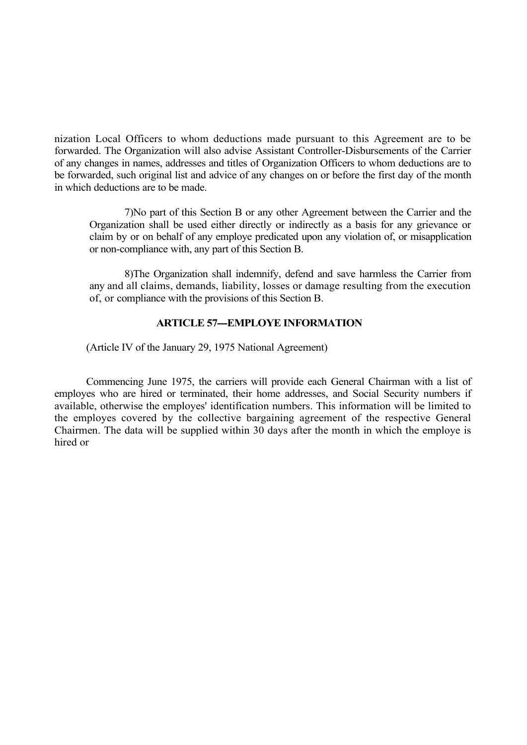nization Local Officers to whom deductions made pursuant to this Agreement are to be forwarded. The Organization will also advise Assistant Controller-Disbursements of the Carrier of any changes in names, addresses and titles of Organization Officers to whom deductions are to be forwarded, such original list and advice of any changes on or before the first day of the month in which deductions are to be made.

7)No part of this Section B or any other Agreement between the Carrier and the Organization shall be used either directly or indirectly as a basis for any grievance or claim by or on behalf of any employe predicated upon any violation of, or misapplication or non-compliance with, any part of this Section B.

8)The Organization shall indemnify, defend and save harmless the Carrier from any and all claims, demands, liability, losses or damage resulting from the execution of, or compliance with the provisions of this Section B.

### **ARTICLE 57---EMPLOYE INFORMATION**

(Article IV of the January 29, 1975 National Agreement)

Commencing June 1975, the carriers will provide each General Chairman with a list of employes who are hired or terminated, their home addresses, and Social Security numbers if available, otherwise the employes' identification numbers. This information will be limited to the employes covered by the collective bargaining agreement of the respective General Chairmen. The data will be supplied within 30 days after the month in which the employe is hired or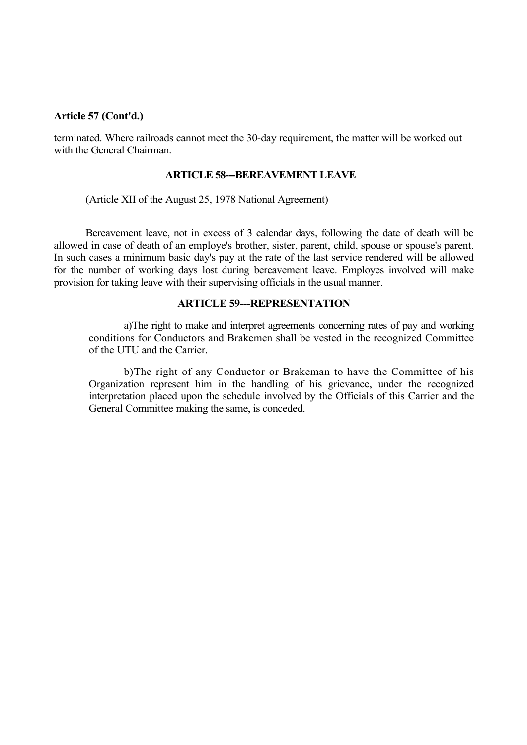#### **Article 57 (Cont'd.)**

terminated. Where railroads cannot meet the 30-day requirement, the matter will be worked out with the General Chairman.

### **ARTICLE 58---BEREAVEMENT LEAVE**

(Article XII of the August 25, 1978 National Agreement)

Bereavement leave, not in excess of 3 calendar days, following the date of death will be allowed in case of death of an employe's brother, sister, parent, child, spouse or spouse's parent. In such cases a minimum basic day's pay at the rate of the last service rendered will be allowed for the number of working days lost during bereavement leave. Employes involved will make provision for taking leave with their supervising officials in the usual manner.

#### **ARTICLE 59---REPRESENTATION**

a)The right to make and interpret agreements concerning rates of pay and working conditions for Conductors and Brakemen shall be vested in the recognized Committee of the UTU and the Carrier.

b)The right of any Conductor or Brakeman to have the Committee of his Organization represent him in the handling of his grievance, under the recognized interpretation placed upon the schedule involved by the Officials of this Carrier and the General Committee making the same, is conceded.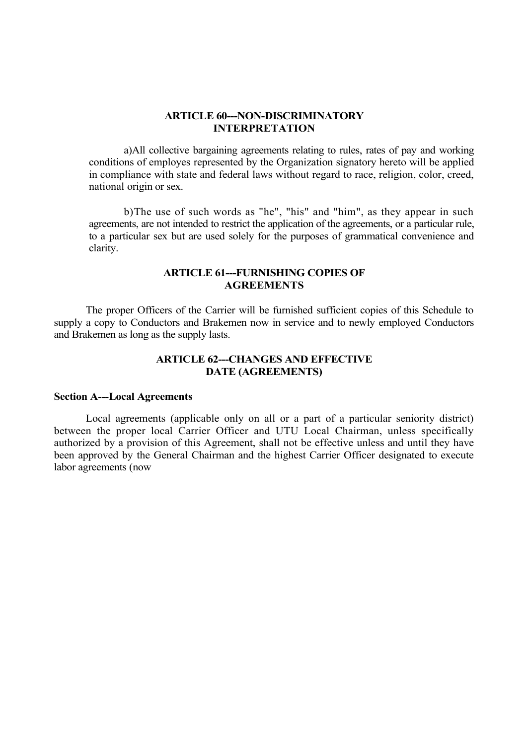#### **ARTICLE 60---NON-DISCRIMINATORY INTERPRETATION**

a)All collective bargaining agreements relating to rules, rates of pay and working conditions of employes represented by the Organization signatory hereto will be applied in compliance with state and federal laws without regard to race, religion, color, creed, national origin or sex.

b)The use of such words as "he", "his" and "him", as they appear in such agreements, are not intended to restrict the application of the agreements, or a particular rule, to a particular sex but are used solely for the purposes of grammatical convenience and clarity.

## **ARTICLE 61---FURNISHING COPIES OF AGREEMENTS**

The proper Officers of the Carrier will be furnished sufficient copies of this Schedule to supply a copy to Conductors and Brakemen now in service and to newly employed Conductors and Brakemen as long as the supply lasts.

## **ARTICLE 62---CHANGES AND EFFECTIVE DATE (AGREEMENTS)**

#### **Section A---Local Agreements**

Local agreements (applicable only on all or a part of a particular seniority district) between the proper local Carrier Officer and UTU Local Chairman, unless specifically authorized by a provision of this Agreement, shall not be effective unless and until they have been approved by the General Chairman and the highest Carrier Officer designated to execute labor agreements (now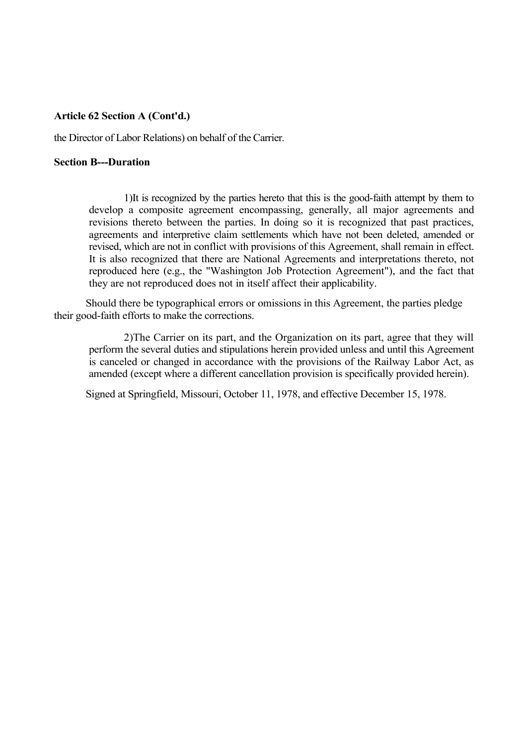### **Article 62 Section A (Cont'd.)**

the Director of Labor Relations) on behalf of the Carrier.

#### **Section B---Duration**

1)It is recognized by the parties hereto that this is the good-faith attempt by them to develop a composite agreement encompassing, generally, all major agreements and revisions thereto between the parties. In doing so it is recognized that past practices, agreements and interpretive claim settlements which have not been deleted, amended or revised, which are not in conflict with provisions of this Agreement, shall remain in effect. It is also recognized that there are National Agreements and interpretations thereto, not reproduced here (e.g., the "Washington Job Protection Agreement"), and the fact that they are not reproduced does not in itself affect their applicability.

Should there be typographical errors or omissions in this Agreement, the parties pledge their good-faith efforts to make the corrections.

2)The Carrier on its part, and the Organization on its part, agree that they will perform the several duties and stipulations herein provided unless and until this Agreement is canceled or changed in accordance with the provisions of the Railway Labor Act, as amended (except where a different cancellation provision is specifically provided herein).

Signed at Springfield, Missouri, October 11, 1978, and effective December 15, 1978.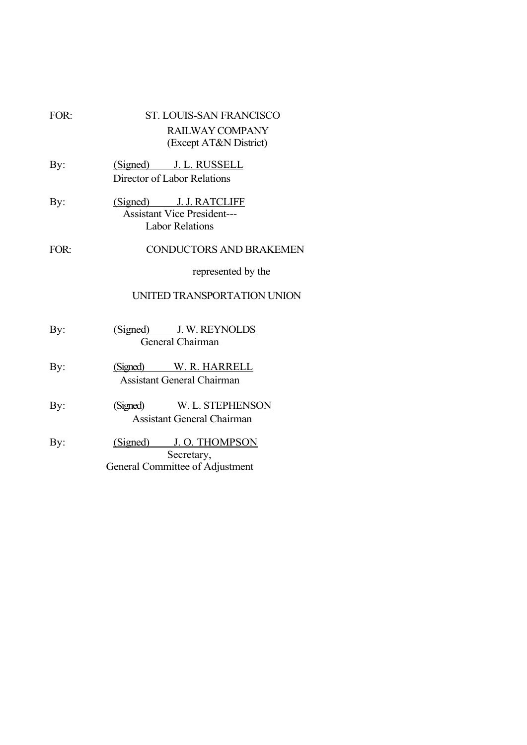| FOR: | <b>ST. LOUIS-SAN FRANCISCO</b><br>RAILWAY COMPANY<br>(Except AT&N District)             |
|------|-----------------------------------------------------------------------------------------|
| By:  | (Signed) J. L. RUSSELL<br>Director of Labor Relations                                   |
| By:  | (Signed) J. J. RATCLIFF<br><b>Assistant Vice President---</b><br><b>Labor Relations</b> |
| FOR: | <b>CONDUCTORS AND BRAKEMEN</b>                                                          |
|      | represented by the                                                                      |
|      | UNITED TRANSPORTATION UNION                                                             |
| By:  | (Signed) J. W. REYNOLDS<br>General Chairman                                             |
| By:  | (Signed) W. R. HARRELL<br><b>Assistant General Chairman</b>                             |
| By:  | (Signed) W. L. STEPHENSON<br><b>Assistant General Chairman</b>                          |
| By:  | (Signed) J.O. THOMPSON<br>Secretary,<br>General Committee of Adjustment                 |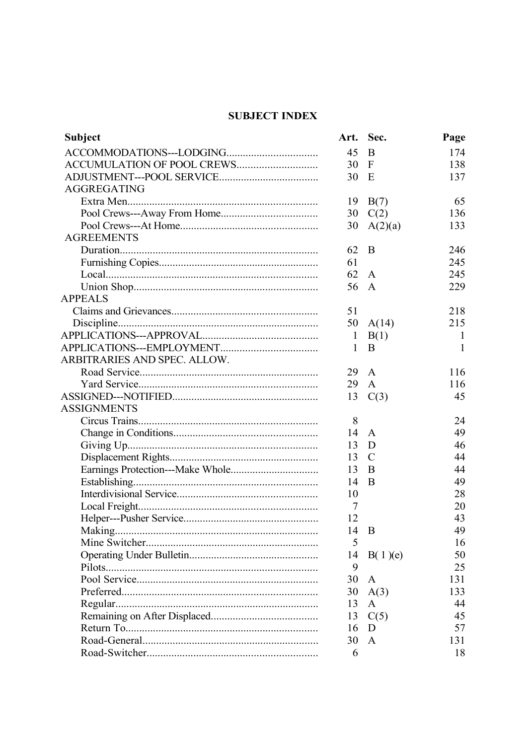# **SUBJECT INDEX**

| <b>Subject</b>               |                | Art. Sec.     | Page         |
|------------------------------|----------------|---------------|--------------|
|                              | 45             | B             | 174          |
|                              | 30             | $\mathbf F$   | 138          |
|                              | 30             | E             | 137          |
| <b>AGGREGATING</b>           |                |               |              |
|                              | 19             | B(7)          | 65           |
|                              | 30             | C(2)          | 136          |
|                              | 30             | A(2)(a)       | 133          |
| <b>AGREEMENTS</b>            |                |               |              |
|                              | 62             | B             | 246          |
|                              | 61             |               | 245          |
|                              | 62             | $\mathbf{A}$  | 245          |
|                              | 56             | $\mathbf{A}$  | 229          |
| <b>APPEALS</b>               |                |               |              |
|                              | 51             |               | 218          |
|                              | 50             | A(14)         | 215          |
|                              | $\mathbf{1}$   | B(1)          | $\mathbf{I}$ |
|                              | 1              | B             | 1            |
| ARBITRARIES AND SPEC. ALLOW. |                |               |              |
|                              | 29             | $\mathbf{A}$  | 116          |
|                              | 29             | $\mathbf{A}$  | 116          |
|                              | 13             | C(3)          | 45           |
| <b>ASSIGNMENTS</b>           |                |               |              |
|                              | 8              |               | 24           |
|                              | 14             | $\mathbf{A}$  | 49           |
|                              | 13             | D             | 46           |
|                              | 13             | $\mathcal{C}$ | 44           |
|                              | 13             | B             | 44           |
|                              | 14             | B             | 49           |
|                              | 10             |               | 28           |
|                              | $\overline{7}$ |               | 20           |
|                              | 12             |               | 43           |
|                              | 14 B           |               | 49           |
|                              | 5              |               | 16           |
|                              | 14             | B(1)(e)       | 50           |
|                              | 9              |               | 25           |
|                              | 30             | A             | 131          |
|                              | 30             | A(3)          | 133          |
|                              | 13             | A             | 44           |
|                              | 13             | C(5)          | 45           |
|                              | 16             | D             | 57           |
|                              | 30             | $\mathbf{A}$  | 131          |
|                              | 6              |               | 18           |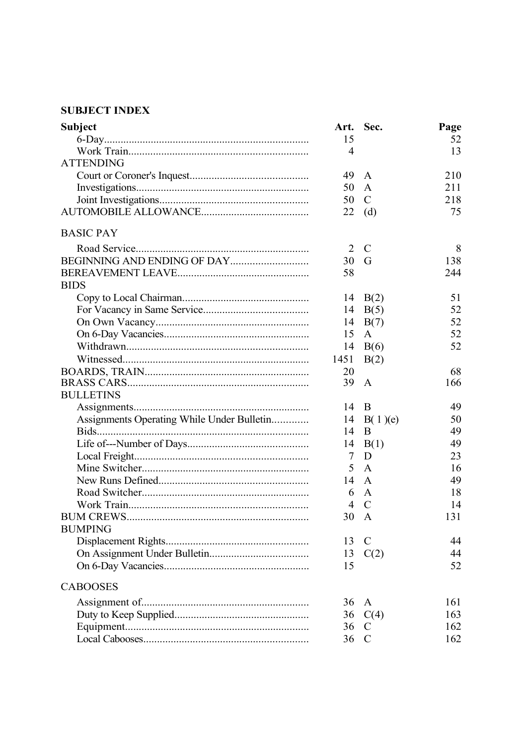## **SUBJECT INDEX**

| <b>Subject</b>                             | Art.           | Sec.          | Page |
|--------------------------------------------|----------------|---------------|------|
|                                            | 15             |               | 52   |
|                                            | 4              |               | 13   |
| <b>ATTENDING</b>                           |                |               |      |
|                                            | 49             | A             | 210  |
|                                            | 50             | $\mathbf{A}$  | 211  |
|                                            | 50             | $\mathcal{C}$ | 218  |
|                                            | 22             | (d)           | 75   |
| <b>BASIC PAY</b>                           |                |               |      |
|                                            | 2              | $\mathcal{C}$ | 8    |
|                                            | 30             | G             | 138  |
|                                            | 58             |               | 244  |
| <b>BIDS</b>                                |                |               |      |
|                                            | 14             | B(2)          | 51   |
|                                            | 14             | B(5)          | 52   |
|                                            | 14             | B(7)          | 52   |
|                                            | 15             | A             | 52   |
|                                            | 14             | B(6)          | 52   |
|                                            | 1451           | B(2)          |      |
|                                            | 20             |               | 68   |
|                                            | 39             | A             | 166  |
| <b>BULLETINS</b>                           |                |               |      |
|                                            | 14             | B             | 49   |
| Assignments Operating While Under Bulletin | 14             | B(1)(e)       | 50   |
| Bids                                       | 14             | B             | 49   |
|                                            | 14             | B(1)          | 49   |
|                                            | 7              | D             | 23   |
|                                            | 5              | $\mathbf{A}$  | 16   |
|                                            | 14             | A             | 49   |
|                                            | 6              | A             | 18   |
|                                            | $\overline{4}$ | $\mathcal{C}$ | 14   |
|                                            | 30 A           |               | 131  |
| <b>BUMPING</b>                             |                |               |      |
|                                            | 13             | $\mathcal{C}$ | 44   |
|                                            | 13             | C(2)          | 44   |
|                                            | 15             |               | 52   |
| <b>CABOOSES</b>                            |                |               |      |
|                                            | 36             | $\mathbf{A}$  | 161  |
|                                            |                | 36 $C(4)$     | 163  |
|                                            | 36             | $\mathcal{C}$ | 162  |
|                                            | 36             | $\mathcal{C}$ | 162  |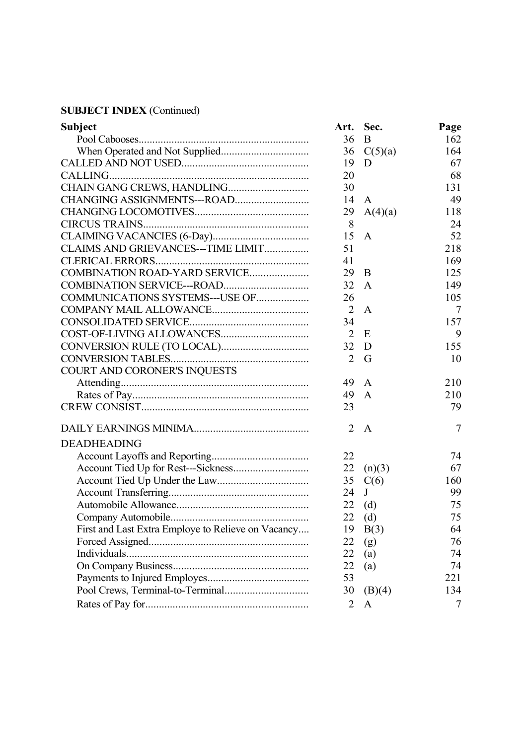| <b>Subject</b>                                     | Art.           | Sec.         | Page |
|----------------------------------------------------|----------------|--------------|------|
|                                                    | 36             | B            | 162  |
|                                                    | 36             | C(5)(a)      | 164  |
|                                                    | 19             | D            | 67   |
| CALLING                                            | 20             |              | 68   |
| CHAIN GANG CREWS, HANDLING                         | 30             |              | 131  |
|                                                    | 14             | $\mathbf{A}$ | 49   |
|                                                    | 29             | A(4)(a)      | 118  |
|                                                    | 8              |              | 24   |
|                                                    | 15             | A            | 52   |
| CLAIMS AND GRIEVANCES---TIME LIMIT                 | 51             |              | 218  |
|                                                    | 41             |              | 169  |
| COMBINATION ROAD-YARD SERVICE                      | 29             | B            | 125  |
|                                                    | 32             | A            | 149  |
| COMMUNICATIONS SYSTEMS---USE OF                    | 26             |              | 105  |
|                                                    | $\overline{2}$ | A            | 7    |
|                                                    | 34             |              | 157  |
|                                                    | $\overline{2}$ | E            | 9    |
|                                                    | 32             | D            | 155  |
|                                                    | 2              | G            | 10   |
| COURT AND CORONER'S INQUESTS                       |                |              |      |
|                                                    | 49             | A            | 210  |
|                                                    | 49             | A            | 210  |
|                                                    | 23             |              | 79   |
|                                                    | 2              | A            | 7    |
| <b>DEADHEADING</b>                                 |                |              |      |
|                                                    | 22             |              | 74   |
|                                                    | 22             | (n)(3)       | 67   |
|                                                    | 35             | C(6)         | 160  |
|                                                    | 24             | J            | 99   |
|                                                    | 22             | (d)          | 75   |
|                                                    | 22             | (d)          | 75   |
| First and Last Extra Employe to Relieve on Vacancy | 19             | B(3)         | 64   |
|                                                    | 22             | (g)          | 76   |
|                                                    | 22             | (a)          | 74   |
|                                                    | 22             | (a)          | 74   |
|                                                    | 53             |              | 221  |
|                                                    | 30             | (B)(4)       | 134  |
|                                                    | $\overline{2}$ | A            | 7    |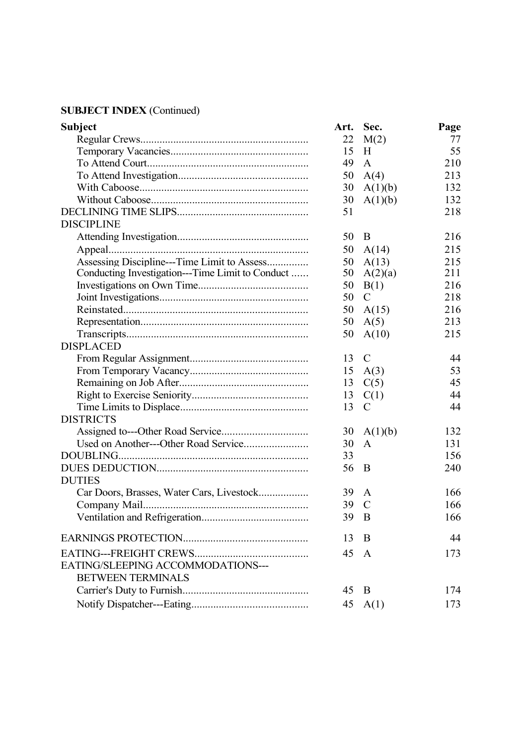| <b>Subject</b>                                   | Art. | Sec.          | Page |
|--------------------------------------------------|------|---------------|------|
|                                                  | 22   | M(2)          | 77   |
|                                                  | 15   | H             | 55   |
|                                                  | 49   | A             | 210  |
|                                                  | 50   | A(4)          | 213  |
|                                                  | 30   | A(1)(b)       | 132  |
|                                                  | 30   | A(1)(b)       | 132  |
|                                                  | 51   |               | 218  |
| <b>DISCIPLINE</b>                                |      |               |      |
|                                                  | 50   | B             | 216  |
|                                                  | 50   | A(14)         | 215  |
| Assessing Discipline---Time Limit to Assess      | 50   | A(13)         | 215  |
| Conducting Investigation---Time Limit to Conduct | 50   | A(2)(a)       | 211  |
|                                                  | 50   | B(1)          | 216  |
|                                                  | 50   | $\mathcal{C}$ | 218  |
|                                                  | 50   | A(15)         | 216  |
|                                                  | 50   | A(5)          | 213  |
|                                                  | 50   | A(10)         | 215  |
| <b>DISPLACED</b>                                 |      |               |      |
|                                                  | 13   | $\mathcal{C}$ | 44   |
|                                                  | 15   | A(3)          | 53   |
|                                                  | 13   | C(5)          | 45   |
|                                                  | 13   | C(1)          | 44   |
|                                                  | 13   | $\mathcal{C}$ | 44   |
| <b>DISTRICTS</b>                                 |      |               |      |
|                                                  | 30   | A(1)(b)       | 132  |
|                                                  | 30   | A             | 131  |
|                                                  | 33   |               | 156  |
|                                                  | 56   | B             | 240  |
| <b>DUTIES</b>                                    |      |               |      |
|                                                  | 39   | A             | 166  |
|                                                  | 39   | $\mathcal{C}$ | 166  |
|                                                  | 39 B |               | 166  |
|                                                  | 13   | B             | 44   |
|                                                  | 45   | $\mathbf{A}$  | 173  |
| EATING/SLEEPING ACCOMMODATIONS---                |      |               |      |
| <b>BETWEEN TERMINALS</b>                         |      |               |      |
|                                                  | 45   | B             | 174  |
|                                                  | 45   | A(1)          | 173  |
|                                                  |      |               |      |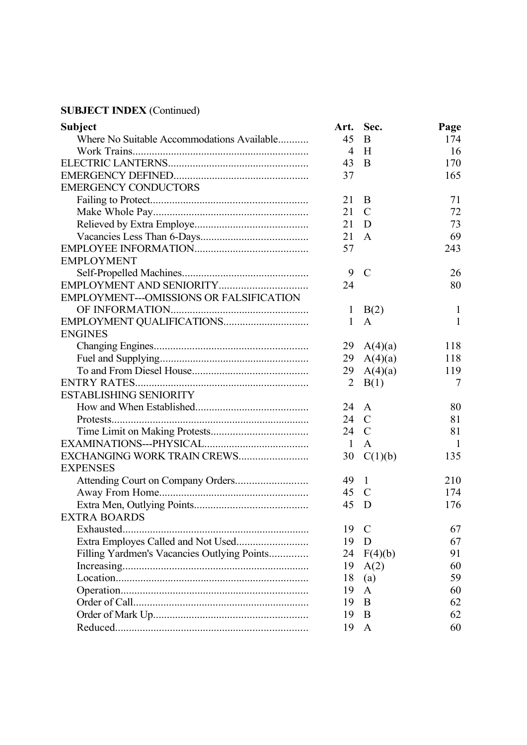| <b>Subject</b>                              | Art.           | Sec.          | Page         |
|---------------------------------------------|----------------|---------------|--------------|
| Where No Suitable Accommodations Available  | 45             | B             | 174          |
|                                             | 4              | H             | 16           |
|                                             | 43             | B             | 170          |
|                                             | 37             |               | 165          |
| <b>EMERGENCY CONDUCTORS</b>                 |                |               |              |
|                                             | 21             | B             | 71           |
|                                             | 21             | $\mathcal{C}$ | 72           |
|                                             | 21             | D             | 73           |
|                                             | 21             | $\mathbf{A}$  | 69           |
|                                             | 57             |               | 243          |
| <b>EMPLOYMENT</b>                           |                |               |              |
|                                             | 9              | $\mathcal{C}$ | 26           |
|                                             | 24             |               | 80           |
| EMPLOYMENT---OMISSIONS OR FALSIFICATION     |                |               |              |
|                                             | $\mathbf{1}$   | B(2)          | $\mathbf{1}$ |
| EMPLOYMENT QUALIFICATIONS                   | 1              | A             | 1            |
| <b>ENGINES</b>                              |                |               |              |
|                                             | 29             | A(4)(a)       | 118          |
|                                             | 29             | A(4)(a)       | 118          |
|                                             | 29             | A(4)(a)       | 119          |
|                                             | $\overline{2}$ | B(1)          | 7            |
| <b>ESTABLISHING SENIORITY</b>               |                |               |              |
|                                             | 24             | A             | 80           |
|                                             | 24             | $\mathcal{C}$ | 81           |
|                                             | 24             | $\mathcal{C}$ | 81           |
|                                             | $\mathbf{1}$   | $\mathbf{A}$  | -1           |
| EXCHANGING WORK TRAIN CREWS                 | 30             | C(1)(b)       | 135          |
| <b>EXPENSES</b>                             |                |               |              |
|                                             | 49             | $\mathbf{1}$  | 210          |
|                                             | 45             | $\mathcal{C}$ | 174          |
|                                             | 45             | D             | 176          |
| <b>EXTRA BOARDS</b>                         |                |               |              |
| Exhausted.                                  | 19             | $\mathcal{C}$ | 67           |
|                                             | 19             | D             | 67           |
| Filling Yardmen's Vacancies Outlying Points | 24             | F(4)(b)       | 91           |
|                                             | 19             | A(2)          | 60           |
|                                             | 18             | (a)           | 59           |
|                                             | 19             | A             | 60           |
|                                             | 19             | B             | 62           |
|                                             | 19             | B             | 62           |
|                                             | 19             | A             | 60           |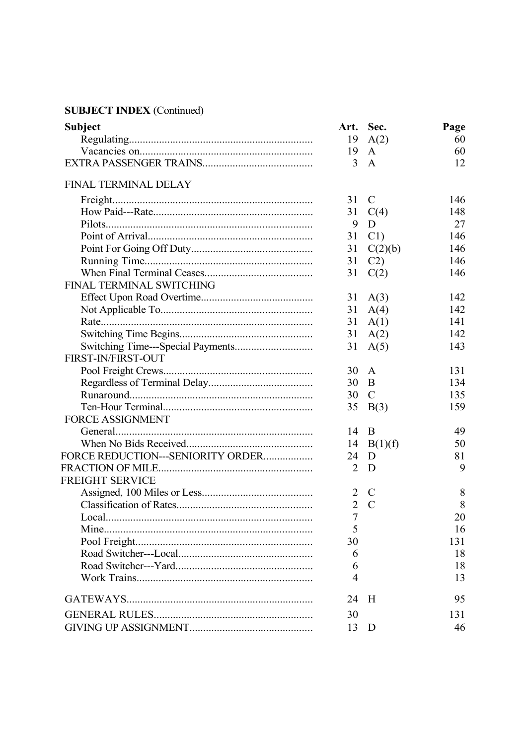| <b>Subject</b>                    | Art. Sec.      |               | Page |
|-----------------------------------|----------------|---------------|------|
|                                   | 19             | A(2)          | 60   |
|                                   | 19             | $\mathsf{A}$  | 60   |
|                                   | 3              | A             | 12   |
| <b>FINAL TERMINAL DELAY</b>       |                |               |      |
|                                   | 31             | $\mathcal{C}$ | 146  |
|                                   | 31             | C(4)          | 148  |
|                                   | 9              | D             | 27   |
|                                   | 31             | C1            | 146  |
|                                   | 31             | C(2)(b)       | 146  |
|                                   | 31             | C2)           | 146  |
|                                   | 31             | C(2)          | 146  |
| FINAL TERMINAL SWITCHING          |                |               |      |
|                                   | 31             | A(3)          | 142  |
|                                   | 31             | A(4)          | 142  |
|                                   | 31             | A(1)          | 141  |
|                                   | 31             | A(2)          | 142  |
|                                   | 31             | A(5)          | 143  |
| FIRST-IN/FIRST-OUT                |                |               |      |
|                                   | 30             | $\mathsf{A}$  | 131  |
|                                   | 30             | B             | 134  |
|                                   | 30             | $\mathcal{C}$ | 135  |
|                                   | 35             | B(3)          | 159  |
| <b>FORCE ASSIGNMENT</b>           |                |               |      |
|                                   | 14             | B             | 49   |
|                                   | 14             | B(1)(f)       | 50   |
| FORCE REDUCTION---SENIORITY ORDER | 24             | D             | 81   |
|                                   | $\overline{2}$ | D             | 9    |
| <b>FREIGHT SERVICE</b>            |                |               |      |
|                                   | 2              | $\mathcal{C}$ | 8    |
|                                   | $\overline{2}$ | $\mathcal{C}$ | 8    |
|                                   | 7              |               | 20   |
| Mine.                             | 5              |               | 16   |
|                                   | 30             |               | 131  |
|                                   | 6              |               | 18   |
|                                   | 6              |               | 18   |
|                                   | 4              |               | 13   |
|                                   | 24             | H             | 95   |
|                                   | 30             |               | 131  |
|                                   | 13             | D             | 46   |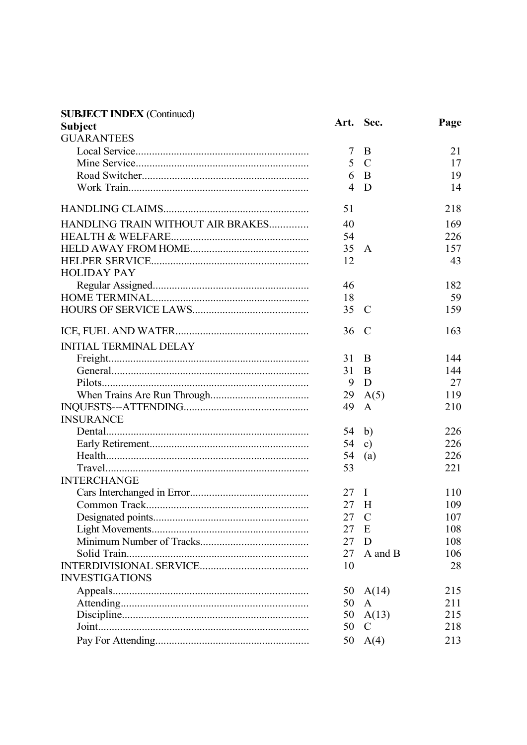| <b>SUBJECT INDEX (Continued)</b>  |                |               |      |
|-----------------------------------|----------------|---------------|------|
| <b>Subject</b>                    |                | Art. Sec.     | Page |
| <b>GUARANTEES</b>                 |                |               |      |
|                                   | 7              | B             | 21   |
|                                   | 5 <sup>5</sup> | $\mathbf C$   | 17   |
|                                   | 6              | $\mathbf B$   | 19   |
|                                   | 4              | D             | 14   |
|                                   | 51             |               | 218  |
| HANDLING TRAIN WITHOUT AIR BRAKES | 40             |               | 169  |
|                                   | 54             |               | 226  |
|                                   | 35             | $\mathbf{A}$  | 157  |
|                                   | 12             |               | 43   |
| <b>HOLIDAY PAY</b>                |                |               |      |
|                                   | 46             |               | 182  |
|                                   | 18             |               | 59   |
|                                   | 35             | $\mathbf C$   | 159  |
|                                   |                |               |      |
|                                   | 36             | $\mathbf C$   | 163  |
| <b>INITIAL TERMINAL DELAY</b>     |                |               |      |
|                                   | 31             | B             | 144  |
|                                   | 31             | B             | 144  |
|                                   | 9              | D             | 27   |
|                                   | 29             | A(5)          | 119  |
|                                   | 49             | $\mathbf{A}$  | 210  |
| <b>INSURANCE</b>                  |                |               |      |
|                                   | $54$ b)        |               | 226  |
|                                   | 54             | c)            | 226  |
|                                   | 54             | (a)           | 226  |
|                                   | 53             |               | 221  |
| <b>INTERCHANGE</b>                |                |               |      |
|                                   | $27 \quad I$   |               | 110  |
|                                   | 27 H           |               | 109  |
|                                   | 27             | $\mathcal{C}$ | 107  |
|                                   | 27             | Ε             | 108  |
|                                   | 27             | D             | 108  |
|                                   | 27             | A and B       | 106  |
|                                   | 10             |               | 28   |
| <b>INVESTIGATIONS</b>             |                |               |      |
|                                   | 50             | A(14)         | 215  |
|                                   | 50             | A             | 211  |
|                                   | 50             | A(13)         | 215  |
|                                   | 50             | $\mathcal{C}$ | 218  |
|                                   | 50             | A(4)          | 213  |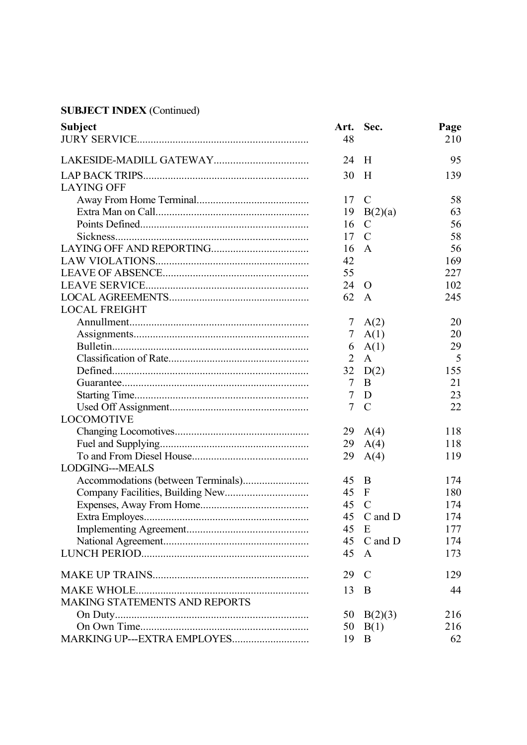| <b>Subject</b>                       | Art. Sec.      |               | Page |
|--------------------------------------|----------------|---------------|------|
|                                      | 48             |               | 210  |
|                                      | 24             | H             | 95   |
|                                      | 30             | H             | 139  |
| <b>LAYING OFF</b>                    |                |               |      |
|                                      | 17             | $\mathbf C$   | 58   |
|                                      | 19             | B(2)(a)       | 63   |
|                                      | 16             | $\mathcal{C}$ | 56   |
|                                      | 17             | $\mathcal{C}$ | 58   |
|                                      | 16             | A             | 56   |
|                                      | 42             |               | 169  |
|                                      | 55             |               | 227  |
|                                      | 24             | $\Omega$      | 102  |
|                                      | 62             | A             | 245  |
| <b>LOCAL FREIGHT</b>                 |                |               |      |
|                                      | 7              | A(2)          | 20   |
|                                      | $\tau$         | A(1)          | 20   |
|                                      | 6              | A(1)          | 29   |
|                                      | 2              | $\mathbf{A}$  | 5    |
|                                      | 32             | D(2)          | 155  |
|                                      | $\overline{7}$ | B             | 21   |
|                                      | 7              | D             | 23   |
|                                      | $\overline{7}$ | $\mathcal{C}$ | 22   |
| <b>LOCOMOTIVE</b>                    |                |               |      |
|                                      | 29             | A(4)          | 118  |
|                                      | 29             | A(4)          | 118  |
|                                      | 29             | A(4)          | 119  |
| <b>LODGING---MEALS</b>               |                |               |      |
|                                      | 45             | $\mathbf B$   | 174  |
|                                      | 45             | $\mathbf F$   | 180  |
|                                      | 45             | $\mathcal{C}$ | 174  |
|                                      |                | 45 C and D    | 174  |
|                                      | 45             | E             | 177  |
|                                      | 45             | C and D       | 174  |
|                                      | 45             | $\mathbf{A}$  | 173  |
|                                      | 29             | $\mathcal{C}$ | 129  |
|                                      | 13             | B             | 44   |
| <b>MAKING STATEMENTS AND REPORTS</b> |                |               |      |
|                                      | 50             | B(2)(3)       | 216  |
|                                      | 50             | B(1)          | 216  |
| MARKING UP---EXTRA EMPLOYES          | 19             | B             | 62   |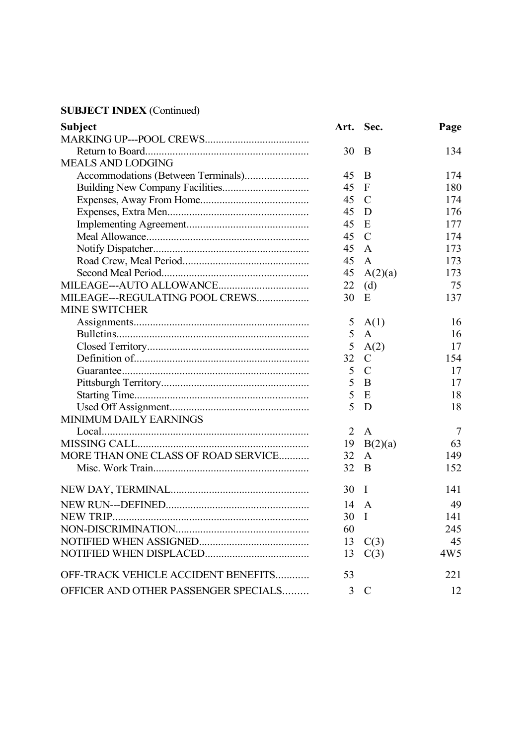| <b>Subject</b>                       |      | Art. Sec.      | Page            |
|--------------------------------------|------|----------------|-----------------|
|                                      |      |                |                 |
|                                      | 30   | $\overline{B}$ | 134             |
| <b>MEALS AND LODGING</b>             |      |                |                 |
|                                      | 45   | B              | 174             |
|                                      | 45   | $\overline{F}$ | 180             |
|                                      | 45   | $\mathcal{C}$  | 174             |
|                                      | 45   | D              | 176             |
|                                      | 45   | E              | 177             |
|                                      | 45   | $\mathcal{C}$  | 174             |
|                                      | 45   | A              | 173             |
|                                      | 45   | $\mathbf{A}$   | 173             |
|                                      | 45   | A(2)(a)        | 173             |
|                                      | 22   | (d)            | 75              |
| MILEAGE---REGULATING POOL CREWS      | 30   | E              | 137             |
| <b>MINE SWITCHER</b>                 |      |                |                 |
|                                      | 5    | A(1)           | 16              |
|                                      | 5    | $\mathbf{A}$   | 16              |
|                                      | 5    | A(2)           | 17              |
|                                      | 32   | $\mathcal{C}$  | 154             |
|                                      | 5    | $\mathcal{C}$  | 17              |
|                                      | 5    | B              | 17              |
|                                      | 5    | E              | 18              |
|                                      | 5    | D              | 18              |
| MINIMUM DAILY EARNINGS               |      |                |                 |
|                                      | 2    | $\mathbf{A}$   | $\overline{7}$  |
|                                      | 19   | B(2)(a)        | 63              |
| MORE THAN ONE CLASS OF ROAD SERVICE  | 32   | A              | 149             |
|                                      | 32   | B              | 152             |
|                                      | 30   | I              | 141             |
|                                      | 14   | $\mathbf{A}$   | 49              |
|                                      | 30 I |                | 141             |
|                                      | 60   |                | 245             |
|                                      | 13   | C(3)           | 45              |
|                                      | 13   | C(3)           | 4W <sub>5</sub> |
| OFF-TRACK VEHICLE ACCIDENT BENEFITS  | 53   |                | 221             |
| OFFICER AND OTHER PASSENGER SPECIALS | 3    | $\mathcal{C}$  | 12              |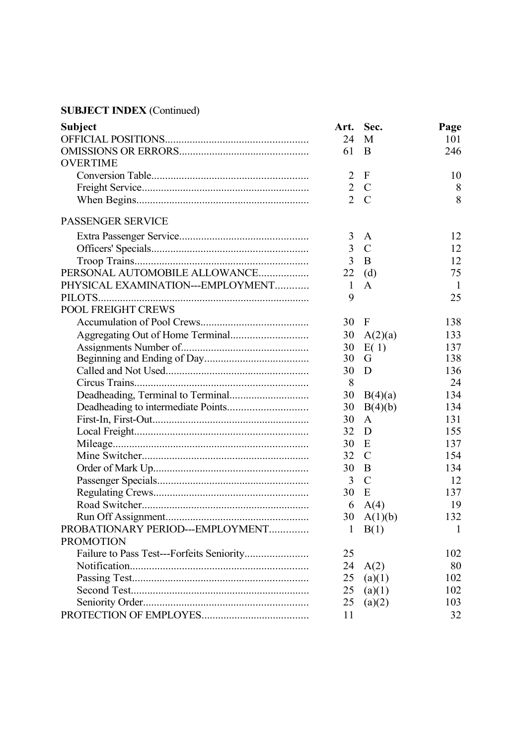| <b>Subject</b>                    | Art.           | Sec.          | Page |
|-----------------------------------|----------------|---------------|------|
|                                   | 24             | M             | 101  |
|                                   | 61             | B             | 246  |
| <b>OVERTIME</b>                   |                |               |      |
|                                   | $\overline{2}$ | $\mathbf{F}$  | 10   |
|                                   | $\overline{2}$ | $\mathcal{C}$ | 8    |
|                                   | $\overline{2}$ | $\mathcal{C}$ | 8    |
| PASSENGER SERVICE                 |                |               |      |
|                                   | 3              | A             | 12   |
|                                   | 3              | $\mathcal{C}$ | 12   |
|                                   | $\overline{3}$ | B             | 12   |
| PERSONAL AUTOMOBILE ALLOWANCE     | 22             | (d)           | 75   |
| PHYSICAL EXAMINATION---EMPLOYMENT | 1              | $\mathbf{A}$  | -1   |
|                                   | 9              |               | 25   |
| POOL FREIGHT CREWS                |                |               |      |
|                                   | 30             | $\mathbf{F}$  | 138  |
|                                   | 30             | A(2)(a)       | 133  |
|                                   | 30             | E(1)          | 137  |
|                                   | 30             | G             | 138  |
|                                   | 30             | D             | 136  |
|                                   | 8              |               | 24   |
|                                   | 30             | B(4)(a)       | 134  |
|                                   | 30             | B(4)(b)       | 134  |
|                                   | 30             | $\mathbf{A}$  | 131  |
|                                   | 32             | D             | 155  |
|                                   | 30             | E             | 137  |
|                                   | 32             | $\mathcal{C}$ | 154  |
|                                   | 30             | B             | 134  |
|                                   | 3              | $\mathcal{C}$ | 12   |
|                                   | 30             | E             | 137  |
|                                   | 6              | A(4)          | 19   |
|                                   |                | 30 $A(1)(b)$  | 132  |
| PROBATIONARY PERIOD---EMPLOYMENT  | 1              | B(1)          | 1    |
| <b>PROMOTION</b>                  |                |               |      |
|                                   | 25             |               | 102  |
|                                   | 24             | A(2)          | 80   |
|                                   | 25             | (a)(1)        | 102  |
|                                   | 25             | (a)(1)        | 102  |
|                                   | 25             | (a)(2)        | 103  |
|                                   | 11             |               | 32   |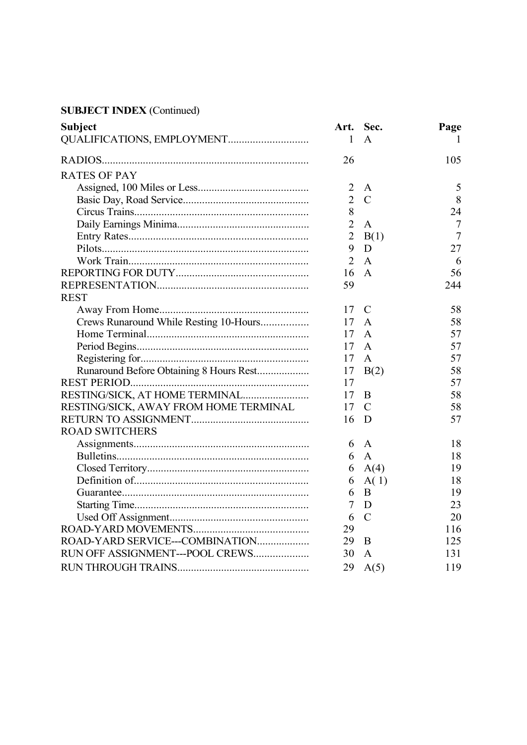| <b>Subject</b>                          |                | Art. Sec.     | Page           |
|-----------------------------------------|----------------|---------------|----------------|
| QUALIFICATIONS, EMPLOYMENT              | 1              | A             |                |
|                                         | 26             |               | 105            |
| <b>RATES OF PAY</b>                     |                |               |                |
|                                         | $\overline{2}$ | A             | 5              |
|                                         | $\overline{2}$ | $\mathcal{C}$ | 8              |
|                                         | 8              |               | 24             |
|                                         | $\overline{2}$ | A             | 7              |
|                                         | $\overline{2}$ | B(1)          | $\overline{7}$ |
|                                         | 9              | D             | 27             |
|                                         | 2              | A             | 6              |
|                                         | 16             | $\mathbf{A}$  | 56             |
|                                         | 59             |               | 244            |
| <b>REST</b>                             |                |               |                |
|                                         | 17             | $\mathcal{C}$ | 58             |
| Crews Runaround While Resting 10-Hours  | 17             | A             | 58             |
|                                         | 17             | A             | 57             |
|                                         | 17             | A             | 57             |
|                                         | 17             | A             | 57             |
| Runaround Before Obtaining 8 Hours Rest | 17             | B(2)          | 58             |
|                                         | 17             |               | 57             |
| RESTING/SICK, AT HOME TERMINAL          | 17             | B             | 58             |
| RESTING/SICK, AWAY FROM HOME TERMINAL   | 17             | $\mathcal{C}$ | 58             |
|                                         | 16             | D             | 57             |
| <b>ROAD SWITCHERS</b>                   |                |               |                |
|                                         | 6              | $\mathsf{A}$  | 18             |
|                                         | 6              | $\mathbf{A}$  | 18             |
|                                         | 6              | A(4)          | 19             |
|                                         | 6              | A(1)          | 18             |
|                                         | 6              | B             | 19             |
|                                         | 7              | D             | 23             |
|                                         | 6              | $\mathcal{C}$ | 20             |
|                                         | 29             |               | 116            |
| ROAD-YARD SERVICE---COMBINATION         | 29             | B             | 125            |
| RUN OFF ASSIGNMENT---POOL CREWS         | 30             | A             | 131            |
|                                         | 29             | A(5)          | 119            |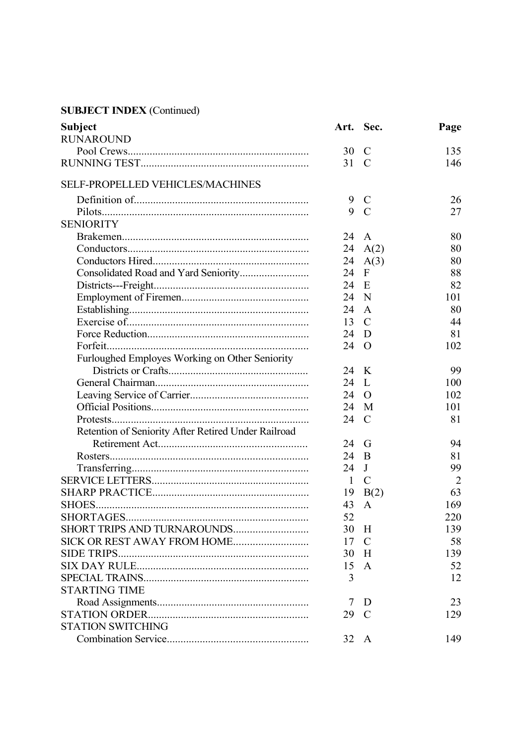| Subject                                             |          | Art. Sec.      | Page           |
|-----------------------------------------------------|----------|----------------|----------------|
| <b>RUNAROUND</b>                                    |          |                |                |
|                                                     | 30       | $\mathcal{C}$  | 135            |
|                                                     | 31       | $\mathcal{C}$  | 146            |
| SELF-PROPELLED VEHICLES/MACHINES                    |          |                |                |
|                                                     | 9        | $\mathbf C$    | 26             |
|                                                     | 9        | $\mathcal{C}$  | 27             |
| <b>SENIORITY</b>                                    |          |                |                |
|                                                     | 24       | A              | 80             |
|                                                     | 24       | A(2)           | 80             |
|                                                     | 24       | A(3)           | 80             |
|                                                     | 24       | $\mathbf{F}$   | 88             |
|                                                     | 24       | E              | 82             |
|                                                     | 24       | N              | 101            |
|                                                     | 24       | A              | 80             |
|                                                     | 13       | $\mathcal{C}$  | 44             |
|                                                     | 24       | D              | 81             |
|                                                     | 24       | $\overline{O}$ | 102            |
| Furloughed Employes Working on Other Seniority      |          |                |                |
|                                                     | 24       | K              | 99             |
|                                                     | 24       | L              | 100            |
|                                                     |          |                | 102            |
|                                                     | 24<br>24 | O              | 101            |
|                                                     |          | M              |                |
|                                                     | 24       | C              | 81             |
| Retention of Seniority After Retired Under Railroad |          |                |                |
|                                                     | 24       | G              | 94             |
|                                                     | 24       | B              | 81             |
|                                                     | 24       | J              | 99             |
|                                                     | -1       | $\mathcal{C}$  | $\overline{2}$ |
|                                                     | 19       | B(2)           | 63             |
|                                                     | 43       | A              | 169            |
|                                                     | 52       |                | 220            |
| SHORT TRIPS AND TURNAROUNDS                         | 30       | H              | 139            |
|                                                     | 17       | $\mathcal{C}$  | 58             |
|                                                     | 30       | H              | 139            |
|                                                     | 15       | $\mathbf{A}$   | 52             |
|                                                     | 3        |                | 12             |
| <b>STARTING TIME</b>                                |          |                |                |
|                                                     | 7        | D              | 23             |
|                                                     | 29       | $\mathcal{C}$  | 129            |
| <b>STATION SWITCHING</b>                            |          |                |                |
|                                                     | 32 A     |                | 149            |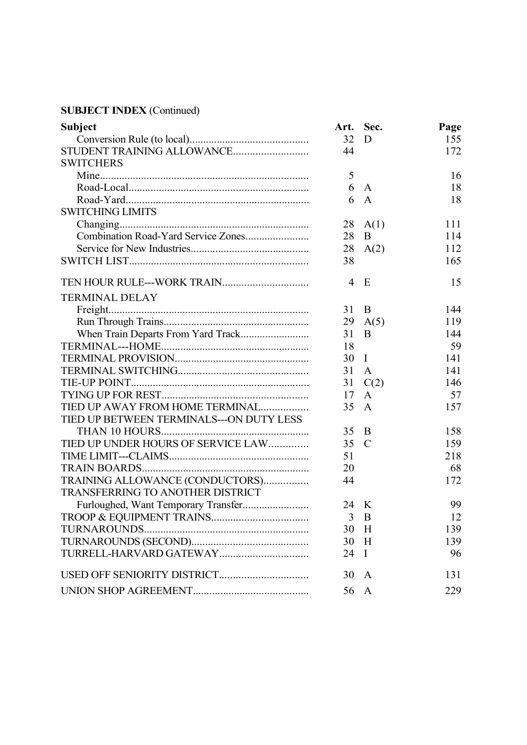| <b>Subject</b>                           |      | Art. Sec.     | Page |
|------------------------------------------|------|---------------|------|
|                                          | 32   | D             | 155  |
| STUDENT TRAINING ALLOWANCE               | 44   |               | 172  |
| <b>SWITCHERS</b>                         |      |               |      |
|                                          | 5    |               | 16   |
|                                          | 6    | A             | 18   |
|                                          | 6    | $\mathbf{A}$  | 18   |
| <b>SWITCHING LIMITS</b>                  |      |               |      |
|                                          | 28   | A(1)          | 111  |
|                                          | 28   | B             | 114  |
|                                          | 28   | A(2)          | 112  |
|                                          | 38   |               | 165  |
| TEN HOUR RULE---WORK TRAIN               | 4    | E             | 15   |
| <b>TERMINAL DELAY</b>                    |      |               |      |
|                                          | 31   | B             | 144  |
|                                          | 29   | A(5)          | 119  |
|                                          | 31   | B             | 144  |
|                                          | 18   |               | 59   |
|                                          | 30   | $\bf{I}$      | 141  |
|                                          | 31   | $\mathbf{A}$  | 141  |
|                                          | 31   | C(2)          | 146  |
|                                          | 17   | $\mathbf{A}$  | 57   |
| TIED UP AWAY FROM HOME TERMINAL          | 35   | $\mathbf{A}$  | 157  |
| TIED UP BETWEEN TERMINALS---ON DUTY LESS |      |               |      |
|                                          | 35   | B             | 158  |
| TIED UP UNDER HOURS OF SERVICE LAW       | 35   | $\mathcal{C}$ | 159  |
|                                          | 51   |               | 218  |
|                                          | 20   |               | 68   |
| TRAINING ALLOWANCE (CONDUCTORS)          | 44   |               | 172  |
| TRANSFERRING TO ANOTHER DISTRICT         |      |               |      |
|                                          | 24 K |               | 99   |
|                                          |      | $3 \quad B$   | 12   |
|                                          | 30   | H             | 139  |
|                                          | 30   | H             | 139  |
|                                          | 24   | $\mathbf I$   | 96   |
|                                          | 30   | A             | 131  |
|                                          | 56   | A             | 229  |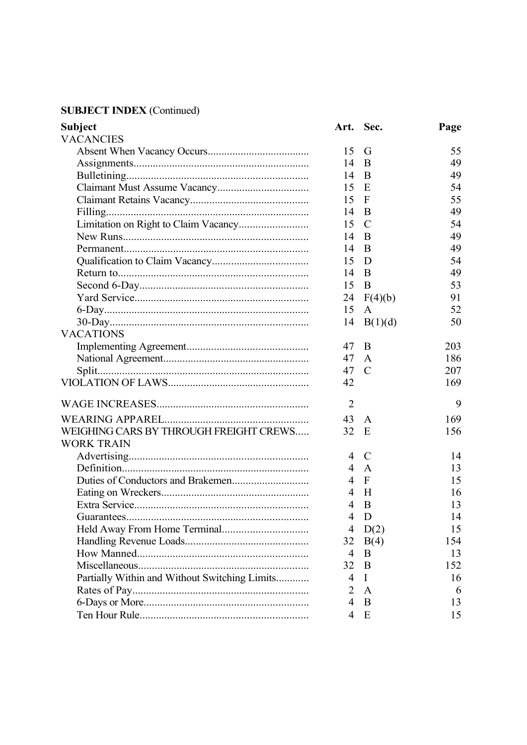| <b>Subject</b>                                |                | Art. Sec.     | Page |
|-----------------------------------------------|----------------|---------------|------|
| <b>VACANCIES</b>                              |                |               |      |
|                                               | 15             | G             | 55   |
|                                               | 14             | B             | 49   |
|                                               | 14             | B             | 49   |
|                                               | 15             | Ε             | 54   |
|                                               | 15             | F             | 55   |
|                                               | 14             | B             | 49   |
|                                               | 15             | $\mathcal{C}$ | 54   |
|                                               | 14             | B             | 49   |
|                                               | 14             | B             | 49   |
|                                               | 15             | D             | 54   |
|                                               | 14             | B             | 49   |
|                                               | 15             | B             | 53   |
|                                               | 24             | F(4)(b)       | 91   |
|                                               | 15             | A             | 52   |
|                                               | 14             | B(1)(d)       | 50   |
| <b>VACATIONS</b>                              |                |               |      |
|                                               | 47             | B             | 203  |
|                                               | 47             | A             | 186  |
|                                               | 47             | $\mathcal{C}$ | 207  |
|                                               | 42             |               | 169  |
|                                               | $\overline{2}$ |               | 9    |
|                                               | 43             | $\mathbf{A}$  | 169  |
| WEIGHING CARS BY THROUGH FREIGHT CREWS        | 32             | E             | 156  |
| <b>WORK TRAIN</b>                             |                |               |      |
|                                               | 4              | C             | 14   |
|                                               | 4              | $\mathsf{A}$  | 13   |
|                                               | 4              | F             | 15   |
|                                               | 4              | H             | 16   |
|                                               | $\overline{4}$ | B             | 13   |
|                                               | $\overline{4}$ | D             | 14   |
|                                               | $\overline{4}$ | D(2)          | 15   |
|                                               | 32             | B(4)          | 154  |
|                                               | $\overline{4}$ | B             | 13   |
|                                               | 32             | B             | 152  |
| Partially Within and Without Switching Limits | 4              | $\bf{I}$      | 16   |
|                                               | $\overline{2}$ | $\mathbf{A}$  | 6    |
|                                               | $\overline{4}$ | B             | 13   |
|                                               | $\overline{4}$ | E             | 15   |